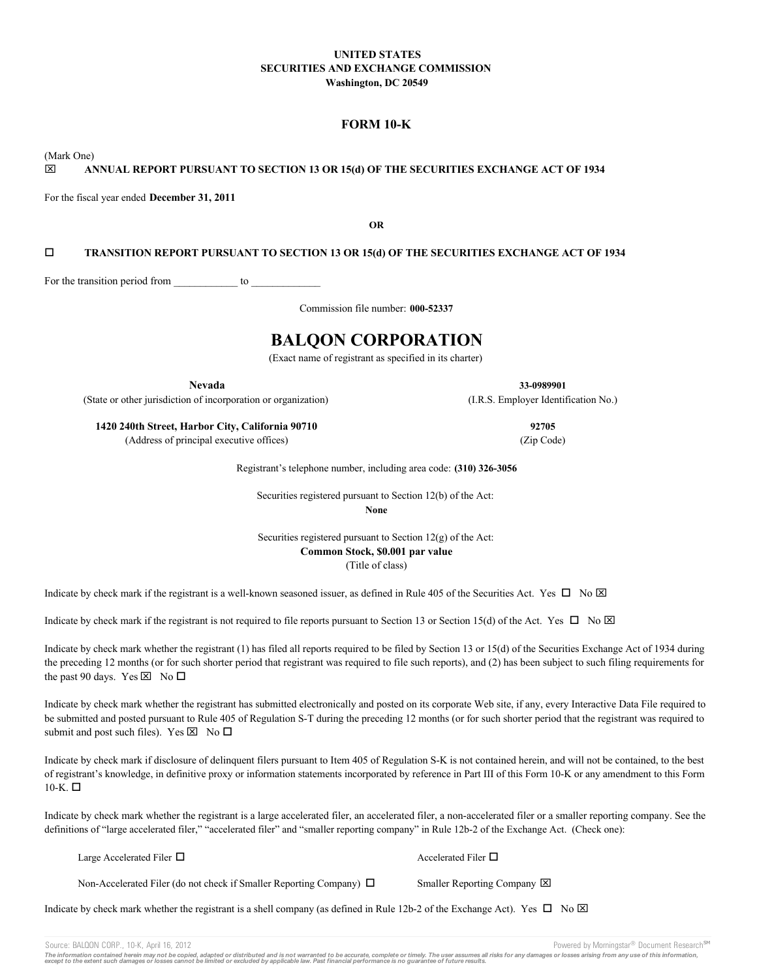### **UNITED STATES SECURITIES AND EXCHANGE COMMISSION Washington, DC 20549**

# **FORM 10-K**

(Mark One)

### x **ANNUAL REPORT PURSUANT TO SECTION 13 OR 15(d) OF THE SECURITIES EXCHANGE ACT OF 1934**

For the fiscal year ended **December 31, 2011**

**OR**

# **TRANSITION REPORT PURSUANT TO SECTION 13 OR 15(d) OF THE SECURITIES EXCHANGE ACT OF 1934**

For the transition period from to  $\sim$ 

Commission file number: **000-52337**

# **BALQON CORPORATION**

(Exact name of registrant as specified in its charter)

**Nevada**

(State or other jurisdiction of incorporation or organization)

**1420 240th Street, Harbor City, California 90710** (Address of principal executive offices)

Registrant's telephone number, including area code: **(310) 326-3056**

Securities registered pursuant to Section 12(b) of the Act: **None**

Securities registered pursuant to Section 12(g) of the Act: **Common Stock, \$0.001 par value** (Title of class)

Indicate by check mark if the registrant is a well-known seasoned issuer, as defined in Rule 405 of the Securities Act. Yes  $\Box$  No  $\boxtimes$ 

Indicate by check mark if the registrant is not required to file reports pursuant to Section 13 or Section 15(d) of the Act. Yes  $\Box$  No  $\boxtimes$ 

Indicate by check mark whether the registrant (1) has filed all reports required to be filed by Section 13 or 15(d) of the Securities Exchange Act of 1934 during the preceding 12 months (or for such shorter period that registrant was required to file such reports), and (2) has been subject to such filing requirements for the past 90 days. Yes  $\boxtimes$  No  $\square$ 

Indicate by check mark whether the registrant has submitted electronically and posted on its corporate Web site, if any, every Interactive Data File required to be submitted and posted pursuant to Rule 405 of Regulation S-T during the preceding 12 months (or for such shorter period that the registrant was required to submit and post such files). Yes  $\boxtimes$  No  $\square$ 

Indicate by check mark if disclosure of delinquent filers pursuant to Item 405 of Regulation S-K is not contained herein, and will not be contained, to the best of registrant's knowledge, in definitive proxy or information statements incorporated by reference in Part III of this Form 10-K or any amendment to this Form  $10-K.$   $\square$ 

Indicate by check mark whether the registrant is a large accelerated filer, an accelerated filer, a non-accelerated filer or a smaller reporting company. See the definitions of "large accelerated filer," "accelerated filer" and "smaller reporting company" in Rule 12b-2 of the Exchange Act. (Check one):

Large Accelerated Filer  $\Box$ 

Non-Accelerated Filer (do not check if Smaller Reporting Company)  $\Box$  Smaller Reporting Company  $\boxtimes$ 

Indicate by check mark whether the registrant is a shell company (as defined in Rule 12b-2 of the Exchange Act). Yes  $\Box$  No  $\boxtimes$ 

Source: BALQON CORP., 10-K, April 16, 2012 **Powered by Morningstar® Document Research** in Powered by Morningstar® Document Research in

The information contained herein may not be copied, adapted or distributed and is not warranted to be accurate, complete or timely. The user assumes all risks for any damages or losses arising from any use of this informat

(Zip Code)

**33-0989901** (I.R.S. Employer Identification No.)

**92705**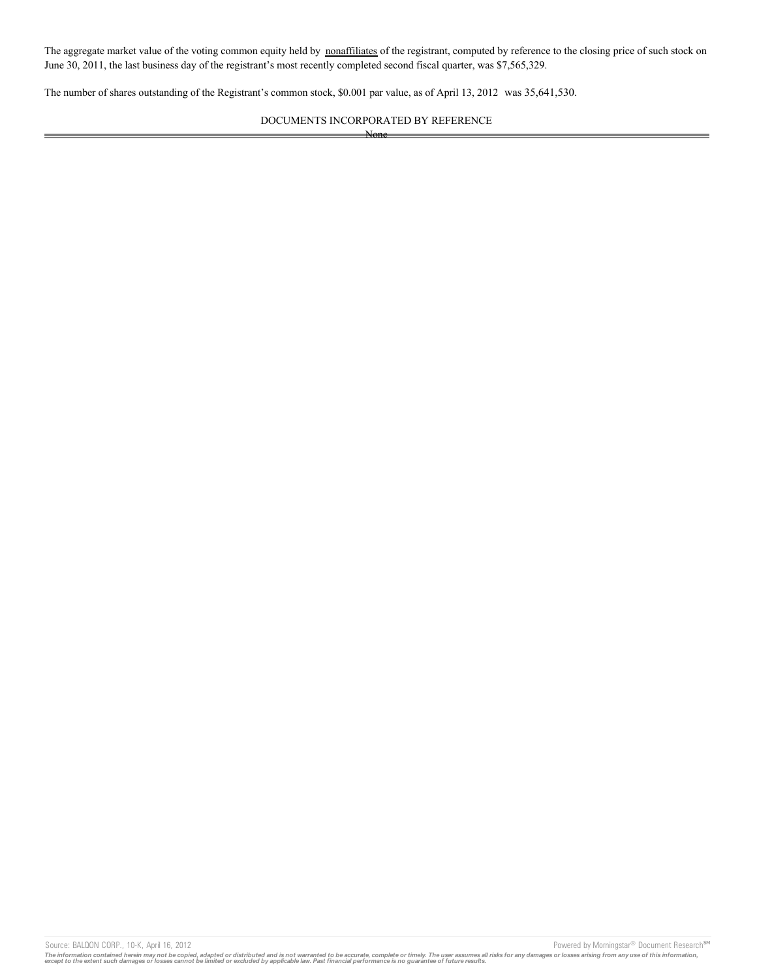The aggregate market value of the voting common equity held by nonaffiliates of the registrant, computed by reference to the closing price of such stock on June 30, 2011, the last business day of the registrant's most recently completed second fiscal quarter, was \$7,565,329.

The number of shares outstanding of the Registrant's common stock, \$0.001 par value, as of April 13, 2012 was 35,641,530.

DOCUMENTS INCORPORATED BY REFERENCE None

Source: BALQON CORP., 10-K, April 16, 2012 **Powered by Morningstar® Document Research** Morningstar® Document Research Morningstar® Document Research Morningstar® Document Research Morningstar® Document Research Morningstar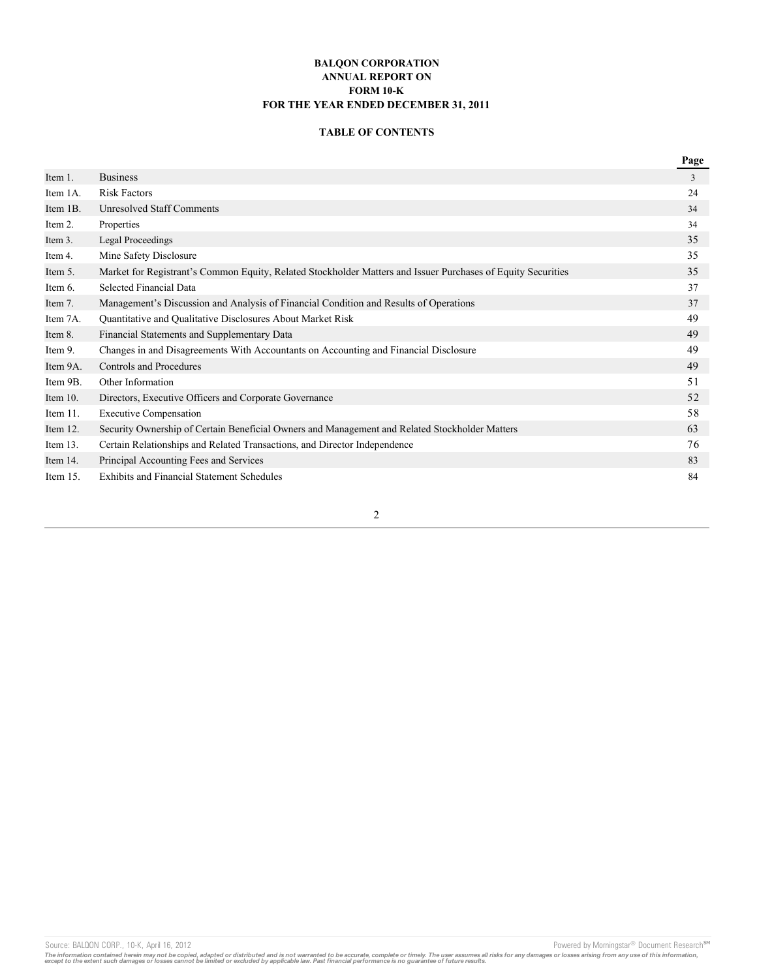# **BALQON CORPORATION ANNUAL REPORT ON FORM 10-K FOR THE YEAR ENDED DECEMBER 31, 2011**

# **TABLE OF CONTENTS**

|             |                                                                                                              | Page |
|-------------|--------------------------------------------------------------------------------------------------------------|------|
| Item 1.     | <b>Business</b>                                                                                              | 3    |
| Item 1A.    | <b>Risk Factors</b>                                                                                          | 24   |
| Item 1B.    | <b>Unresolved Staff Comments</b>                                                                             | 34   |
| Item 2.     | Properties                                                                                                   | 34   |
| Item 3.     | <b>Legal Proceedings</b>                                                                                     | 35   |
| Item 4.     | Mine Safety Disclosure                                                                                       | 35   |
| Item 5.     | Market for Registrant's Common Equity, Related Stockholder Matters and Issuer Purchases of Equity Securities | 35   |
| Item 6.     | Selected Financial Data                                                                                      | 37   |
| Item 7.     | Management's Discussion and Analysis of Financial Condition and Results of Operations                        | 37   |
| Item 7A.    | Quantitative and Qualitative Disclosures About Market Risk                                                   | 49   |
| Item 8.     | Financial Statements and Supplementary Data                                                                  | 49   |
| Item 9.     | Changes in and Disagreements With Accountants on Accounting and Financial Disclosure                         | 49   |
| Item 9A.    | Controls and Procedures                                                                                      | 49   |
| Item 9B.    | Other Information                                                                                            | 51   |
| Item $10$ . | Directors, Executive Officers and Corporate Governance                                                       | 52   |
| Item 11.    | <b>Executive Compensation</b>                                                                                | 58   |
| Item 12.    | Security Ownership of Certain Beneficial Owners and Management and Related Stockholder Matters               | 63   |
| Item $13.$  | Certain Relationships and Related Transactions, and Director Independence                                    | 76   |
| Item $14$ . | Principal Accounting Fees and Services                                                                       | 83   |
| Item 15.    | <b>Exhibits and Financial Statement Schedules</b>                                                            | 84   |

2

Source: BALQON CORP., 10-K, April 16, 2012 **Powered by Morningstar®** Document Research SM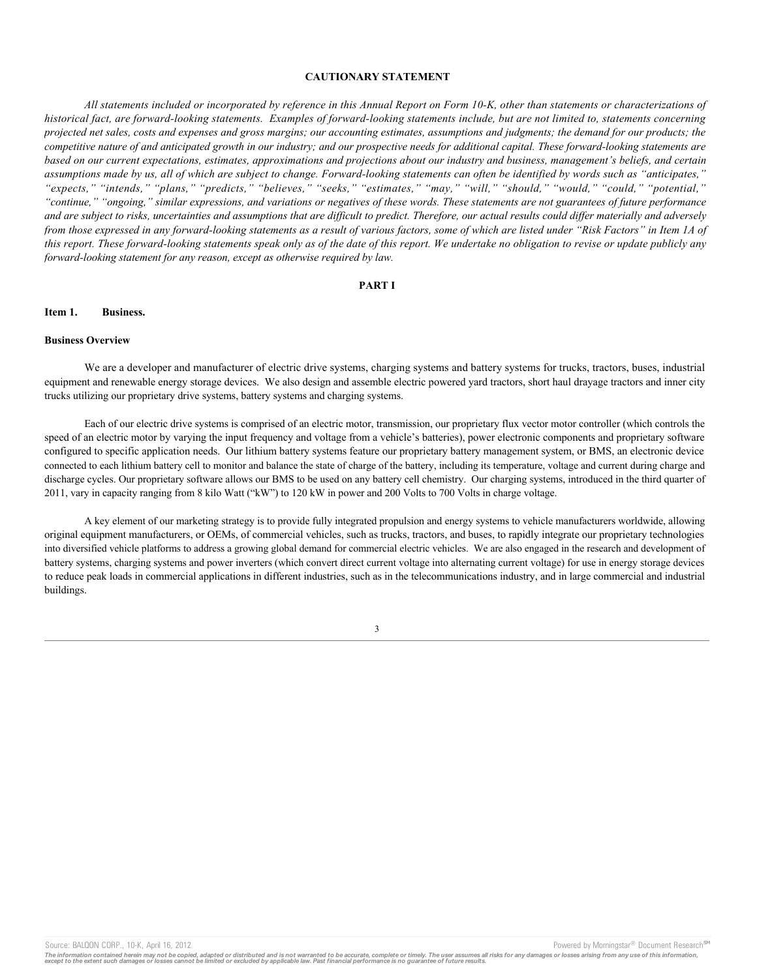### **CAUTIONARY STATEMENT**

*All statements included or incorporated by reference in this Annual Report on Form 10-K, other than statements or characterizations of historical fact, are forward-looking statements. Examples of forward-looking statements include, but are not limited to, statements concerning projected net sales, costs and expenses and gross margins; our accounting estimates, assumptions and judgments; the demand for our products; the competitive nature of and anticipated growth in our industry; and our prospective needs for additional capital. These forward-looking statements are based on our current expectations, estimates, approximations and projections about our industry and business, management's beliefs, and certain assumptions made by us, all of which are subject to change. Forward-looking statements can often be identified by words such as "anticipates," "expects," "intends," "plans," "predicts," "believes," "seeks," "estimates," "may," "will," "should," "would," "could," "potential," "continue," "ongoing," similar expressions, and variations or negatives of these words. These statements are not guarantees of future performance and are subject to risks, uncertainties and assumptions that are difficult to predict. Therefore, our actual results could differ materially and adversely from those expressed in any forward-looking statements as a result of various factors, some of which are listed under "Risk Factors" in Item 1A of this report. These forward-looking statements speak only as of the date of this report. We undertake no obligation to revise or update publicly any forward-looking statement for any reason, except as otherwise required by law.*

# **PART I**

### **Item 1. Business.**

### **Business Overview**

We are a developer and manufacturer of electric drive systems, charging systems and battery systems for trucks, tractors, buses, industrial equipment and renewable energy storage devices. We also design and assemble electric powered yard tractors, short haul drayage tractors and inner city trucks utilizing our proprietary drive systems, battery systems and charging systems.

Each of our electric drive systems is comprised of an electric motor, transmission, our proprietary flux vector motor controller (which controls the speed of an electric motor by varying the input frequency and voltage from a vehicle's batteries), power electronic components and proprietary software configured to specific application needs. Our lithium battery systems feature our proprietary battery management system, or BMS, an electronic device connected to each lithium battery cell to monitor and balance the state of charge of the battery, including its temperature, voltage and current during charge and discharge cycles. Our proprietary software allows our BMS to be used on any battery cell chemistry. Our charging systems, introduced in the third quarter of 2011, vary in capacity ranging from 8 kilo Watt ("kW") to 120 kW in power and 200 Volts to 700 Volts in charge voltage.

A key element of our marketing strategy is to provide fully integrated propulsion and energy systems to vehicle manufacturers worldwide, allowing original equipment manufacturers, or OEMs, of commercial vehicles, such as trucks, tractors, and buses, to rapidly integrate our proprietary technologies into diversified vehicle platforms to address a growing global demand for commercial electric vehicles. We are also engaged in the research and development of battery systems, charging systems and power inverters (which convert direct current voltage into alternating current voltage) for use in energy storage devices to reduce peak loads in commercial applications in different industries, such as in the telecommunications industry, and in large commercial and industrial buildings.

### 3

Source: BALQON CORP., 10-K, April 16, 2012 **Powered by Morningstar® Document Research** in Powered by Morningstar® Document Research in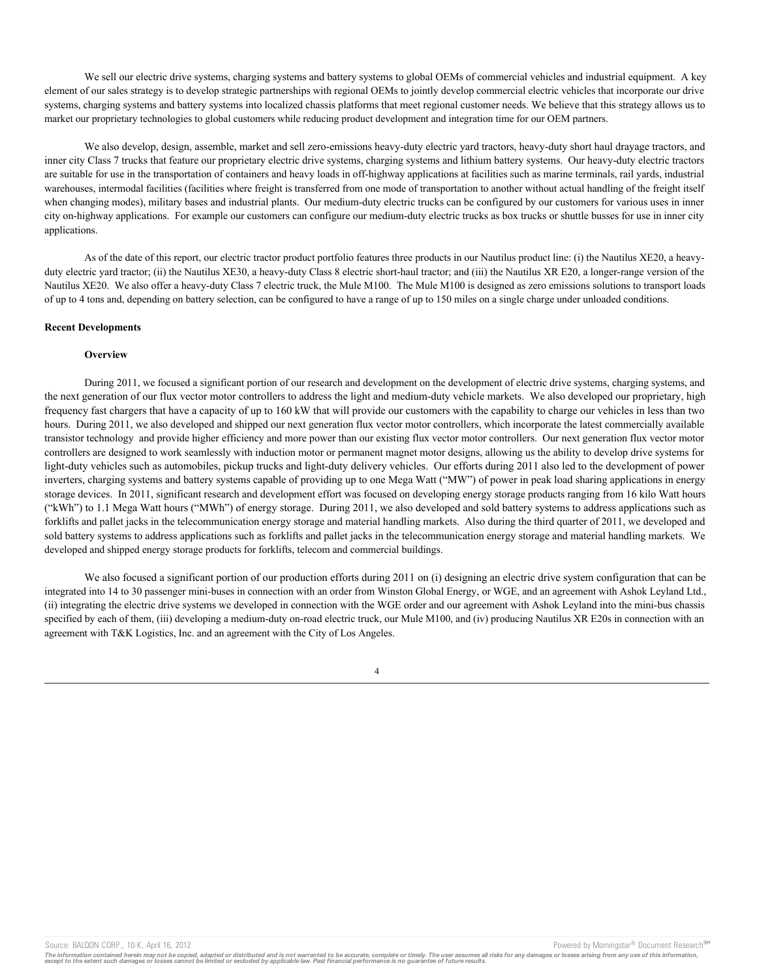We sell our electric drive systems, charging systems and battery systems to global OEMs of commercial vehicles and industrial equipment. A key element of our sales strategy is to develop strategic partnerships with regional OEMs to jointly develop commercial electric vehicles that incorporate our drive systems, charging systems and battery systems into localized chassis platforms that meet regional customer needs. We believe that this strategy allows us to market our proprietary technologies to global customers while reducing product development and integration time for our OEM partners.

We also develop, design, assemble, market and sell zero-emissions heavy-duty electric yard tractors, heavy-duty short haul drayage tractors, and inner city Class 7 trucks that feature our proprietary electric drive systems, charging systems and lithium battery systems. Our heavy-duty electric tractors are suitable for use in the transportation of containers and heavy loads in off-highway applications at facilities such as marine terminals, rail yards, industrial warehouses, intermodal facilities (facilities where freight is transferred from one mode of transportation to another without actual handling of the freight itself when changing modes), military bases and industrial plants. Our medium-duty electric trucks can be configured by our customers for various uses in inner city on-highway applications. For example our customers can configure our medium-duty electric trucks as box trucks or shuttle busses for use in inner city applications.

As of the date of this report, our electric tractor product portfolio features three products in our Nautilus product line: (i) the Nautilus XE20, a heavyduty electric yard tractor; (ii) the Nautilus XE30, a heavy-duty Class 8 electric short-haul tractor; and (iii) the Nautilus XR E20, a longer-range version of the Nautilus XE20. We also offer a heavy-duty Class 7 electric truck, the Mule M100. The Mule M100 is designed as zero emissions solutions to transport loads of up to 4 tons and, depending on battery selection, can be configured to have a range of up to 150 miles on a single charge under unloaded conditions.

### **Recent Developments**

#### **Overview**

During 2011, we focused a significant portion of our research and development on the development of electric drive systems, charging systems, and the next generation of our flux vector motor controllers to address the light and medium-duty vehicle markets. We also developed our proprietary, high frequency fast chargers that have a capacity of up to 160 kW that will provide our customers with the capability to charge our vehicles in less than two hours. During 2011, we also developed and shipped our next generation flux vector motor controllers, which incorporate the latest commercially available transistor technology and provide higher efficiency and more power than our existing flux vector motor controllers. Our next generation flux vector motor controllers are designed to work seamlessly with induction motor or permanent magnet motor designs, allowing us the ability to develop drive systems for light-duty vehicles such as automobiles, pickup trucks and light-duty delivery vehicles. Our efforts during 2011 also led to the development of power inverters, charging systems and battery systems capable of providing up to one Mega Watt ("MW") of power in peak load sharing applications in energy storage devices. In 2011, significant research and development effort was focused on developing energy storage products ranging from 16 kilo Watt hours ("kWh") to 1.1 Mega Watt hours ("MWh") of energy storage. During 2011, we also developed and sold battery systems to address applications such as forklifts and pallet jacks in the telecommunication energy storage and material handling markets. Also during the third quarter of 2011, we developed and sold battery systems to address applications such as forklifts and pallet jacks in the telecommunication energy storage and material handling markets. We developed and shipped energy storage products for forklifts, telecom and commercial buildings.

We also focused a significant portion of our production efforts during 2011 on (i) designing an electric drive system configuration that can be integrated into 14 to 30 passenger mini-buses in connection with an order from Winston Global Energy, or WGE, and an agreement with Ashok Leyland Ltd., (ii) integrating the electric drive systems we developed in connection with the WGE order and our agreement with Ashok Leyland into the mini-bus chassis specified by each of them, (iii) developing a medium-duty on-road electric truck, our Mule M100, and (iv) producing Nautilus XR E20s in connection with an agreement with T&K Logistics, Inc. and an agreement with the City of Los Angeles.



The information contained herein may not be copied, adapted or distributed and is not warranted to be accurate, complete or timely. The user assumes all risks for any damages or losses arising from any use of this informat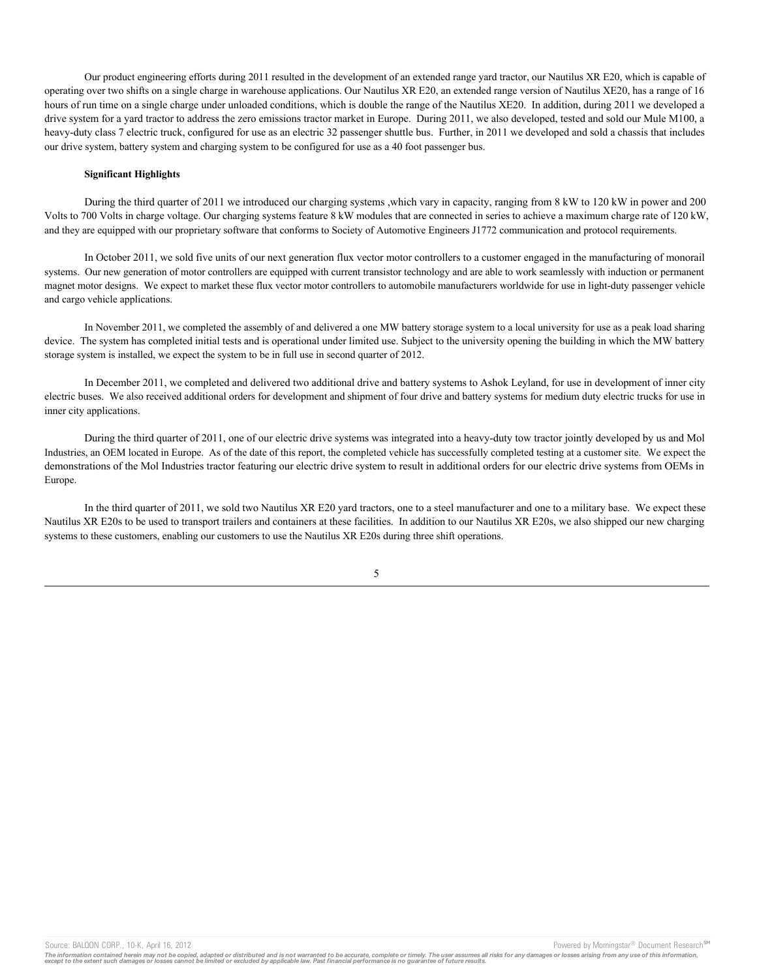Our product engineering efforts during 2011 resulted in the development of an extended range yard tractor, our Nautilus XR E20, which is capable of operating over two shifts on a single charge in warehouse applications. Our Nautilus XR E20, an extended range version of Nautilus XE20, has a range of 16 hours of run time on a single charge under unloaded conditions, which is double the range of the Nautilus XE20. In addition, during 2011 we developed a drive system for a yard tractor to address the zero emissions tractor market in Europe. During 2011, we also developed, tested and sold our Mule M100, a heavy-duty class 7 electric truck, configured for use as an electric 32 passenger shuttle bus. Further, in 2011 we developed and sold a chassis that includes our drive system, battery system and charging system to be configured for use as a 40 foot passenger bus.

### **Significant Highlights**

During the third quarter of 2011 we introduced our charging systems ,which vary in capacity, ranging from 8 kW to 120 kW in power and 200 Volts to 700 Volts in charge voltage. Our charging systems feature 8 kW modules that are connected in series to achieve a maximum charge rate of 120 kW, and they are equipped with our proprietary software that conforms to Society of Automotive Engineers J1772 communication and protocol requirements.

In October 2011, we sold five units of our next generation flux vector motor controllers to a customer engaged in the manufacturing of monorail systems. Our new generation of motor controllers are equipped with current transistor technology and are able to work seamlessly with induction or permanent magnet motor designs. We expect to market these flux vector motor controllers to automobile manufacturers worldwide for use in light-duty passenger vehicle and cargo vehicle applications.

In November 2011, we completed the assembly of and delivered a one MW battery storage system to a local university for use as a peak load sharing device. The system has completed initial tests and is operational under limited use. Subject to the university opening the building in which the MW battery storage system is installed, we expect the system to be in full use in second quarter of 2012.

In December 2011, we completed and delivered two additional drive and battery systems to Ashok Leyland, for use in development of inner city electric buses. We also received additional orders for development and shipment of four drive and battery systems for medium duty electric trucks for use in inner city applications.

During the third quarter of 2011, one of our electric drive systems was integrated into a heavy-duty tow tractor jointly developed by us and Mol Industries, an OEM located in Europe. As of the date of this report, the completed vehicle has successfully completed testing at a customer site. We expect the demonstrations of the Mol Industries tractor featuring our electric drive system to result in additional orders for our electric drive systems from OEMs in Europe.

In the third quarter of 2011, we sold two Nautilus XR E20 yard tractors, one to a steel manufacturer and one to a military base. We expect these Nautilus XR E20s to be used to transport trailers and containers at these facilities. In addition to our Nautilus XR E20s, we also shipped our new charging systems to these customers, enabling our customers to use the Nautilus XR E20s during three shift operations.

5

Source: BALQON CORP., 10-K, April 16, 2012 **Powered by Morningstar® Document Research** in Powered by Morningstar® Document Research in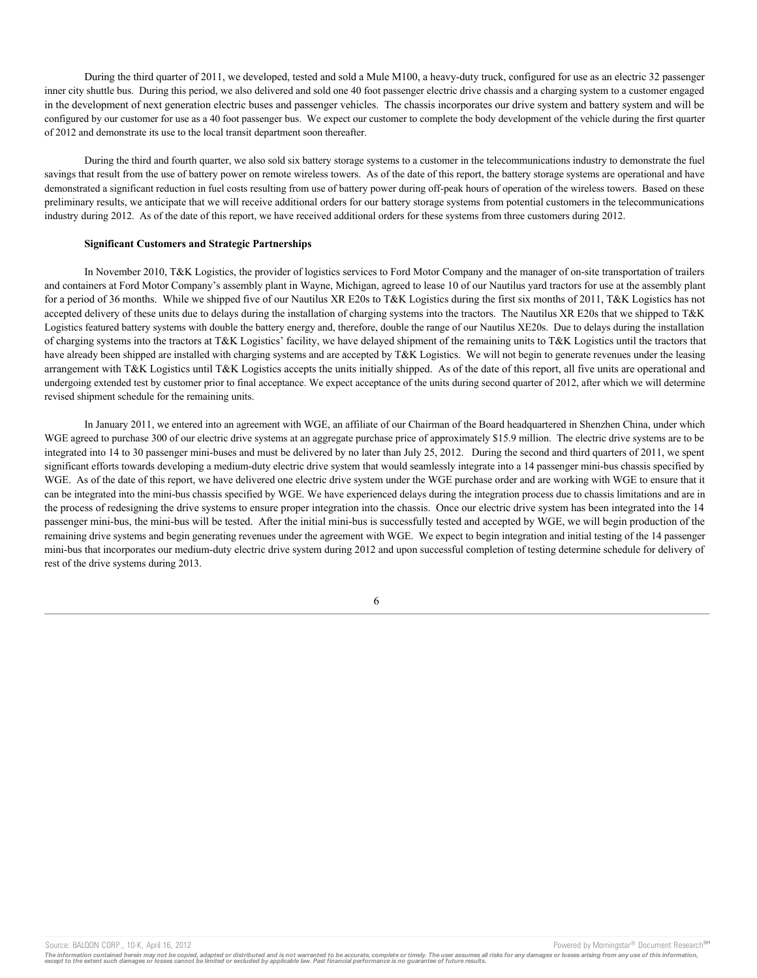During the third quarter of 2011, we developed, tested and sold a Mule M100, a heavy-duty truck, configured for use as an electric 32 passenger inner city shuttle bus. During this period, we also delivered and sold one 40 foot passenger electric drive chassis and a charging system to a customer engaged in the development of next generation electric buses and passenger vehicles. The chassis incorporates our drive system and battery system and will be configured by our customer for use as a 40 foot passenger bus. We expect our customer to complete the body development of the vehicle during the first quarter of 2012 and demonstrate its use to the local transit department soon thereafter.

During the third and fourth quarter, we also sold six battery storage systems to a customer in the telecommunications industry to demonstrate the fuel savings that result from the use of battery power on remote wireless towers. As of the date of this report, the battery storage systems are operational and have demonstrated a significant reduction in fuel costs resulting from use of battery power during off-peak hours of operation of the wireless towers. Based on these preliminary results, we anticipate that we will receive additional orders for our battery storage systems from potential customers in the telecommunications industry during 2012. As of the date of this report, we have received additional orders for these systems from three customers during 2012.

#### **Significant Customers and Strategic Partnerships**

In November 2010, T&K Logistics, the provider of logistics services to Ford Motor Company and the manager of on-site transportation of trailers and containers at Ford Motor Company's assembly plant in Wayne, Michigan, agreed to lease 10 of our Nautilus yard tractors for use at the assembly plant for a period of 36 months. While we shipped five of our Nautilus XR E20s to T&K Logistics during the first six months of 2011, T&K Logistics has not accepted delivery of these units due to delays during the installation of charging systems into the tractors. The Nautilus XR E20s that we shipped to T&K Logistics featured battery systems with double the battery energy and, therefore, double the range of our Nautilus XE20s. Due to delays during the installation of charging systems into the tractors at T&K Logistics' facility, we have delayed shipment of the remaining units to T&K Logistics until the tractors that have already been shipped are installed with charging systems and are accepted by T&K Logistics. We will not begin to generate revenues under the leasing arrangement with T&K Logistics until T&K Logistics accepts the units initially shipped. As of the date of this report, all five units are operational and undergoing extended test by customer prior to final acceptance. We expect acceptance of the units during second quarter of 2012, after which we will determine revised shipment schedule for the remaining units.

In January 2011, we entered into an agreement with WGE, an affiliate of our Chairman of the Board headquartered in Shenzhen China, under which WGE agreed to purchase 300 of our electric drive systems at an aggregate purchase price of approximately \$15.9 million. The electric drive systems are to be integrated into 14 to 30 passenger mini-buses and must be delivered by no later than July 25, 2012. During the second and third quarters of 2011, we spent significant efforts towards developing a medium-duty electric drive system that would seamlessly integrate into a 14 passenger mini-bus chassis specified by WGE. As of the date of this report, we have delivered one electric drive system under the WGE purchase order and are working with WGE to ensure that it can be integrated into the mini-bus chassis specified by WGE. We have experienced delays during the integration process due to chassis limitations and are in the process of redesigning the drive systems to ensure proper integration into the chassis. Once our electric drive system has been integrated into the 14 passenger mini-bus, the mini-bus will be tested. After the initial mini-bus is successfully tested and accepted by WGE, we will begin production of the remaining drive systems and begin generating revenues under the agreement with WGE. We expect to begin integration and initial testing of the 14 passenger mini-bus that incorporates our medium-duty electric drive system during 2012 and upon successful completion of testing determine schedule for delivery of rest of the drive systems during 2013.

Source: BALQON CORP., 10-K, April 16, 2012 **Powered by Morningstar® Document Research** in Powered by Morningstar® Document Research in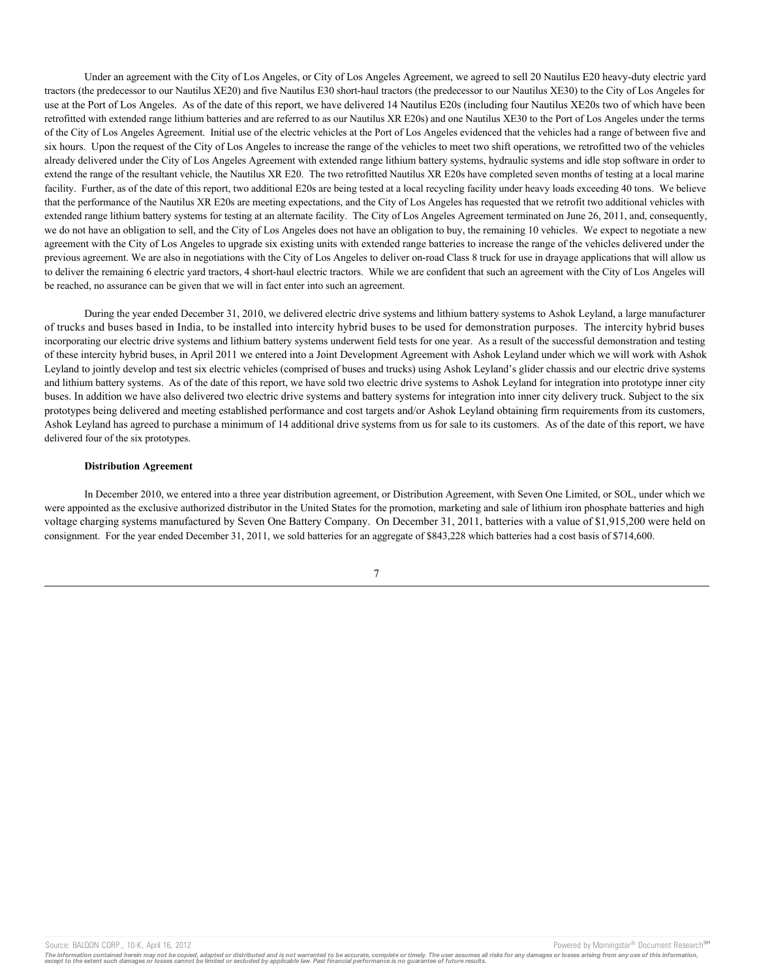Under an agreement with the City of Los Angeles, or City of Los Angeles Agreement, we agreed to sell 20 Nautilus E20 heavy-duty electric yard tractors (the predecessor to our Nautilus XE20) and five Nautilus E30 short-haul tractors (the predecessor to our Nautilus XE30) to the City of Los Angeles for use at the Port of Los Angeles. As of the date of this report, we have delivered 14 Nautilus E20s (including four Nautilus XE20s two of which have been retrofitted with extended range lithium batteries and are referred to as our Nautilus XR E20s) and one Nautilus XE30 to the Port of Los Angeles under the terms of the City of Los Angeles Agreement. Initial use of the electric vehicles at the Port of Los Angeles evidenced that the vehicles had a range of between five and six hours. Upon the request of the City of Los Angeles to increase the range of the vehicles to meet two shift operations, we retrofitted two of the vehicles already delivered under the City of Los Angeles Agreement with extended range lithium battery systems, hydraulic systems and idle stop software in order to extend the range of the resultant vehicle, the Nautilus XR E20. The two retrofitted Nautilus XR E20s have completed seven months of testing at a local marine facility. Further, as of the date of this report, two additional E20s are being tested at a local recycling facility under heavy loads exceeding 40 tons. We believe that the performance of the Nautilus XR E20s are meeting expectations, and the City of Los Angeles has requested that we retrofit two additional vehicles with extended range lithium battery systems for testing at an alternate facility. The City of Los Angeles Agreement terminated on June 26, 2011, and, consequently, we do not have an obligation to sell, and the City of Los Angeles does not have an obligation to buy, the remaining 10 vehicles. We expect to negotiate a new agreement with the City of Los Angeles to upgrade six existing units with extended range batteries to increase the range of the vehicles delivered under the previous agreement. We are also in negotiations with the City of Los Angeles to deliver on-road Class 8 truck for use in drayage applications that will allow us to deliver the remaining 6 electric yard tractors, 4 short-haul electric tractors. While we are confident that such an agreement with the City of Los Angeles will be reached, no assurance can be given that we will in fact enter into such an agreement.

During the year ended December 31, 2010, we delivered electric drive systems and lithium battery systems to Ashok Leyland, a large manufacturer of trucks and buses based in India, to be installed into intercity hybrid buses to be used for demonstration purposes. The intercity hybrid buses incorporating our electric drive systems and lithium battery systems underwent field tests for one year. As a result of the successful demonstration and testing of these intercity hybrid buses, in April 2011 we entered into a Joint Development Agreement with Ashok Leyland under which we will work with Ashok Leyland to jointly develop and test six electric vehicles (comprised of buses and trucks) using Ashok Leyland's glider chassis and our electric drive systems and lithium battery systems. As of the date of this report, we have sold two electric drive systems to Ashok Leyland for integration into prototype inner city buses. In addition we have also delivered two electric drive systems and battery systems for integration into inner city delivery truck. Subject to the six prototypes being delivered and meeting established performance and cost targets and/or Ashok Leyland obtaining firm requirements from its customers, Ashok Leyland has agreed to purchase a minimum of 14 additional drive systems from us for sale to its customers. As of the date of this report, we have delivered four of the six prototypes.

#### **Distribution Agreement**

In December 2010, we entered into a three year distribution agreement, or Distribution Agreement, with Seven One Limited, or SOL, under which we were appointed as the exclusive authorized distributor in the United States for the promotion, marketing and sale of lithium iron phosphate batteries and high voltage charging systems manufactured by Seven One Battery Company. On December 31, 2011, batteries with a value of \$1,915,200 were held on consignment. For the year ended December 31, 2011, we sold batteries for an aggregate of \$843,228 which batteries had a cost basis of \$714,600.

Source: BALQON CORP., 10-K, April 16, 2012 **Powered by Morningstar® Document Research** and the second powered by Morningstar® Document Research and the second powered by Morningstar® Document Research and the second powere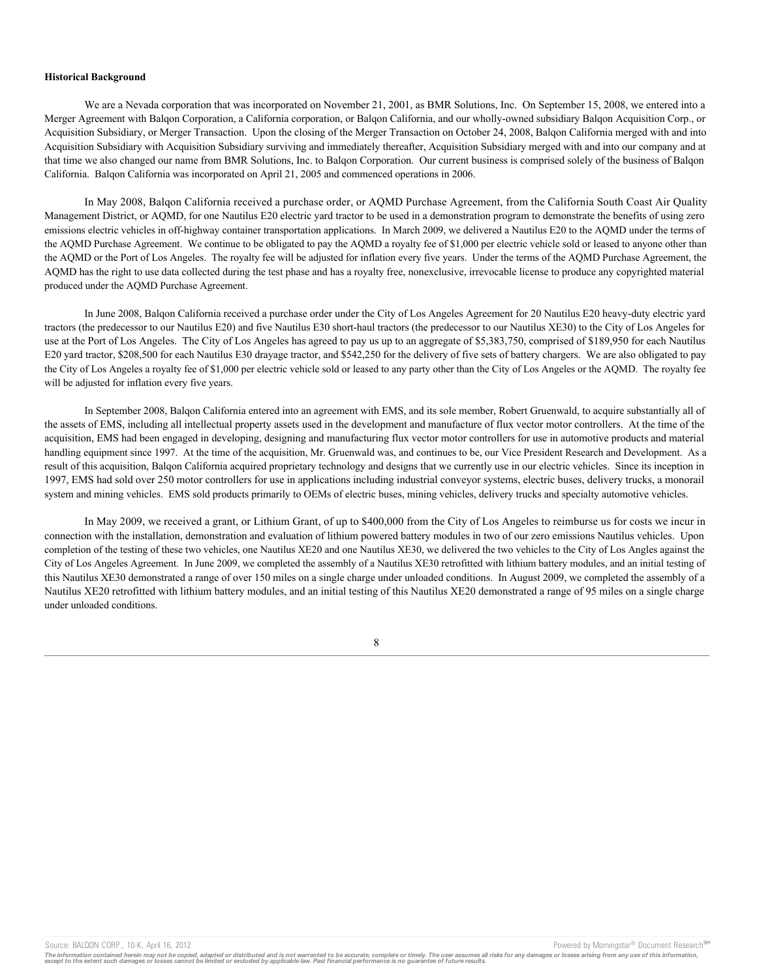#### **Historical Background**

We are a Nevada corporation that was incorporated on November 21, 2001, as BMR Solutions, Inc. On September 15, 2008, we entered into a Merger Agreement with Balqon Corporation, a California corporation, or Balqon California, and our wholly-owned subsidiary Balqon Acquisition Corp., or Acquisition Subsidiary, or Merger Transaction. Upon the closing of the Merger Transaction on October 24, 2008, Balqon California merged with and into Acquisition Subsidiary with Acquisition Subsidiary surviving and immediately thereafter, Acquisition Subsidiary merged with and into our company and at that time we also changed our name from BMR Solutions, Inc. to Balqon Corporation. Our current business is comprised solely of the business of Balqon California. Balqon California was incorporated on April 21, 2005 and commenced operations in 2006.

In May 2008, Balqon California received a purchase order, or AQMD Purchase Agreement, from the California South Coast Air Quality Management District, or AQMD, for one Nautilus E20 electric yard tractor to be used in a demonstration program to demonstrate the benefits of using zero emissions electric vehicles in off-highway container transportation applications. In March 2009, we delivered a Nautilus E20 to the AQMD under the terms of the AQMD Purchase Agreement. We continue to be obligated to pay the AQMD a royalty fee of \$1,000 per electric vehicle sold or leased to anyone other than the AQMD or the Port of Los Angeles. The royalty fee will be adjusted for inflation every five years. Under the terms of the AQMD Purchase Agreement, the AQMD has the right to use data collected during the test phase and has a royalty free, nonexclusive, irrevocable license to produce any copyrighted material produced under the AQMD Purchase Agreement.

In June 2008, Balqon California received a purchase order under the City of Los Angeles Agreement for 20 Nautilus E20 heavy-duty electric yard tractors (the predecessor to our Nautilus E20) and five Nautilus E30 short-haul tractors (the predecessor to our Nautilus XE30) to the City of Los Angeles for use at the Port of Los Angeles. The City of Los Angeles has agreed to pay us up to an aggregate of \$5,383,750, comprised of \$189,950 for each Nautilus E20 yard tractor, \$208,500 for each Nautilus E30 drayage tractor, and \$542,250 for the delivery of five sets of battery chargers. We are also obligated to pay the City of Los Angeles a royalty fee of \$1,000 per electric vehicle sold or leased to any party other than the City of Los Angeles or the AQMD. The royalty fee will be adjusted for inflation every five years.

In September 2008, Balqon California entered into an agreement with EMS, and its sole member, Robert Gruenwald, to acquire substantially all of the assets of EMS, including all intellectual property assets used in the development and manufacture of flux vector motor controllers. At the time of the acquisition, EMS had been engaged in developing, designing and manufacturing flux vector motor controllers for use in automotive products and material handling equipment since 1997. At the time of the acquisition, Mr. Gruenwald was, and continues to be, our Vice President Research and Development. As a result of this acquisition, Balqon California acquired proprietary technology and designs that we currently use in our electric vehicles. Since its inception in 1997, EMS had sold over 250 motor controllers for use in applications including industrial conveyor systems, electric buses, delivery trucks, a monorail system and mining vehicles. EMS sold products primarily to OEMs of electric buses, mining vehicles, delivery trucks and specialty automotive vehicles.

In May 2009, we received a grant, or Lithium Grant, of up to \$400,000 from the City of Los Angeles to reimburse us for costs we incur in connection with the installation, demonstration and evaluation of lithium powered battery modules in two of our zero emissions Nautilus vehicles. Upon completion of the testing of these two vehicles, one Nautilus XE20 and one Nautilus XE30, we delivered the two vehicles to the City of Los Angles against the City of Los Angeles Agreement. In June 2009, we completed the assembly of a Nautilus XE30 retrofitted with lithium battery modules, and an initial testing of this Nautilus XE30 demonstrated a range of over 150 miles on a single charge under unloaded conditions. In August 2009, we completed the assembly of a Nautilus XE20 retrofitted with lithium battery modules, and an initial testing of this Nautilus XE20 demonstrated a range of 95 miles on a single charge under unloaded conditions.

Source: BALQON CORP., 10-K, April 16, 2012 **Powered by Morningstar® Document Research** in Powered by Morningstar® Document Research in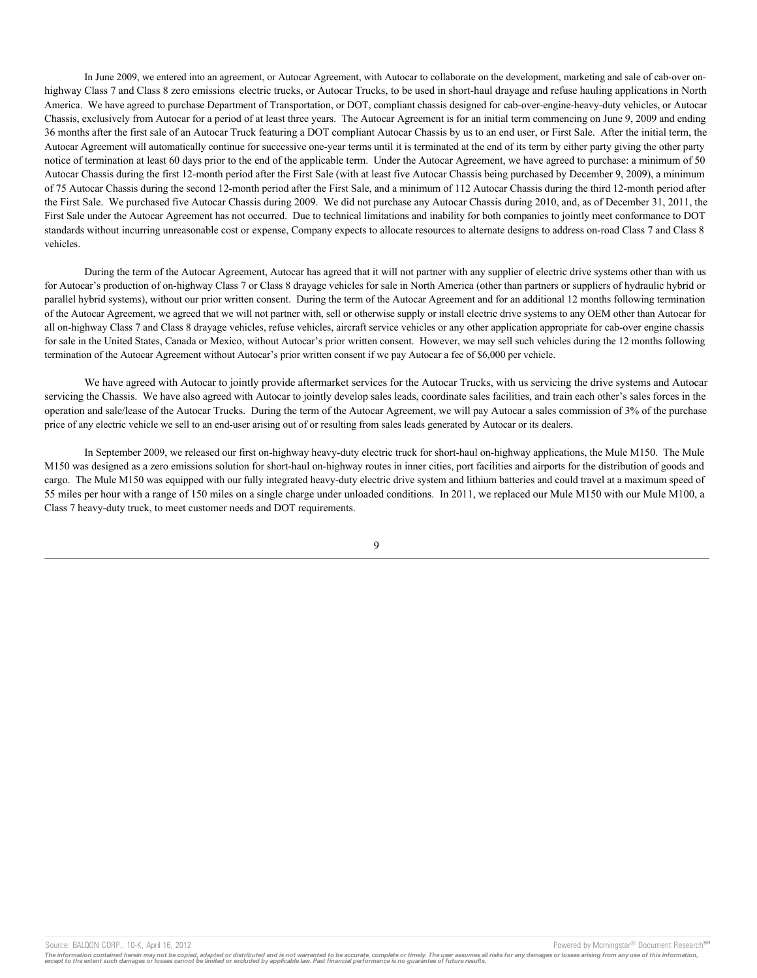In June 2009, we entered into an agreement, or Autocar Agreement, with Autocar to collaborate on the development, marketing and sale of cab-over onhighway Class 7 and Class 8 zero emissions electric trucks, or Autocar Trucks, to be used in short-haul drayage and refuse hauling applications in North America. We have agreed to purchase Department of Transportation, or DOT, compliant chassis designed for cab-over-engine-heavy-duty vehicles, or Autocar Chassis, exclusively from Autocar for a period of at least three years. The Autocar Agreement is for an initial term commencing on June 9, 2009 and ending 36 months after the first sale of an Autocar Truck featuring a DOT compliant Autocar Chassis by us to an end user, or First Sale. After the initial term, the Autocar Agreement will automatically continue for successive one-year terms until it is terminated at the end of its term by either party giving the other party notice of termination at least 60 days prior to the end of the applicable term. Under the Autocar Agreement, we have agreed to purchase: a minimum of 50 Autocar Chassis during the first 12-month period after the First Sale (with at least five Autocar Chassis being purchased by December 9, 2009), a minimum of 75 Autocar Chassis during the second 12-month period after the First Sale, and a minimum of 112 Autocar Chassis during the third 12-month period after the First Sale. We purchased five Autocar Chassis during 2009. We did not purchase any Autocar Chassis during 2010, and, as of December 31, 2011, the First Sale under the Autocar Agreement has not occurred. Due to technical limitations and inability for both companies to jointly meet conformance to DOT standards without incurring unreasonable cost or expense, Company expects to allocate resources to alternate designs to address on-road Class 7 and Class 8 vehicles.

During the term of the Autocar Agreement, Autocar has agreed that it will not partner with any supplier of electric drive systems other than with us for Autocar's production of on-highway Class 7 or Class 8 drayage vehicles for sale in North America (other than partners or suppliers of hydraulic hybrid or parallel hybrid systems), without our prior written consent. During the term of the Autocar Agreement and for an additional 12 months following termination of the Autocar Agreement, we agreed that we will not partner with, sell or otherwise supply or install electric drive systems to any OEM other than Autocar for all on-highway Class 7 and Class 8 drayage vehicles, refuse vehicles, aircraft service vehicles or any other application appropriate for cab-over engine chassis for sale in the United States, Canada or Mexico, without Autocar's prior written consent. However, we may sell such vehicles during the 12 months following termination of the Autocar Agreement without Autocar's prior written consent if we pay Autocar a fee of \$6,000 per vehicle.

We have agreed with Autocar to jointly provide aftermarket services for the Autocar Trucks, with us servicing the drive systems and Autocar servicing the Chassis. We have also agreed with Autocar to jointly develop sales leads, coordinate sales facilities, and train each other's sales forces in the operation and sale/lease of the Autocar Trucks. During the term of the Autocar Agreement, we will pay Autocar a sales commission of 3% of the purchase price of any electric vehicle we sell to an end-user arising out of or resulting from sales leads generated by Autocar or its dealers.

In September 2009, we released our first on-highway heavy-duty electric truck for short-haul on-highway applications, the Mule M150. The Mule M150 was designed as a zero emissions solution for short-haul on-highway routes in inner cities, port facilities and airports for the distribution of goods and cargo. The Mule M150 was equipped with our fully integrated heavy-duty electric drive system and lithium batteries and could travel at a maximum speed of 55 miles per hour with a range of 150 miles on a single charge under unloaded conditions. In 2011, we replaced our Mule M150 with our Mule M100, a Class 7 heavy-duty truck, to meet customer needs and DOT requirements.

9

The information contained herein may not be copied, adapted or distributed and is not warranted to be accurate, complete or timely. The user assumes all risks for any damages or losses arising from any use of this informat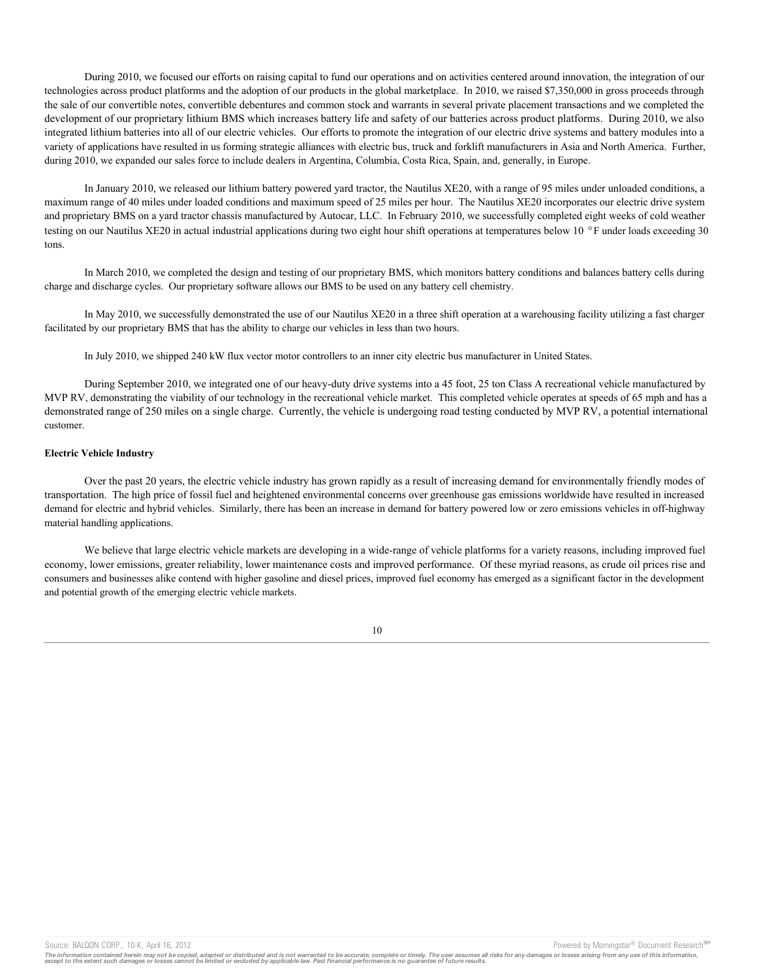During 2010, we focused our efforts on raising capital to fund our operations and on activities centered around innovation, the integration of our technologies across product platforms and the adoption of our products in the global marketplace. In 2010, we raised \$7,350,000 in gross proceeds through the sale of our convertible notes, convertible debentures and common stock and warrants in several private placement transactions and we completed the development of our proprietary lithium BMS which increases battery life and safety of our batteries across product platforms. During 2010, we also integrated lithium batteries into all of our electric vehicles. Our efforts to promote the integration of our electric drive systems and battery modules into a variety of applications have resulted in us forming strategic alliances with electric bus, truck and forklift manufacturers in Asia and North America. Further, during 2010, we expanded our sales force to include dealers in Argentina, Columbia, Costa Rica, Spain, and, generally, in Europe.

In January 2010, we released our lithium battery powered yard tractor, the Nautilus XE20, with a range of 95 miles under unloaded conditions, a maximum range of 40 miles under loaded conditions and maximum speed of 25 miles per hour. The Nautilus XE20 incorporates our electric drive system and proprietary BMS on a yard tractor chassis manufactured by Autocar, LLC. In February 2010, we successfully completed eight weeks of cold weather testing on our Nautilus XE20 in actual industrial applications during two eight hour shift operations at temperatures below 10 °F under loads exceeding 30 tons.

In March 2010, we completed the design and testing of our proprietary BMS, which monitors battery conditions and balances battery cells during charge and discharge cycles. Our proprietary software allows our BMS to be used on any battery cell chemistry.

In May 2010, we successfully demonstrated the use of our Nautilus XE20 in a three shift operation at a warehousing facility utilizing a fast charger facilitated by our proprietary BMS that has the ability to charge our vehicles in less than two hours.

In July 2010, we shipped 240 kW flux vector motor controllers to an inner city electric bus manufacturer in United States.

During September 2010, we integrated one of our heavy-duty drive systems into a 45 foot, 25 ton Class A recreational vehicle manufactured by MVP RV, demonstrating the viability of our technology in the recreational vehicle market. This completed vehicle operates at speeds of 65 mph and has a demonstrated range of 250 miles on a single charge. Currently, the vehicle is undergoing road testing conducted by MVP RV, a potential international customer.

### **Electric Vehicle Industry**

Over the past 20 years, the electric vehicle industry has grown rapidly as a result of increasing demand for environmentally friendly modes of transportation. The high price of fossil fuel and heightened environmental concerns over greenhouse gas emissions worldwide have resulted in increased demand for electric and hybrid vehicles. Similarly, there has been an increase in demand for battery powered low or zero emissions vehicles in off-highway material handling applications.

We believe that large electric vehicle markets are developing in a wide-range of vehicle platforms for a variety reasons, including improved fuel economy, lower emissions, greater reliability, lower maintenance costs and improved performance. Of these myriad reasons, as crude oil prices rise and consumers and businesses alike contend with higher gasoline and diesel prices, improved fuel economy has emerged as a significant factor in the development and potential growth of the emerging electric vehicle markets.

Source: BALQON CORP., 10-K, April 16, 2012 **Powered by Morningstar® Document Research** in Powered by Morningstar® Document Research in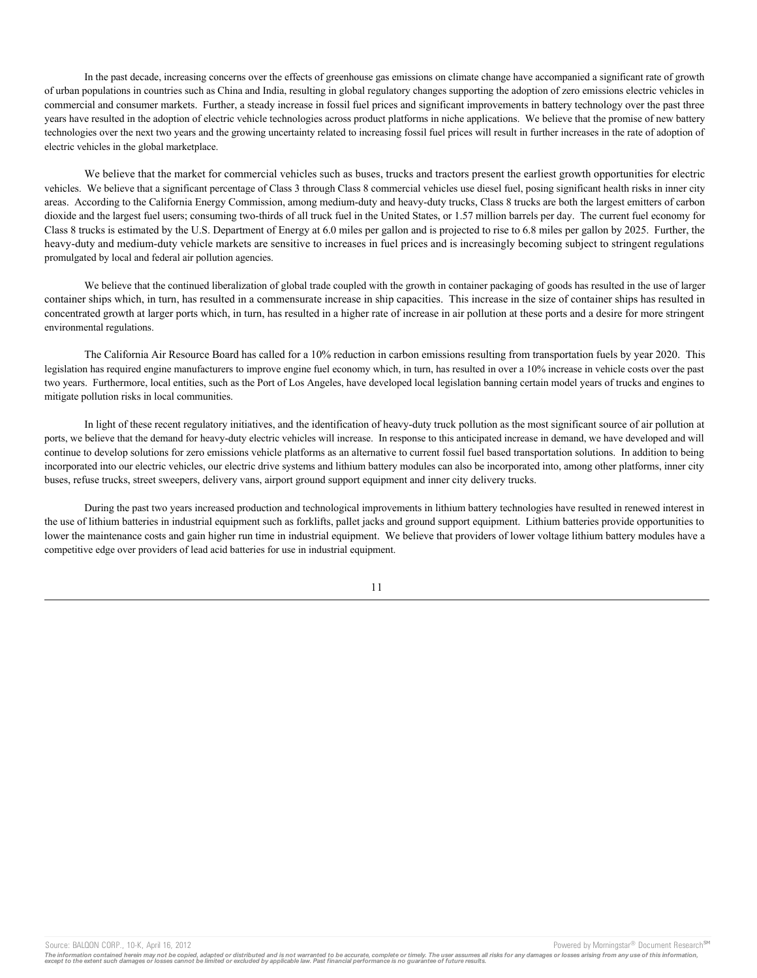In the past decade, increasing concerns over the effects of greenhouse gas emissions on climate change have accompanied a significant rate of growth of urban populations in countries such as China and India, resulting in global regulatory changes supporting the adoption of zero emissions electric vehicles in commercial and consumer markets. Further, a steady increase in fossil fuel prices and significant improvements in battery technology over the past three years have resulted in the adoption of electric vehicle technologies across product platforms in niche applications. We believe that the promise of new battery technologies over the next two years and the growing uncertainty related to increasing fossil fuel prices will result in further increases in the rate of adoption of electric vehicles in the global marketplace.

We believe that the market for commercial vehicles such as buses, trucks and tractors present the earliest growth opportunities for electric vehicles. We believe that a significant percentage of Class 3 through Class 8 commercial vehicles use diesel fuel, posing significant health risks in inner city areas. According to the California Energy Commission, among medium-duty and heavy-duty trucks, Class 8 trucks are both the largest emitters of carbon dioxide and the largest fuel users; consuming two-thirds of all truck fuel in the United States, or 1.57 million barrels per day. The current fuel economy for Class 8 trucks is estimated by the U.S. Department of Energy at 6.0 miles per gallon and is projected to rise to 6.8 miles per gallon by 2025. Further, the heavy-duty and medium-duty vehicle markets are sensitive to increases in fuel prices and is increasingly becoming subject to stringent regulations promulgated by local and federal air pollution agencies.

We believe that the continued liberalization of global trade coupled with the growth in container packaging of goods has resulted in the use of larger container ships which, in turn, has resulted in a commensurate increase in ship capacities. This increase in the size of container ships has resulted in concentrated growth at larger ports which, in turn, has resulted in a higher rate of increase in air pollution at these ports and a desire for more stringent environmental regulations.

The California Air Resource Board has called for a 10% reduction in carbon emissions resulting from transportation fuels by year 2020. This legislation has required engine manufacturers to improve engine fuel economy which, in turn, has resulted in over a 10% increase in vehicle costs over the past two years. Furthermore, local entities, such as the Port of Los Angeles, have developed local legislation banning certain model years of trucks and engines to mitigate pollution risks in local communities.

In light of these recent regulatory initiatives, and the identification of heavy-duty truck pollution as the most significant source of air pollution at ports, we believe that the demand for heavy-duty electric vehicles will increase. In response to this anticipated increase in demand, we have developed and will continue to develop solutions for zero emissions vehicle platforms as an alternative to current fossil fuel based transportation solutions. In addition to being incorporated into our electric vehicles, our electric drive systems and lithium battery modules can also be incorporated into, among other platforms, inner city buses, refuse trucks, street sweepers, delivery vans, airport ground support equipment and inner city delivery trucks.

During the past two years increased production and technological improvements in lithium battery technologies have resulted in renewed interest in the use of lithium batteries in industrial equipment such as forklifts, pallet jacks and ground support equipment. Lithium batteries provide opportunities to lower the maintenance costs and gain higher run time in industrial equipment. We believe that providers of lower voltage lithium battery modules have a competitive edge over providers of lead acid batteries for use in industrial equipment.

11

The information contained herein may not be copied, adapted or distributed and is not warranted to be accurate, complete or timely. The user assumes all risks for any damages or losses arising from any use of this informat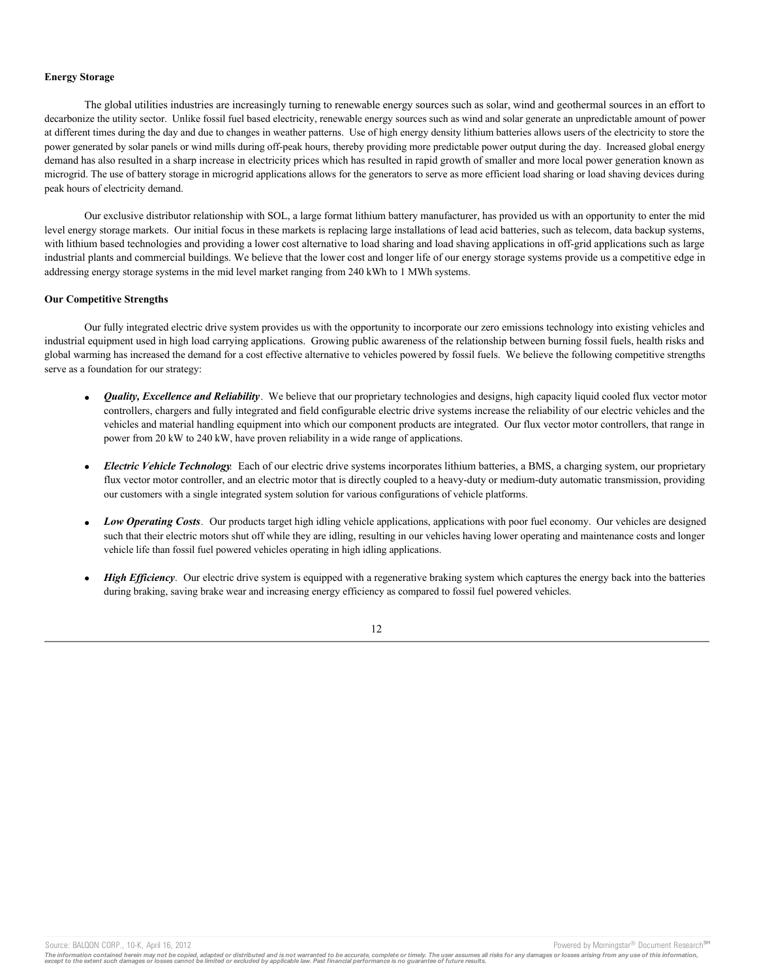#### **Energy Storage**

The global utilities industries are increasingly turning to renewable energy sources such as solar, wind and geothermal sources in an effort to decarbonize the utility sector. Unlike fossil fuel based electricity, renewable energy sources such as wind and solar generate an unpredictable amount of power at different times during the day and due to changes in weather patterns. Use of high energy density lithium batteries allows users of the electricity to store the power generated by solar panels or wind mills during off-peak hours, thereby providing more predictable power output during the day. Increased global energy demand has also resulted in a sharp increase in electricity prices which has resulted in rapid growth of smaller and more local power generation known as microgrid. The use of battery storage in microgrid applications allows for the generators to serve as more efficient load sharing or load shaving devices during peak hours of electricity demand.

Our exclusive distributor relationship with SOL, a large format lithium battery manufacturer, has provided us with an opportunity to enter the mid level energy storage markets. Our initial focus in these markets is replacing large installations of lead acid batteries, such as telecom, data backup systems, with lithium based technologies and providing a lower cost alternative to load sharing and load shaving applications in off-grid applications such as large industrial plants and commercial buildings. We believe that the lower cost and longer life of our energy storage systems provide us a competitive edge in addressing energy storage systems in the mid level market ranging from 240 kWh to 1 MWh systems.

#### **Our Competitive Strengths**

Our fully integrated electric drive system provides us with the opportunity to incorporate our zero emissions technology into existing vehicles and industrial equipment used in high load carrying applications. Growing public awareness of the relationship between burning fossil fuels, health risks and global warming has increased the demand for a cost effective alternative to vehicles powered by fossil fuels. We believe the following competitive strengths serve as a foundation for our strategy:

- *Quality, Excellence and Reliability.* We believe that our proprietary technologies and designs, high capacity liquid cooled flux vector motor controllers, chargers and fully integrated and field configurable electric drive systems increase the reliability of our electric vehicles and the vehicles and material handling equipment into which our component products are integrated. Our flux vector motor controllers, that range in power from 20 kW to 240 kW, have proven reliability in a wide range of applications.
- · *Electric Vehicle Technology.* Each of our electric drive systems incorporates lithium batteries, a BMS, a charging system, our proprietary flux vector motor controller, and an electric motor that is directly coupled to a heavy-duty or medium-duty automatic transmission, providing our customers with a single integrated system solution for various configurations of vehicle platforms.
- Low Operating Costs. Our products target high idling vehicle applications, applications with poor fuel economy. Our vehicles are designed such that their electric motors shut off while they are idling, resulting in our vehicles having lower operating and maintenance costs and longer vehicle life than fossil fuel powered vehicles operating in high idling applications.
- *High Efficiency*. Our electric drive system is equipped with a regenerative braking system which captures the energy back into the batteries during braking, saving brake wear and increasing energy efficiency as compared to fossil fuel powered vehicles.

The information contained herein may not be copied, adapted or distributed and is not warranted to be accurate, complete or timely. The user assumes all risks for any damages or losses arising from any use of this informat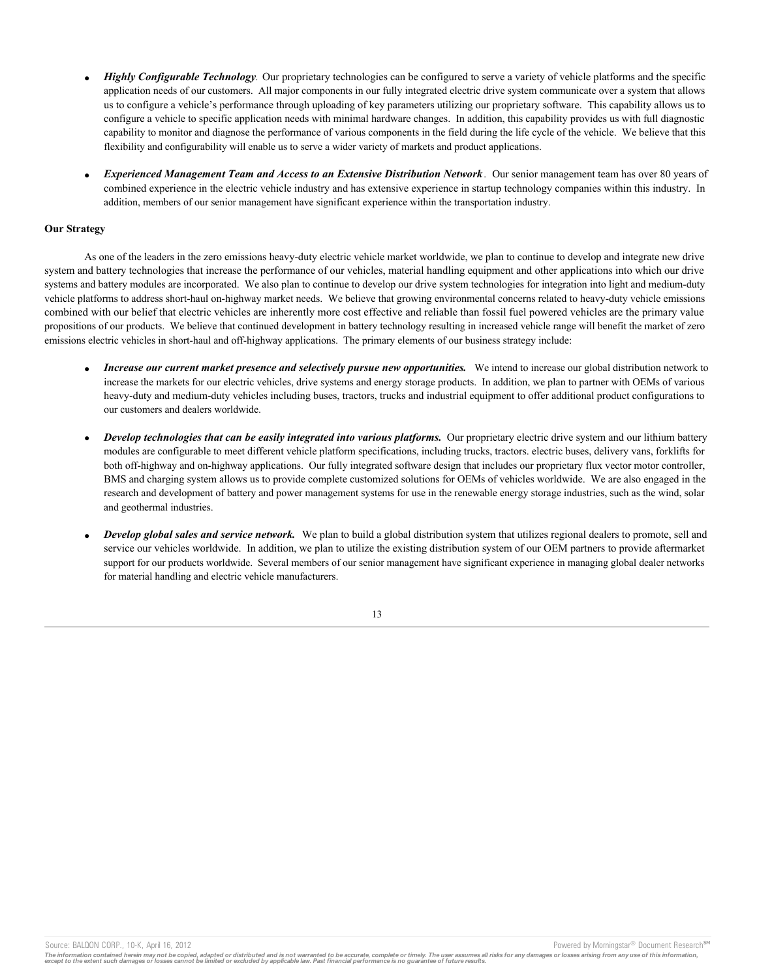- · *Highly Configurable Technology.* Our proprietary technologies can be configured to serve a variety of vehicle platforms and the specific application needs of our customers. All major components in our fully integrated electric drive system communicate over a system that allows us to configure a vehicle's performance through uploading of key parameters utilizing our proprietary software. This capability allows us to configure a vehicle to specific application needs with minimal hardware changes. In addition, this capability provides us with full diagnostic capability to monitor and diagnose the performance of various components in the field during the life cycle of the vehicle. We believe that this flexibility and configurability will enable us to serve a wider variety of markets and product applications.
- · *Experienced Management Team and Access to an Extensive Distribution Network.* Our senior management team has over 80 years of combined experience in the electric vehicle industry and has extensive experience in startup technology companies within this industry. In addition, members of our senior management have significant experience within the transportation industry.

### **Our Strategy**

As one of the leaders in the zero emissions heavy-duty electric vehicle market worldwide, we plan to continue to develop and integrate new drive system and battery technologies that increase the performance of our vehicles, material handling equipment and other applications into which our drive systems and battery modules are incorporated. We also plan to continue to develop our drive system technologies for integration into light and medium-duty vehicle platforms to address short-haul on-highway market needs. We believe that growing environmental concerns related to heavy-duty vehicle emissions combined with our belief that electric vehicles are inherently more cost effective and reliable than fossil fuel powered vehicles are the primary value propositions of our products. We believe that continued development in battery technology resulting in increased vehicle range will benefit the market of zero emissions electric vehicles in short-haul and off-highway applications. The primary elements of our business strategy include:

- Increase our current market presence and selectively pursue new opportunities. We intend to increase our global distribution network to increase the markets for our electric vehicles, drive systems and energy storage products. In addition, we plan to partner with OEMs of various heavy-duty and medium-duty vehicles including buses, tractors, trucks and industrial equipment to offer additional product configurations to our customers and dealers worldwide.
- *Develop technologies that can be easily integrated into various platforms*. Our proprietary electric drive system and our lithium battery modules are configurable to meet different vehicle platform specifications, including trucks, tractors. electric buses, delivery vans, forklifts for both off-highway and on-highway applications. Our fully integrated software design that includes our proprietary flux vector motor controller, BMS and charging system allows us to provide complete customized solutions for OEMs of vehicles worldwide. We are also engaged in the research and development of battery and power management systems for use in the renewable energy storage industries, such as the wind, solar and geothermal industries.
- *Develop global sales and service network.* We plan to build a global distribution system that utilizes regional dealers to promote, sell and service our vehicles worldwide. In addition, we plan to utilize the existing distribution system of our OEM partners to provide aftermarket support for our products worldwide. Several members of our senior management have significant experience in managing global dealer networks for material handling and electric vehicle manufacturers.



The information contained herein may not be copied, adapted or distributed and is not warranted to be accurate, complete or timely. The user assumes all risks for any damages or losses arising from any use of this informat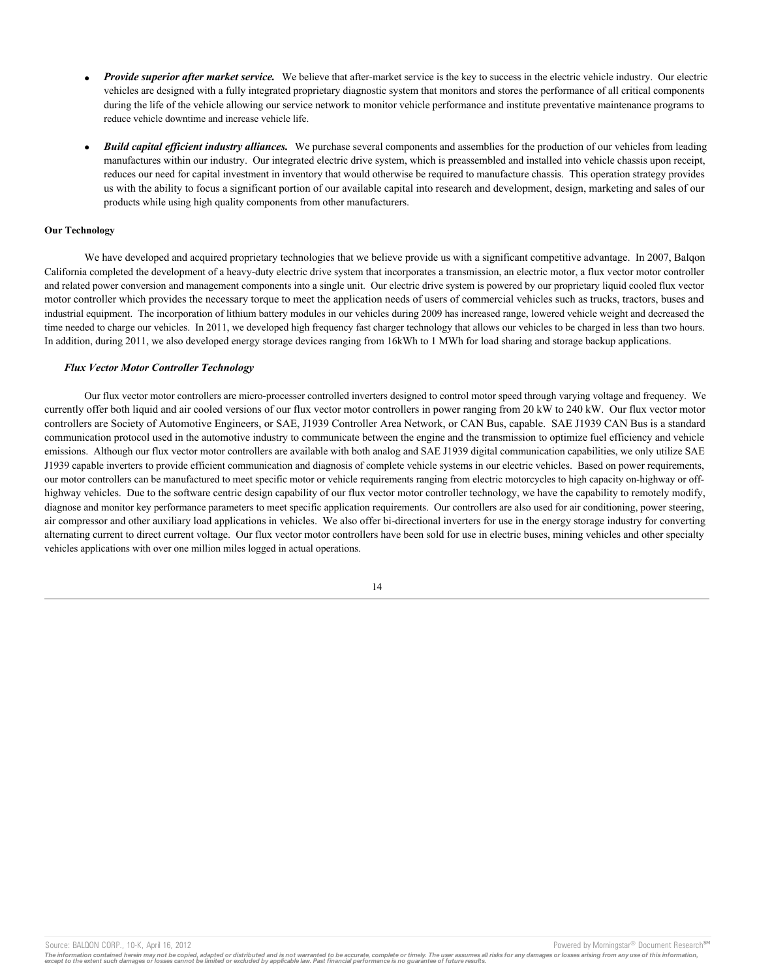- · *Provide superior after market service.* We believe that after-market service is the key to success in the electric vehicle industry. Our electric vehicles are designed with a fully integrated proprietary diagnostic system that monitors and stores the performance of all critical components during the life of the vehicle allowing our service network to monitor vehicle performance and institute preventative maintenance programs to reduce vehicle downtime and increase vehicle life.
- *Build capital efficient industry alliances.* We purchase several components and assemblies for the production of our vehicles from leading manufactures within our industry. Our integrated electric drive system, which is preassembled and installed into vehicle chassis upon receipt, reduces our need for capital investment in inventory that would otherwise be required to manufacture chassis. This operation strategy provides us with the ability to focus a significant portion of our available capital into research and development, design, marketing and sales of our products while using high quality components from other manufacturers.

#### **Our Technology**

We have developed and acquired proprietary technologies that we believe provide us with a significant competitive advantage. In 2007, Balqon California completed the development of a heavy-duty electric drive system that incorporates a transmission, an electric motor, a flux vector motor controller and related power conversion and management components into a single unit. Our electric drive system is powered by our proprietary liquid cooled flux vector motor controller which provides the necessary torque to meet the application needs of users of commercial vehicles such as trucks, tractors, buses and industrial equipment. The incorporation of lithium battery modules in our vehicles during 2009 has increased range, lowered vehicle weight and decreased the time needed to charge our vehicles. In 2011, we developed high frequency fast charger technology that allows our vehicles to be charged in less than two hours. In addition, during 2011, we also developed energy storage devices ranging from 16kWh to 1 MWh for load sharing and storage backup applications.

#### *Flux Vector Motor Controller Technology*

Our flux vector motor controllers are micro-processer controlled inverters designed to control motor speed through varying voltage and frequency. We currently offer both liquid and air cooled versions of our flux vector motor controllers in power ranging from 20 kW to 240 kW. Our flux vector motor controllers are Society of Automotive Engineers, or SAE, J1939 Controller Area Network, or CAN Bus, capable. SAE J1939 CAN Bus is a standard communication protocol used in the automotive industry to communicate between the engine and the transmission to optimize fuel efficiency and vehicle emissions. Although our flux vector motor controllers are available with both analog and SAE J1939 digital communication capabilities, we only utilize SAE J1939 capable inverters to provide efficient communication and diagnosis of complete vehicle systems in our electric vehicles. Based on power requirements, our motor controllers can be manufactured to meet specific motor or vehicle requirements ranging from electric motorcycles to high capacity on-highway or offhighway vehicles. Due to the software centric design capability of our flux vector motor controller technology, we have the capability to remotely modify, diagnose and monitor key performance parameters to meet specific application requirements. Our controllers are also used for air conditioning, power steering, air compressor and other auxiliary load applications in vehicles. We also offer bi-directional inverters for use in the energy storage industry for converting alternating current to direct current voltage. Our flux vector motor controllers have been sold for use in electric buses, mining vehicles and other specialty vehicles applications with over one million miles logged in actual operations.



Source: BALQON CORP., 10-K, April 16, 2012 **Powered by Morningstar® Document Research** in Powered by Morningstar® Document Research in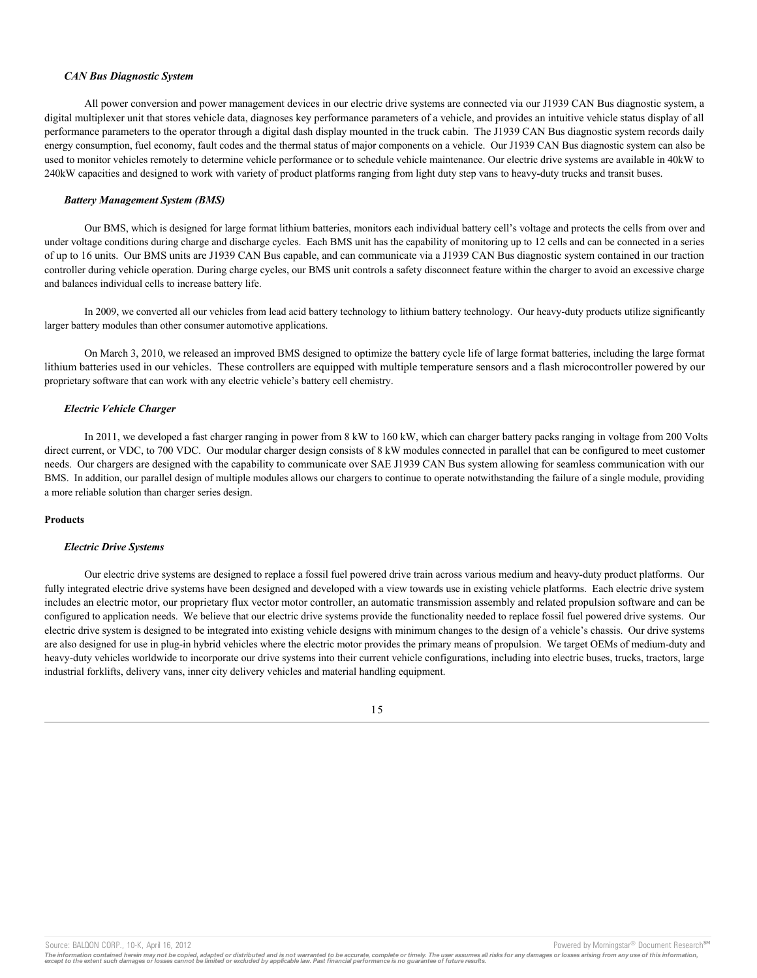#### *CAN Bus Diagnostic System*

All power conversion and power management devices in our electric drive systems are connected via our J1939 CAN Bus diagnostic system, a digital multiplexer unit that stores vehicle data, diagnoses key performance parameters of a vehicle, and provides an intuitive vehicle status display of all performance parameters to the operator through a digital dash display mounted in the truck cabin. The J1939 CAN Bus diagnostic system records daily energy consumption, fuel economy, fault codes and the thermal status of major components on a vehicle. Our J1939 CAN Bus diagnostic system can also be used to monitor vehicles remotely to determine vehicle performance or to schedule vehicle maintenance. Our electric drive systems are available in 40kW to 240kW capacities and designed to work with variety of product platforms ranging from light duty step vans to heavy-duty trucks and transit buses.

#### *Battery Management System (BMS)*

Our BMS, which is designed for large format lithium batteries, monitors each individual battery cell's voltage and protects the cells from over and under voltage conditions during charge and discharge cycles. Each BMS unit has the capability of monitoring up to 12 cells and can be connected in a series of up to 16 units. Our BMS units are J1939 CAN Bus capable, and can communicate via a J1939 CAN Bus diagnostic system contained in our traction controller during vehicle operation. During charge cycles, our BMS unit controls a safety disconnect feature within the charger to avoid an excessive charge and balances individual cells to increase battery life.

In 2009, we converted all our vehicles from lead acid battery technology to lithium battery technology. Our heavy-duty products utilize significantly larger battery modules than other consumer automotive applications.

On March 3, 2010, we released an improved BMS designed to optimize the battery cycle life of large format batteries, including the large format lithium batteries used in our vehicles. These controllers are equipped with multiple temperature sensors and a flash microcontroller powered by our proprietary software that can work with any electric vehicle's battery cell chemistry.

### *Electric Vehicle Charger*

In 2011, we developed a fast charger ranging in power from 8 kW to 160 kW, which can charger battery packs ranging in voltage from 200 Volts direct current, or VDC, to 700 VDC. Our modular charger design consists of 8 kW modules connected in parallel that can be configured to meet customer needs. Our chargers are designed with the capability to communicate over SAE J1939 CAN Bus system allowing for seamless communication with our BMS. In addition, our parallel design of multiple modules allows our chargers to continue to operate notwithstanding the failure of a single module, providing a more reliable solution than charger series design.

### **Products**

#### *Electric Drive Systems*

Our electric drive systems are designed to replace a fossil fuel powered drive train across various medium and heavy-duty product platforms. Our fully integrated electric drive systems have been designed and developed with a view towards use in existing vehicle platforms. Each electric drive system includes an electric motor, our proprietary flux vector motor controller, an automatic transmission assembly and related propulsion software and can be configured to application needs. We believe that our electric drive systems provide the functionality needed to replace fossil fuel powered drive systems. Our electric drive system is designed to be integrated into existing vehicle designs with minimum changes to the design of a vehicle's chassis. Our drive systems are also designed for use in plug-in hybrid vehicles where the electric motor provides the primary means of propulsion. We target OEMs of medium-duty and heavy-duty vehicles worldwide to incorporate our drive systems into their current vehicle configurations, including into electric buses, trucks, tractors, large industrial forklifts, delivery vans, inner city delivery vehicles and material handling equipment.

#### 15

The information contained herein may not be copied, adapted or distributed and is not warranted to be accurate, complete or timely. The user assumes all risks for any damages or losses arising from any use of this informat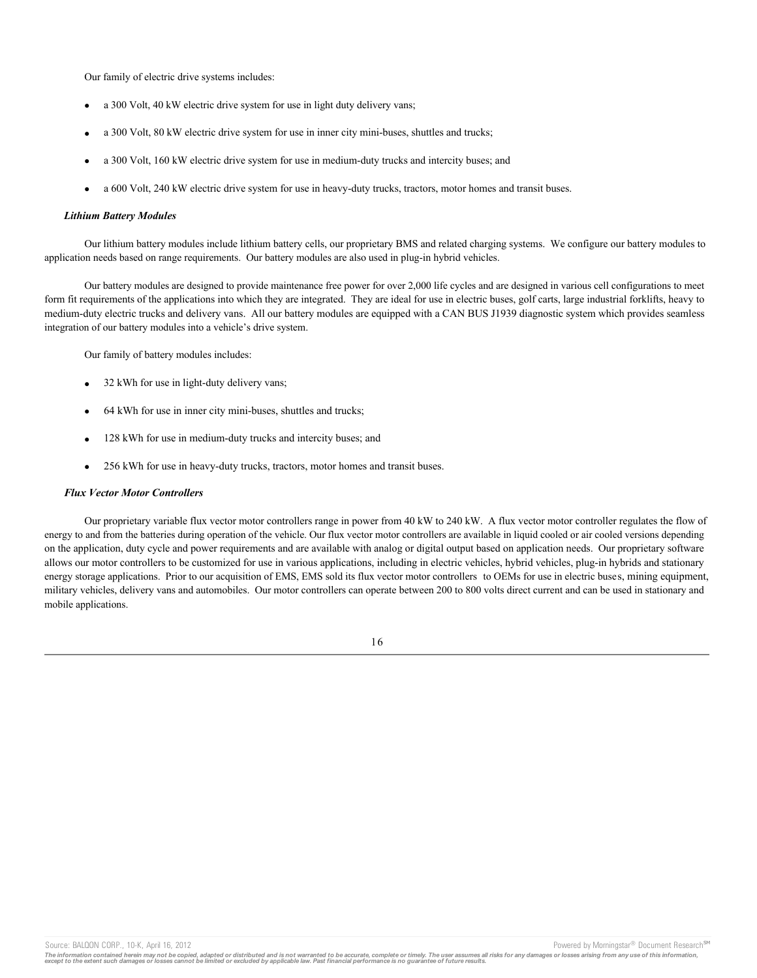Our family of electric drive systems includes:

- a 300 Volt, 40 kW electric drive system for use in light duty delivery vans;
- a 300 Volt, 80 kW electric drive system for use in inner city mini-buses, shuttles and trucks;
- · a 300 Volt, 160 kW electric drive system for use in medium-duty trucks and intercity buses; and
- a 600 Volt, 240 kW electric drive system for use in heavy-duty trucks, tractors, motor homes and transit buses.

### *Lithium Battery Modules*

Our lithium battery modules include lithium battery cells, our proprietary BMS and related charging systems. We configure our battery modules to application needs based on range requirements. Our battery modules are also used in plug-in hybrid vehicles.

Our battery modules are designed to provide maintenance free power for over 2,000 life cycles and are designed in various cell configurations to meet form fit requirements of the applications into which they are integrated. They are ideal for use in electric buses, golf carts, large industrial forklifts, heavy to medium-duty electric trucks and delivery vans. All our battery modules are equipped with a CAN BUS J1939 diagnostic system which provides seamless integration of our battery modules into a vehicle's drive system.

Our family of battery modules includes:

- 32 kWh for use in light-duty delivery vans;
- · 64 kWh for use in inner city mini-buses, shuttles and trucks;
- · 128 kWh for use in medium-duty trucks and intercity buses; and
- 256 kWh for use in heavy-duty trucks, tractors, motor homes and transit buses.

#### *Flux Vector Motor Controllers*

Our proprietary variable flux vector motor controllers range in power from 40 kW to 240 kW. A flux vector motor controller regulates the flow of energy to and from the batteries during operation of the vehicle. Our flux vector motor controllers are available in liquid cooled or air cooled versions depending on the application, duty cycle and power requirements and are available with analog or digital output based on application needs. Our proprietary software allows our motor controllers to be customized for use in various applications, including in electric vehicles, hybrid vehicles, plug-in hybrids and stationary energy storage applications. Prior to our acquisition of EMS, EMS sold its flux vector motor controllers to OEMs for use in electric buses, mining equipment, military vehicles, delivery vans and automobiles. Our motor controllers can operate between 200 to 800 volts direct current and can be used in stationary and mobile applications.

Source: BALQON CORP., 10-K, April 16, 2012 **Powered by Morningstar® Document Research** in Powered by Morningstar® Document Research in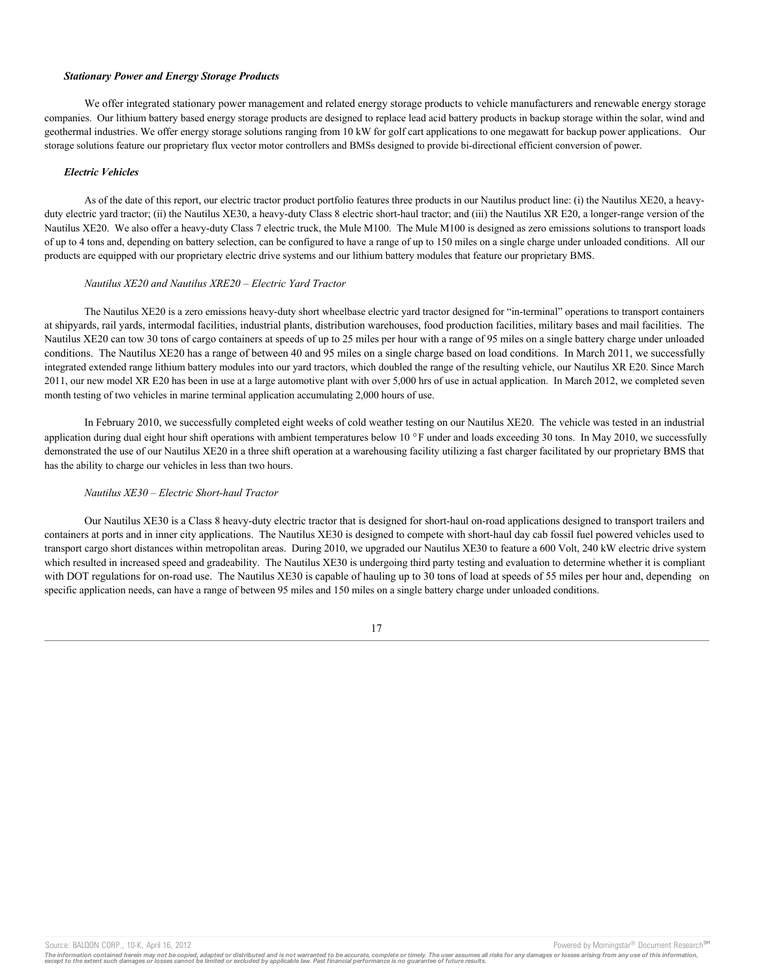#### *Stationary Power and Energy Storage Products*

We offer integrated stationary power management and related energy storage products to vehicle manufacturers and renewable energy storage companies. Our lithium battery based energy storage products are designed to replace lead acid battery products in backup storage within the solar, wind and geothermal industries. We offer energy storage solutions ranging from 10 kW for golf cart applications to one megawatt for backup power applications. Our storage solutions feature our proprietary flux vector motor controllers and BMSs designed to provide bi-directional efficient conversion of power.

#### *Electric Vehicles*

As of the date of this report, our electric tractor product portfolio features three products in our Nautilus product line: (i) the Nautilus XE20, a heavyduty electric yard tractor; (ii) the Nautilus XE30, a heavy-duty Class 8 electric short-haul tractor; and (iii) the Nautilus XR E20, a longer-range version of the Nautilus XE20. We also offer a heavy-duty Class 7 electric truck, the Mule M100. The Mule M100 is designed as zero emissions solutions to transport loads of up to 4 tons and, depending on battery selection, can be configured to have a range of up to 150 miles on a single charge under unloaded conditions. All our products are equipped with our proprietary electric drive systems and our lithium battery modules that feature our proprietary BMS.

### *Nautilus XE20 and Nautilus XRE20 – Electric Yard Tractor*

The Nautilus XE20 is a zero emissions heavy-duty short wheelbase electric yard tractor designed for "in-terminal" operations to transport containers at shipyards, rail yards, intermodal facilities, industrial plants, distribution warehouses, food production facilities, military bases and mail facilities. The Nautilus XE20 can tow 30 tons of cargo containers at speeds of up to 25 miles per hour with a range of 95 miles on a single battery charge under unloaded conditions. The Nautilus XE20 has a range of between 40 and 95 miles on a single charge based on load conditions. In March 2011, we successfully integrated extended range lithium battery modules into our yard tractors, which doubled the range of the resulting vehicle, our Nautilus XR E20. Since March 2011, our new model XR E20 has been in use at a large automotive plant with over 5,000 hrs of use in actual application. In March 2012, we completed seven month testing of two vehicles in marine terminal application accumulating 2,000 hours of use.

In February 2010, we successfully completed eight weeks of cold weather testing on our Nautilus XE20. The vehicle was tested in an industrial application during dual eight hour shift operations with ambient temperatures below 10  $\degree$ F under and loads exceeding 30 tons. In May 2010, we successfully demonstrated the use of our Nautilus XE20 in a three shift operation at a warehousing facility utilizing a fast charger facilitated by our proprietary BMS that has the ability to charge our vehicles in less than two hours.

### *Nautilus XE30 – Electric Short-haul Tractor*

Our Nautilus XE30 is a Class 8 heavy-duty electric tractor that is designed for short-haul on-road applications designed to transport trailers and containers at ports and in inner city applications. The Nautilus XE30 is designed to compete with short-haul day cab fossil fuel powered vehicles used to transport cargo short distances within metropolitan areas. During 2010, we upgraded our Nautilus XE30 to feature a 600 Volt, 240 kW electric drive system which resulted in increased speed and gradeability. The Nautilus XE30 is undergoing third party testing and evaluation to determine whether it is compliant with DOT regulations for on-road use. The Nautilus XE30 is capable of hauling up to 30 tons of load at speeds of 55 miles per hour and, depending on specific application needs, can have a range of between 95 miles and 150 miles on a single battery charge under unloaded conditions.



Source: BALQON CORP., 10-K, April 16, 2012 **Powered by Morningstar® Document Research** in Powered by Morningstar® Document Research in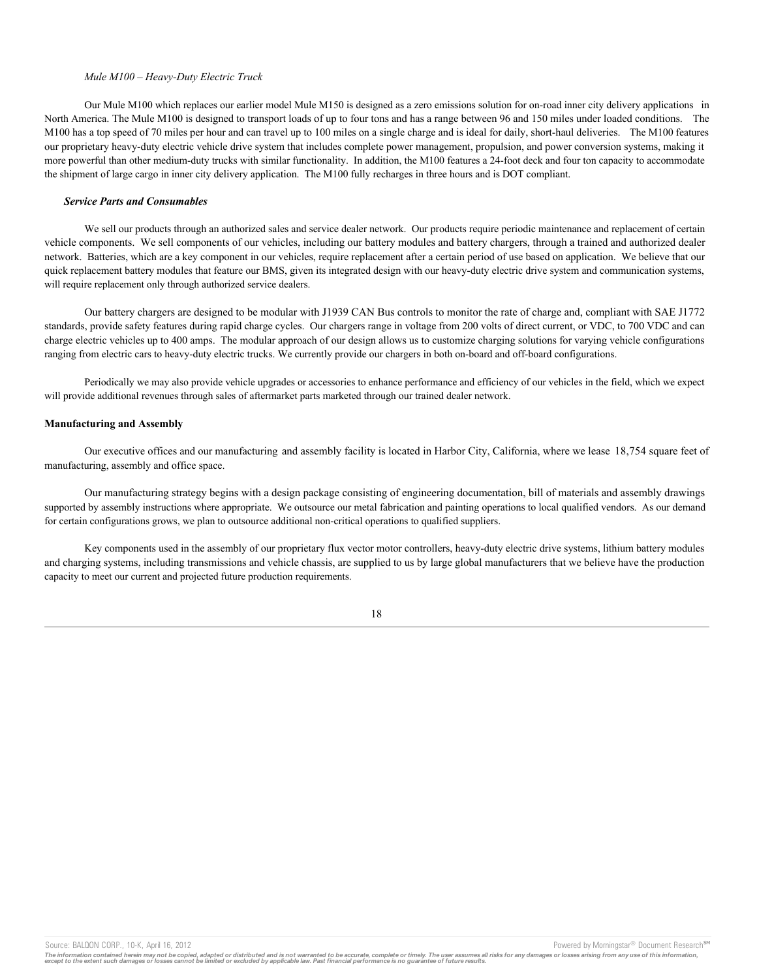#### *Mule M100 – Heavy-Duty Electric Truck*

Our Mule M100 which replaces our earlier model Mule M150 is designed as a zero emissions solution for on-road inner city delivery applications in North America. The Mule M100 is designed to transport loads of up to four tons and has a range between 96 and 150 miles under loaded conditions. The M100 has a top speed of 70 miles per hour and can travel up to 100 miles on a single charge and is ideal for daily, short-haul deliveries. The M100 features our proprietary heavy-duty electric vehicle drive system that includes complete power management, propulsion, and power conversion systems, making it more powerful than other medium-duty trucks with similar functionality. In addition, the M100 features a 24-foot deck and four ton capacity to accommodate the shipment of large cargo in inner city delivery application. The M100 fully recharges in three hours and is DOT compliant.

#### *Service Parts and Consumables*

We sell our products through an authorized sales and service dealer network. Our products require periodic maintenance and replacement of certain vehicle components. We sell components of our vehicles, including our battery modules and battery chargers, through a trained and authorized dealer network. Batteries, which are a key component in our vehicles, require replacement after a certain period of use based on application. We believe that our quick replacement battery modules that feature our BMS, given its integrated design with our heavy-duty electric drive system and communication systems, will require replacement only through authorized service dealers.

Our battery chargers are designed to be modular with J1939 CAN Bus controls to monitor the rate of charge and, compliant with SAE J1772 standards, provide safety features during rapid charge cycles. Our chargers range in voltage from 200 volts of direct current, or VDC, to 700 VDC and can charge electric vehicles up to 400 amps. The modular approach of our design allows us to customize charging solutions for varying vehicle configurations ranging from electric cars to heavy-duty electric trucks. We currently provide our chargers in both on-board and off-board configurations.

Periodically we may also provide vehicle upgrades or accessories to enhance performance and efficiency of our vehicles in the field, which we expect will provide additional revenues through sales of aftermarket parts marketed through our trained dealer network.

#### **Manufacturing and Assembly**

Our executive offices and our manufacturing and assembly facility is located in Harbor City, California, where we lease 18,754 square feet of manufacturing, assembly and office space.

Our manufacturing strategy begins with a design package consisting of engineering documentation, bill of materials and assembly drawings supported by assembly instructions where appropriate. We outsource our metal fabrication and painting operations to local qualified vendors. As our demand for certain configurations grows, we plan to outsource additional non-critical operations to qualified suppliers.

Key components used in the assembly of our proprietary flux vector motor controllers, heavy-duty electric drive systems, lithium battery modules and charging systems, including transmissions and vehicle chassis, are supplied to us by large global manufacturers that we believe have the production capacity to meet our current and projected future production requirements.

18

The information contained herein may not be copied, adapted or distributed and is not warranted to be accurate, complete or timely. The user assumes all risks for any damages or losses arising from any use of this informat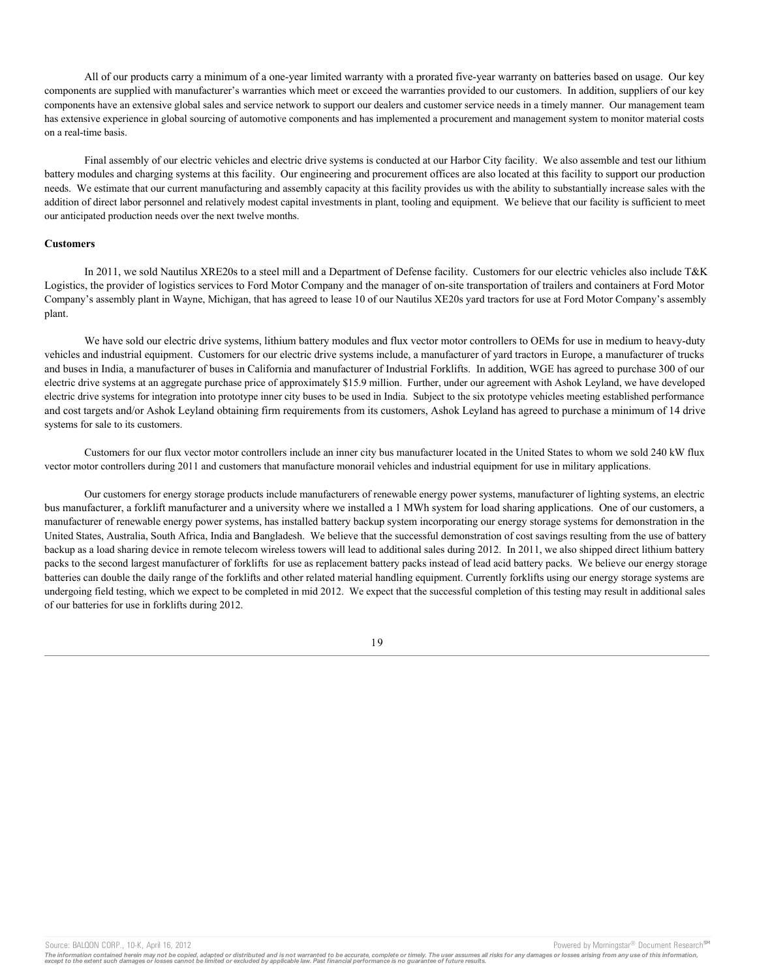All of our products carry a minimum of a one-year limited warranty with a prorated five-year warranty on batteries based on usage. Our key components are supplied with manufacturer's warranties which meet or exceed the warranties provided to our customers. In addition, suppliers of our key components have an extensive global sales and service network to support our dealers and customer service needs in a timely manner. Our management team has extensive experience in global sourcing of automotive components and has implemented a procurement and management system to monitor material costs on a real-time basis.

Final assembly of our electric vehicles and electric drive systems is conducted at our Harbor City facility. We also assemble and test our lithium battery modules and charging systems at this facility. Our engineering and procurement offices are also located at this facility to support our production needs. We estimate that our current manufacturing and assembly capacity at this facility provides us with the ability to substantially increase sales with the addition of direct labor personnel and relatively modest capital investments in plant, tooling and equipment. We believe that our facility is sufficient to meet our anticipated production needs over the next twelve months.

### **Customers**

In 2011, we sold Nautilus XRE20s to a steel mill and a Department of Defense facility. Customers for our electric vehicles also include T&K Logistics, the provider of logistics services to Ford Motor Company and the manager of on-site transportation of trailers and containers at Ford Motor Company's assembly plant in Wayne, Michigan, that has agreed to lease 10 of our Nautilus XE20s yard tractors for use at Ford Motor Company's assembly plant.

We have sold our electric drive systems, lithium battery modules and flux vector motor controllers to OEMs for use in medium to heavy-duty vehicles and industrial equipment. Customers for our electric drive systems include, a manufacturer of yard tractors in Europe, a manufacturer of trucks and buses in India, a manufacturer of buses in California and manufacturer of Industrial Forklifts. In addition, WGE has agreed to purchase 300 of our electric drive systems at an aggregate purchase price of approximately \$15.9 million. Further, under our agreement with Ashok Leyland, we have developed electric drive systems for integration into prototype inner city buses to be used in India. Subject to the six prototype vehicles meeting established performance and cost targets and/or Ashok Leyland obtaining firm requirements from its customers, Ashok Leyland has agreed to purchase a minimum of 14 drive systems for sale to its customers.

Customers for our flux vector motor controllers include an inner city bus manufacturer located in the United States to whom we sold 240 kW flux vector motor controllers during 2011 and customers that manufacture monorail vehicles and industrial equipment for use in military applications.

Our customers for energy storage products include manufacturers of renewable energy power systems, manufacturer of lighting systems, an electric bus manufacturer, a forklift manufacturer and a university where we installed a 1 MWh system for load sharing applications. One of our customers, a manufacturer of renewable energy power systems, has installed battery backup system incorporating our energy storage systems for demonstration in the United States, Australia, South Africa, India and Bangladesh. We believe that the successful demonstration of cost savings resulting from the use of battery backup as a load sharing device in remote telecom wireless towers will lead to additional sales during 2012. In 2011, we also shipped direct lithium battery packs to the second largest manufacturer of forklifts for use as replacement battery packs instead of lead acid battery packs. We believe our energy storage batteries can double the daily range of the forklifts and other related material handling equipment. Currently forklifts using our energy storage systems are undergoing field testing, which we expect to be completed in mid 2012. We expect that the successful completion of this testing may result in additional sales of our batteries for use in forklifts during 2012.

Source: BALQON CORP., 10-K, April 16, 2012 **Powered by Morningstar® Document Research** in Powered by Morningstar® Document Research in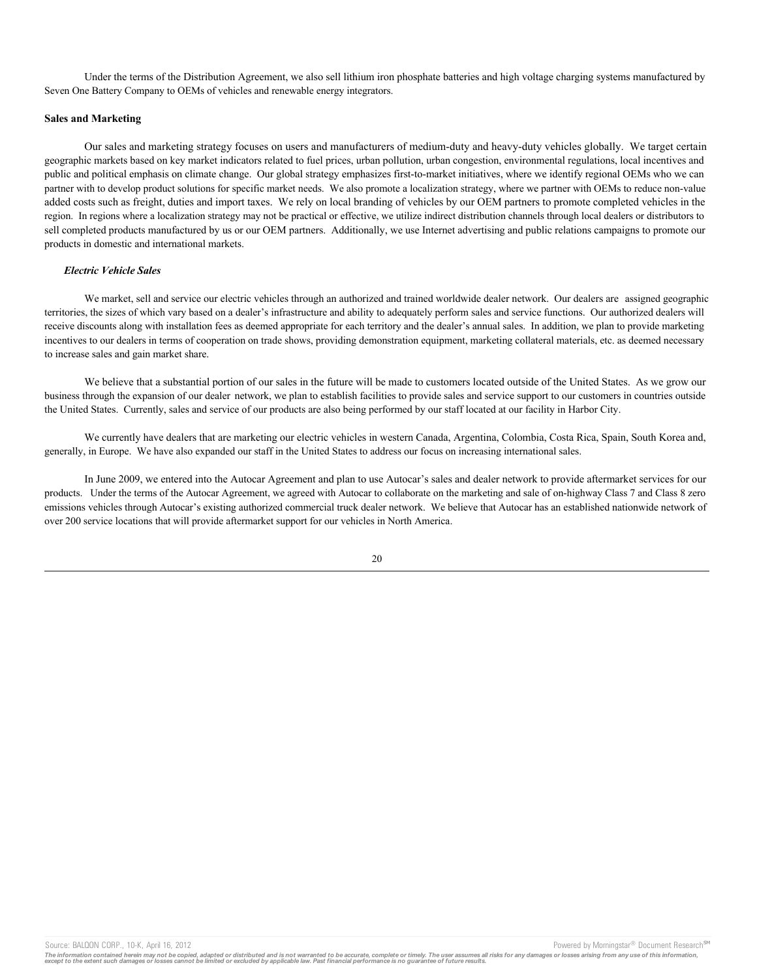Under the terms of the Distribution Agreement, we also sell lithium iron phosphate batteries and high voltage charging systems manufactured by Seven One Battery Company to OEMs of vehicles and renewable energy integrators.

#### **Sales and Marketing**

Our sales and marketing strategy focuses on users and manufacturers of medium-duty and heavy-duty vehicles globally. We target certain geographic markets based on key market indicators related to fuel prices, urban pollution, urban congestion, environmental regulations, local incentives and public and political emphasis on climate change. Our global strategy emphasizes first-to-market initiatives, where we identify regional OEMs who we can partner with to develop product solutions for specific market needs. We also promote a localization strategy, where we partner with OEMs to reduce non-value added costs such as freight, duties and import taxes. We rely on local branding of vehicles by our OEM partners to promote completed vehicles in the region. In regions where a localization strategy may not be practical or effective, we utilize indirect distribution channels through local dealers or distributors to sell completed products manufactured by us or our OEM partners. Additionally, we use Internet advertising and public relations campaigns to promote our products in domestic and international markets.

### *Electric Vehicle Sales*

We market, sell and service our electric vehicles through an authorized and trained worldwide dealer network. Our dealers are assigned geographic territories, the sizes of which vary based on a dealer's infrastructure and ability to adequately perform sales and service functions. Our authorized dealers will receive discounts along with installation fees as deemed appropriate for each territory and the dealer's annual sales. In addition, we plan to provide marketing incentives to our dealers in terms of cooperation on trade shows, providing demonstration equipment, marketing collateral materials, etc. as deemed necessary to increase sales and gain market share.

We believe that a substantial portion of our sales in the future will be made to customers located outside of the United States. As we grow our business through the expansion of our dealer network, we plan to establish facilities to provide sales and service support to our customers in countries outside the United States. Currently, sales and service of our products are also being performed by our staff located at our facility in Harbor City.

We currently have dealers that are marketing our electric vehicles in western Canada, Argentina, Colombia, Costa Rica, Spain, South Korea and, generally, in Europe. We have also expanded our staff in the United States to address our focus on increasing international sales.

In June 2009, we entered into the Autocar Agreement and plan to use Autocar's sales and dealer network to provide aftermarket services for our products. Under the terms of the Autocar Agreement, we agreed with Autocar to collaborate on the marketing and sale of on-highway Class 7 and Class 8 zero emissions vehicles through Autocar's existing authorized commercial truck dealer network. We believe that Autocar has an established nationwide network of over 200 service locations that will provide aftermarket support for our vehicles in North America.

20

The information contained herein may not be copied, adapted or distributed and is not warranted to be accurate, complete or timely. The user assumes all risks for any damages or losses arising from any use of this informat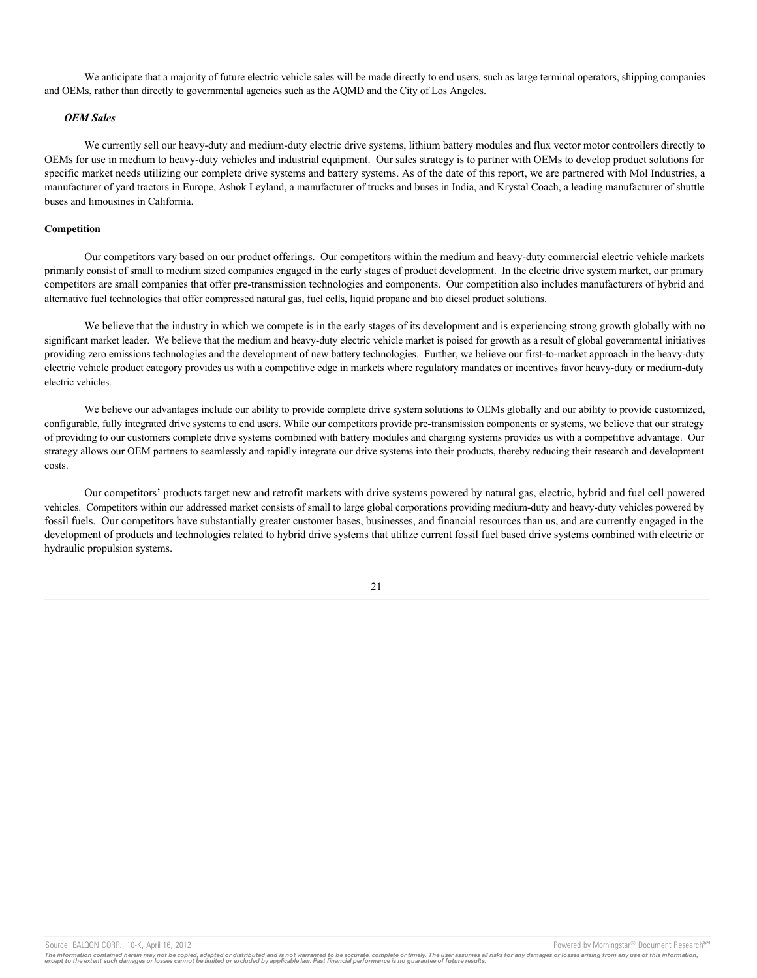We anticipate that a majority of future electric vehicle sales will be made directly to end users, such as large terminal operators, shipping companies and OEMs, rather than directly to governmental agencies such as the AQMD and the City of Los Angeles.

### *OEM Sales*

We currently sell our heavy-duty and medium-duty electric drive systems, lithium battery modules and flux vector motor controllers directly to OEMs for use in medium to heavy-duty vehicles and industrial equipment. Our sales strategy is to partner with OEMs to develop product solutions for specific market needs utilizing our complete drive systems and battery systems. As of the date of this report, we are partnered with Mol Industries, a manufacturer of yard tractors in Europe, Ashok Leyland, a manufacturer of trucks and buses in India, and Krystal Coach, a leading manufacturer of shuttle buses and limousines in California.

# **Competition**

Our competitors vary based on our product offerings. Our competitors within the medium and heavy-duty commercial electric vehicle markets primarily consist of small to medium sized companies engaged in the early stages of product development. In the electric drive system market, our primary competitors are small companies that offer pre-transmission technologies and components. Our competition also includes manufacturers of hybrid and alternative fuel technologies that offer compressed natural gas, fuel cells, liquid propane and bio diesel product solutions.

We believe that the industry in which we compete is in the early stages of its development and is experiencing strong growth globally with no significant market leader. We believe that the medium and heavy-duty electric vehicle market is poised for growth as a result of global governmental initiatives providing zero emissions technologies and the development of new battery technologies. Further, we believe our first-to-market approach in the heavy-duty electric vehicle product category provides us with a competitive edge in markets where regulatory mandates or incentives favor heavy-duty or medium-duty electric vehicles.

We believe our advantages include our ability to provide complete drive system solutions to OEMs globally and our ability to provide customized, configurable, fully integrated drive systems to end users. While our competitors provide pre-transmission components or systems, we believe that our strategy of providing to our customers complete drive systems combined with battery modules and charging systems provides us with a competitive advantage. Our strategy allows our OEM partners to seamlessly and rapidly integrate our drive systems into their products, thereby reducing their research and development costs.

Our competitors' products target new and retrofit markets with drive systems powered by natural gas, electric, hybrid and fuel cell powered vehicles. Competitors within our addressed market consists of small to large global corporations providing medium-duty and heavy-duty vehicles powered by fossil fuels. Our competitors have substantially greater customer bases, businesses, and financial resources than us, and are currently engaged in the development of products and technologies related to hybrid drive systems that utilize current fossil fuel based drive systems combined with electric or hydraulic propulsion systems.



Source: BALQON CORP., 10-K, April 16, 2012 **Powered by Morningstar® Document Research** in Powered by Morningstar® Document Research in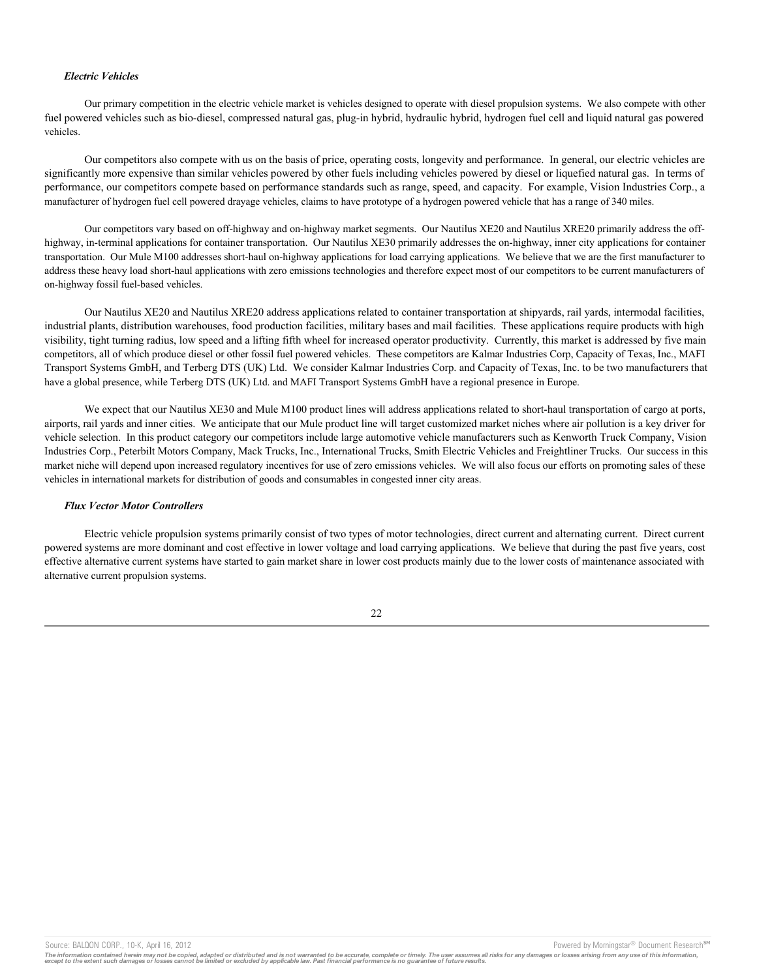### *Electric Vehicles*

Our primary competition in the electric vehicle market is vehicles designed to operate with diesel propulsion systems. We also compete with other fuel powered vehicles such as bio-diesel, compressed natural gas, plug-in hybrid, hydraulic hybrid, hydrogen fuel cell and liquid natural gas powered vehicles.

Our competitors also compete with us on the basis of price, operating costs, longevity and performance. In general, our electric vehicles are significantly more expensive than similar vehicles powered by other fuels including vehicles powered by diesel or liquefied natural gas. In terms of performance, our competitors compete based on performance standards such as range, speed, and capacity. For example, Vision Industries Corp., a manufacturer of hydrogen fuel cell powered drayage vehicles, claims to have prototype of a hydrogen powered vehicle that has a range of 340 miles.

Our competitors vary based on off-highway and on-highway market segments. Our Nautilus XE20 and Nautilus XRE20 primarily address the offhighway, in-terminal applications for container transportation. Our Nautilus XE30 primarily addresses the on-highway, inner city applications for container transportation. Our Mule M100 addresses short-haul on-highway applications for load carrying applications. We believe that we are the first manufacturer to address these heavy load short-haul applications with zero emissions technologies and therefore expect most of our competitors to be current manufacturers of on-highway fossil fuel-based vehicles.

Our Nautilus XE20 and Nautilus XRE20 address applications related to container transportation at shipyards, rail yards, intermodal facilities, industrial plants, distribution warehouses, food production facilities, military bases and mail facilities. These applications require products with high visibility, tight turning radius, low speed and a lifting fifth wheel for increased operator productivity. Currently, this market is addressed by five main competitors, all of which produce diesel or other fossil fuel powered vehicles. These competitors are Kalmar Industries Corp, Capacity of Texas, Inc., MAFI Transport Systems GmbH, and Terberg DTS (UK) Ltd. We consider Kalmar Industries Corp. and Capacity of Texas, Inc. to be two manufacturers that have a global presence, while Terberg DTS (UK) Ltd. and MAFI Transport Systems GmbH have a regional presence in Europe.

We expect that our Nautilus XE30 and Mule M100 product lines will address applications related to short-haul transportation of cargo at ports, airports, rail yards and inner cities. We anticipate that our Mule product line will target customized market niches where air pollution is a key driver for vehicle selection. In this product category our competitors include large automotive vehicle manufacturers such as Kenworth Truck Company, Vision Industries Corp., Peterbilt Motors Company, Mack Trucks, Inc., International Trucks, Smith Electric Vehicles and Freightliner Trucks. Our success in this market niche will depend upon increased regulatory incentives for use of zero emissions vehicles. We will also focus our efforts on promoting sales of these vehicles in international markets for distribution of goods and consumables in congested inner city areas.

### *Flux Vector Motor Controllers*

Electric vehicle propulsion systems primarily consist of two types of motor technologies, direct current and alternating current. Direct current powered systems are more dominant and cost effective in lower voltage and load carrying applications. We believe that during the past five years, cost effective alternative current systems have started to gain market share in lower cost products mainly due to the lower costs of maintenance associated with alternative current propulsion systems.



The information contained herein may not be copied, adapted or distributed and is not warranted to be accurate, complete or timely. The user assumes all risks for any damages or losses arising from any use of this informat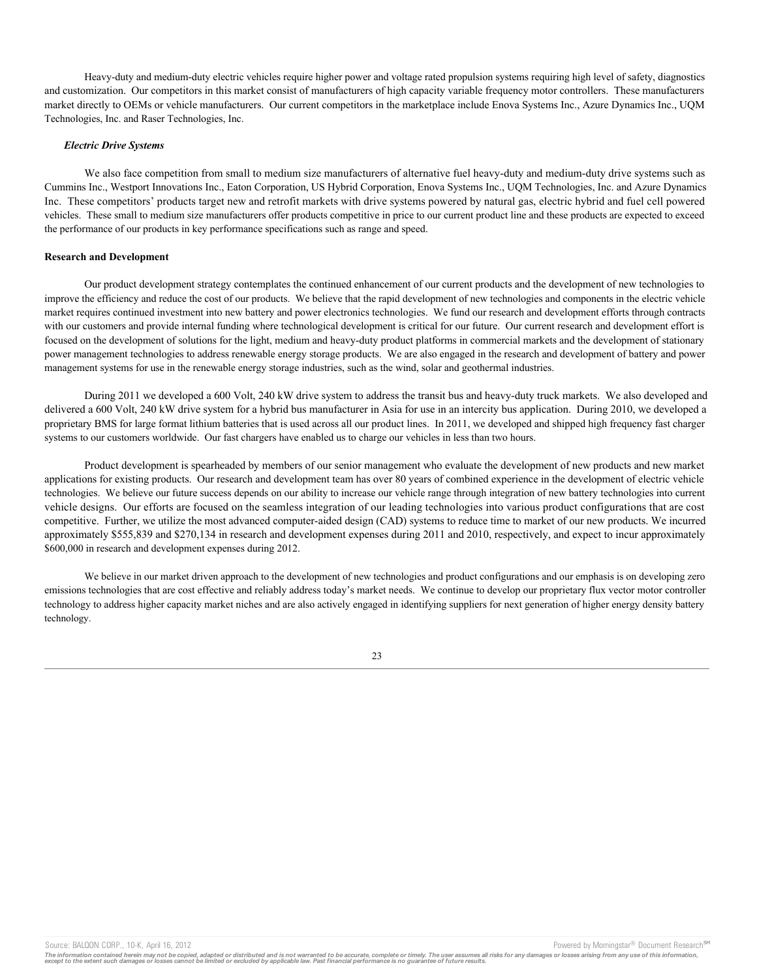Heavy-duty and medium-duty electric vehicles require higher power and voltage rated propulsion systems requiring high level of safety, diagnostics and customization. Our competitors in this market consist of manufacturers of high capacity variable frequency motor controllers. These manufacturers market directly to OEMs or vehicle manufacturers. Our current competitors in the marketplace include Enova Systems Inc., Azure Dynamics Inc., UQM Technologies, Inc. and Raser Technologies, Inc.

#### *Electric Drive Systems*

We also face competition from small to medium size manufacturers of alternative fuel heavy-duty and medium-duty drive systems such as Cummins Inc., Westport Innovations Inc., Eaton Corporation, US Hybrid Corporation, Enova Systems Inc., UQM Technologies, Inc. and Azure Dynamics Inc. These competitors' products target new and retrofit markets with drive systems powered by natural gas, electric hybrid and fuel cell powered vehicles. These small to medium size manufacturers offer products competitive in price to our current product line and these products are expected to exceed the performance of our products in key performance specifications such as range and speed.

#### **Research and Development**

Our product development strategy contemplates the continued enhancement of our current products and the development of new technologies to improve the efficiency and reduce the cost of our products. We believe that the rapid development of new technologies and components in the electric vehicle market requires continued investment into new battery and power electronics technologies. We fund our research and development efforts through contracts with our customers and provide internal funding where technological development is critical for our future. Our current research and development effort is focused on the development of solutions for the light, medium and heavy-duty product platforms in commercial markets and the development of stationary power management technologies to address renewable energy storage products. We are also engaged in the research and development of battery and power management systems for use in the renewable energy storage industries, such as the wind, solar and geothermal industries.

During 2011 we developed a 600 Volt, 240 kW drive system to address the transit bus and heavy-duty truck markets. We also developed and delivered a 600 Volt, 240 kW drive system for a hybrid bus manufacturer in Asia for use in an intercity bus application. During 2010, we developed a proprietary BMS for large format lithium batteries that is used across all our product lines. In 2011, we developed and shipped high frequency fast charger systems to our customers worldwide. Our fast chargers have enabled us to charge our vehicles in less than two hours.

Product development is spearheaded by members of our senior management who evaluate the development of new products and new market applications for existing products. Our research and development team has over 80 years of combined experience in the development of electric vehicle technologies. We believe our future success depends on our ability to increase our vehicle range through integration of new battery technologies into current vehicle designs. Our efforts are focused on the seamless integration of our leading technologies into various product configurations that are cost competitive. Further, we utilize the most advanced computer-aided design (CAD) systems to reduce time to market of our new products. We incurred approximately \$555,839 and \$270,134 in research and development expenses during 2011 and 2010, respectively, and expect to incur approximately \$600,000 in research and development expenses during 2012.

We believe in our market driven approach to the development of new technologies and product configurations and our emphasis is on developing zero emissions technologies that are cost effective and reliably address today's market needs. We continue to develop our proprietary flux vector motor controller technology to address higher capacity market niches and are also actively engaged in identifying suppliers for next generation of higher energy density battery technology.



The information contained herein may not be copied, adapted or distributed and is not warranted to be accurate, complete or timely. The user assumes all risks for any damages or losses arising from any use of this informat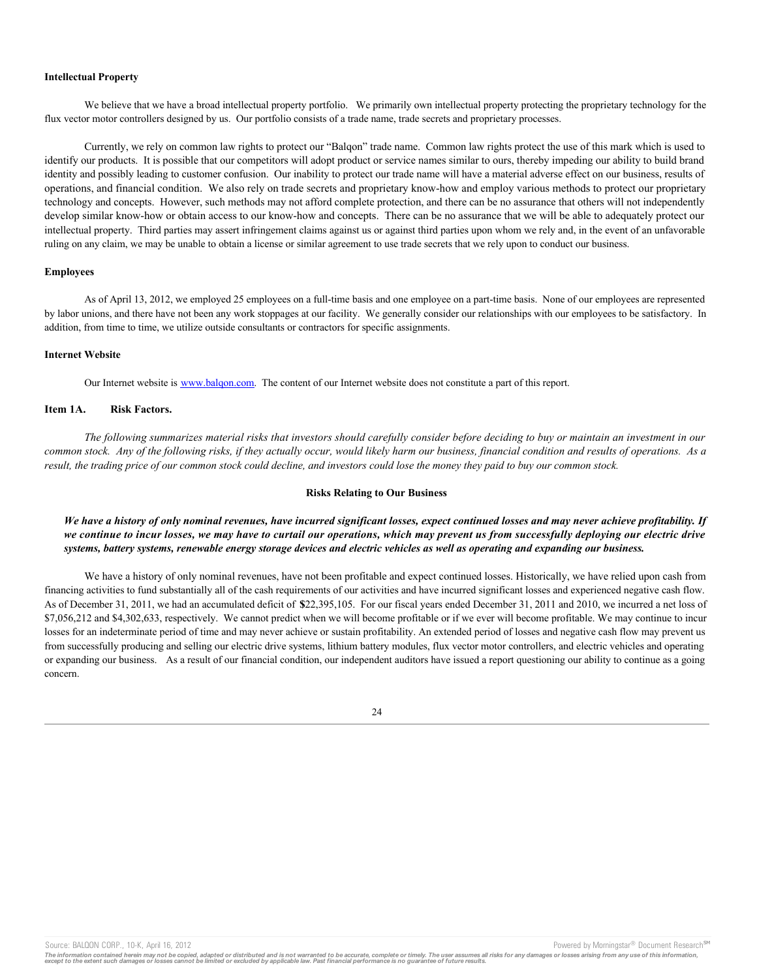#### **Intellectual Property**

We believe that we have a broad intellectual property portfolio. We primarily own intellectual property protecting the proprietary technology for the flux vector motor controllers designed by us. Our portfolio consists of a trade name, trade secrets and proprietary processes.

Currently, we rely on common law rights to protect our "Balqon" trade name. Common law rights protect the use of this mark which is used to identify our products. It is possible that our competitors will adopt product or service names similar to ours, thereby impeding our ability to build brand identity and possibly leading to customer confusion. Our inability to protect our trade name will have a material adverse effect on our business, results of operations, and financial condition. We also rely on trade secrets and proprietary know-how and employ various methods to protect our proprietary technology and concepts. However, such methods may not afford complete protection, and there can be no assurance that others will not independently develop similar know-how or obtain access to our know-how and concepts. There can be no assurance that we will be able to adequately protect our intellectual property. Third parties may assert infringement claims against us or against third parties upon whom we rely and, in the event of an unfavorable ruling on any claim, we may be unable to obtain a license or similar agreement to use trade secrets that we rely upon to conduct our business.

### **Employees**

As of April 13, 2012, we employed 25 employees on a full-time basis and one employee on a part-time basis. None of our employees are represented by labor unions, and there have not been any work stoppages at our facility. We generally consider our relationships with our employees to be satisfactory. In addition, from time to time, we utilize outside consultants or contractors for specific assignments.

# **Internet Website**

Our Internet website is www.balqon.com. The content of our Internet website does not constitute a part of this report.

# **Item 1A. Risk Factors.**

*The following summarizes material risks that investors should carefully consider before deciding to buy or maintain an investment in our common stock. Any of the following risks, if they actually occur, would likely harm our business, financial condition and results of operations. As a result, the trading price of our common stock could decline, and investors could lose the money they paid to buy our common stock.*

### **Risks Relating to Our Business**

*We have a history of only nominal revenues, have incurred significant losses, expect continued losses and may never achieve profitability. If we continue to incur losses, we may have to curtail our operations, which may prevent us from successfully deploying our electric drive systems, battery systems, renewable energy storage devices and electric vehicles as well as operating and expanding our business.*

We have a history of only nominal revenues, have not been profitable and expect continued losses. Historically, we have relied upon cash from financing activities to fund substantially all of the cash requirements of our activities and have incurred significant losses and experienced negative cash flow. As of December 31, 2011, we had an accumulated deficit of **\$**22,395,105. For our fiscal years ended December 31, 2011 and 2010, we incurred a net loss of \$7,056,212 and \$4,302,633, respectively. We cannot predict when we will become profitable or if we ever will become profitable. We may continue to incur losses for an indeterminate period of time and may never achieve or sustain profitability. An extended period of losses and negative cash flow may prevent us from successfully producing and selling our electric drive systems, lithium battery modules, flux vector motor controllers, and electric vehicles and operating or expanding our business. As a result of our financial condition, our independent auditors have issued a report questioning our ability to continue as a going concern.

The information contained herein may not be copied, adapted or distributed and is not warranted to be accurate, complete or timely. The user assumes all risks for any damages or losses arising from any use of this informat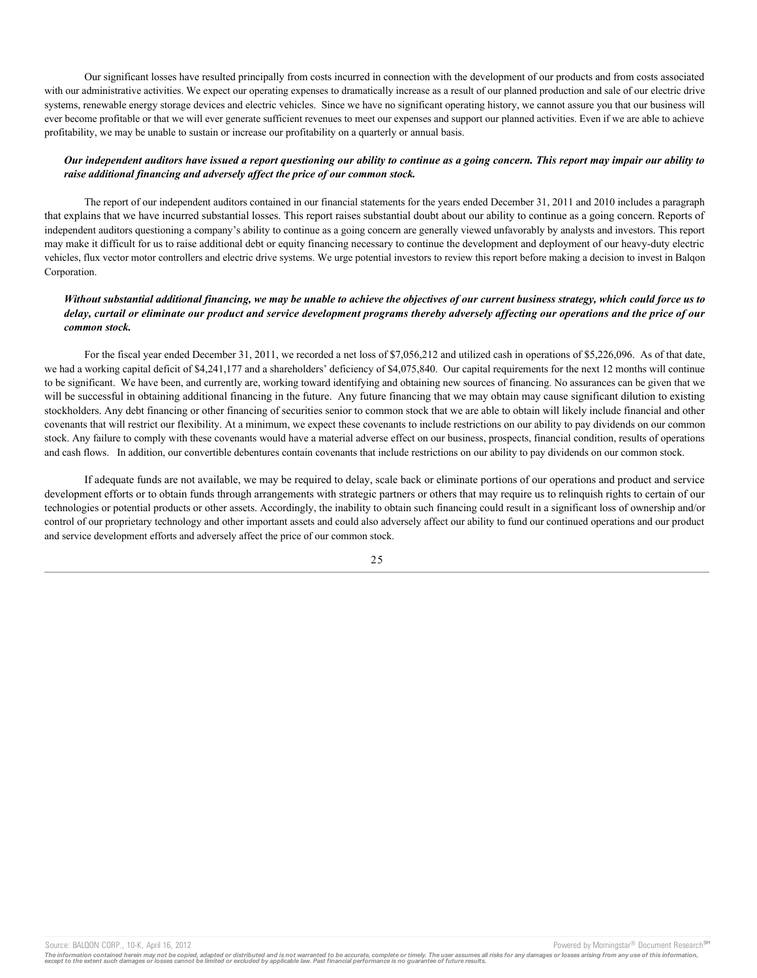Our significant losses have resulted principally from costs incurred in connection with the development of our products and from costs associated with our administrative activities. We expect our operating expenses to dramatically increase as a result of our planned production and sale of our electric drive systems, renewable energy storage devices and electric vehicles. Since we have no significant operating history, we cannot assure you that our business will ever become profitable or that we will ever generate sufficient revenues to meet our expenses and support our planned activities. Even if we are able to achieve profitability, we may be unable to sustain or increase our profitability on a quarterly or annual basis.

### *Our independent auditors have issued a report questioning our ability to continue as a going concern. This report may impair our ability to raise additional financing and adversely affect the price of our common stock.*

The report of our independent auditors contained in our financial statements for the years ended December 31, 2011 and 2010 includes a paragraph that explains that we have incurred substantial losses. This report raises substantial doubt about our ability to continue as a going concern. Reports of independent auditors questioning a company's ability to continue as a going concern are generally viewed unfavorably by analysts and investors. This report may make it difficult for us to raise additional debt or equity financing necessary to continue the development and deployment of our heavy-duty electric vehicles, flux vector motor controllers and electric drive systems. We urge potential investors to review this report before making a decision to invest in Balqon Corporation.

# *Without substantial additional financing, we may be unable to achieve the objectives of our current business strategy, which could force us to delay, curtail or eliminate our product and service development programs thereby adversely affecting our operations and the price of our common stock.*

For the fiscal year ended December 31, 2011, we recorded a net loss of \$7,056,212 and utilized cash in operations of \$5,226,096. As of that date, we had a working capital deficit of \$4,241,177 and a shareholders' deficiency of \$4,075,840. Our capital requirements for the next 12 months will continue to be significant. We have been, and currently are, working toward identifying and obtaining new sources of financing. No assurances can be given that we will be successful in obtaining additional financing in the future. Any future financing that we may obtain may cause significant dilution to existing stockholders. Any debt financing or other financing of securities senior to common stock that we are able to obtain will likely include financial and other covenants that will restrict our flexibility. At a minimum, we expect these covenants to include restrictions on our ability to pay dividends on our common stock. Any failure to comply with these covenants would have a material adverse effect on our business, prospects, financial condition, results of operations and cash flows. In addition, our convertible debentures contain covenants that include restrictions on our ability to pay dividends on our common stock.

If adequate funds are not available, we may be required to delay, scale back or eliminate portions of our operations and product and service development efforts or to obtain funds through arrangements with strategic partners or others that may require us to relinquish rights to certain of our technologies or potential products or other assets. Accordingly, the inability to obtain such financing could result in a significant loss of ownership and/or control of our proprietary technology and other important assets and could also adversely affect our ability to fund our continued operations and our product and service development efforts and adversely affect the price of our common stock.

25

The information contained herein may not be copied, adapted or distributed and is not warranted to be accurate, complete or timely. The user assumes all risks for any damages or losses arising from any use of this informat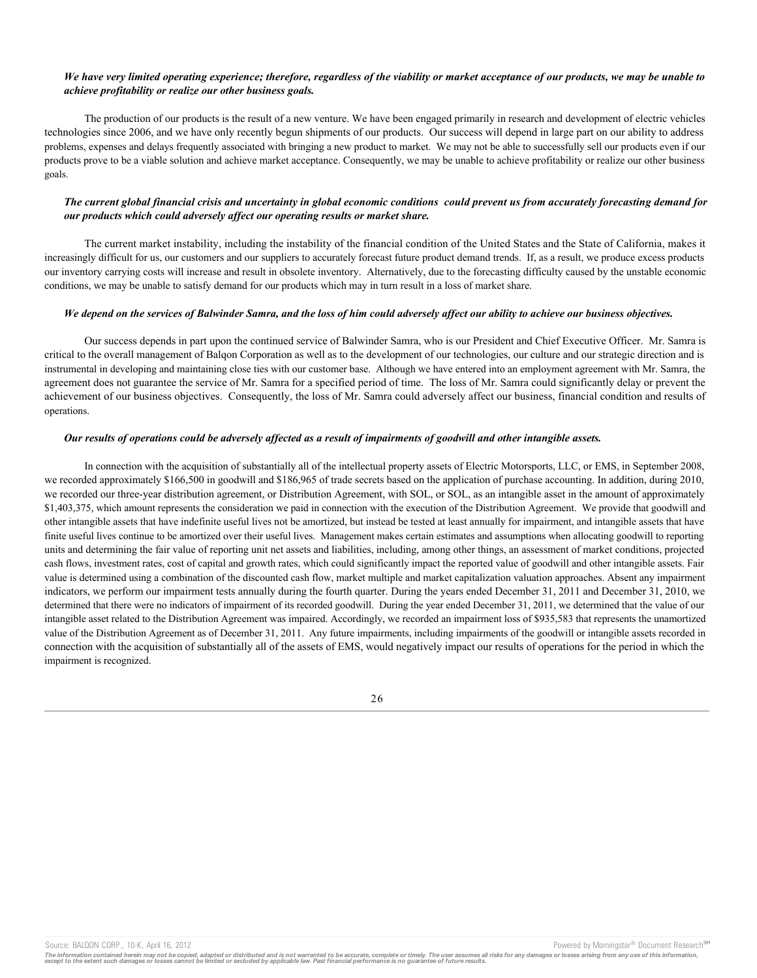## *We have very limited operating experience; therefore, regardless of the viability or market acceptance of our products, we may be unable to achieve profitability or realize our other business goals.*

The production of our products is the result of a new venture. We have been engaged primarily in research and development of electric vehicles technologies since 2006, and we have only recently begun shipments of our products. Our success will depend in large part on our ability to address problems, expenses and delays frequently associated with bringing a new product to market. We may not be able to successfully sell our products even if our products prove to be a viable solution and achieve market acceptance. Consequently, we may be unable to achieve profitability or realize our other business goals.

# *The current global financial crisis and uncertainty in global economic conditions could prevent us from accurately forecasting demand for our products which could adversely affect our operating results or market share.*

The current market instability, including the instability of the financial condition of the United States and the State of California, makes it increasingly difficult for us, our customers and our suppliers to accurately forecast future product demand trends. If, as a result, we produce excess products our inventory carrying costs will increase and result in obsolete inventory. Alternatively, due to the forecasting difficulty caused by the unstable economic conditions, we may be unable to satisfy demand for our products which may in turn result in a loss of market share.

# *We depend on the services of Balwinder Samra, and the loss of him could adversely affect our ability to achieve our business objectives.*

Our success depends in part upon the continued service of Balwinder Samra, who is our President and Chief Executive Officer. Mr. Samra is critical to the overall management of Balqon Corporation as well as to the development of our technologies, our culture and our strategic direction and is instrumental in developing and maintaining close ties with our customer base. Although we have entered into an employment agreement with Mr. Samra, the agreement does not guarantee the service of Mr. Samra for a specified period of time. The loss of Mr. Samra could significantly delay or prevent the achievement of our business objectives. Consequently, the loss of Mr. Samra could adversely affect our business, financial condition and results of operations.

#### *Our results of operations could be adversely affected as a result of impairments of goodwill and other intangible assets.*

In connection with the acquisition of substantially all of the intellectual property assets of Electric Motorsports, LLC, or EMS, in September 2008, we recorded approximately \$166,500 in goodwill and \$186,965 of trade secrets based on the application of purchase accounting. In addition, during 2010, we recorded our three-year distribution agreement, or Distribution Agreement, with SOL, or SOL, as an intangible asset in the amount of approximately \$1,403,375, which amount represents the consideration we paid in connection with the execution of the Distribution Agreement. We provide that goodwill and other intangible assets that have indefinite useful lives not be amortized, but instead be tested at least annually for impairment, and intangible assets that have finite useful lives continue to be amortized over their useful lives. Management makes certain estimates and assumptions when allocating goodwill to reporting units and determining the fair value of reporting unit net assets and liabilities, including, among other things, an assessment of market conditions, projected cash flows, investment rates, cost of capital and growth rates, which could significantly impact the reported value of goodwill and other intangible assets. Fair value is determined using a combination of the discounted cash flow, market multiple and market capitalization valuation approaches. Absent any impairment indicators, we perform our impairment tests annually during the fourth quarter. During the years ended December 31, 2011 and December 31, 2010, we determined that there were no indicators of impairment of its recorded goodwill. During the year ended December 31, 2011, we determined that the value of our intangible asset related to the Distribution Agreement was impaired. Accordingly, we recorded an impairment loss of \$935,583 that represents the unamortized value of the Distribution Agreement as of December 31, 2011. Any future impairments, including impairments of the goodwill or intangible assets recorded in connection with the acquisition of substantially all of the assets of EMS, would negatively impact our results of operations for the period in which the impairment is recognized.



The information contained herein may not be copied, adapted or distributed and is not warranted to be accurate, complete or timely. The user assumes all risks for any damages or losses arising from any use of this informat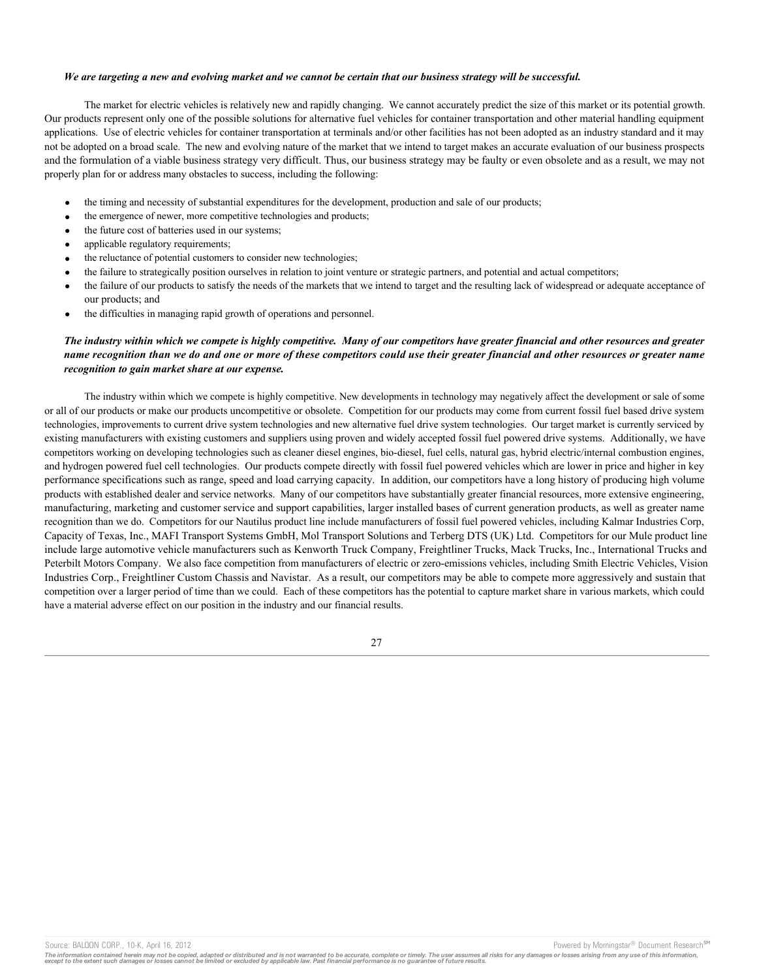#### *We are targeting a new and evolving market and we cannot be certain that our business strategy will be successful.*

The market for electric vehicles is relatively new and rapidly changing. We cannot accurately predict the size of this market or its potential growth. Our products represent only one of the possible solutions for alternative fuel vehicles for container transportation and other material handling equipment applications. Use of electric vehicles for container transportation at terminals and/or other facilities has not been adopted as an industry standard and it may not be adopted on a broad scale. The new and evolving nature of the market that we intend to target makes an accurate evaluation of our business prospects and the formulation of a viable business strategy very difficult. Thus, our business strategy may be faulty or even obsolete and as a result, we may not properly plan for or address many obstacles to success, including the following:

- the timing and necessity of substantial expenditures for the development, production and sale of our products;
- the emergence of newer, more competitive technologies and products;
- the future cost of batteries used in our systems;
- applicable regulatory requirements;
- the reluctance of potential customers to consider new technologies;
- the failure to strategically position ourselves in relation to joint venture or strategic partners, and potential and actual competitors;
- the failure of our products to satisfy the needs of the markets that we intend to target and the resulting lack of widespread or adequate acceptance of our products; and
- the difficulties in managing rapid growth of operations and personnel.

# *The industry within which we compete is highly competitive. Many of our competitors have greater financial and other resources and greater name recognition than we do and one or more of these competitors could use their greater financial and other resources or greater name recognition to gain market share at our expense.*

The industry within which we compete is highly competitive. New developments in technology may negatively affect the development or sale of some or all of our products or make our products uncompetitive or obsolete. Competition for our products may come from current fossil fuel based drive system technologies, improvements to current drive system technologies and new alternative fuel drive system technologies. Our target market is currently serviced by existing manufacturers with existing customers and suppliers using proven and widely accepted fossil fuel powered drive systems. Additionally, we have competitors working on developing technologies such as cleaner diesel engines, bio-diesel, fuel cells, natural gas, hybrid electric/internal combustion engines, and hydrogen powered fuel cell technologies. Our products compete directly with fossil fuel powered vehicles which are lower in price and higher in key performance specifications such as range, speed and load carrying capacity. In addition, our competitors have a long history of producing high volume products with established dealer and service networks. Many of our competitors have substantially greater financial resources, more extensive engineering, manufacturing, marketing and customer service and support capabilities, larger installed bases of current generation products, as well as greater name recognition than we do. Competitors for our Nautilus product line include manufacturers of fossil fuel powered vehicles, including Kalmar Industries Corp, Capacity of Texas, Inc., MAFI Transport Systems GmbH, Mol Transport Solutions and Terberg DTS (UK) Ltd. Competitors for our Mule product line include large automotive vehicle manufacturers such as Kenworth Truck Company, Freightliner Trucks, Mack Trucks, Inc., International Trucks and Peterbilt Motors Company. We also face competition from manufacturers of electric or zero-emissions vehicles, including Smith Electric Vehicles, Vision Industries Corp., Freightliner Custom Chassis and Navistar. As a result, our competitors may be able to compete more aggressively and sustain that competition over a larger period of time than we could. Each of these competitors has the potential to capture market share in various markets, which could have a material adverse effect on our position in the industry and our financial results.



Source: BALQON CORP., 10-K, April 16, 2012 **Powered by Morningstar® Document Research** in Powered by Morningstar® Document Research in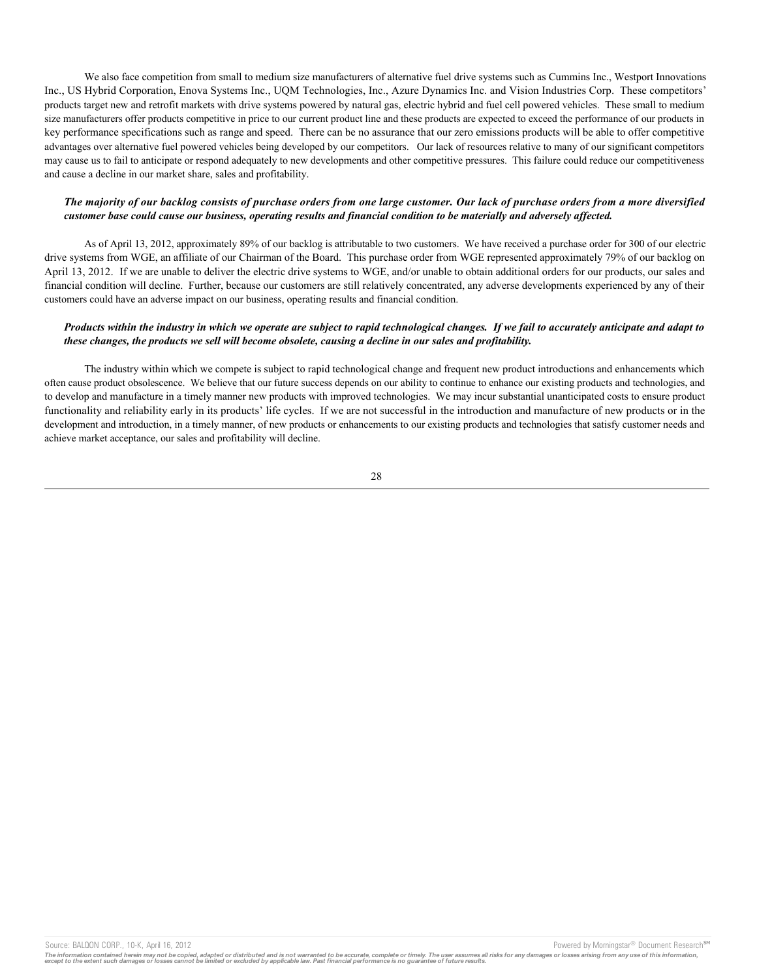We also face competition from small to medium size manufacturers of alternative fuel drive systems such as Cummins Inc., Westport Innovations Inc., US Hybrid Corporation, Enova Systems Inc., UQM Technologies, Inc., Azure Dynamics Inc. and Vision Industries Corp. These competitors' products target new and retrofit markets with drive systems powered by natural gas, electric hybrid and fuel cell powered vehicles. These small to medium size manufacturers offer products competitive in price to our current product line and these products are expected to exceed the performance of our products in key performance specifications such as range and speed. There can be no assurance that our zero emissions products will be able to offer competitive advantages over alternative fuel powered vehicles being developed by our competitors. Our lack of resources relative to many of our significant competitors may cause us to fail to anticipate or respond adequately to new developments and other competitive pressures. This failure could reduce our competitiveness and cause a decline in our market share, sales and profitability.

# *The majority of our backlog consists of purchase orders from one large customer. Our lack of purchase orders from a more diversified customer base could cause our business, operating results and financial condition to be materially and adversely affected.*

As of April 13, 2012, approximately 89% of our backlog is attributable to two customers. We have received a purchase order for 300 of our electric drive systems from WGE, an affiliate of our Chairman of the Board. This purchase order from WGE represented approximately 79% of our backlog on April 13, 2012. If we are unable to deliver the electric drive systems to WGE, and/or unable to obtain additional orders for our products, our sales and financial condition will decline. Further, because our customers are still relatively concentrated, any adverse developments experienced by any of their customers could have an adverse impact on our business, operating results and financial condition.

# *Products within the industry in which we operate are subject to rapid technological changes. If we fail to accurately anticipate and adapt to these changes, the products we sell will become obsolete, causing a decline in our sales and profitability.*

The industry within which we compete is subject to rapid technological change and frequent new product introductions and enhancements which often cause product obsolescence. We believe that our future success depends on our ability to continue to enhance our existing products and technologies, and to develop and manufacture in a timely manner new products with improved technologies. We may incur substantial unanticipated costs to ensure product functionality and reliability early in its products' life cycles. If we are not successful in the introduction and manufacture of new products or in the development and introduction, in a timely manner, of new products or enhancements to our existing products and technologies that satisfy customer needs and achieve market acceptance, our sales and profitability will decline.

### 28

Source: BALQON CORP., 10-K, April 16, 2012 **Powered by Morningstar® Document Research** in Powered by Morningstar® Document Research in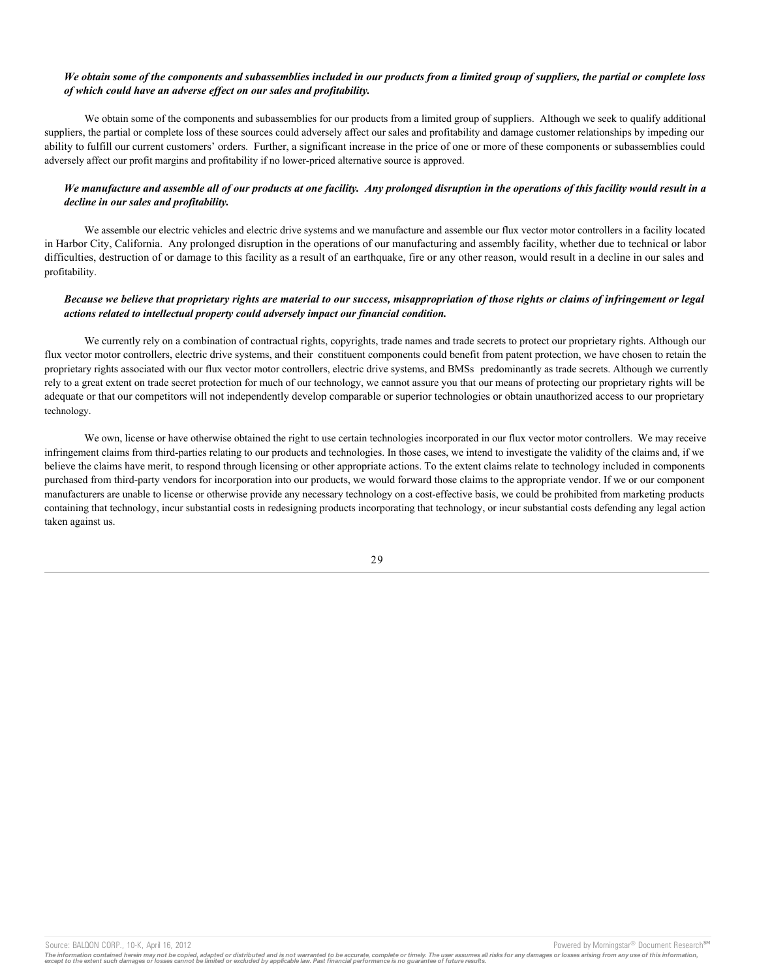# *We obtain some of the components and subassemblies included in our products from a limited group of suppliers, the partial or complete loss of which could have an adverse effect on our sales and profitability.*

We obtain some of the components and subassemblies for our products from a limited group of suppliers. Although we seek to qualify additional suppliers, the partial or complete loss of these sources could adversely affect our sales and profitability and damage customer relationships by impeding our ability to fulfill our current customers' orders. Further, a significant increase in the price of one or more of these components or subassemblies could adversely affect our profit margins and profitability if no lower-priced alternative source is approved.

# *We manufacture and assemble all of our products at one facility. Any prolonged disruption in the operations of this facility would result in a decline in our sales and profitability.*

We assemble our electric vehicles and electric drive systems and we manufacture and assemble our flux vector motor controllers in a facility located in Harbor City, California. Any prolonged disruption in the operations of our manufacturing and assembly facility, whether due to technical or labor difficulties, destruction of or damage to this facility as a result of an earthquake, fire or any other reason, would result in a decline in our sales and profitability.

### *Because we believe that proprietary rights are material to our success, misappropriation of those rights or claims of infringement or legal actions related to intellectual property could adversely impact our financial condition.*

We currently rely on a combination of contractual rights, copyrights, trade names and trade secrets to protect our proprietary rights. Although our flux vector motor controllers, electric drive systems, and their constituent components could benefit from patent protection, we have chosen to retain the proprietary rights associated with our flux vector motor controllers, electric drive systems, and BMSs predominantly as trade secrets. Although we currently rely to a great extent on trade secret protection for much of our technology, we cannot assure you that our means of protecting our proprietary rights will be adequate or that our competitors will not independently develop comparable or superior technologies or obtain unauthorized access to our proprietary technology.

We own, license or have otherwise obtained the right to use certain technologies incorporated in our flux vector motor controllers. We may receive infringement claims from third-parties relating to our products and technologies. In those cases, we intend to investigate the validity of the claims and, if we believe the claims have merit, to respond through licensing or other appropriate actions. To the extent claims relate to technology included in components purchased from third-party vendors for incorporation into our products, we would forward those claims to the appropriate vendor. If we or our component manufacturers are unable to license or otherwise provide any necessary technology on a cost-effective basis, we could be prohibited from marketing products containing that technology, incur substantial costs in redesigning products incorporating that technology, or incur substantial costs defending any legal action taken against us.



The information contained herein may not be copied, adapted or distributed and is not warranted to be accurate, complete or timely. The user assumes all risks for any damages or losses arising from any use of this informat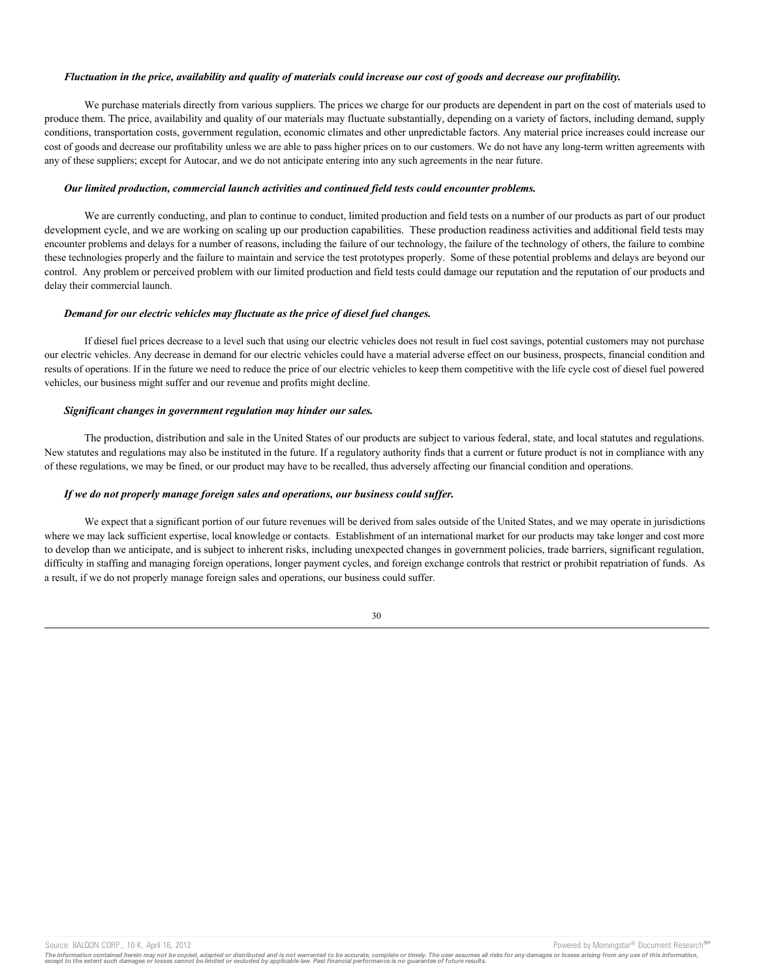#### *Fluctuation in the price, availability and quality of materials could increase our cost of goods and decrease our profitability.*

We purchase materials directly from various suppliers. The prices we charge for our products are dependent in part on the cost of materials used to produce them. The price, availability and quality of our materials may fluctuate substantially, depending on a variety of factors, including demand, supply conditions, transportation costs, government regulation, economic climates and other unpredictable factors. Any material price increases could increase our cost of goods and decrease our profitability unless we are able to pass higher prices on to our customers. We do not have any long-term written agreements with any of these suppliers; except for Autocar, and we do not anticipate entering into any such agreements in the near future.

#### *Our limited production, commercial launch activities and continued field tests could encounter problems.*

We are currently conducting, and plan to continue to conduct, limited production and field tests on a number of our products as part of our product development cycle, and we are working on scaling up our production capabilities. These production readiness activities and additional field tests may encounter problems and delays for a number of reasons, including the failure of our technology, the failure of the technology of others, the failure to combine these technologies properly and the failure to maintain and service the test prototypes properly. Some of these potential problems and delays are beyond our control. Any problem or perceived problem with our limited production and field tests could damage our reputation and the reputation of our products and delay their commercial launch.

### *Demand for our electric vehicles may fluctuate as the price of diesel fuel changes.*

If diesel fuel prices decrease to a level such that using our electric vehicles does not result in fuel cost savings, potential customers may not purchase our electric vehicles. Any decrease in demand for our electric vehicles could have a material adverse effect on our business, prospects, financial condition and results of operations. If in the future we need to reduce the price of our electric vehicles to keep them competitive with the life cycle cost of diesel fuel powered vehicles, our business might suffer and our revenue and profits might decline.

#### *Significant changes in government regulation may hinder our sales.*

The production, distribution and sale in the United States of our products are subject to various federal, state, and local statutes and regulations. New statutes and regulations may also be instituted in the future. If a regulatory authority finds that a current or future product is not in compliance with any of these regulations, we may be fined, or our product may have to be recalled, thus adversely affecting our financial condition and operations.

### *If we do not properly manage foreign sales and operations, our business could suffer.*

We expect that a significant portion of our future revenues will be derived from sales outside of the United States, and we may operate in jurisdictions where we may lack sufficient expertise, local knowledge or contacts. Establishment of an international market for our products may take longer and cost more to develop than we anticipate, and is subject to inherent risks, including unexpected changes in government policies, trade barriers, significant regulation, difficulty in staffing and managing foreign operations, longer payment cycles, and foreign exchange controls that restrict or prohibit repatriation of funds. As a result, if we do not properly manage foreign sales and operations, our business could suffer.

30

The information contained herein may not be copied, adapted or distributed and is not warranted to be accurate, complete or timely. The user assumes all risks for any damages or losses arising from any use of this informat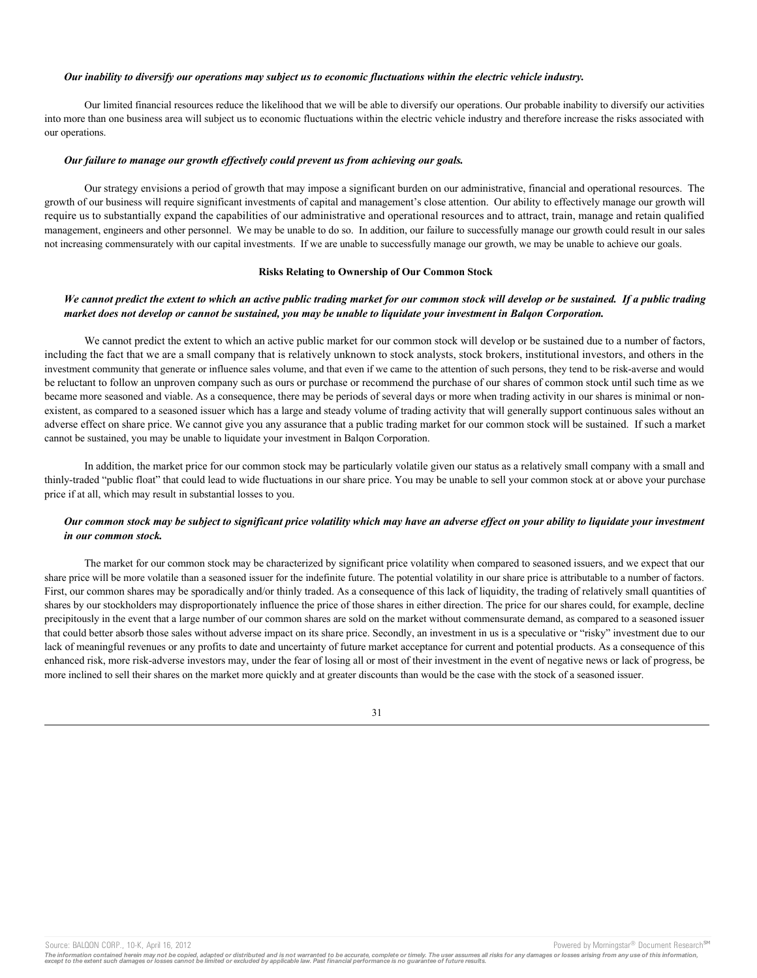#### *Our inability to diversify our operations may subject us to economic fluctuations within the electric vehicle industry.*

Our limited financial resources reduce the likelihood that we will be able to diversify our operations. Our probable inability to diversify our activities into more than one business area will subject us to economic fluctuations within the electric vehicle industry and therefore increase the risks associated with our operations.

#### *Our failure to manage our growth effectively could prevent us from achieving our goals.*

Our strategy envisions a period of growth that may impose a significant burden on our administrative, financial and operational resources. The growth of our business will require significant investments of capital and management's close attention. Our ability to effectively manage our growth will require us to substantially expand the capabilities of our administrative and operational resources and to attract, train, manage and retain qualified management, engineers and other personnel. We may be unable to do so. In addition, our failure to successfully manage our growth could result in our sales not increasing commensurately with our capital investments. If we are unable to successfully manage our growth, we may be unable to achieve our goals.

### **Risks Relating to Ownership of Our Common Stock**

### *We cannot predict the extent to which an active public trading market for our common stock will develop or be sustained. If a public trading market does not develop or cannot be sustained, you may be unable to liquidate your investment in Balqon Corporation.*

We cannot predict the extent to which an active public market for our common stock will develop or be sustained due to a number of factors, including the fact that we are a small company that is relatively unknown to stock analysts, stock brokers, institutional investors, and others in the investment community that generate or influence sales volume, and that even if we came to the attention of such persons, they tend to be risk-averse and would be reluctant to follow an unproven company such as ours or purchase or recommend the purchase of our shares of common stock until such time as we became more seasoned and viable. As a consequence, there may be periods of several days or more when trading activity in our shares is minimal or nonexistent, as compared to a seasoned issuer which has a large and steady volume of trading activity that will generally support continuous sales without an adverse effect on share price. We cannot give you any assurance that a public trading market for our common stock will be sustained. If such a market cannot be sustained, you may be unable to liquidate your investment in Balqon Corporation.

In addition, the market price for our common stock may be particularly volatile given our status as a relatively small company with a small and thinly-traded "public float" that could lead to wide fluctuations in our share price. You may be unable to sell your common stock at or above your purchase price if at all, which may result in substantial losses to you.

# *Our common stock may be subject to significant price volatility which may have an adverse effect on your ability to liquidate your investment in our common stock.*

The market for our common stock may be characterized by significant price volatility when compared to seasoned issuers, and we expect that our share price will be more volatile than a seasoned issuer for the indefinite future. The potential volatility in our share price is attributable to a number of factors. First, our common shares may be sporadically and/or thinly traded. As a consequence of this lack of liquidity, the trading of relatively small quantities of shares by our stockholders may disproportionately influence the price of those shares in either direction. The price for our shares could, for example, decline precipitously in the event that a large number of our common shares are sold on the market without commensurate demand, as compared to a seasoned issuer that could better absorb those sales without adverse impact on its share price. Secondly, an investment in us is a speculative or "risky" investment due to our lack of meaningful revenues or any profits to date and uncertainty of future market acceptance for current and potential products. As a consequence of this enhanced risk, more risk-adverse investors may, under the fear of losing all or most of their investment in the event of negative news or lack of progress, be more inclined to sell their shares on the market more quickly and at greater discounts than would be the case with the stock of a seasoned issuer.



Source: BALQON CORP., 10-K, April 16, 2012 **Powered by Morningstar® Document Research** in Powered by Morningstar® Document Research in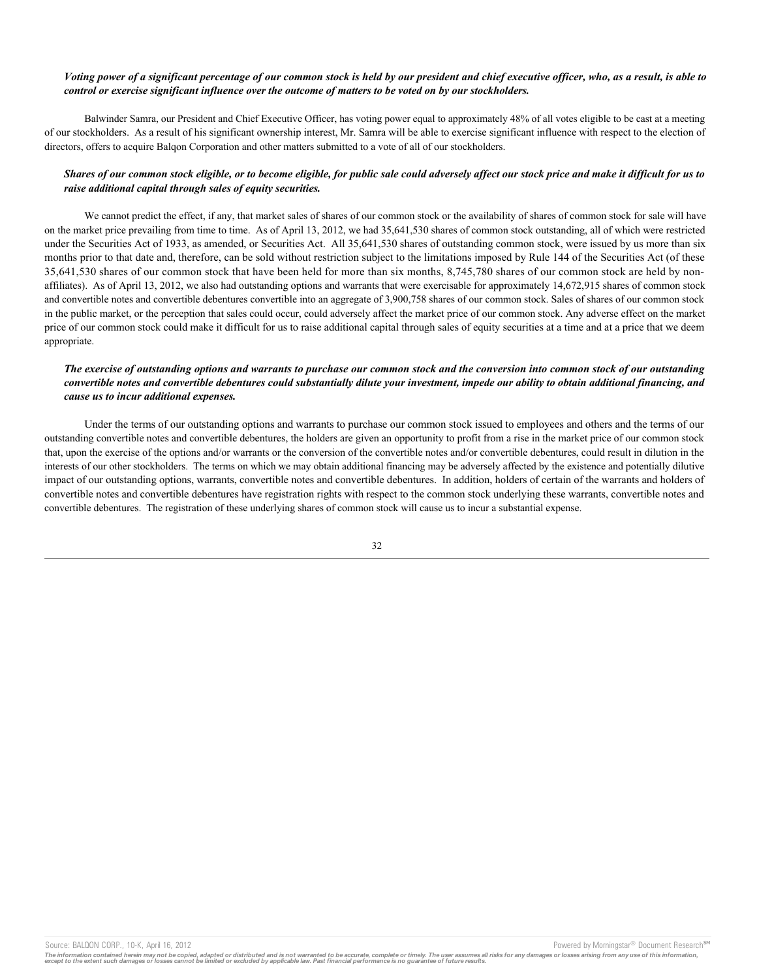# *Voting power of a significant percentage of our common stock is held by our president and chief executive officer, who, as a result, is able to control or exercise significant influence over the outcome of matters to be voted on by our stockholders.*

Balwinder Samra, our President and Chief Executive Officer, has voting power equal to approximately 48% of all votes eligible to be cast at a meeting of our stockholders. As a result of his significant ownership interest, Mr. Samra will be able to exercise significant influence with respect to the election of directors, offers to acquire Balqon Corporation and other matters submitted to a vote of all of our stockholders.

# *Shares of our common stock eligible, or to become eligible, for public sale could adversely affect our stock price and make it difficult for us to raise additional capital through sales of equity securities.*

We cannot predict the effect, if any, that market sales of shares of our common stock or the availability of shares of common stock for sale will have on the market price prevailing from time to time. As of April 13, 2012, we had 35,641,530 shares of common stock outstanding, all of which were restricted under the Securities Act of 1933, as amended, or Securities Act. All 35,641,530 shares of outstanding common stock, were issued by us more than six months prior to that date and, therefore, can be sold without restriction subject to the limitations imposed by Rule 144 of the Securities Act (of these 35,641,530 shares of our common stock that have been held for more than six months, 8,745,780 shares of our common stock are held by nonaffiliates). As of April 13, 2012, we also had outstanding options and warrants that were exercisable for approximately 14,672,915 shares of common stock and convertible notes and convertible debentures convertible into an aggregate of 3,900,758 shares of our common stock. Sales of shares of our common stock in the public market, or the perception that sales could occur, could adversely affect the market price of our common stock. Any adverse effect on the market price of our common stock could make it difficult for us to raise additional capital through sales of equity securities at a time and at a price that we deem appropriate.

# *The exercise of outstanding options and warrants to purchase our common stock and the conversion into common stock of our outstanding convertible notes and convertible debentures could substantially dilute your investment, impede our ability to obtain additional financing, and cause us to incur additional expenses.*

Under the terms of our outstanding options and warrants to purchase our common stock issued to employees and others and the terms of our outstanding convertible notes and convertible debentures, the holders are given an opportunity to profit from a rise in the market price of our common stock that, upon the exercise of the options and/or warrants or the conversion of the convertible notes and/or convertible debentures, could result in dilution in the interests of our other stockholders. The terms on which we may obtain additional financing may be adversely affected by the existence and potentially dilutive impact of our outstanding options, warrants, convertible notes and convertible debentures. In addition, holders of certain of the warrants and holders of convertible notes and convertible debentures have registration rights with respect to the common stock underlying these warrants, convertible notes and convertible debentures. The registration of these underlying shares of common stock will cause us to incur a substantial expense.

#### 32

Source: BALQON CORP., 10-K, April 16, 2012 **Provided by April 16, 2012** Powered by Morningstar® Document Research <sup>sw</sup>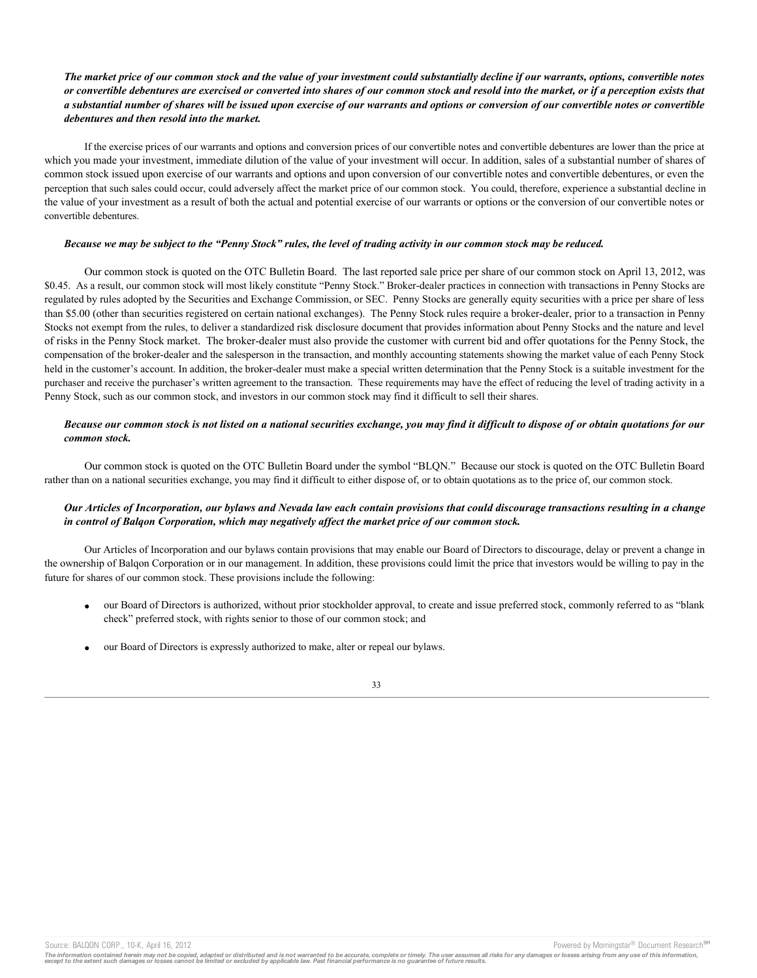# *The market price of our common stock and the value of your investment could substantially decline if our warrants, options, convertible notes or convertible debentures are exercised or converted into shares of our common stock and resold into the market, or if a perception exists that a substantial number of shares will be issued upon exercise of our warrants and options or conversion of our convertible notes or convertible debentures and then resold into the market.*

If the exercise prices of our warrants and options and conversion prices of our convertible notes and convertible debentures are lower than the price at which you made your investment, immediate dilution of the value of your investment will occur. In addition, sales of a substantial number of shares of common stock issued upon exercise of our warrants and options and upon conversion of our convertible notes and convertible debentures, or even the perception that such sales could occur, could adversely affect the market price of our common stock. You could, therefore, experience a substantial decline in the value of your investment as a result of both the actual and potential exercise of our warrants or options or the conversion of our convertible notes or convertible debentures.

#### *Because we may be subject to the "Penny Stock" rules, the level of trading activity in our common stock may be reduced.*

Our common stock is quoted on the OTC Bulletin Board. The last reported sale price per share of our common stock on April 13, 2012, was \$0.45. As a result, our common stock will most likely constitute "Penny Stock." Broker-dealer practices in connection with transactions in Penny Stocks are regulated by rules adopted by the Securities and Exchange Commission, or SEC. Penny Stocks are generally equity securities with a price per share of less than \$5.00 (other than securities registered on certain national exchanges). The Penny Stock rules require a broker-dealer, prior to a transaction in Penny Stocks not exempt from the rules, to deliver a standardized risk disclosure document that provides information about Penny Stocks and the nature and level of risks in the Penny Stock market. The broker-dealer must also provide the customer with current bid and offer quotations for the Penny Stock, the compensation of the broker-dealer and the salesperson in the transaction, and monthly accounting statements showing the market value of each Penny Stock held in the customer's account. In addition, the broker-dealer must make a special written determination that the Penny Stock is a suitable investment for the purchaser and receive the purchaser's written agreement to the transaction. These requirements may have the effect of reducing the level of trading activity in a Penny Stock, such as our common stock, and investors in our common stock may find it difficult to sell their shares.

### *Because our common stock is not listed on a national securities exchange, you may find it difficult to dispose of or obtain quotations for our common stock.*

Our common stock is quoted on the OTC Bulletin Board under the symbol "BLQN." Because our stock is quoted on the OTC Bulletin Board rather than on a national securities exchange, you may find it difficult to either dispose of, or to obtain quotations as to the price of, our common stock.

# *Our Articles of Incorporation, our bylaws and Nevada law each contain provisions that could discourage transactions resulting in a change in control of Balqon Corporation, which may negatively affect the market price of our common stock.*

Our Articles of Incorporation and our bylaws contain provisions that may enable our Board of Directors to discourage, delay or prevent a change in the ownership of Balqon Corporation or in our management. In addition, these provisions could limit the price that investors would be willing to pay in the future for shares of our common stock. These provisions include the following:

- · our Board of Directors is authorized, without prior stockholder approval, to create and issue preferred stock, commonly referred to as "blank check" preferred stock, with rights senior to those of our common stock; and
- our Board of Directors is expressly authorized to make, alter or repeal our bylaws.



Source: BALQON CORP., 10-K, April 16, 2012 **Powered by Morningstar® Document Research** in Powered by Morningstar® Document Research in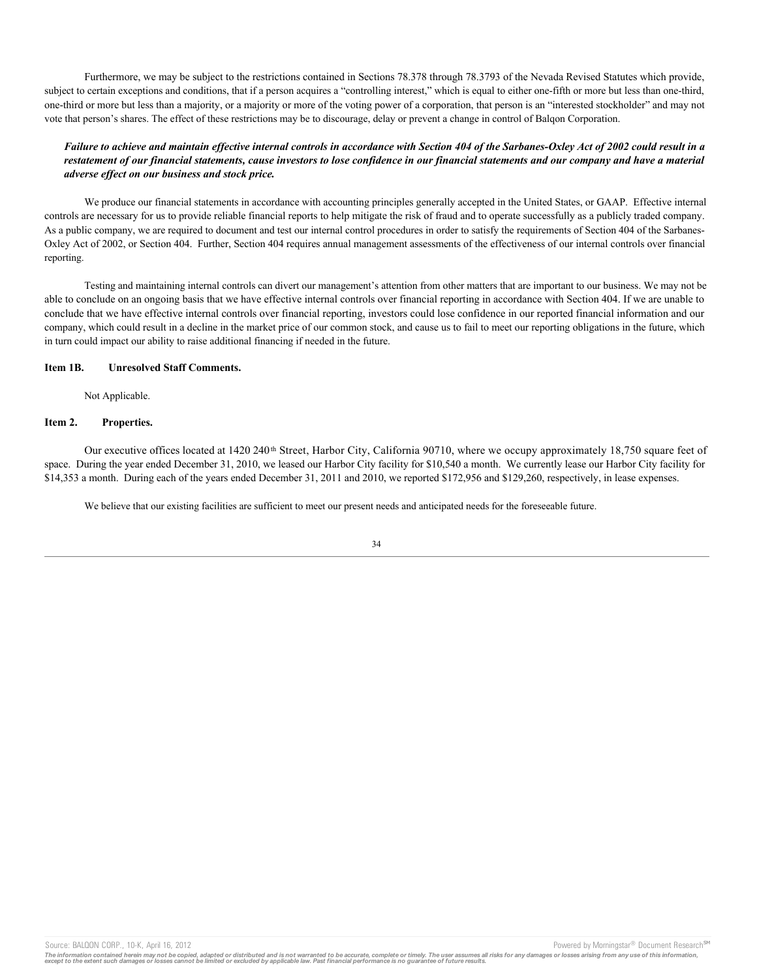Furthermore, we may be subject to the restrictions contained in Sections 78.378 through 78.3793 of the Nevada Revised Statutes which provide, subject to certain exceptions and conditions, that if a person acquires a "controlling interest," which is equal to either one-fifth or more but less than one-third, one-third or more but less than a majority, or a majority or more of the voting power of a corporation, that person is an "interested stockholder" and may not vote that person's shares. The effect of these restrictions may be to discourage, delay or prevent a change in control of Balqon Corporation.

# *Failure to achieve and maintain effective internal controls in accordance with Section 404 of the Sarbanes-Oxley Act of 2002 could result in a restatement of our financial statements, cause investors to lose confidence in our financial statements and our company and have a material adverse effect on our business and stock price.*

We produce our financial statements in accordance with accounting principles generally accepted in the United States, or GAAP. Effective internal controls are necessary for us to provide reliable financial reports to help mitigate the risk of fraud and to operate successfully as a publicly traded company. As a public company, we are required to document and test our internal control procedures in order to satisfy the requirements of Section 404 of the Sarbanes-Oxley Act of 2002, or Section 404. Further, Section 404 requires annual management assessments of the effectiveness of our internal controls over financial reporting.

Testing and maintaining internal controls can divert our management's attention from other matters that are important to our business. We may not be able to conclude on an ongoing basis that we have effective internal controls over financial reporting in accordance with Section 404. If we are unable to conclude that we have effective internal controls over financial reporting, investors could lose confidence in our reported financial information and our company, which could result in a decline in the market price of our common stock, and cause us to fail to meet our reporting obligations in the future, which in turn could impact our ability to raise additional financing if needed in the future.

## **Item 1B. Unresolved Staff Comments.**

Not Applicable.

# **Item 2. Properties.**

Our executive offices located at 1420 240<sup>th</sup> Street, Harbor City, California 90710, where we occupy approximately 18,750 square feet of space. During the year ended December 31, 2010, we leased our Harbor City facility for \$10,540 a month. We currently lease our Harbor City facility for \$14,353 a month. During each of the years ended December 31, 2011 and 2010, we reported \$172,956 and \$129,260, respectively, in lease expenses.

We believe that our existing facilities are sufficient to meet our present needs and anticipated needs for the foreseeable future.

#### 34

Source: BALQON CORP., 10-K, April 16, 2012 **Powered by Morningstar® Document Research** in Powered by Morningstar® Document Research in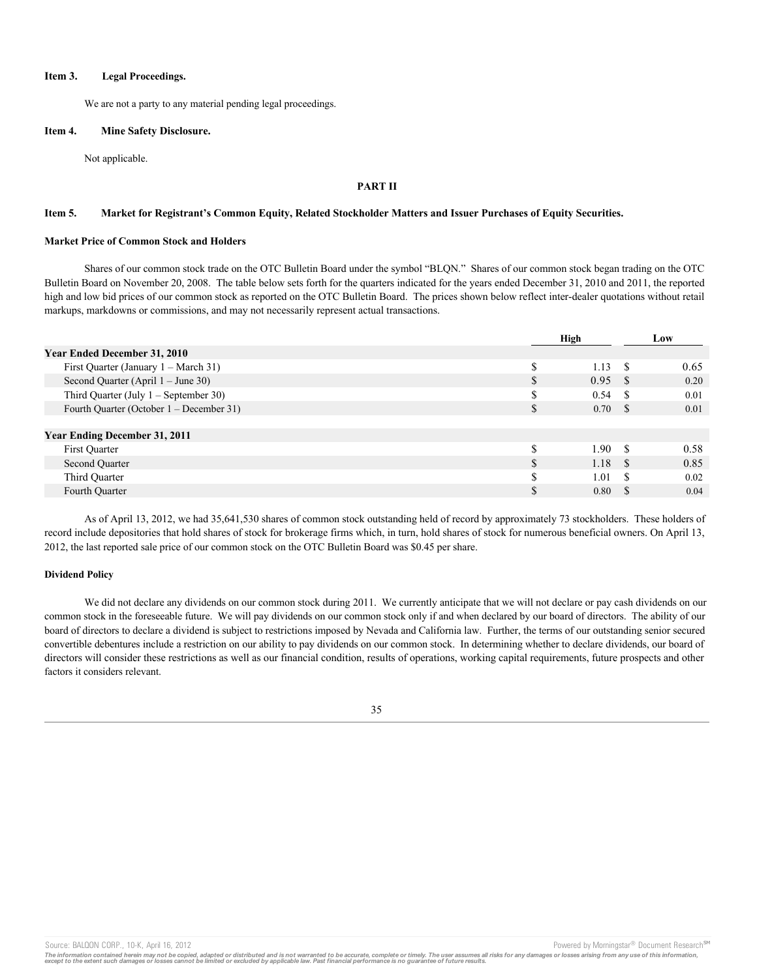### **Item 3. Legal Proceedings.**

We are not a party to any material pending legal proceedings.

### **Item 4. Mine Safety Disclosure.**

Not applicable.

### **PART II**

### **Item 5. Market for Registrant's Common Equity, Related Stockholder Matters and Issuer Purchases of Equity Securities.**

#### **Market Price of Common Stock and Holders**

Shares of our common stock trade on the OTC Bulletin Board under the symbol "BLQN." Shares of our common stock began trading on the OTC Bulletin Board on November 20, 2008. The table below sets forth for the quarters indicated for the years ended December 31, 2010 and 2011, the reported high and low bid prices of our common stock as reported on the OTC Bulletin Board. The prices shown below reflect inter-dealer quotations without retail markups, markdowns or commissions, and may not necessarily represent actual transactions.

|                                            |          | High |      | Low  |
|--------------------------------------------|----------|------|------|------|
| Year Ended December 31, 2010               |          |      |      |      |
| First Quarter (January 1 – March 31)       | S        | 1.13 | - S  | 0.65 |
| Second Quarter (April $1 -$ June 30)       | \$       | 0.95 | - \$ | 0.20 |
| Third Quarter (July $1 -$ September 30)    | ¢<br>аĐ. | 0.54 | - S  | 0.01 |
| Fourth Quarter (October $1 -$ December 31) | \$       | 0.70 | - S  | 0.01 |
|                                            |          |      |      |      |
| <b>Year Ending December 31, 2011</b>       |          |      |      |      |
| <b>First Quarter</b>                       | ¢        | 1.90 | - 8  | 0.58 |
| Second Quarter                             | \$.      | 1.18 | - S  | 0.85 |
| Third Quarter                              | ¢        | 1.01 | -8   | 0.02 |
| Fourth Ouarter                             | \$.      | 0.80 |      | 0.04 |

As of April 13, 2012, we had 35,641,530 shares of common stock outstanding held of record by approximately 73 stockholders. These holders of record include depositories that hold shares of stock for brokerage firms which, in turn, hold shares of stock for numerous beneficial owners. On April 13, 2012, the last reported sale price of our common stock on the OTC Bulletin Board was \$0.45 per share.

### **Dividend Policy**

We did not declare any dividends on our common stock during 2011. We currently anticipate that we will not declare or pay cash dividends on our common stock in the foreseeable future. We will pay dividends on our common stock only if and when declared by our board of directors. The ability of our board of directors to declare a dividend is subject to restrictions imposed by Nevada and California law. Further, the terms of our outstanding senior secured convertible debentures include a restriction on our ability to pay dividends on our common stock. In determining whether to declare dividends, our board of directors will consider these restrictions as well as our financial condition, results of operations, working capital requirements, future prospects and other factors it considers relevant.

### 35

Source: BALQON CORP., 10-K, April 16, 2012 **Powered by Morningstar® Document Research** structure is a structure of the second structure of the second structure of the second structure of the second structure is a structure

The information contained herein may not be copied, adapted or distributed and is not warranted to be accurate, complete or timely. The user assumes all risks for any damages or losses arising from any use of this informat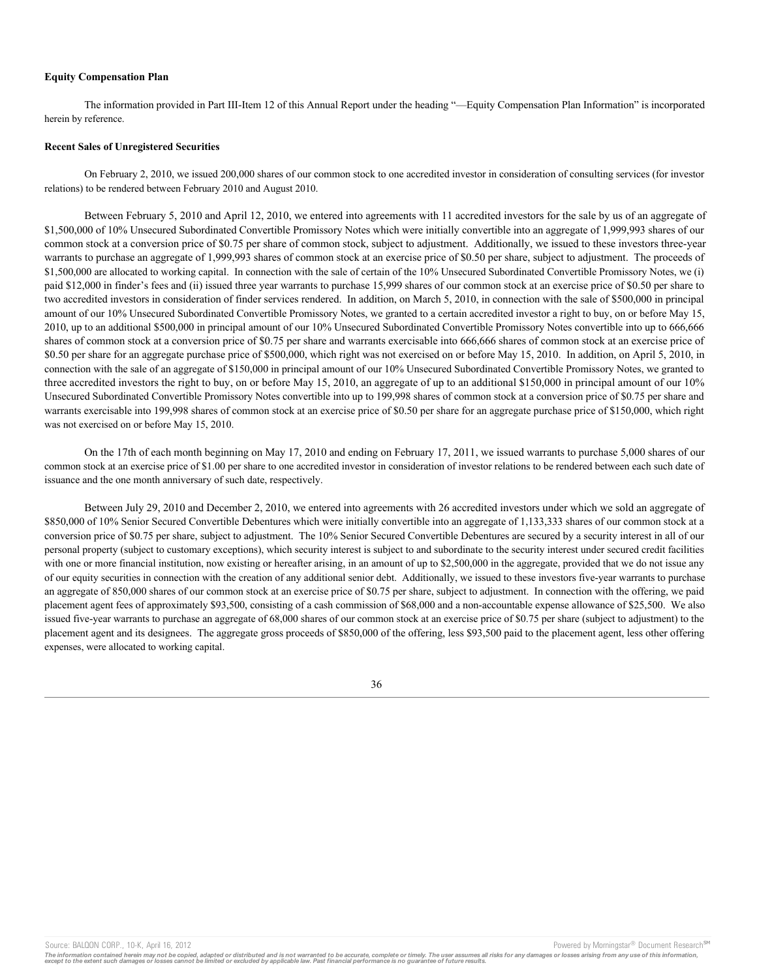### **Equity Compensation Plan**

The information provided in Part III-Item 12 of this Annual Report under the heading "—Equity Compensation Plan Information" is incorporated herein by reference.

### **Recent Sales of Unregistered Securities**

On February 2, 2010, we issued 200,000 shares of our common stock to one accredited investor in consideration of consulting services (for investor relations) to be rendered between February 2010 and August 2010.

Between February 5, 2010 and April 12, 2010, we entered into agreements with 11 accredited investors for the sale by us of an aggregate of \$1,500,000 of 10% Unsecured Subordinated Convertible Promissory Notes which were initially convertible into an aggregate of 1,999,993 shares of our common stock at a conversion price of \$0.75 per share of common stock, subject to adjustment. Additionally, we issued to these investors three-year warrants to purchase an aggregate of 1,999,993 shares of common stock at an exercise price of \$0.50 per share, subject to adjustment. The proceeds of \$1,500,000 are allocated to working capital. In connection with the sale of certain of the 10% Unsecured Subordinated Convertible Promissory Notes, we (i) paid \$12,000 in finder's fees and (ii) issued three year warrants to purchase 15,999 shares of our common stock at an exercise price of \$0.50 per share to two accredited investors in consideration of finder services rendered. In addition, on March 5, 2010, in connection with the sale of \$500,000 in principal amount of our 10% Unsecured Subordinated Convertible Promissory Notes, we granted to a certain accredited investor a right to buy, on or before May 15, 2010, up to an additional \$500,000 in principal amount of our 10% Unsecured Subordinated Convertible Promissory Notes convertible into up to 666,666 shares of common stock at a conversion price of \$0.75 per share and warrants exercisable into 666,666 shares of common stock at an exercise price of \$0.50 per share for an aggregate purchase price of \$500,000, which right was not exercised on or before May 15, 2010. In addition, on April 5, 2010, in connection with the sale of an aggregate of \$150,000 in principal amount of our 10% Unsecured Subordinated Convertible Promissory Notes, we granted to three accredited investors the right to buy, on or before May 15, 2010, an aggregate of up to an additional \$150,000 in principal amount of our 10% Unsecured Subordinated Convertible Promissory Notes convertible into up to 199,998 shares of common stock at a conversion price of \$0.75 per share and warrants exercisable into 199,998 shares of common stock at an exercise price of \$0.50 per share for an aggregate purchase price of \$150,000, which right was not exercised on or before May 15, 2010.

On the 17th of each month beginning on May 17, 2010 and ending on February 17, 2011, we issued warrants to purchase 5,000 shares of our common stock at an exercise price of \$1.00 per share to one accredited investor in consideration of investor relations to be rendered between each such date of issuance and the one month anniversary of such date, respectively.

Between July 29, 2010 and December 2, 2010, we entered into agreements with 26 accredited investors under which we sold an aggregate of \$850,000 of 10% Senior Secured Convertible Debentures which were initially convertible into an aggregate of 1,133,333 shares of our common stock at a conversion price of \$0.75 per share, subject to adjustment. The 10% Senior Secured Convertible Debentures are secured by a security interest in all of our personal property (subject to customary exceptions), which security interest is subject to and subordinate to the security interest under secured credit facilities with one or more financial institution, now existing or hereafter arising, in an amount of up to \$2,500,000 in the aggregate, provided that we do not issue any of our equity securities in connection with the creation of any additional senior debt. Additionally, we issued to these investors five-year warrants to purchase an aggregate of 850,000 shares of our common stock at an exercise price of \$0.75 per share, subject to adjustment. In connection with the offering, we paid placement agent fees of approximately \$93,500, consisting of a cash commission of \$68,000 and a non-accountable expense allowance of \$25,500. We also issued five-year warrants to purchase an aggregate of 68,000 shares of our common stock at an exercise price of \$0.75 per share (subject to adjustment) to the placement agent and its designees. The aggregate gross proceeds of \$850,000 of the offering, less \$93,500 paid to the placement agent, less other offering expenses, were allocated to working capital.



The information contained herein may not be copied, adapted or distributed and is not warranted to be accurate, complete or timely. The user assumes all risks for any damages or losses arising from any use of this informat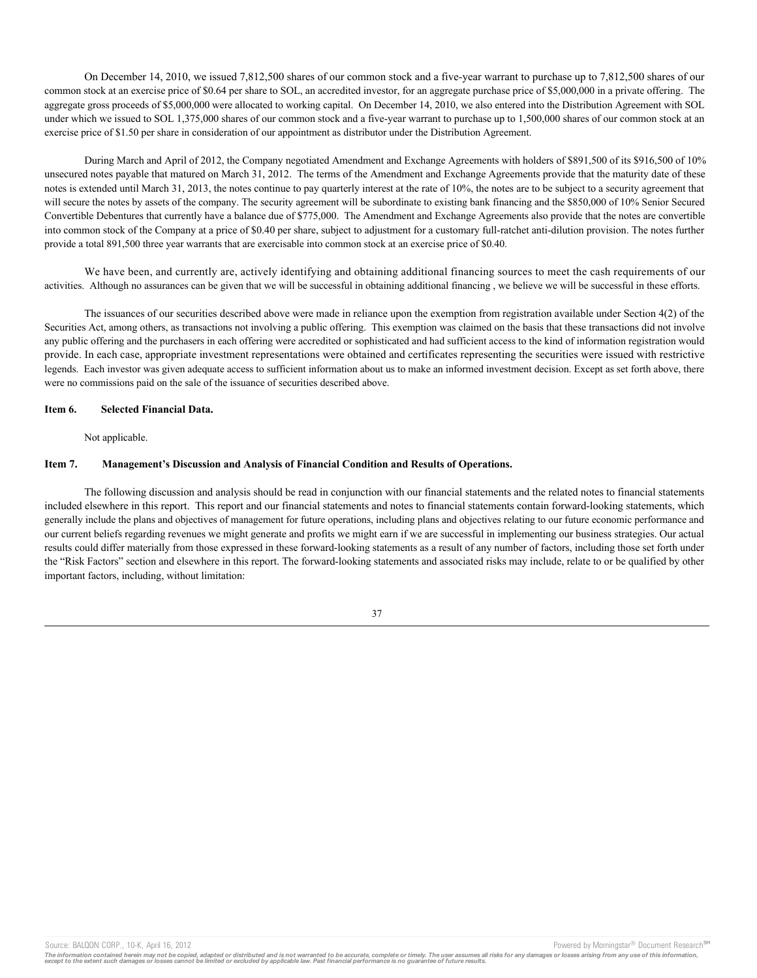On December 14, 2010, we issued 7,812,500 shares of our common stock and a five-year warrant to purchase up to 7,812,500 shares of our common stock at an exercise price of \$0.64 per share to SOL, an accredited investor, for an aggregate purchase price of \$5,000,000 in a private offering. The aggregate gross proceeds of \$5,000,000 were allocated to working capital. On December 14, 2010, we also entered into the Distribution Agreement with SOL under which we issued to SOL 1,375,000 shares of our common stock and a five-year warrant to purchase up to 1,500,000 shares of our common stock at an exercise price of \$1.50 per share in consideration of our appointment as distributor under the Distribution Agreement.

During March and April of 2012, the Company negotiated Amendment and Exchange Agreements with holders of \$891,500 of its \$916,500 of 10% unsecured notes payable that matured on March 31, 2012. The terms of the Amendment and Exchange Agreements provide that the maturity date of these notes is extended until March 31, 2013, the notes continue to pay quarterly interest at the rate of 10%, the notes are to be subject to a security agreement that will secure the notes by assets of the company. The security agreement will be subordinate to existing bank financing and the \$850,000 of 10% Senior Secured Convertible Debentures that currently have a balance due of \$775,000. The Amendment and Exchange Agreements also provide that the notes are convertible into common stock of the Company at a price of \$0.40 per share, subject to adjustment for a customary full-ratchet anti-dilution provision. The notes further provide a total 891,500 three year warrants that are exercisable into common stock at an exercise price of \$0.40.

We have been, and currently are, actively identifying and obtaining additional financing sources to meet the cash requirements of our activities. Although no assurances can be given that we will be successful in obtaining additional financing , we believe we will be successful in these efforts.

The issuances of our securities described above were made in reliance upon the exemption from registration available under Section 4(2) of the Securities Act, among others, as transactions not involving a public offering. This exemption was claimed on the basis that these transactions did not involve any public offering and the purchasers in each offering were accredited or sophisticated and had sufficient access to the kind of information registration would provide. In each case, appropriate investment representations were obtained and certificates representing the securities were issued with restrictive legends. Each investor was given adequate access to sufficient information about us to make an informed investment decision. Except as set forth above, there were no commissions paid on the sale of the issuance of securities described above.

## **Item 6. Selected Financial Data.**

Not applicable.

# **Item 7. Management's Discussion and Analysis of Financial Condition and Results of Operations.**

The following discussion and analysis should be read in conjunction with our financial statements and the related notes to financial statements included elsewhere in this report. This report and our financial statements and notes to financial statements contain forward-looking statements, which generally include the plans and objectives of management for future operations, including plans and objectives relating to our future economic performance and our current beliefs regarding revenues we might generate and profits we might earn if we are successful in implementing our business strategies. Our actual results could differ materially from those expressed in these forward-looking statements as a result of any number of factors, including those set forth under the "Risk Factors" section and elsewhere in this report. The forward-looking statements and associated risks may include, relate to or be qualified by other important factors, including, without limitation:

# 37

Source: BALQON CORP., 10-K, April 16, 2012 **Powered by Morningstar® Document Research** in Powered by Morningstar® Document Research in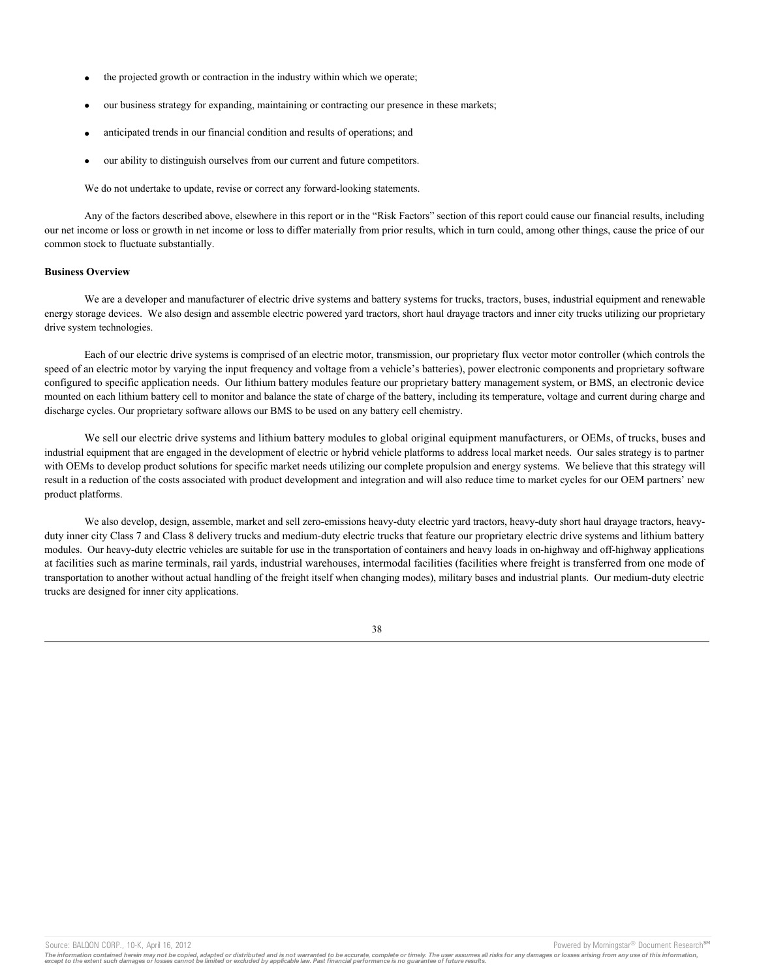- the projected growth or contraction in the industry within which we operate;
- · our business strategy for expanding, maintaining or contracting our presence in these markets;
- anticipated trends in our financial condition and results of operations; and
- our ability to distinguish ourselves from our current and future competitors.

We do not undertake to update, revise or correct any forward-looking statements.

Any of the factors described above, elsewhere in this report or in the "Risk Factors" section of this report could cause our financial results, including our net income or loss or growth in net income or loss to differ materially from prior results, which in turn could, among other things, cause the price of our common stock to fluctuate substantially.

# **Business Overview**

We are a developer and manufacturer of electric drive systems and battery systems for trucks, tractors, buses, industrial equipment and renewable energy storage devices. We also design and assemble electric powered yard tractors, short haul drayage tractors and inner city trucks utilizing our proprietary drive system technologies.

Each of our electric drive systems is comprised of an electric motor, transmission, our proprietary flux vector motor controller (which controls the speed of an electric motor by varying the input frequency and voltage from a vehicle's batteries), power electronic components and proprietary software configured to specific application needs. Our lithium battery modules feature our proprietary battery management system, or BMS, an electronic device mounted on each lithium battery cell to monitor and balance the state of charge of the battery, including its temperature, voltage and current during charge and discharge cycles. Our proprietary software allows our BMS to be used on any battery cell chemistry.

We sell our electric drive systems and lithium battery modules to global original equipment manufacturers, or OEMs, of trucks, buses and industrial equipment that are engaged in the development of electric or hybrid vehicle platforms to address local market needs. Our sales strategy is to partner with OEMs to develop product solutions for specific market needs utilizing our complete propulsion and energy systems. We believe that this strategy will result in a reduction of the costs associated with product development and integration and will also reduce time to market cycles for our OEM partners' new product platforms.

We also develop, design, assemble, market and sell zero-emissions heavy-duty electric vard tractors, heavy-duty short haul drayage tractors, heavyduty inner city Class 7 and Class 8 delivery trucks and medium-duty electric trucks that feature our proprietary electric drive systems and lithium battery modules. Our heavy-duty electric vehicles are suitable for use in the transportation of containers and heavy loads in on-highway and off-highway applications at facilities such as marine terminals, rail yards, industrial warehouses, intermodal facilities (facilities where freight is transferred from one mode of transportation to another without actual handling of the freight itself when changing modes), military bases and industrial plants. Our medium-duty electric trucks are designed for inner city applications.

<sup>38</sup>

The information contained herein may not be copied, adapted or distributed and is not warranted to be accurate, complete or timely. The user assumes all risks for any damages or losses arising from any use of this informat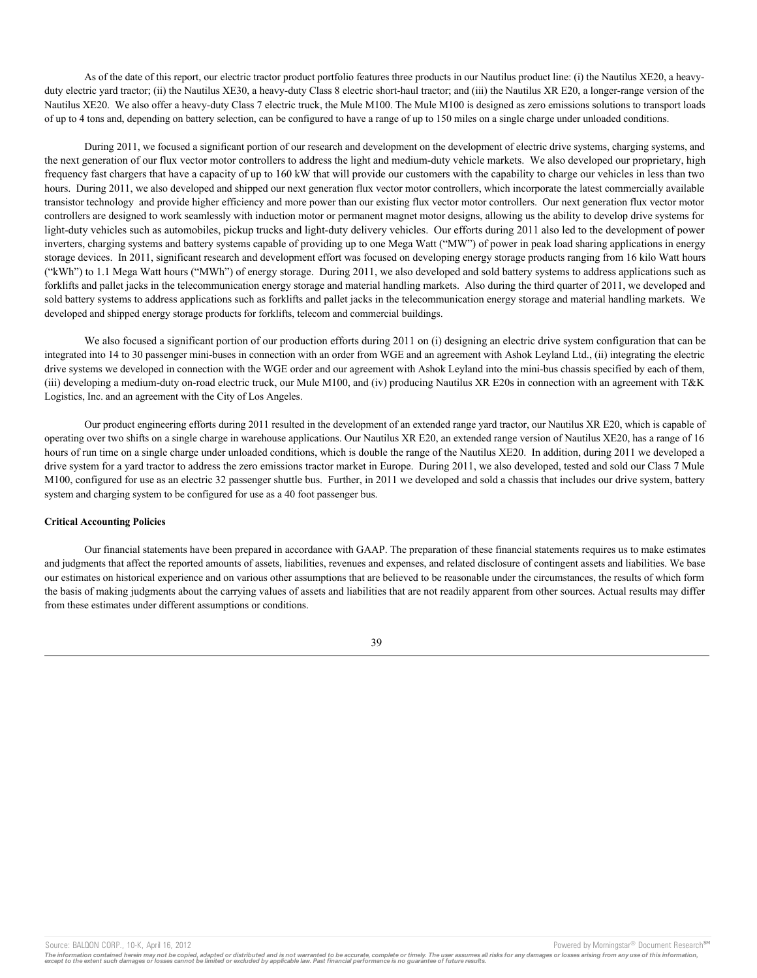As of the date of this report, our electric tractor product portfolio features three products in our Nautilus product line: (i) the Nautilus XE20, a heavyduty electric yard tractor; (ii) the Nautilus XE30, a heavy-duty Class 8 electric short-haul tractor; and (iii) the Nautilus XR E20, a longer-range version of the Nautilus XE20. We also offer a heavy-duty Class 7 electric truck, the Mule M100. The Mule M100 is designed as zero emissions solutions to transport loads of up to 4 tons and, depending on battery selection, can be configured to have a range of up to 150 miles on a single charge under unloaded conditions.

During 2011, we focused a significant portion of our research and development on the development of electric drive systems, charging systems, and the next generation of our flux vector motor controllers to address the light and medium-duty vehicle markets. We also developed our proprietary, high frequency fast chargers that have a capacity of up to 160 kW that will provide our customers with the capability to charge our vehicles in less than two hours. During 2011, we also developed and shipped our next generation flux vector motor controllers, which incorporate the latest commercially available transistor technology and provide higher efficiency and more power than our existing flux vector motor controllers. Our next generation flux vector motor controllers are designed to work seamlessly with induction motor or permanent magnet motor designs, allowing us the ability to develop drive systems for light-duty vehicles such as automobiles, pickup trucks and light-duty delivery vehicles. Our efforts during 2011 also led to the development of power inverters, charging systems and battery systems capable of providing up to one Mega Watt ("MW") of power in peak load sharing applications in energy storage devices. In 2011, significant research and development effort was focused on developing energy storage products ranging from 16 kilo Watt hours ("kWh") to 1.1 Mega Watt hours ("MWh") of energy storage. During 2011, we also developed and sold battery systems to address applications such as forklifts and pallet jacks in the telecommunication energy storage and material handling markets. Also during the third quarter of 2011, we developed and sold battery systems to address applications such as forklifts and pallet jacks in the telecommunication energy storage and material handling markets. We developed and shipped energy storage products for forklifts, telecom and commercial buildings.

We also focused a significant portion of our production efforts during 2011 on (i) designing an electric drive system configuration that can be integrated into 14 to 30 passenger mini-buses in connection with an order from WGE and an agreement with Ashok Leyland Ltd., (ii) integrating the electric drive systems we developed in connection with the WGE order and our agreement with Ashok Leyland into the mini-bus chassis specified by each of them, (iii) developing a medium-duty on-road electric truck, our Mule M100, and (iv) producing Nautilus XR E20s in connection with an agreement with T&K Logistics, Inc. and an agreement with the City of Los Angeles.

Our product engineering efforts during 2011 resulted in the development of an extended range yard tractor, our Nautilus XR E20, which is capable of operating over two shifts on a single charge in warehouse applications. Our Nautilus XR E20, an extended range version of Nautilus XE20, has a range of 16 hours of run time on a single charge under unloaded conditions, which is double the range of the Nautilus XE20. In addition, during 2011 we developed a drive system for a yard tractor to address the zero emissions tractor market in Europe. During 2011, we also developed, tested and sold our Class 7 Mule M100, configured for use as an electric 32 passenger shuttle bus. Further, in 2011 we developed and sold a chassis that includes our drive system, battery system and charging system to be configured for use as a 40 foot passenger bus.

# **Critical Accounting Policies**

Our financial statements have been prepared in accordance with GAAP. The preparation of these financial statements requires us to make estimates and judgments that affect the reported amounts of assets, liabilities, revenues and expenses, and related disclosure of contingent assets and liabilities. We base our estimates on historical experience and on various other assumptions that are believed to be reasonable under the circumstances, the results of which form the basis of making judgments about the carrying values of assets and liabilities that are not readily apparent from other sources. Actual results may differ from these estimates under different assumptions or conditions.



Source: BALQON CORP., 10-K, April 16, 2012 **Powered by Morningstar® Document Research** in Powered by Morningstar® Document Research in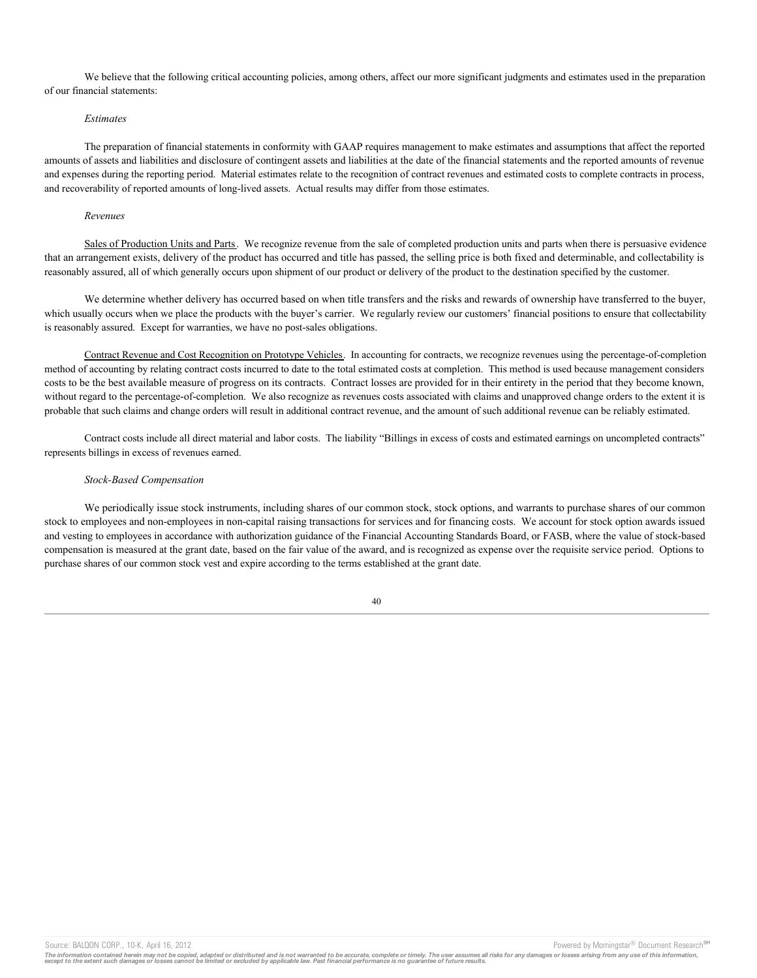We believe that the following critical accounting policies, among others, affect our more significant judgments and estimates used in the preparation of our financial statements:

## *Estimates*

The preparation of financial statements in conformity with GAAP requires management to make estimates and assumptions that affect the reported amounts of assets and liabilities and disclosure of contingent assets and liabilities at the date of the financial statements and the reported amounts of revenue and expenses during the reporting period. Material estimates relate to the recognition of contract revenues and estimated costs to complete contracts in process, and recoverability of reported amounts of long-lived assets. Actual results may differ from those estimates.

## *Revenues*

Sales of Production Units and Parts. We recognize revenue from the sale of completed production units and parts when there is persuasive evidence that an arrangement exists, delivery of the product has occurred and title has passed, the selling price is both fixed and determinable, and collectability is reasonably assured, all of which generally occurs upon shipment of our product or delivery of the product to the destination specified by the customer.

We determine whether delivery has occurred based on when title transfers and the risks and rewards of ownership have transferred to the buyer, which usually occurs when we place the products with the buyer's carrier. We regularly review our customers' financial positions to ensure that collectability is reasonably assured. Except for warranties, we have no post-sales obligations.

Contract Revenue and Cost Recognition on Prototype Vehicles. In accounting for contracts, we recognize revenues using the percentage-of-completion method of accounting by relating contract costs incurred to date to the total estimated costs at completion. This method is used because management considers costs to be the best available measure of progress on its contracts. Contract losses are provided for in their entirety in the period that they become known, without regard to the percentage-of-completion. We also recognize as revenues costs associated with claims and unapproved change orders to the extent it is probable that such claims and change orders will result in additional contract revenue, and the amount of such additional revenue can be reliably estimated.

Contract costs include all direct material and labor costs. The liability "Billings in excess of costs and estimated earnings on uncompleted contracts" represents billings in excess of revenues earned.

#### *Stock-Based Compensation*

We periodically issue stock instruments, including shares of our common stock, stock options, and warrants to purchase shares of our common stock to employees and non-employees in non-capital raising transactions for services and for financing costs. We account for stock option awards issued and vesting to employees in accordance with authorization guidance of the Financial Accounting Standards Board, or FASB, where the value of stock-based compensation is measured at the grant date, based on the fair value of the award, and is recognized as expense over the requisite service period. Options to purchase shares of our common stock vest and expire according to the terms established at the grant date.

Source: BALQON CORP., 10-K, April 16, 2012 **Powered by Morningstar® Document Research** in Powered by Morningstar® Document Research in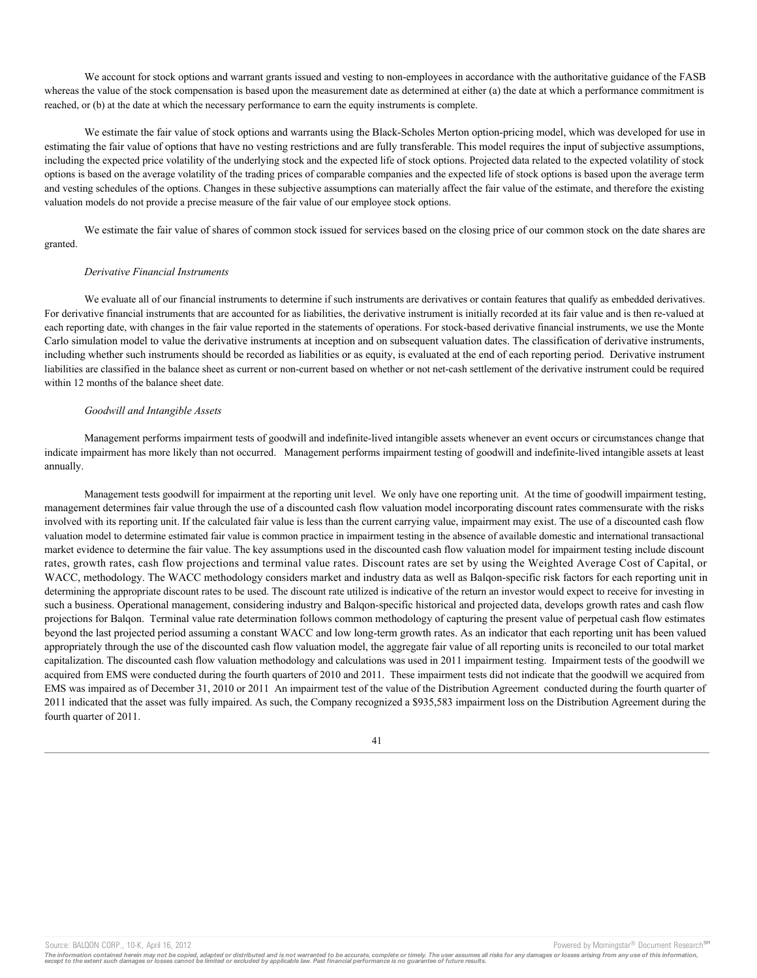We account for stock options and warrant grants issued and vesting to non-employees in accordance with the authoritative guidance of the FASB whereas the value of the stock compensation is based upon the measurement date as determined at either (a) the date at which a performance commitment is reached, or (b) at the date at which the necessary performance to earn the equity instruments is complete.

We estimate the fair value of stock options and warrants using the Black-Scholes Merton option-pricing model, which was developed for use in estimating the fair value of options that have no vesting restrictions and are fully transferable. This model requires the input of subjective assumptions, including the expected price volatility of the underlying stock and the expected life of stock options. Projected data related to the expected volatility of stock options is based on the average volatility of the trading prices of comparable companies and the expected life of stock options is based upon the average term and vesting schedules of the options. Changes in these subjective assumptions can materially affect the fair value of the estimate, and therefore the existing valuation models do not provide a precise measure of the fair value of our employee stock options.

We estimate the fair value of shares of common stock issued for services based on the closing price of our common stock on the date shares are granted.

## *Derivative Financial Instruments*

We evaluate all of our financial instruments to determine if such instruments are derivatives or contain features that qualify as embedded derivatives. For derivative financial instruments that are accounted for as liabilities, the derivative instrument is initially recorded at its fair value and is then re-valued at each reporting date, with changes in the fair value reported in the statements of operations. For stock-based derivative financial instruments, we use the Monte Carlo simulation model to value the derivative instruments at inception and on subsequent valuation dates. The classification of derivative instruments, including whether such instruments should be recorded as liabilities or as equity, is evaluated at the end of each reporting period. Derivative instrument liabilities are classified in the balance sheet as current or non-current based on whether or not net-cash settlement of the derivative instrument could be required within 12 months of the balance sheet date.

### *Goodwill and Intangible Assets*

Management performs impairment tests of goodwill and indefinite-lived intangible assets whenever an event occurs or circumstances change that indicate impairment has more likely than not occurred. Management performs impairment testing of goodwill and indefinite-lived intangible assets at least annually.

Management tests goodwill for impairment at the reporting unit level. We only have one reporting unit. At the time of goodwill impairment testing, management determines fair value through the use of a discounted cash flow valuation model incorporating discount rates commensurate with the risks involved with its reporting unit. If the calculated fair value is less than the current carrying value, impairment may exist. The use of a discounted cash flow valuation model to determine estimated fair value is common practice in impairment testing in the absence of available domestic and international transactional market evidence to determine the fair value. The key assumptions used in the discounted cash flow valuation model for impairment testing include discount rates, growth rates, cash flow projections and terminal value rates. Discount rates are set by using the Weighted Average Cost of Capital, or WACC, methodology. The WACC methodology considers market and industry data as well as Balqon-specific risk factors for each reporting unit in determining the appropriate discount rates to be used. The discount rate utilized is indicative of the return an investor would expect to receive for investing in such a business. Operational management, considering industry and Balqon-specific historical and projected data, develops growth rates and cash flow projections for Balqon. Terminal value rate determination follows common methodology of capturing the present value of perpetual cash flow estimates beyond the last projected period assuming a constant WACC and low long-term growth rates. As an indicator that each reporting unit has been valued appropriately through the use of the discounted cash flow valuation model, the aggregate fair value of all reporting units is reconciled to our total market capitalization. The discounted cash flow valuation methodology and calculations was used in 2011 impairment testing. Impairment tests of the goodwill we acquired from EMS were conducted during the fourth quarters of 2010 and 2011. These impairment tests did not indicate that the goodwill we acquired from EMS was impaired as of December 31, 2010 or 2011 An impairment test of the value of the Distribution Agreement conducted during the fourth quarter of 2011 indicated that the asset was fully impaired. As such, the Company recognized a \$935,583 impairment loss on the Distribution Agreement during the fourth quarter of 2011.



Source: BALQON CORP., 10-K, April 16, 2012 **Powered by Morningstar® Document Research** in Powered by Morningstar® Document Research in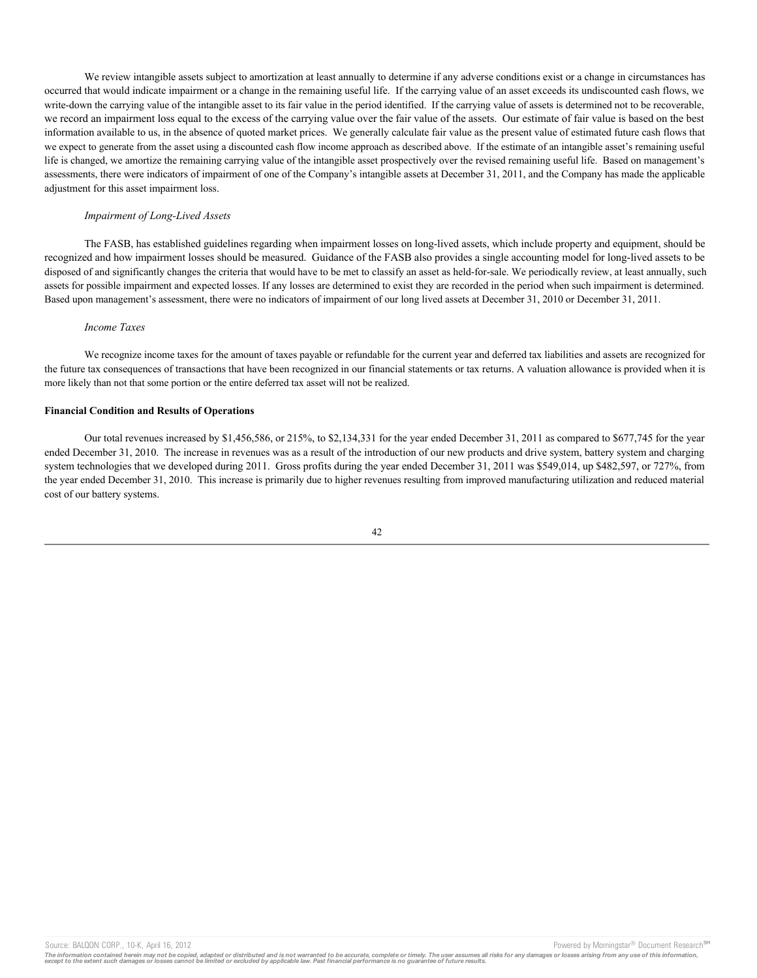We review intangible assets subject to amortization at least annually to determine if any adverse conditions exist or a change in circumstances has occurred that would indicate impairment or a change in the remaining useful life. If the carrying value of an asset exceeds its undiscounted cash flows, we write-down the carrying value of the intangible asset to its fair value in the period identified. If the carrying value of assets is determined not to be recoverable. we record an impairment loss equal to the excess of the carrying value over the fair value of the assets. Our estimate of fair value is based on the best information available to us, in the absence of quoted market prices. We generally calculate fair value as the present value of estimated future cash flows that we expect to generate from the asset using a discounted cash flow income approach as described above. If the estimate of an intangible asset's remaining useful life is changed, we amortize the remaining carrying value of the intangible asset prospectively over the revised remaining useful life. Based on management's assessments, there were indicators of impairment of one of the Company's intangible assets at December 31, 2011, and the Company has made the applicable adjustment for this asset impairment loss.

## *Impairment of Long-Lived Assets*

The FASB, has established guidelines regarding when impairment losses on long-lived assets, which include property and equipment, should be recognized and how impairment losses should be measured. Guidance of the FASB also provides a single accounting model for long-lived assets to be disposed of and significantly changes the criteria that would have to be met to classify an asset as held-for-sale. We periodically review, at least annually, such assets for possible impairment and expected losses. If any losses are determined to exist they are recorded in the period when such impairment is determined. Based upon management's assessment, there were no indicators of impairment of our long lived assets at December 31, 2010 or December 31, 2011.

# *Income Taxes*

We recognize income taxes for the amount of taxes payable or refundable for the current year and deferred tax liabilities and assets are recognized for the future tax consequences of transactions that have been recognized in our financial statements or tax returns. A valuation allowance is provided when it is more likely than not that some portion or the entire deferred tax asset will not be realized.

#### **Financial Condition and Results of Operations**

Our total revenues increased by \$1,456,586, or 215%, to \$2,134,331 for the year ended December 31, 2011 as compared to \$677,745 for the year ended December 31, 2010. The increase in revenues was as a result of the introduction of our new products and drive system, battery system and charging system technologies that we developed during 2011. Gross profits during the year ended December 31, 2011 was \$549,014, up \$482,597, or 727%, from the year ended December 31, 2010. This increase is primarily due to higher revenues resulting from improved manufacturing utilization and reduced material cost of our battery systems.

The information contained herein may not be copied, adapted or distributed and is not warranted to be accurate, complete or timely. The user assumes all risks for any damages or losses arising from any use of this informat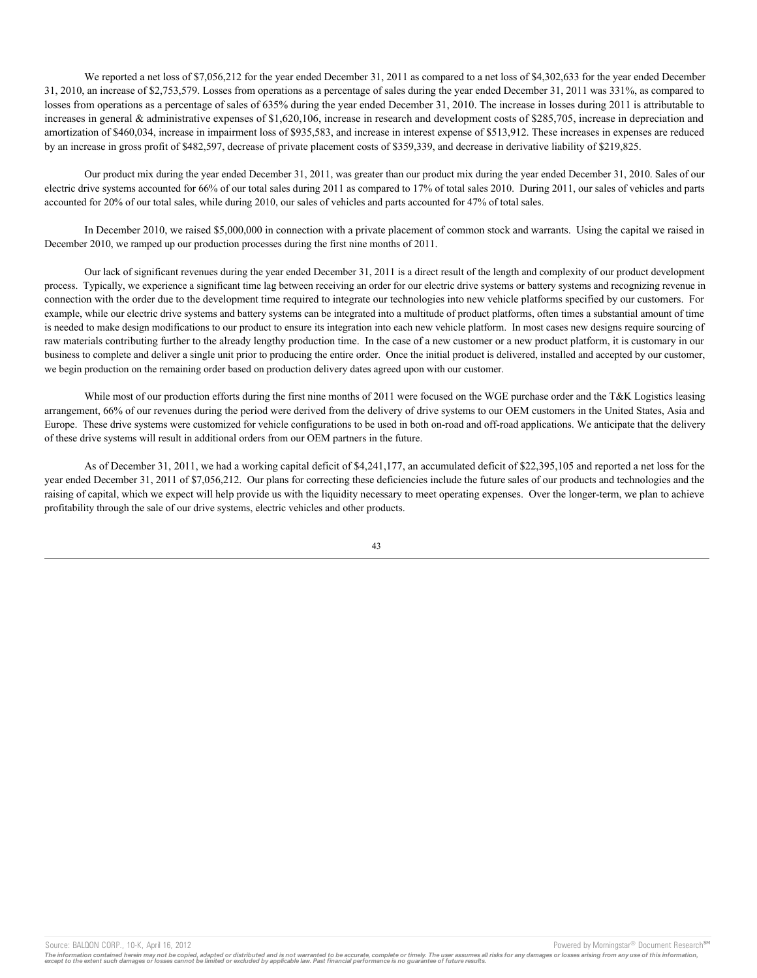We reported a net loss of \$7,056,212 for the year ended December 31, 2011 as compared to a net loss of \$4,302,633 for the year ended December 31, 2010, an increase of \$2,753,579. Losses from operations as a percentage of sales during the year ended December 31, 2011 was 331%, as compared to losses from operations as a percentage of sales of 635% during the year ended December 31, 2010. The increase in losses during 2011 is attributable to increases in general & administrative expenses of \$1,620,106, increase in research and development costs of \$285,705, increase in depreciation and amortization of \$460,034, increase in impairment loss of \$935,583, and increase in interest expense of \$513,912. These increases in expenses are reduced by an increase in gross profit of \$482,597, decrease of private placement costs of \$359,339, and decrease in derivative liability of \$219,825.

Our product mix during the year ended December 31, 2011, was greater than our product mix during the year ended December 31, 2010. Sales of our electric drive systems accounted for 66% of our total sales during 2011 as compared to 17% of total sales 2010. During 2011, our sales of vehicles and parts accounted for 20% of our total sales, while during 2010, our sales of vehicles and parts accounted for 47% of total sales.

In December 2010, we raised \$5,000,000 in connection with a private placement of common stock and warrants. Using the capital we raised in December 2010, we ramped up our production processes during the first nine months of 2011.

Our lack of significant revenues during the year ended December 31, 2011 is a direct result of the length and complexity of our product development process. Typically, we experience a significant time lag between receiving an order for our electric drive systems or battery systems and recognizing revenue in connection with the order due to the development time required to integrate our technologies into new vehicle platforms specified by our customers. For example, while our electric drive systems and battery systems can be integrated into a multitude of product platforms, often times a substantial amount of time is needed to make design modifications to our product to ensure its integration into each new vehicle platform. In most cases new designs require sourcing of raw materials contributing further to the already lengthy production time. In the case of a new customer or a new product platform, it is customary in our business to complete and deliver a single unit prior to producing the entire order. Once the initial product is delivered, installed and accepted by our customer, we begin production on the remaining order based on production delivery dates agreed upon with our customer.

While most of our production efforts during the first nine months of 2011 were focused on the WGE purchase order and the T&K Logistics leasing arrangement, 66% of our revenues during the period were derived from the delivery of drive systems to our OEM customers in the United States, Asia and Europe. These drive systems were customized for vehicle configurations to be used in both on-road and off-road applications. We anticipate that the delivery of these drive systems will result in additional orders from our OEM partners in the future.

As of December 31, 2011, we had a working capital deficit of \$4,241,177, an accumulated deficit of \$22,395,105 and reported a net loss for the year ended December 31, 2011 of \$7,056,212. Our plans for correcting these deficiencies include the future sales of our products and technologies and the raising of capital, which we expect will help provide us with the liquidity necessary to meet operating expenses. Over the longer-term, we plan to achieve profitability through the sale of our drive systems, electric vehicles and other products.

43

The information contained herein may not be copied, adapted or distributed and is not warranted to be accurate, complete or timely. The user assumes all risks for any damages or losses arising from any use of this informat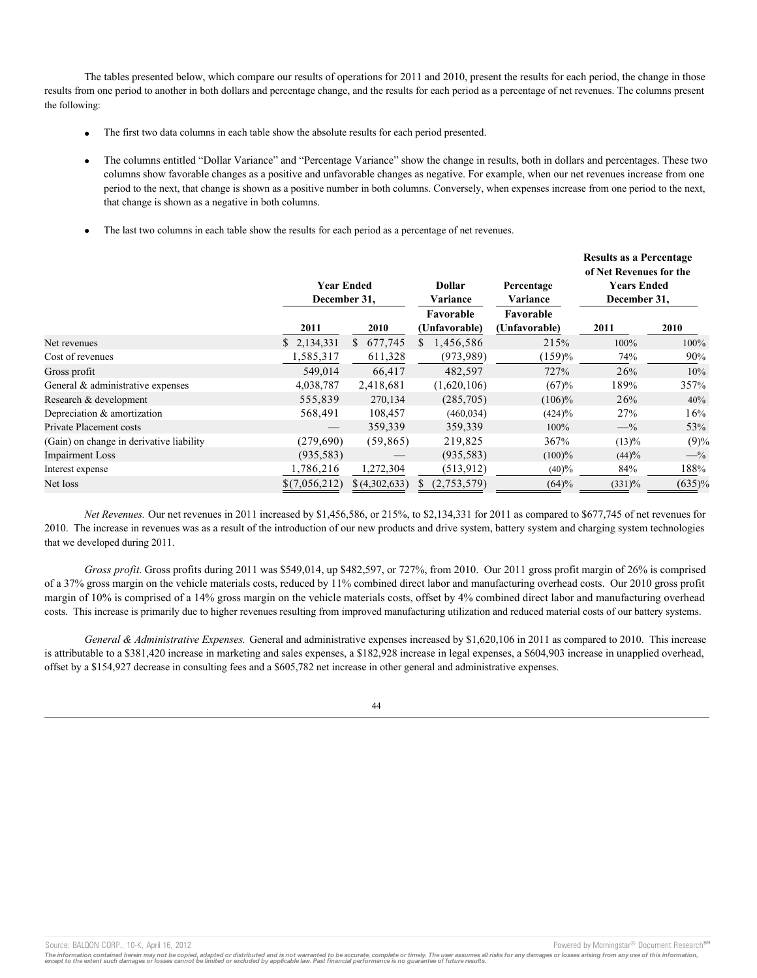The tables presented below, which compare our results of operations for 2011 and 2010, present the results for each period, the change in those results from one period to another in both dollars and percentage change, and the results for each period as a percentage of net revenues. The columns present the following:

- The first two data columns in each table show the absolute results for each period presented.
- · The columns entitled "Dollar Variance" and "Percentage Variance" show the change in results, both in dollars and percentages. These two columns show favorable changes as a positive and unfavorable changes as negative. For example, when our net revenues increase from one period to the next, that change is shown as a positive number in both columns. Conversely, when expenses increase from one period to the next, that change is shown as a negative in both columns.
- The last two columns in each table show the results for each period as a percentage of net revenues.

|                                          |               | <b>Year Ended</b><br>December 31, |                            | Percentage<br>Variance     | <b>Results as a Percentage</b><br>of Net Revenues for the<br><b>Years Ended</b><br>December 31, |             |
|------------------------------------------|---------------|-----------------------------------|----------------------------|----------------------------|-------------------------------------------------------------------------------------------------|-------------|
|                                          | 2011          | <b>2010</b>                       | Favorable<br>(Unfavorable) | Favorable<br>(Unfavorable) | 2011                                                                                            | <b>2010</b> |
| Net revenues                             | \$2,134,331   | 677,745<br>S.                     | 1,456,586                  | 215%                       | 100%                                                                                            | 100%        |
| Cost of revenues                         | ,585,317      | 611,328                           | (973, 989)                 | (159)%                     | 74%                                                                                             | 90%         |
| Gross profit                             | 549,014       | 66,417                            | 482,597                    | 727%                       | 26%                                                                                             | 10%         |
| General & administrative expenses        | 4,038,787     | 2,418,681                         | (1,620,106)                | (67)%                      | 189%                                                                                            | 357%        |
| Research & development                   | 555,839       | 270,134                           | (285,705)                  | $(106)\%$                  | 26%                                                                                             | 40%         |
| Depreciation & amortization              | 568,491       | 108,457                           | (460, 034)                 | $(424)\%$                  | 27%                                                                                             | 16%         |
| Private Placement costs                  |               | 359,339                           | 359,339                    | 100%                       | $-$ %                                                                                           | 53%         |
| (Gain) on change in derivative liability | (279,690)     | (59, 865)                         | 219,825                    | 367%                       | $(13)\%$                                                                                        | (9)%        |
| <b>Impairment Loss</b>                   | (935, 583)    |                                   | (935, 583)                 | $(100)\%$                  | (44)%                                                                                           | $-$ %       |
| Interest expense                         | 1,786,216     | 1,272,304                         | (513, 912)                 | $(40)\%$                   | 84%                                                                                             | 188%        |
| Net loss                                 | \$(7,056,212) | \$ (4,302,633)                    | (2,753,579)                | (64)%                      | $(331)\%$                                                                                       | $(635)\%$   |

*Net Revenues.* Our net revenues in 2011 increased by \$1,456,586, or 215%, to \$2,134,331 for 2011 as compared to \$677,745 of net revenues for 2010. The increase in revenues was as a result of the introduction of our new products and drive system, battery system and charging system technologies that we developed during 2011.

*Gross profit.* Gross profits during 2011 was \$549,014, up \$482,597, or 727%, from 2010. Our 2011 gross profit margin of 26% is comprised of a 37% gross margin on the vehicle materials costs, reduced by 11% combined direct labor and manufacturing overhead costs. Our 2010 gross profit margin of 10% is comprised of a 14% gross margin on the vehicle materials costs, offset by 4% combined direct labor and manufacturing overhead costs. This increase is primarily due to higher revenues resulting from improved manufacturing utilization and reduced material costs of our battery systems.

*General & Administrative Expenses.* General and administrative expenses increased by \$1,620,106 in 2011 as compared to 2010. This increase is attributable to a \$381,420 increase in marketing and sales expenses, a \$182,928 increase in legal expenses, a \$604,903 increase in unapplied overhead, offset by a \$154,927 decrease in consulting fees and a \$605,782 net increase in other general and administrative expenses.

Source: BALQON CORP., 10-K, April 16, 2012 **Powered by Morningstar® Document Research** structure is a structure of the second structure of the second structure of the second structure of the second structure is a structure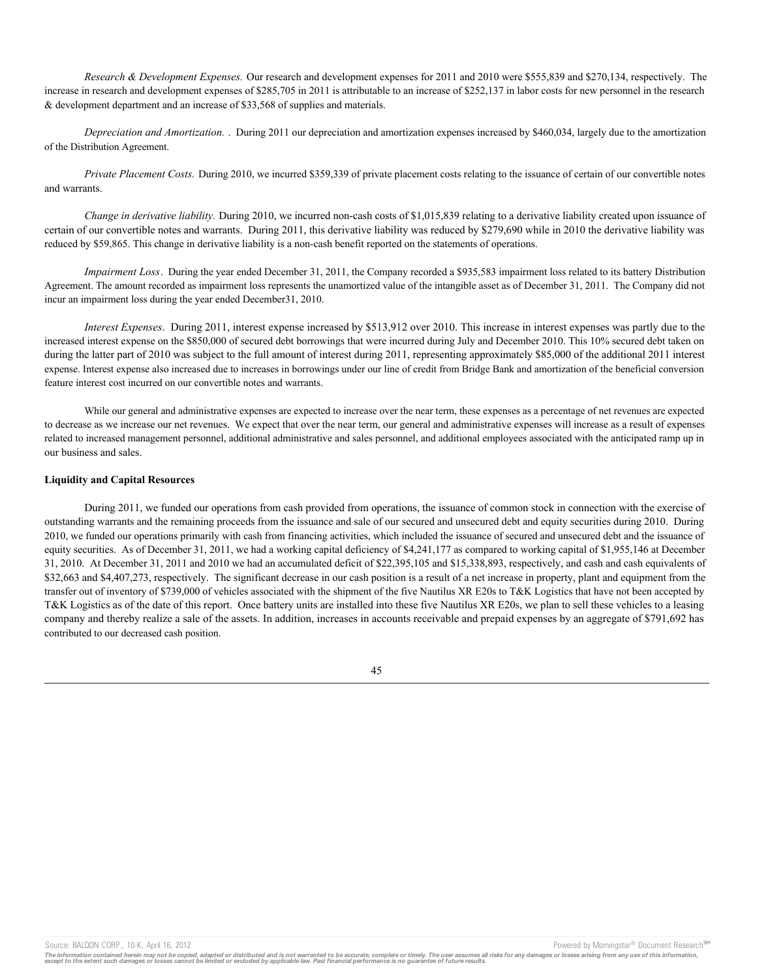*Research & Development Expenses.* Our research and development expenses for 2011 and 2010 were \$555,839 and \$270,134, respectively. The increase in research and development expenses of \$285,705 in 2011 is attributable to an increase of \$252,137 in labor costs for new personnel in the research & development department and an increase of \$33,568 of supplies and materials.

*Depreciation and Amortization.* . During 2011 our depreciation and amortization expenses increased by \$460,034, largely due to the amortization of the Distribution Agreement.

*Private Placement Costs.* During 2010, we incurred \$359,339 of private placement costs relating to the issuance of certain of our convertible notes and warrants.

*Change in derivative liability.* During 2010, we incurred non-cash costs of \$1,015,839 relating to a derivative liability created upon issuance of certain of our convertible notes and warrants. During 2011, this derivative liability was reduced by \$279,690 while in 2010 the derivative liability was reduced by \$59,865. This change in derivative liability is a non-cash benefit reported on the statements of operations.

*Impairment Loss*. During the year ended December 31, 2011, the Company recorded a \$935,583 impairment loss related to its battery Distribution Agreement. The amount recorded as impairment loss represents the unamortized value of the intangible asset as of December 31, 2011. The Company did not incur an impairment loss during the year ended December31, 2010.

*Interest Expenses*. During 2011, interest expense increased by \$513,912 over 2010. This increase in interest expenses was partly due to the increased interest expense on the \$850,000 of secured debt borrowings that were incurred during July and December 2010. This 10% secured debt taken on during the latter part of 2010 was subject to the full amount of interest during 2011, representing approximately \$85,000 of the additional 2011 interest expense. Interest expense also increased due to increases in borrowings under our line of credit from Bridge Bank and amortization of the beneficial conversion feature interest cost incurred on our convertible notes and warrants.

While our general and administrative expenses are expected to increase over the near term, these expenses as a percentage of net revenues are expected to decrease as we increase our net revenues. We expect that over the near term, our general and administrative expenses will increase as a result of expenses related to increased management personnel, additional administrative and sales personnel, and additional employees associated with the anticipated ramp up in our business and sales.

### **Liquidity and Capital Resources**

During 2011, we funded our operations from cash provided from operations, the issuance of common stock in connection with the exercise of outstanding warrants and the remaining proceeds from the issuance and sale of our secured and unsecured debt and equity securities during 2010. During 2010, we funded our operations primarily with cash from financing activities, which included the issuance of secured and unsecured debt and the issuance of equity securities. As of December 31, 2011, we had a working capital deficiency of \$4,241,177 as compared to working capital of \$1,955,146 at December 31, 2010. At December 31, 2011 and 2010 we had an accumulated deficit of \$22,395,105 and \$15,338,893, respectively, and cash and cash equivalents of \$32,663 and \$4,407,273, respectively. The significant decrease in our cash position is a result of a net increase in property, plant and equipment from the transfer out of inventory of \$739,000 of vehicles associated with the shipment of the five Nautilus XR E20s to T&K Logistics that have not been accepted by T&K Logistics as of the date of this report. Once battery units are installed into these five Nautilus XR E20s, we plan to sell these vehicles to a leasing company and thereby realize a sale of the assets. In addition, increases in accounts receivable and prepaid expenses by an aggregate of \$791,692 has contributed to our decreased cash position.



Source: BALQON CORP., 10-K, April 16, 2012 **Powered by Morningstar® Document Research** in Powered by Morningstar® Document Research in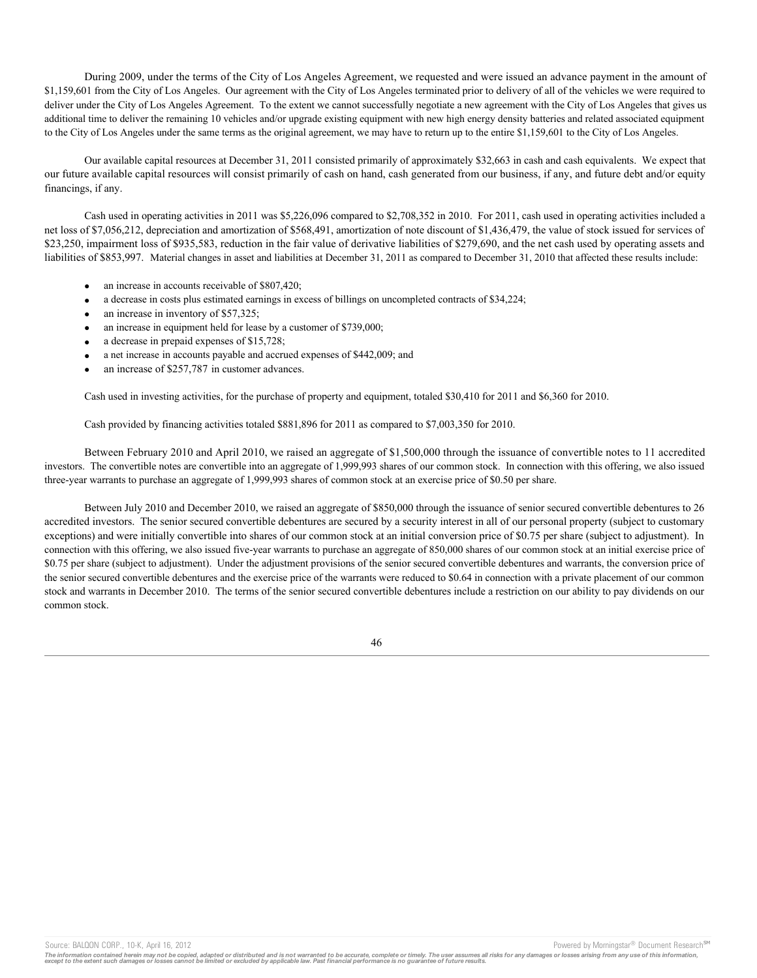During 2009, under the terms of the City of Los Angeles Agreement, we requested and were issued an advance payment in the amount of \$1,159,601 from the City of Los Angeles. Our agreement with the City of Los Angeles terminated prior to delivery of all of the vehicles we were required to deliver under the City of Los Angeles Agreement. To the extent we cannot successfully negotiate a new agreement with the City of Los Angeles that gives us additional time to deliver the remaining 10 vehicles and/or upgrade existing equipment with new high energy density batteries and related associated equipment to the City of Los Angeles under the same terms as the original agreement, we may have to return up to the entire \$1,159,601 to the City of Los Angeles.

Our available capital resources at December 31, 2011 consisted primarily of approximately \$32,663 in cash and cash equivalents. We expect that our future available capital resources will consist primarily of cash on hand, cash generated from our business, if any, and future debt and/or equity financings, if any.

Cash used in operating activities in 2011 was \$5,226,096 compared to \$2,708,352 in 2010. For 2011, cash used in operating activities included a net loss of \$7,056,212, depreciation and amortization of \$568,491, amortization of note discount of \$1,436,479, the value of stock issued for services of \$23,250, impairment loss of \$935,583, reduction in the fair value of derivative liabilities of \$279,690, and the net cash used by operating assets and liabilities of \$853,997. Material changes in asset and liabilities at December 31, 2011 as compared to December 31, 2010 that affected these results include:

- an increase in accounts receivable of \$807,420;
- a decrease in costs plus estimated earnings in excess of billings on uncompleted contracts of \$34,224;
- an increase in inventory of \$57,325;
- an increase in equipment held for lease by a customer of \$739,000;
- a decrease in prepaid expenses of \$15,728;
- a net increase in accounts payable and accrued expenses of \$442,009; and
- an increase of \$257,787 in customer advances.

Cash used in investing activities, for the purchase of property and equipment, totaled \$30,410 for 2011 and \$6,360 for 2010.

Cash provided by financing activities totaled \$881,896 for 2011 as compared to \$7,003,350 for 2010.

Between February 2010 and April 2010, we raised an aggregate of \$1,500,000 through the issuance of convertible notes to 11 accredited investors. The convertible notes are convertible into an aggregate of 1,999,993 shares of our common stock. In connection with this offering, we also issued three-year warrants to purchase an aggregate of 1,999,993 shares of common stock at an exercise price of \$0.50 per share.

Between July 2010 and December 2010, we raised an aggregate of \$850,000 through the issuance of senior secured convertible debentures to 26 accredited investors. The senior secured convertible debentures are secured by a security interest in all of our personal property (subject to customary exceptions) and were initially convertible into shares of our common stock at an initial conversion price of \$0.75 per share (subject to adjustment). In connection with this offering, we also issued five-year warrants to purchase an aggregate of 850,000 shares of our common stock at an initial exercise price of \$0.75 per share (subject to adjustment). Under the adjustment provisions of the senior secured convertible debentures and warrants, the conversion price of the senior secured convertible debentures and the exercise price of the warrants were reduced to \$0.64 in connection with a private placement of our common stock and warrants in December 2010. The terms of the senior secured convertible debentures include a restriction on our ability to pay dividends on our common stock.

Source: BALQON CORP., 10-K, April 16, 2012 **Powered by Morningstar® Document Research** in the second metal of the second metal products and the second metal products are provided by Morningstar® Document Research in the se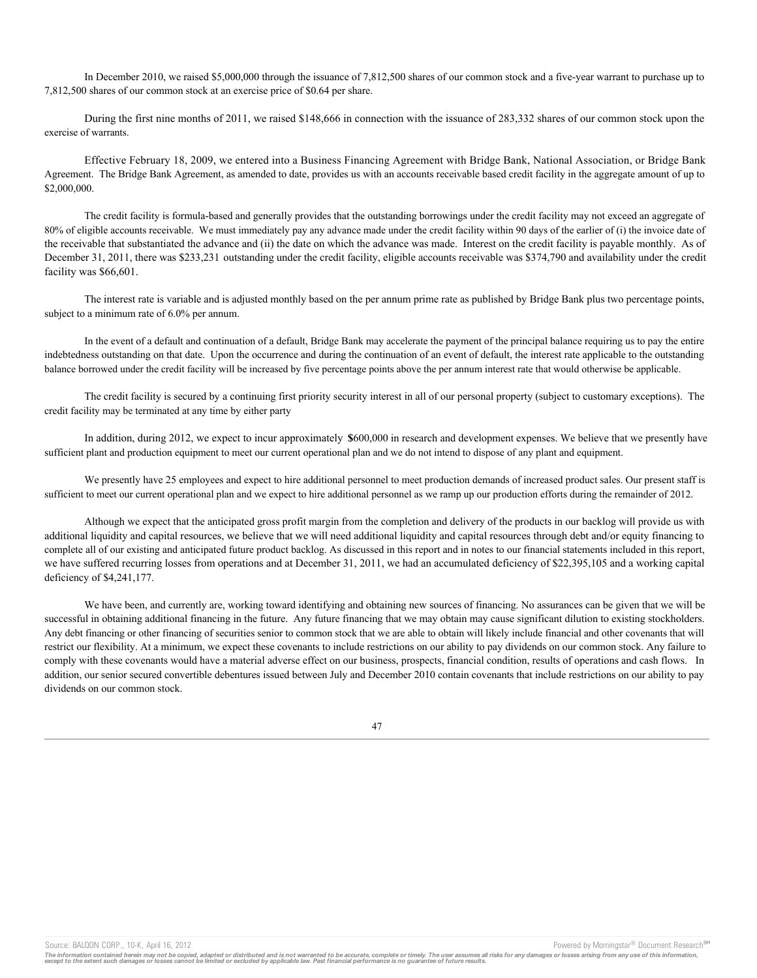In December 2010, we raised \$5,000,000 through the issuance of 7,812,500 shares of our common stock and a five-year warrant to purchase up to 7,812,500 shares of our common stock at an exercise price of \$0.64 per share.

During the first nine months of 2011, we raised \$148,666 in connection with the issuance of 283,332 shares of our common stock upon the exercise of warrants.

Effective February 18, 2009, we entered into a Business Financing Agreement with Bridge Bank, National Association, or Bridge Bank Agreement. The Bridge Bank Agreement, as amended to date, provides us with an accounts receivable based credit facility in the aggregate amount of up to \$2,000,000.

The credit facility is formula-based and generally provides that the outstanding borrowings under the credit facility may not exceed an aggregate of 80% of eligible accounts receivable. We must immediately pay any advance made under the credit facility within 90 days of the earlier of (i) the invoice date of the receivable that substantiated the advance and (ii) the date on which the advance was made. Interest on the credit facility is payable monthly. As of December 31, 2011, there was \$233,231 outstanding under the credit facility, eligible accounts receivable was \$374,790 and availability under the credit facility was \$66,601.

The interest rate is variable and is adjusted monthly based on the per annum prime rate as published by Bridge Bank plus two percentage points, subject to a minimum rate of 6.0% per annum.

In the event of a default and continuation of a default, Bridge Bank may accelerate the payment of the principal balance requiring us to pay the entire indebtedness outstanding on that date. Upon the occurrence and during the continuation of an event of default, the interest rate applicable to the outstanding balance borrowed under the credit facility will be increased by five percentage points above the per annum interest rate that would otherwise be applicable.

The credit facility is secured by a continuing first priority security interest in all of our personal property (subject to customary exceptions). The credit facility may be terminated at any time by either party

In addition, during 2012, we expect to incur approximately **\$**600,000 in research and development expenses. We believe that we presently have sufficient plant and production equipment to meet our current operational plan and we do not intend to dispose of any plant and equipment.

We presently have 25 employees and expect to hire additional personnel to meet production demands of increased product sales. Our present staff is sufficient to meet our current operational plan and we expect to hire additional personnel as we ramp up our production efforts during the remainder of 2012.

Although we expect that the anticipated gross profit margin from the completion and delivery of the products in our backlog will provide us with additional liquidity and capital resources, we believe that we will need additional liquidity and capital resources through debt and/or equity financing to complete all of our existing and anticipated future product backlog. As discussed in this report and in notes to our financial statements included in this report, we have suffered recurring losses from operations and at December 31, 2011, we had an accumulated deficiency of \$22,395,105 and a working capital deficiency of \$4,241,177.

We have been, and currently are, working toward identifying and obtaining new sources of financing. No assurances can be given that we will be successful in obtaining additional financing in the future. Any future financing that we may obtain may cause significant dilution to existing stockholders. Any debt financing or other financing of securities senior to common stock that we are able to obtain will likely include financial and other covenants that will restrict our flexibility. At a minimum, we expect these covenants to include restrictions on our ability to pay dividends on our common stock. Any failure to comply with these covenants would have a material adverse effect on our business, prospects, financial condition, results of operations and cash flows. In addition, our senior secured convertible debentures issued between July and December 2010 contain covenants that include restrictions on our ability to pay dividends on our common stock.

47

Source: BALQON CORP., 10-K, April 16, 2012 **Powered by Morningstar® Document Research** in the second metal of the second metal products and the second metal products are provided by Morningstar® Document Research in the se

The information contained herein may not be copied, adapted or distributed and is not warranted to be accurate, complete or timely. The user assumes all risks for any damages or losses arising from any use of this informat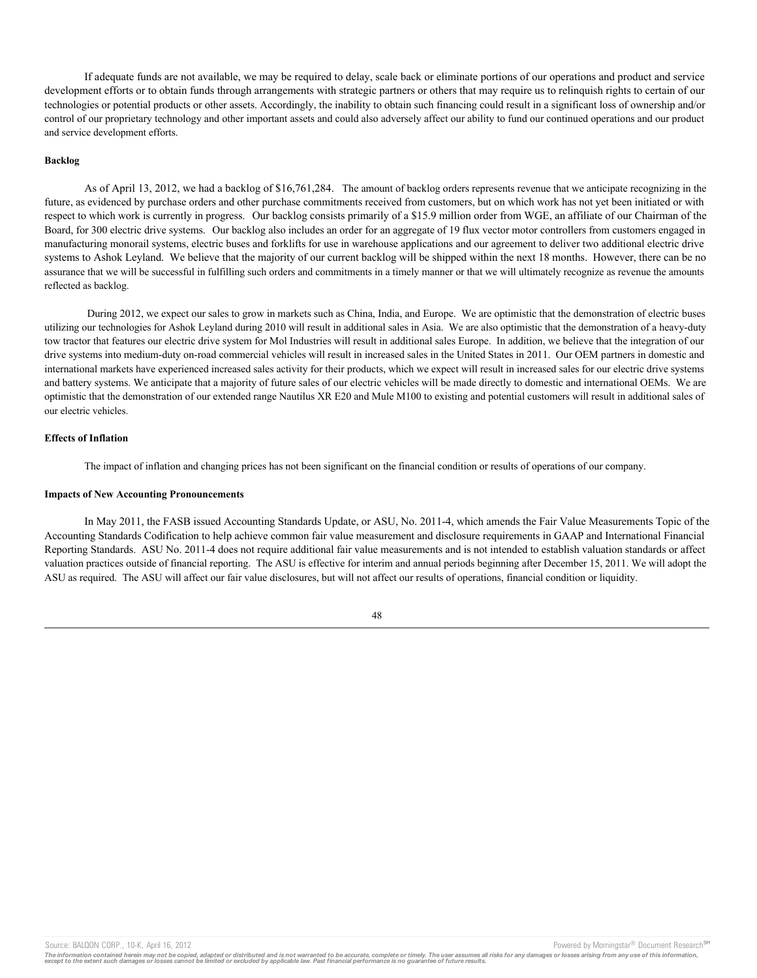If adequate funds are not available, we may be required to delay, scale back or eliminate portions of our operations and product and service development efforts or to obtain funds through arrangements with strategic partners or others that may require us to relinquish rights to certain of our technologies or potential products or other assets. Accordingly, the inability to obtain such financing could result in a significant loss of ownership and/or control of our proprietary technology and other important assets and could also adversely affect our ability to fund our continued operations and our product and service development efforts.

## **Backlog**

As of April 13, 2012, we had a backlog of \$16,761,284. The amount of backlog orders represents revenue that we anticipate recognizing in the future, as evidenced by purchase orders and other purchase commitments received from customers, but on which work has not yet been initiated or with respect to which work is currently in progress. Our backlog consists primarily of a \$15.9 million order from WGE, an affiliate of our Chairman of the Board, for 300 electric drive systems. Our backlog also includes an order for an aggregate of 19 flux vector motor controllers from customers engaged in manufacturing monorail systems, electric buses and forklifts for use in warehouse applications and our agreement to deliver two additional electric drive systems to Ashok Leyland. We believe that the majority of our current backlog will be shipped within the next 18 months. However, there can be no assurance that we will be successful in fulfilling such orders and commitments in a timely manner or that we will ultimately recognize as revenue the amounts reflected as backlog.

During 2012, we expect our sales to grow in markets such as China, India, and Europe. We are optimistic that the demonstration of electric buses utilizing our technologies for Ashok Leyland during 2010 will result in additional sales in Asia. We are also optimistic that the demonstration of a heavy-duty tow tractor that features our electric drive system for Mol Industries will result in additional sales Europe. In addition, we believe that the integration of our drive systems into medium-duty on-road commercial vehicles will result in increased sales in the United States in 2011. Our OEM partners in domestic and international markets have experienced increased sales activity for their products, which we expect will result in increased sales for our electric drive systems and battery systems. We anticipate that a majority of future sales of our electric vehicles will be made directly to domestic and international OEMs. We are optimistic that the demonstration of our extended range Nautilus XR E20 and Mule M100 to existing and potential customers will result in additional sales of our electric vehicles.

## **Effects of Inflation**

The impact of inflation and changing prices has not been significant on the financial condition or results of operations of our company.

#### **Impacts of New Accounting Pronouncements**

In May 2011, the FASB issued Accounting Standards Update, or ASU, No. 2011-4, which amends the Fair Value Measurements Topic of the Accounting Standards Codification to help achieve common fair value measurement and disclosure requirements in GAAP and International Financial Reporting Standards. ASU No. 2011-4 does not require additional fair value measurements and is not intended to establish valuation standards or affect valuation practices outside of financial reporting. The ASU is effective for interim and annual periods beginning after December 15, 2011. We will adopt the ASU as required. The ASU will affect our fair value disclosures, but will not affect our results of operations, financial condition or liquidity.

Source: BALQON CORP., 10-K, April 16, 2012 **Provided by April 16, 2012** Powered by Morningstar® Document Research <sup>sw</sup>

The information contained herein may not be copied, adapted or distributed and is not warranted to be accurate, complete or timely. The user assumes all risks for any damages or losses arising from any use of this informat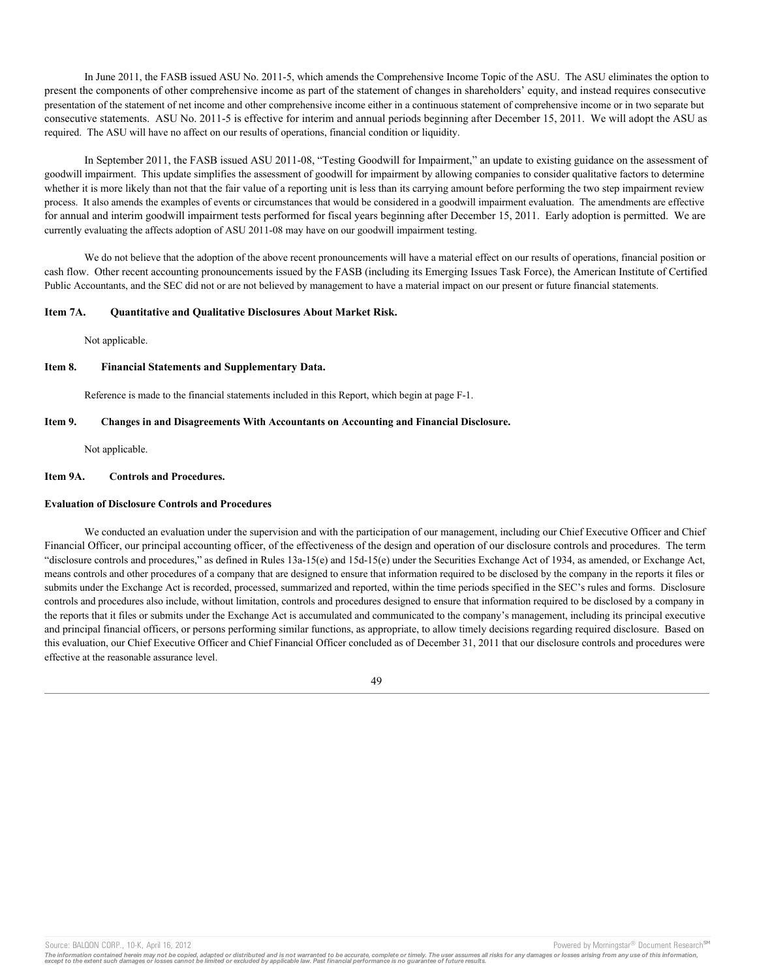In June 2011, the FASB issued ASU No. 2011-5, which amends the Comprehensive Income Topic of the ASU. The ASU eliminates the option to present the components of other comprehensive income as part of the statement of changes in shareholders' equity, and instead requires consecutive presentation of the statement of net income and other comprehensive income either in a continuous statement of comprehensive income or in two separate but consecutive statements. ASU No. 2011-5 is effective for interim and annual periods beginning after December 15, 2011. We will adopt the ASU as required. The ASU will have no affect on our results of operations, financial condition or liquidity.

In September 2011, the FASB issued ASU 2011-08, "Testing Goodwill for Impairment," an update to existing guidance on the assessment of goodwill impairment. This update simplifies the assessment of goodwill for impairment by allowing companies to consider qualitative factors to determine whether it is more likely than not that the fair value of a reporting unit is less than its carrying amount before performing the two step impairment review process. It also amends the examples of events or circumstances that would be considered in a goodwill impairment evaluation. The amendments are effective for annual and interim goodwill impairment tests performed for fiscal years beginning after December 15, 2011. Early adoption is permitted. We are currently evaluating the affects adoption of ASU 2011-08 may have on our goodwill impairment testing.

We do not believe that the adoption of the above recent pronouncements will have a material effect on our results of operations, financial position or cash flow. Other recent accounting pronouncements issued by the FASB (including its Emerging Issues Task Force), the American Institute of Certified Public Accountants, and the SEC did not or are not believed by management to have a material impact on our present or future financial statements.

# **Item 7A. Quantitative and Qualitative Disclosures About Market Risk.**

Not applicable.

# **Item 8. Financial Statements and Supplementary Data.**

Reference is made to the financial statements included in this Report, which begin at page F-1.

# **Item 9. Changes in and Disagreements With Accountants on Accounting and Financial Disclosure.**

Not applicable.

# **Item 9A. Controls and Procedures.**

## **Evaluation of Disclosure Controls and Procedures**

We conducted an evaluation under the supervision and with the participation of our management, including our Chief Executive Officer and Chief Financial Officer, our principal accounting officer, of the effectiveness of the design and operation of our disclosure controls and procedures. The term "disclosure controls and procedures," as defined in Rules 13a-15(e) and 15d-15(e) under the Securities Exchange Act of 1934, as amended, or Exchange Act, means controls and other procedures of a company that are designed to ensure that information required to be disclosed by the company in the reports it files or submits under the Exchange Act is recorded, processed, summarized and reported, within the time periods specified in the SEC's rules and forms. Disclosure controls and procedures also include, without limitation, controls and procedures designed to ensure that information required to be disclosed by a company in the reports that it files or submits under the Exchange Act is accumulated and communicated to the company's management, including its principal executive and principal financial officers, or persons performing similar functions, as appropriate, to allow timely decisions regarding required disclosure. Based on this evaluation, our Chief Executive Officer and Chief Financial Officer concluded as of December 31, 2011 that our disclosure controls and procedures were effective at the reasonable assurance level.

Source: BALQON CORP., 10-K, April 16, 2012 **Provided by April 16, 2012** Powered by Morningstar® Document Research <sup>sw</sup>

The information contained herein may not be copied, adapted or distributed and is not warranted to be accurate, complete or timely. The user assumes all risks for any damages or losses arising from any use of this informat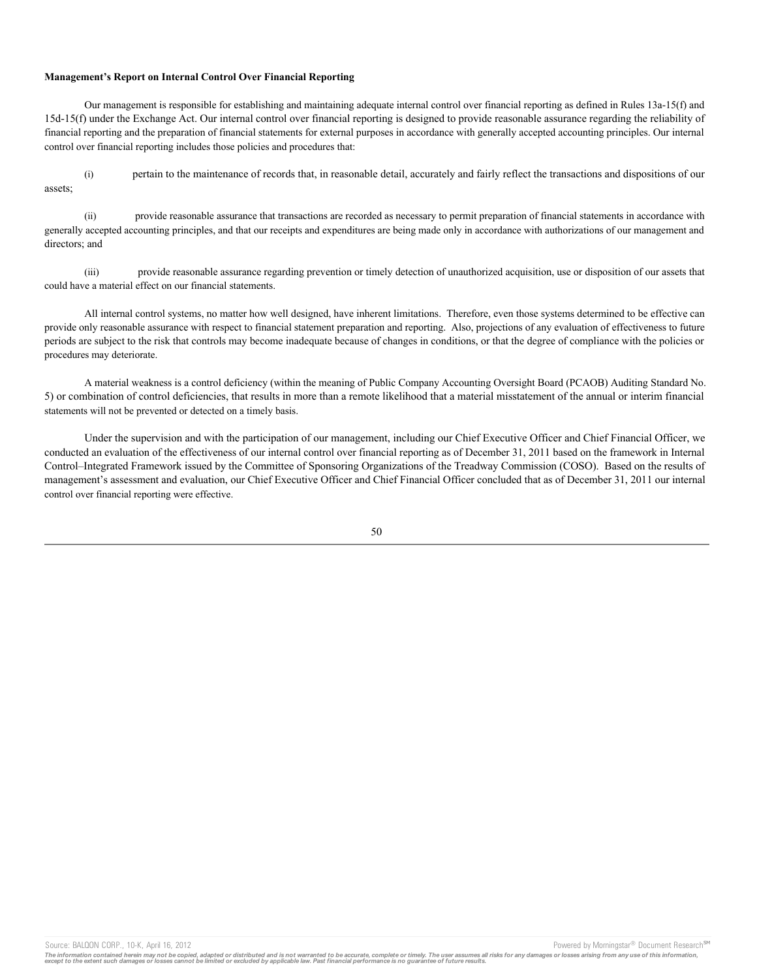## **Management's Report on Internal Control Over Financial Reporting**

Our management is responsible for establishing and maintaining adequate internal control over financial reporting as defined in Rules 13a-15(f) and 15d-15(f) under the Exchange Act. Our internal control over financial reporting is designed to provide reasonable assurance regarding the reliability of financial reporting and the preparation of financial statements for external purposes in accordance with generally accepted accounting principles. Our internal control over financial reporting includes those policies and procedures that:

(i) pertain to the maintenance of records that, in reasonable detail, accurately and fairly reflect the transactions and dispositions of our assets;

(ii) provide reasonable assurance that transactions are recorded as necessary to permit preparation of financial statements in accordance with generally accepted accounting principles, and that our receipts and expenditures are being made only in accordance with authorizations of our management and directors; and

(iii) provide reasonable assurance regarding prevention or timely detection of unauthorized acquisition, use or disposition of our assets that could have a material effect on our financial statements.

All internal control systems, no matter how well designed, have inherent limitations. Therefore, even those systems determined to be effective can provide only reasonable assurance with respect to financial statement preparation and reporting. Also, projections of any evaluation of effectiveness to future periods are subject to the risk that controls may become inadequate because of changes in conditions, or that the degree of compliance with the policies or procedures may deteriorate.

A material weakness is a control deficiency (within the meaning of Public Company Accounting Oversight Board (PCAOB) Auditing Standard No. 5) or combination of control deficiencies, that results in more than a remote likelihood that a material misstatement of the annual or interim financial statements will not be prevented or detected on a timely basis.

Under the supervision and with the participation of our management, including our Chief Executive Officer and Chief Financial Officer, we conducted an evaluation of the effectiveness of our internal control over financial reporting as of December 31, 2011 based on the framework in Internal Control–Integrated Framework issued by the Committee of Sponsoring Organizations of the Treadway Commission (COSO). Based on the results of management's assessment and evaluation, our Chief Executive Officer and Chief Financial Officer concluded that as of December 31, 2011 our internal control over financial reporting were effective.

50

Source: BALQON CORP., 10-K, April 16, 2012 **Powered by Morningstar® Document Research** in Powered by Morningstar® Document Research in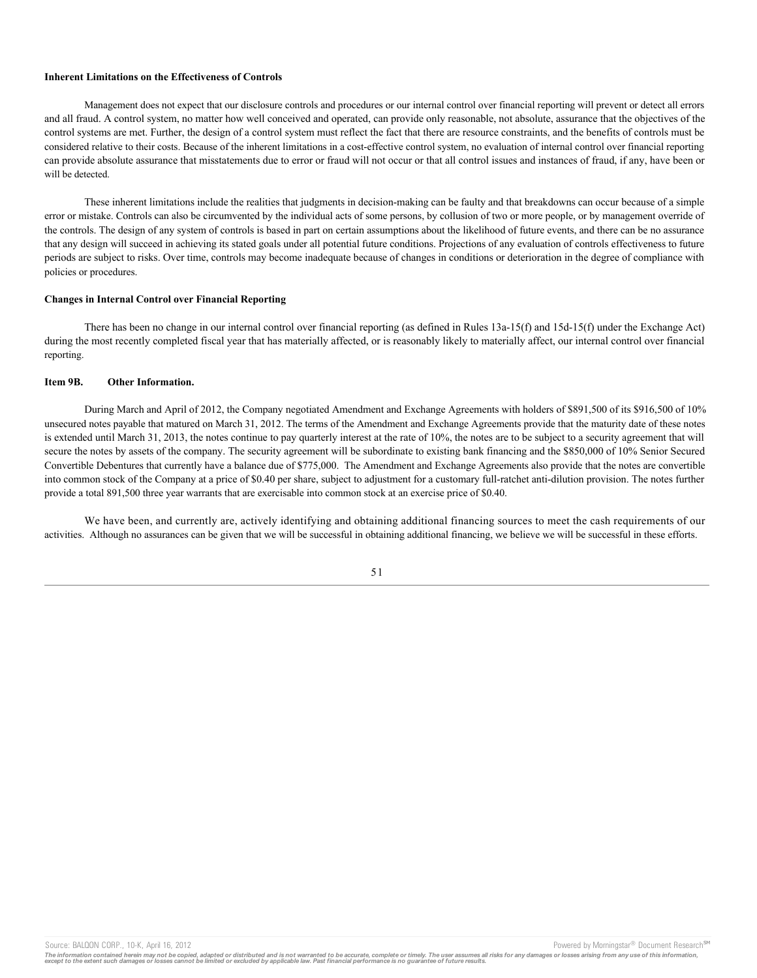# **Inherent Limitations on the Effectiveness of Controls**

Management does not expect that our disclosure controls and procedures or our internal control over financial reporting will prevent or detect all errors and all fraud. A control system, no matter how well conceived and operated, can provide only reasonable, not absolute, assurance that the objectives of the control systems are met. Further, the design of a control system must reflect the fact that there are resource constraints, and the benefits of controls must be considered relative to their costs. Because of the inherent limitations in a cost-effective control system, no evaluation of internal control over financial reporting can provide absolute assurance that misstatements due to error or fraud will not occur or that all control issues and instances of fraud, if any, have been or will be detected.

These inherent limitations include the realities that judgments in decision-making can be faulty and that breakdowns can occur because of a simple error or mistake. Controls can also be circumvented by the individual acts of some persons, by collusion of two or more people, or by management override of the controls. The design of any system of controls is based in part on certain assumptions about the likelihood of future events, and there can be no assurance that any design will succeed in achieving its stated goals under all potential future conditions. Projections of any evaluation of controls effectiveness to future periods are subject to risks. Over time, controls may become inadequate because of changes in conditions or deterioration in the degree of compliance with policies or procedures.

### **Changes in Internal Control over Financial Reporting**

There has been no change in our internal control over financial reporting (as defined in Rules 13a-15(f) and 15d-15(f) under the Exchange Act) during the most recently completed fiscal year that has materially affected, or is reasonably likely to materially affect, our internal control over financial reporting.

# **Item 9B. Other Information.**

During March and April of 2012, the Company negotiated Amendment and Exchange Agreements with holders of \$891,500 of its \$916,500 of 10% unsecured notes payable that matured on March 31, 2012. The terms of the Amendment and Exchange Agreements provide that the maturity date of these notes is extended until March 31, 2013, the notes continue to pay quarterly interest at the rate of 10%, the notes are to be subject to a security agreement that will secure the notes by assets of the company. The security agreement will be subordinate to existing bank financing and the \$850,000 of 10% Senior Secured Convertible Debentures that currently have a balance due of \$775,000. The Amendment and Exchange Agreements also provide that the notes are convertible into common stock of the Company at a price of \$0.40 per share, subject to adjustment for a customary full-ratchet anti-dilution provision. The notes further provide a total 891,500 three year warrants that are exercisable into common stock at an exercise price of \$0.40.

We have been, and currently are, actively identifying and obtaining additional financing sources to meet the cash requirements of our activities. Although no assurances can be given that we will be successful in obtaining additional financing, we believe we will be successful in these efforts.

51

The information contained herein may not be copied, adapted or distributed and is not warranted to be accurate, complete or timely. The user assumes all risks for any damages or losses arising from any use of this informat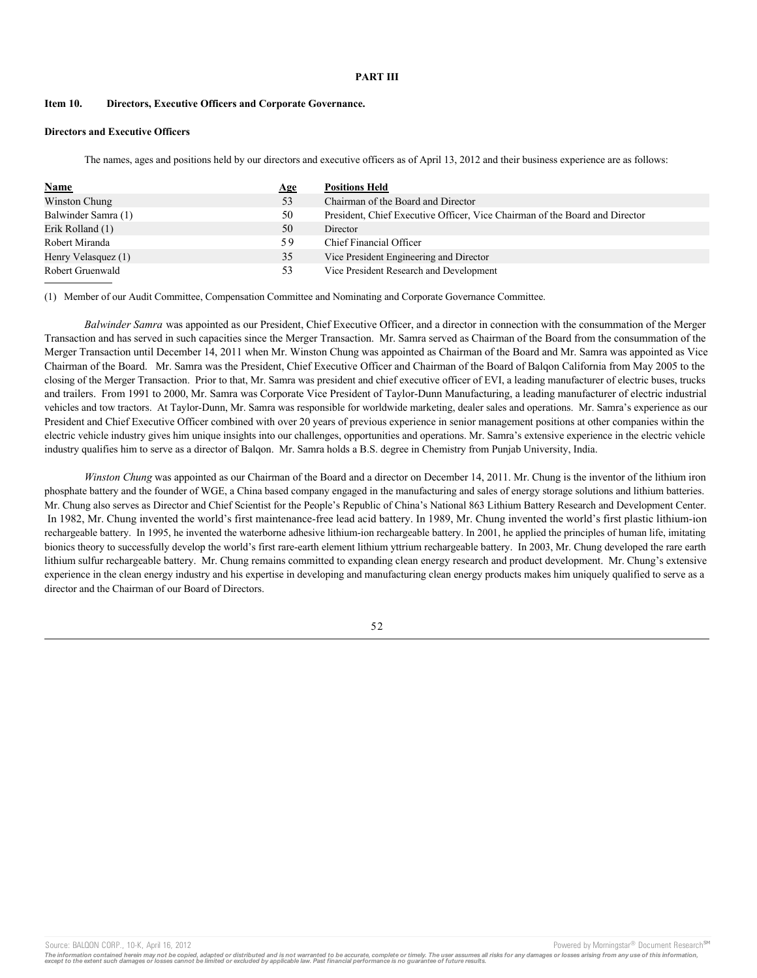## **PART III**

### **Item 10. Directors, Executive Officers and Corporate Governance.**

## **Directors and Executive Officers**

The names, ages and positions held by our directors and executive officers as of April 13, 2012 and their business experience are as follows:

| Name                | <u>Age</u> | <b>Positions Held</b>                                                       |
|---------------------|------------|-----------------------------------------------------------------------------|
| Winston Chung       | 53         | Chairman of the Board and Director                                          |
| Balwinder Samra (1) | 50         | President, Chief Executive Officer, Vice Chairman of the Board and Director |
| Erik Rolland (1)    | 50         | Director                                                                    |
| Robert Miranda      | 59         | Chief Financial Officer                                                     |
| Henry Velasquez (1) | 35         | Vice President Engineering and Director                                     |
| Robert Gruenwald    | 53         | Vice President Research and Development                                     |

(1) Member of our Audit Committee, Compensation Committee and Nominating and Corporate Governance Committee.

*Balwinder Samra* was appointed as our President, Chief Executive Officer, and a director in connection with the consummation of the Merger Transaction and has served in such capacities since the Merger Transaction. Mr. Samra served as Chairman of the Board from the consummation of the Merger Transaction until December 14, 2011 when Mr. Winston Chung was appointed as Chairman of the Board and Mr. Samra was appointed as Vice Chairman of the Board. Mr. Samra was the President, Chief Executive Officer and Chairman of the Board of Balqon California from May 2005 to the closing of the Merger Transaction. Prior to that, Mr. Samra was president and chief executive officer of EVI, a leading manufacturer of electric buses, trucks and trailers. From 1991 to 2000, Mr. Samra was Corporate Vice President of Taylor-Dunn Manufacturing, a leading manufacturer of electric industrial vehicles and tow tractors. At Taylor-Dunn, Mr. Samra was responsible for worldwide marketing, dealer sales and operations. Mr. Samra's experience as our President and Chief Executive Officer combined with over 20 years of previous experience in senior management positions at other companies within the electric vehicle industry gives him unique insights into our challenges, opportunities and operations. Mr. Samra's extensive experience in the electric vehicle industry qualifies him to serve as a director of Balqon. Mr. Samra holds a B.S. degree in Chemistry from Punjab University, India.

*Winston Chung* was appointed as our Chairman of the Board and a director on December 14, 2011. Mr. Chung is the inventor of the lithium iron phosphate battery and the founder of WGE, a China based company engaged in the manufacturing and sales of energy storage solutions and lithium batteries. Mr. Chung also serves as Director and Chief Scientist for the People's Republic of China's National 863 Lithium Battery Research and Development Center. In 1982, Mr. Chung invented the world's first maintenance-free lead acid battery. In 1989, Mr. Chung invented the world's first plastic lithium-ion rechargeable battery. In 1995, he invented the waterborne adhesive lithium-ion rechargeable battery. In 2001, he applied the principles of human life, imitating bionics theory to successfully develop the world's first rare-earth element lithium yttrium rechargeable battery. In 2003, Mr. Chung developed the rare earth lithium sulfur rechargeable battery. Mr. Chung remains committed to expanding clean energy research and product development. Mr. Chung's extensive experience in the clean energy industry and his expertise in developing and manufacturing clean energy products makes him uniquely qualified to serve as a director and the Chairman of our Board of Directors.

Source: BALQON CORP., 10-K, April 16, 2012 **Powered by Morningstar® Document Research** and the second product and the second product and the second product and the second product and the second product and the second produ

The information contained herein may not be copied, adapted or distributed and is not warranted to be accurate, complete or timely. The user assumes all risks for any damages or losses arising from any use of this informat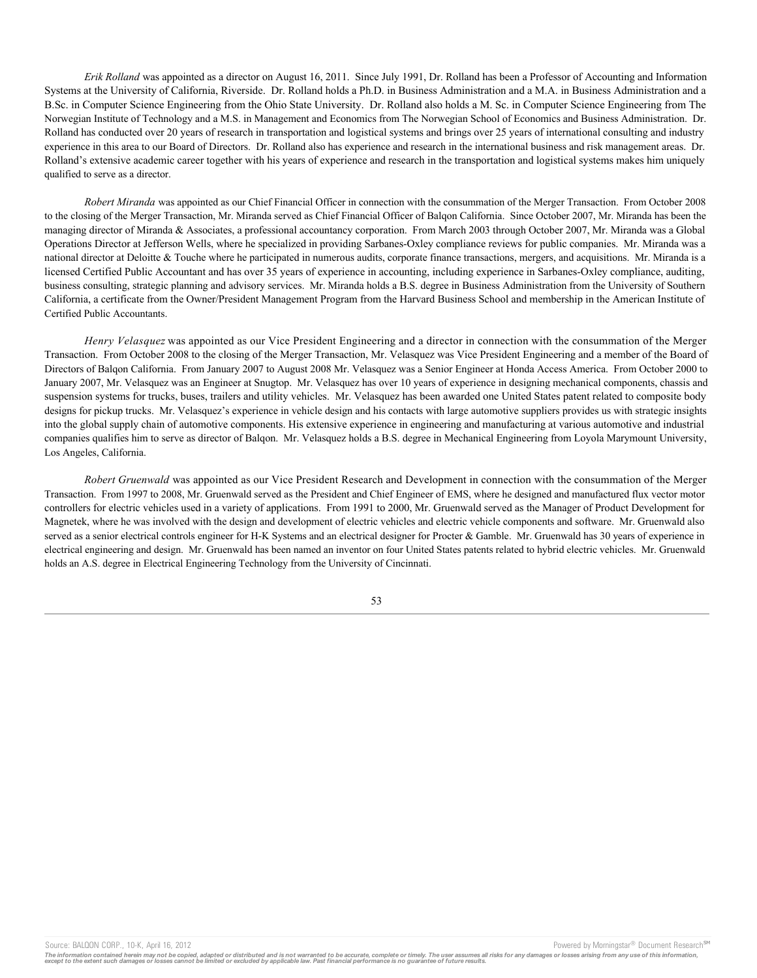*Erik Rolland* was appointed as a director on August 16, 2011. Since July 1991, Dr. Rolland has been a Professor of Accounting and Information Systems at the University of California, Riverside. Dr. Rolland holds a Ph.D. in Business Administration and a M.A. in Business Administration and a B.Sc. in Computer Science Engineering from the Ohio State University. Dr. Rolland also holds a M. Sc. in Computer Science Engineering from The Norwegian Institute of Technology and a M.S. in Management and Economics from The Norwegian School of Economics and Business Administration. Dr. Rolland has conducted over 20 years of research in transportation and logistical systems and brings over 25 years of international consulting and industry experience in this area to our Board of Directors. Dr. Rolland also has experience and research in the international business and risk management areas. Dr. Rolland's extensive academic career together with his years of experience and research in the transportation and logistical systems makes him uniquely qualified to serve as a director.

*Robert Miranda* was appointed as our Chief Financial Officer in connection with the consummation of the Merger Transaction. From October 2008 to the closing of the Merger Transaction, Mr. Miranda served as Chief Financial Officer of Balqon California. Since October 2007, Mr. Miranda has been the managing director of Miranda & Associates, a professional accountancy corporation. From March 2003 through October 2007, Mr. Miranda was a Global Operations Director at Jefferson Wells, where he specialized in providing Sarbanes-Oxley compliance reviews for public companies. Mr. Miranda was a national director at Deloitte & Touche where he participated in numerous audits, corporate finance transactions, mergers, and acquisitions. Mr. Miranda is a licensed Certified Public Accountant and has over 35 years of experience in accounting, including experience in Sarbanes-Oxley compliance, auditing, business consulting, strategic planning and advisory services. Mr. Miranda holds a B.S. degree in Business Administration from the University of Southern California, a certificate from the Owner/President Management Program from the Harvard Business School and membership in the American Institute of Certified Public Accountants.

*Henry Velasquez* was appointed as our Vice President Engineering and a director in connection with the consummation of the Merger Transaction. From October 2008 to the closing of the Merger Transaction, Mr. Velasquez was Vice President Engineering and a member of the Board of Directors of Balqon California. From January 2007 to August 2008 Mr. Velasquez was a Senior Engineer at Honda Access America. From October 2000 to January 2007, Mr. Velasquez was an Engineer at Snugtop. Mr. Velasquez has over 10 years of experience in designing mechanical components, chassis and suspension systems for trucks, buses, trailers and utility vehicles. Mr. Velasquez has been awarded one United States patent related to composite body designs for pickup trucks. Mr. Velasquez's experience in vehicle design and his contacts with large automotive suppliers provides us with strategic insights into the global supply chain of automotive components. His extensive experience in engineering and manufacturing at various automotive and industrial companies qualifies him to serve as director of Balqon. Mr. Velasquez holds a B.S. degree in Mechanical Engineering from Loyola Marymount University, Los Angeles, California.

*Robert Gruenwald* was appointed as our Vice President Research and Development in connection with the consummation of the Merger Transaction. From 1997 to 2008, Mr. Gruenwald served as the President and Chief Engineer of EMS, where he designed and manufactured flux vector motor controllers for electric vehicles used in a variety of applications. From 1991 to 2000, Mr. Gruenwald served as the Manager of Product Development for Magnetek, where he was involved with the design and development of electric vehicles and electric vehicle components and software. Mr. Gruenwald also served as a senior electrical controls engineer for H-K Systems and an electrical designer for Procter & Gamble. Mr. Gruenwald has 30 years of experience in electrical engineering and design. Mr. Gruenwald has been named an inventor on four United States patents related to hybrid electric vehicles. Mr. Gruenwald holds an A.S. degree in Electrical Engineering Technology from the University of Cincinnati.

53

The information contained herein may not be copied, adapted or distributed and is not warranted to be accurate, complete or timely. The user assumes all risks for any damages or losses arising from any use of this informat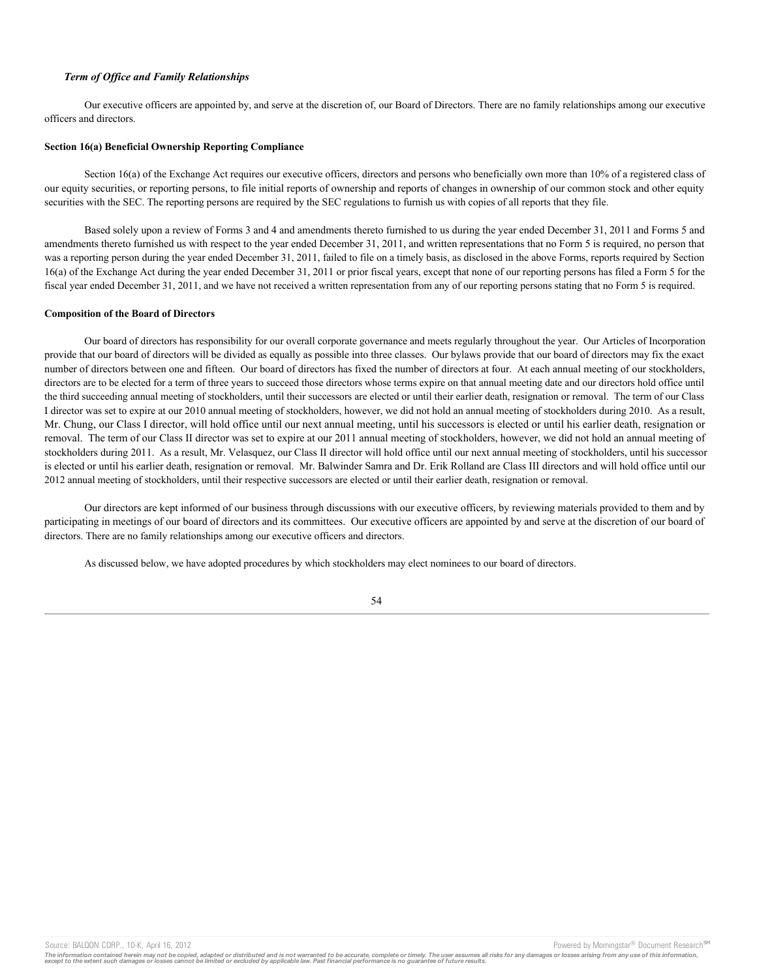## *Term of Office and Family Relationships*

Our executive officers are appointed by, and serve at the discretion of, our Board of Directors. There are no family relationships among our executive officers and directors.

#### **Section 16(a) Beneficial Ownership Reporting Compliance**

Section 16(a) of the Exchange Act requires our executive officers, directors and persons who beneficially own more than 10% of a registered class of our equity securities, or reporting persons, to file initial reports of ownership and reports of changes in ownership of our common stock and other equity securities with the SEC. The reporting persons are required by the SEC regulations to furnish us with copies of all reports that they file.

Based solely upon a review of Forms 3 and 4 and amendments thereto furnished to us during the year ended December 31, 2011 and Forms 5 and amendments thereto furnished us with respect to the year ended December 31, 2011, and written representations that no Form 5 is required, no person that was a reporting person during the year ended December 31, 2011, failed to file on a timely basis, as disclosed in the above Forms, reports required by Section 16(a) of the Exchange Act during the year ended December 31, 2011 or prior fiscal years, except that none of our reporting persons has filed a Form 5 for the fiscal year ended December 31, 2011, and we have not received a written representation from any of our reporting persons stating that no Form 5 is required.

#### **Composition of the Board of Directors**

Our board of directors has responsibility for our overall corporate governance and meets regularly throughout the year. Our Articles of Incorporation provide that our board of directors will be divided as equally as possible into three classes. Our bylaws provide that our board of directors may fix the exact number of directors between one and fifteen. Our board of directors has fixed the number of directors at four. At each annual meeting of our stockholders, directors are to be elected for a term of three years to succeed those directors whose terms expire on that annual meeting date and our directors hold office until the third succeeding annual meeting of stockholders, until their successors are elected or until their earlier death, resignation or removal. The term of our Class I director was set to expire at our 2010 annual meeting of stockholders, however, we did not hold an annual meeting of stockholders during 2010. As a result, Mr. Chung, our Class I director, will hold office until our next annual meeting, until his successors is elected or until his earlier death, resignation or removal. The term of our Class II director was set to expire at our 2011 annual meeting of stockholders, however, we did not hold an annual meeting of stockholders during 2011. As a result, Mr. Velasquez, our Class II director will hold office until our next annual meeting of stockholders, until his successor is elected or until his earlier death, resignation or removal. Mr. Balwinder Samra and Dr. Erik Rolland are Class III directors and will hold office until our 2012 annual meeting of stockholders, until their respective successors are elected or until their earlier death, resignation or removal.

Our directors are kept informed of our business through discussions with our executive officers, by reviewing materials provided to them and by participating in meetings of our board of directors and its committees. Our executive officers are appointed by and serve at the discretion of our board of directors. There are no family relationships among our executive officers and directors.

As discussed below, we have adopted procedures by which stockholders may elect nominees to our board of directors.

### 54

The information contained herein may not be copied, adapted or distributed and is not warranted to be accurate, complete or timely. The user assumes all risks for any damages or losses arising from any use of this informat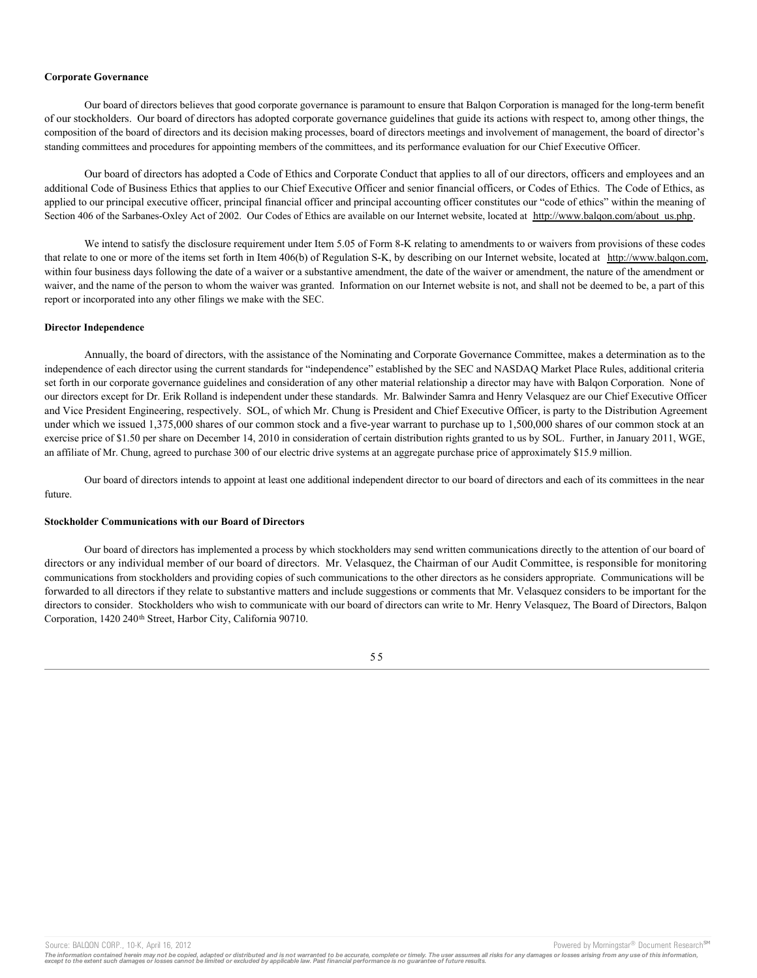### **Corporate Governance**

Our board of directors believes that good corporate governance is paramount to ensure that Balqon Corporation is managed for the long-term benefit of our stockholders. Our board of directors has adopted corporate governance guidelines that guide its actions with respect to, among other things, the composition of the board of directors and its decision making processes, board of directors meetings and involvement of management, the board of director's standing committees and procedures for appointing members of the committees, and its performance evaluation for our Chief Executive Officer.

Our board of directors has adopted a Code of Ethics and Corporate Conduct that applies to all of our directors, officers and employees and an additional Code of Business Ethics that applies to our Chief Executive Officer and senior financial officers, or Codes of Ethics. The Code of Ethics, as applied to our principal executive officer, principal financial officer and principal accounting officer constitutes our "code of ethics" within the meaning of Section 406 of the Sarbanes-Oxley Act of 2002. Our Codes of Ethics are available on our Internet website, located at http://www.balqon.com/about\_us.php.

We intend to satisfy the disclosure requirement under Item 5.05 of Form 8-K relating to amendments to or waivers from provisions of these codes that relate to one or more of the items set forth in Item 406(b) of Regulation S-K, by describing on our Internet website, located at http://www.balqon.com, within four business days following the date of a waiver or a substantive amendment, the date of the waiver or amendment, the nature of the amendment or waiver, and the name of the person to whom the waiver was granted. Information on our Internet website is not, and shall not be deemed to be, a part of this report or incorporated into any other filings we make with the SEC.

### **Director Independence**

Annually, the board of directors, with the assistance of the Nominating and Corporate Governance Committee, makes a determination as to the independence of each director using the current standards for "independence" established by the SEC and NASDAQ Market Place Rules, additional criteria set forth in our corporate governance guidelines and consideration of any other material relationship a director may have with Balqon Corporation. None of our directors except for Dr. Erik Rolland is independent under these standards. Mr. Balwinder Samra and Henry Velasquez are our Chief Executive Officer and Vice President Engineering, respectively. SOL, of which Mr. Chung is President and Chief Executive Officer, is party to the Distribution Agreement under which we issued 1,375,000 shares of our common stock and a five-year warrant to purchase up to 1,500,000 shares of our common stock at an exercise price of \$1.50 per share on December 14, 2010 in consideration of certain distribution rights granted to us by SOL. Further, in January 2011, WGE, an affiliate of Mr. Chung, agreed to purchase 300 of our electric drive systems at an aggregate purchase price of approximately \$15.9 million.

Our board of directors intends to appoint at least one additional independent director to our board of directors and each of its committees in the near future.

# **Stockholder Communications with our Board of Directors**

Our board of directors has implemented a process by which stockholders may send written communications directly to the attention of our board of directors or any individual member of our board of directors. Mr. Velasquez, the Chairman of our Audit Committee, is responsible for monitoring communications from stockholders and providing copies of such communications to the other directors as he considers appropriate. Communications will be forwarded to all directors if they relate to substantive matters and include suggestions or comments that Mr. Velasquez considers to be important for the directors to consider. Stockholders who wish to communicate with our board of directors can write to Mr. Henry Velasquez, The Board of Directors, Balqon Corporation, 1420 240<sup>th</sup> Street, Harbor City, California 90710.

5 5

Source: BALQON CORP., 10-K, April 16, 2012 **Powered by Morningstar® Document Research** in Powered by Morningstar® Document Research in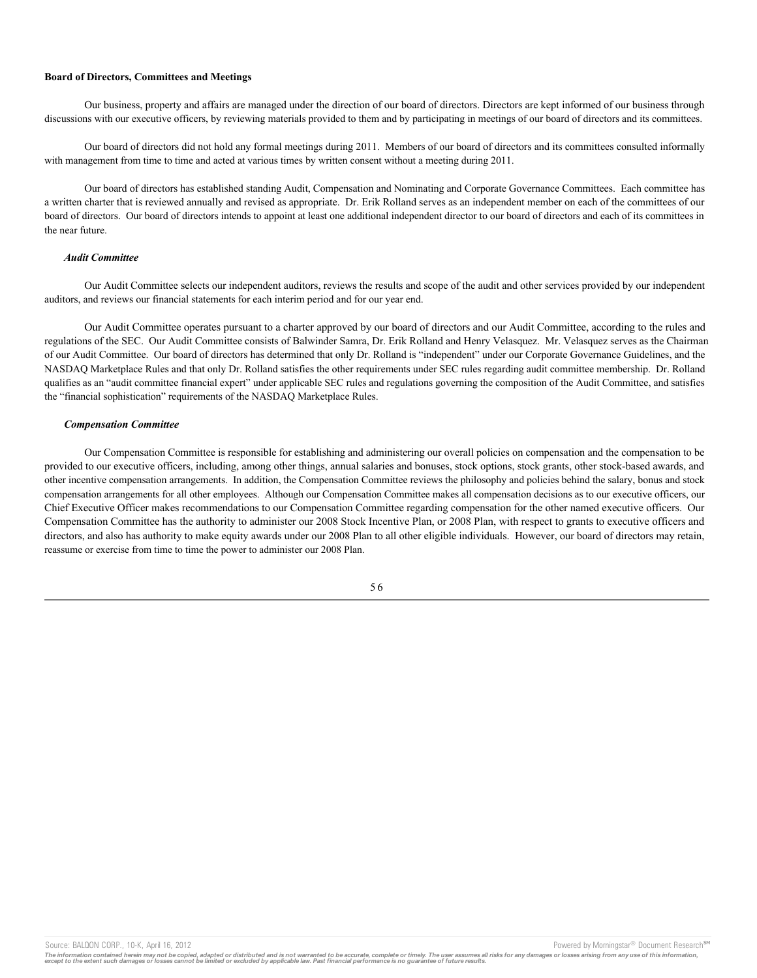### **Board of Directors, Committees and Meetings**

Our business, property and affairs are managed under the direction of our board of directors. Directors are kept informed of our business through discussions with our executive officers, by reviewing materials provided to them and by participating in meetings of our board of directors and its committees.

Our board of directors did not hold any formal meetings during 2011. Members of our board of directors and its committees consulted informally with management from time to time and acted at various times by written consent without a meeting during 2011.

Our board of directors has established standing Audit, Compensation and Nominating and Corporate Governance Committees. Each committee has a written charter that is reviewed annually and revised as appropriate. Dr. Erik Rolland serves as an independent member on each of the committees of our board of directors. Our board of directors intends to appoint at least one additional independent director to our board of directors and each of its committees in the near future.

## *Audit Committee*

Our Audit Committee selects our independent auditors, reviews the results and scope of the audit and other services provided by our independent auditors, and reviews our financial statements for each interim period and for our year end.

Our Audit Committee operates pursuant to a charter approved by our board of directors and our Audit Committee, according to the rules and regulations of the SEC. Our Audit Committee consists of Balwinder Samra, Dr. Erik Rolland and Henry Velasquez. Mr. Velasquez serves as the Chairman of our Audit Committee. Our board of directors has determined that only Dr. Rolland is "independent" under our Corporate Governance Guidelines, and the NASDAQ Marketplace Rules and that only Dr. Rolland satisfies the other requirements under SEC rules regarding audit committee membership. Dr. Rolland qualifies as an "audit committee financial expert" under applicable SEC rules and regulations governing the composition of the Audit Committee, and satisfies the "financial sophistication" requirements of the NASDAQ Marketplace Rules.

#### *Compensation Committee*

Our Compensation Committee is responsible for establishing and administering our overall policies on compensation and the compensation to be provided to our executive officers, including, among other things, annual salaries and bonuses, stock options, stock grants, other stock-based awards, and other incentive compensation arrangements. In addition, the Compensation Committee reviews the philosophy and policies behind the salary, bonus and stock compensation arrangements for all other employees. Although our Compensation Committee makes all compensation decisions as to our executive officers, our Chief Executive Officer makes recommendations to our Compensation Committee regarding compensation for the other named executive officers. Our Compensation Committee has the authority to administer our 2008 Stock Incentive Plan, or 2008 Plan, with respect to grants to executive officers and directors, and also has authority to make equity awards under our 2008 Plan to all other eligible individuals. However, our board of directors may retain, reassume or exercise from time to time the power to administer our 2008 Plan.



Source: BALQON CORP., 10-K, April 16, 2012 **Provided by April 16, 2012** Powered by Morningstar® Document Research <sup>sw</sup>

The information contained herein may not be copied, adapted or distributed and is not warranted to be accurate, complete or timely. The user assumes all risks for any damages or losses arising from any use of this informat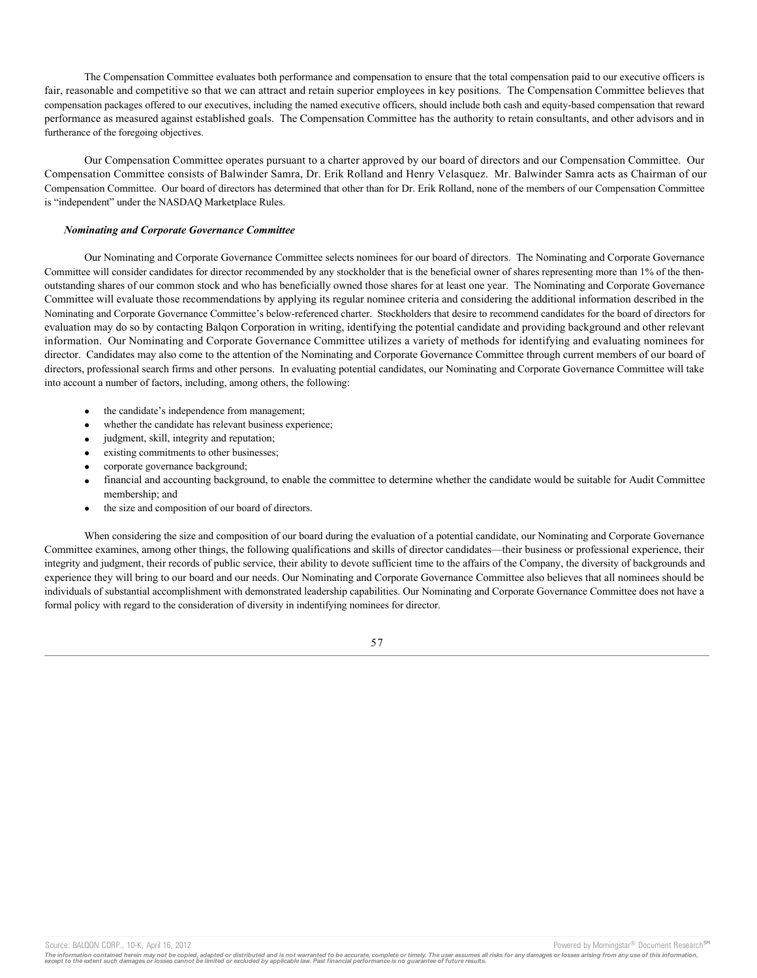The Compensation Committee evaluates both performance and compensation to ensure that the total compensation paid to our executive officers is fair, reasonable and competitive so that we can attract and retain superior employees in key positions. The Compensation Committee believes that compensation packages offered to our executives, including the named executive officers, should include both cash and equity-based compensation that reward performance as measured against established goals. The Compensation Committee has the authority to retain consultants, and other advisors and in furtherance of the foregoing objectives.

Our Compensation Committee operates pursuant to a charter approved by our board of directors and our Compensation Committee. Our Compensation Committee consists of Balwinder Samra, Dr. Erik Rolland and Henry Velasquez. Mr. Balwinder Samra acts as Chairman of our Compensation Committee. Our board of directors has determined that other than for Dr. Erik Rolland, none of the members of our Compensation Committee is "independent" under the NASDAQ Marketplace Rules.

### *Nominating and Corporate Governance Committee*

Our Nominating and Corporate Governance Committee selects nominees for our board of directors. The Nominating and Corporate Governance Committee will consider candidates for director recommended by any stockholder that is the beneficial owner of shares representing more than 1% of the thenoutstanding shares of our common stock and who has beneficially owned those shares for at least one year. The Nominating and Corporate Governance Committee will evaluate those recommendations by applying its regular nominee criteria and considering the additional information described in the Nominating and Corporate Governance Committee's below-referenced charter. Stockholders that desire to recommend candidates for the board of directors for evaluation may do so by contacting Balqon Corporation in writing, identifying the potential candidate and providing background and other relevant information. Our Nominating and Corporate Governance Committee utilizes a variety of methods for identifying and evaluating nominees for director. Candidates may also come to the attention of the Nominating and Corporate Governance Committee through current members of our board of directors, professional search firms and other persons. In evaluating potential candidates, our Nominating and Corporate Governance Committee will take into account a number of factors, including, among others, the following:

- the candidate's independence from management;
- whether the candidate has relevant business experience:
- judgment, skill, integrity and reputation;
- existing commitments to other businesses;
- corporate governance background;
- · financial and accounting background, to enable the committee to determine whether the candidate would be suitable for Audit Committee membership; and
- the size and composition of our board of directors.

When considering the size and composition of our board during the evaluation of a potential candidate, our Nominating and Corporate Governance Committee examines, among other things, the following qualifications and skills of director candidates—their business or professional experience, their integrity and judgment, their records of public service, their ability to devote sufficient time to the affairs of the Company, the diversity of backgrounds and experience they will bring to our board and our needs. Our Nominating and Corporate Governance Committee also believes that all nominees should be individuals of substantial accomplishment with demonstrated leadership capabilities. Our Nominating and Corporate Governance Committee does not have a formal policy with regard to the consideration of diversity in indentifying nominees for director.

Source: BALQON CORP., 10-K, April 16, 2012 **Powered by Morningstar® Document Research** and the second product and the second product and the second product and the second product and the second product and the second produ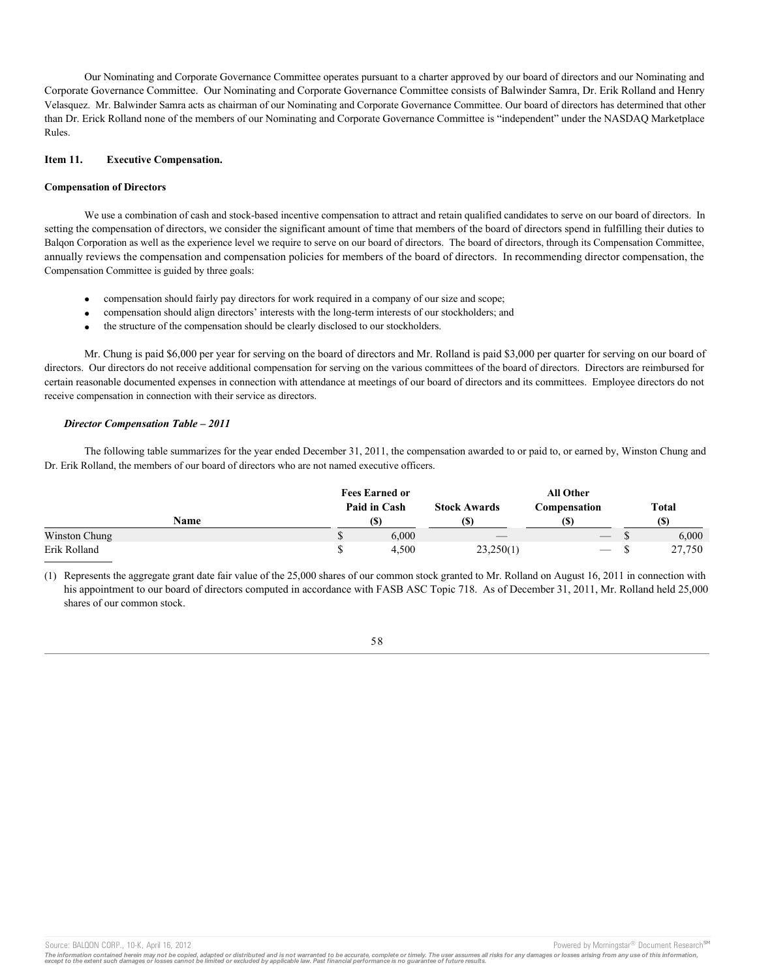Our Nominating and Corporate Governance Committee operates pursuant to a charter approved by our board of directors and our Nominating and Corporate Governance Committee. Our Nominating and Corporate Governance Committee consists of Balwinder Samra, Dr. Erik Rolland and Henry Velasquez. Mr. Balwinder Samra acts as chairman of our Nominating and Corporate Governance Committee. Our board of directors has determined that other than Dr. Erick Rolland none of the members of our Nominating and Corporate Governance Committee is "independent" under the NASDAQ Marketplace Rules.

### **Item 11. Executive Compensation.**

### **Compensation of Directors**

We use a combination of cash and stock-based incentive compensation to attract and retain qualified candidates to serve on our board of directors. In setting the compensation of directors, we consider the significant amount of time that members of the board of directors spend in fulfilling their duties to Balqon Corporation as well as the experience level we require to serve on our board of directors. The board of directors, through its Compensation Committee, annually reviews the compensation and compensation policies for members of the board of directors. In recommending director compensation, the Compensation Committee is guided by three goals:

- · compensation should fairly pay directors for work required in a company of our size and scope;
- · compensation should align directors' interests with the long-term interests of our stockholders; and
- the structure of the compensation should be clearly disclosed to our stockholders.

Mr. Chung is paid \$6,000 per year for serving on the board of directors and Mr. Rolland is paid \$3,000 per quarter for serving on our board of directors. Our directors do not receive additional compensation for serving on the various committees of the board of directors. Directors are reimbursed for certain reasonable documented expenses in connection with attendance at meetings of our board of directors and its committees. Employee directors do not receive compensation in connection with their service as directors.

### *Director Compensation Table – 2011*

The following table summarizes for the year ended December 31, 2011, the compensation awarded to or paid to, or earned by, Winston Chung and Dr. Erik Rolland, the members of our board of directors who are not named executive officers.

|               | <b>Fees Earned or</b>      |                     | All Other                       |        |
|---------------|----------------------------|---------------------|---------------------------------|--------|
|               | Paid in Cash               | <b>Stock Awards</b> | Compensation                    | Total  |
| Name          | $\left( \mathbb{S}\right)$ |                     |                                 |        |
| Winston Chung | 6.000                      |                     | $\hspace{0.1mm}-\hspace{0.1mm}$ | 6.000  |
| Erik Rolland  | 4.500                      | 23,250(1)           | $\overline{\phantom{m}}$        | 27,750 |

(1) Represents the aggregate grant date fair value of the 25,000 shares of our common stock granted to Mr. Rolland on August 16, 2011 in connection with his appointment to our board of directors computed in accordance with FASB ASC Topic 718. As of December 31, 2011, Mr. Rolland held 25,000 shares of our common stock.

Source: BALQON CORP., 10-K, April 16, 2012 **Powered by Morningstar® Document Research** structure is a structure of the second structure of the second structure of the second structure of the second structure is a structure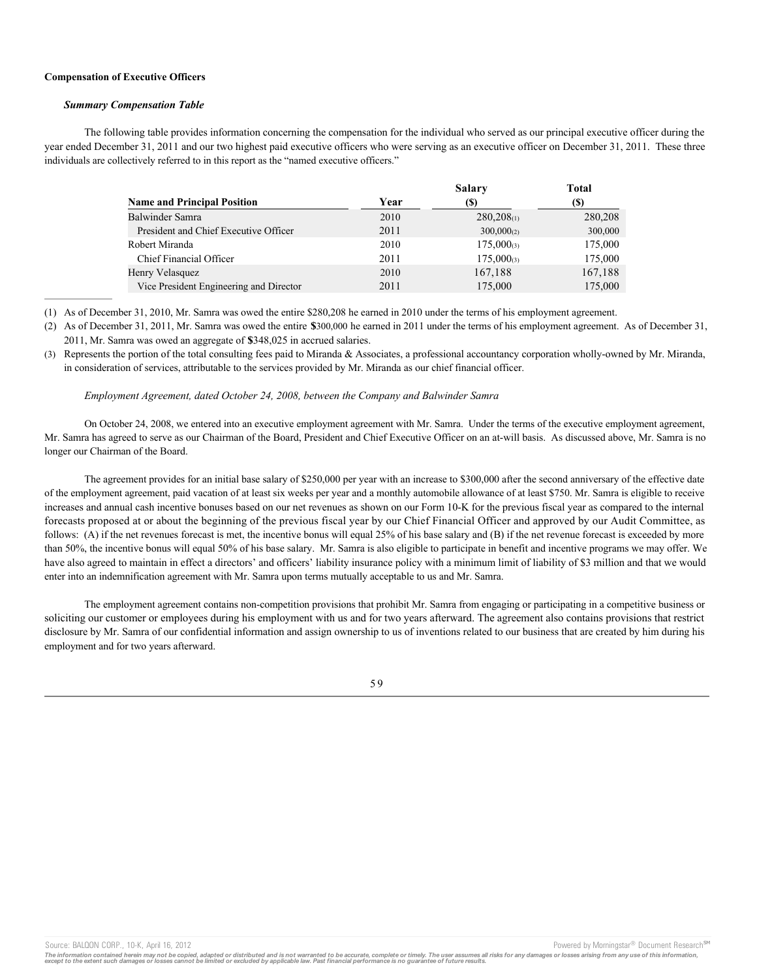### **Compensation of Executive Officers**

### *Summary Compensation Table*

The following table provides information concerning the compensation for the individual who served as our principal executive officer during the year ended December 31, 2011 and our two highest paid executive officers who were serving as an executive officer on December 31, 2011. These three individuals are collectively referred to in this report as the "named executive officers."

|                                         |      | Salary          | <b>Total</b> |
|-----------------------------------------|------|-----------------|--------------|
| <b>Name and Principal Position</b>      | Year | (\$)            | (\$)         |
| Balwinder Samra                         | 2010 | 280,208(1)      | 280,208      |
| President and Chief Executive Officer   | 2011 | 300,000(2)      | 300,000      |
| Robert Miranda                          | 2010 | $175,000_{(3)}$ | 175,000      |
| Chief Financial Officer                 | 2011 | $175,000_{(3)}$ | 175,000      |
| Henry Velasquez                         | 2010 | 167,188         | 167,188      |
| Vice President Engineering and Director | 2011 | 175,000         | 175,000      |

(1) As of December 31, 2010, Mr. Samra was owed the entire \$280,208 he earned in 2010 under the terms of his employment agreement.

- (2) As of December 31, 2011, Mr. Samra was owed the entire **\$**300,000 he earned in 2011 under the terms of his employment agreement. As of December 31, 2011, Mr. Samra was owed an aggregate of **\$**348,025 in accrued salaries.
- (3) Represents the portion of the total consulting fees paid to Miranda & Associates, a professional accountancy corporation wholly-owned by Mr. Miranda, in consideration of services, attributable to the services provided by Mr. Miranda as our chief financial officer.

# *Employment Agreement, dated October 24, 2008, between the Company and Balwinder Samra*

On October 24, 2008, we entered into an executive employment agreement with Mr. Samra. Under the terms of the executive employment agreement, Mr. Samra has agreed to serve as our Chairman of the Board, President and Chief Executive Officer on an at-will basis. As discussed above, Mr. Samra is no longer our Chairman of the Board.

The agreement provides for an initial base salary of \$250,000 per year with an increase to \$300,000 after the second anniversary of the effective date of the employment agreement, paid vacation of at least six weeks per year and a monthly automobile allowance of at least \$750. Mr. Samra is eligible to receive increases and annual cash incentive bonuses based on our net revenues as shown on our Form 10-K for the previous fiscal year as compared to the internal forecasts proposed at or about the beginning of the previous fiscal year by our Chief Financial Officer and approved by our Audit Committee, as follows: (A) if the net revenues forecast is met, the incentive bonus will equal 25% of his base salary and (B) if the net revenue forecast is exceeded by more than 50%, the incentive bonus will equal 50% of his base salary. Mr. Samra is also eligible to participate in benefit and incentive programs we may offer. We have also agreed to maintain in effect a directors' and officers' liability insurance policy with a minimum limit of liability of \$3 million and that we would enter into an indemnification agreement with Mr. Samra upon terms mutually acceptable to us and Mr. Samra.

The employment agreement contains non-competition provisions that prohibit Mr. Samra from engaging or participating in a competitive business or soliciting our customer or employees during his employment with us and for two years afterward. The agreement also contains provisions that restrict disclosure by Mr. Samra of our confidential information and assign ownership to us of inventions related to our business that are created by him during his employment and for two years afterward.

## 5 9

Source: BALQON CORP., 10-K, April 16, 2012 **Powered by Morningstar® Document Research** and the second product and the second product and the second product and the second product and the second product and the second produ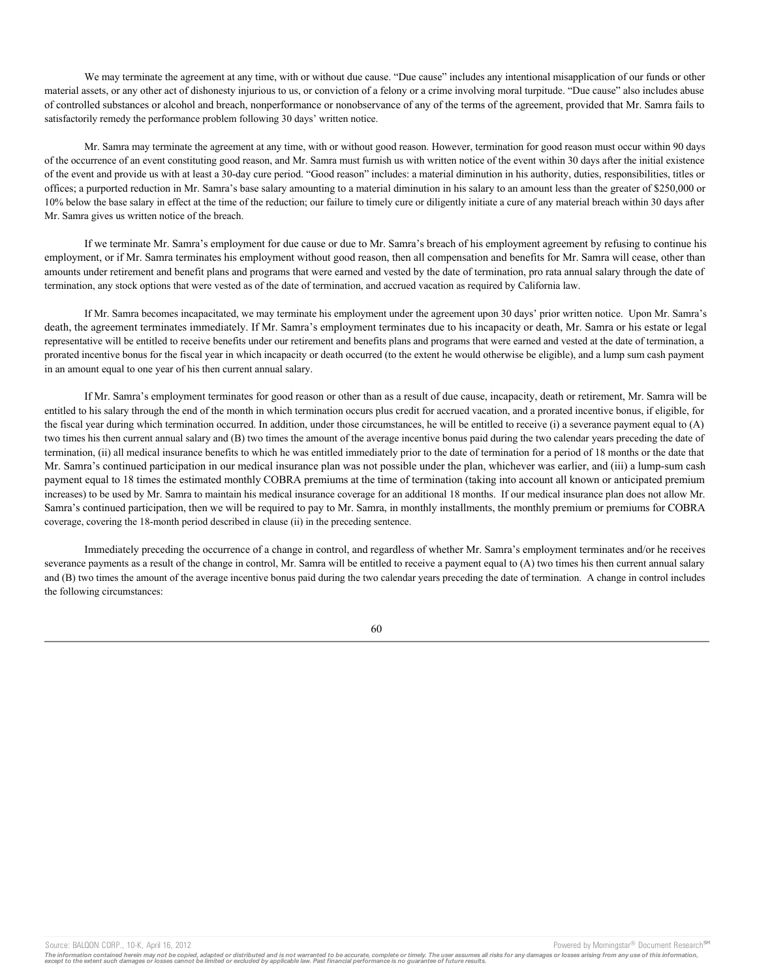We may terminate the agreement at any time, with or without due cause. "Due cause" includes any intentional misapplication of our funds or other material assets, or any other act of dishonesty injurious to us, or conviction of a felony or a crime involving moral turpitude. "Due cause" also includes abuse of controlled substances or alcohol and breach, nonperformance or nonobservance of any of the terms of the agreement, provided that Mr. Samra fails to satisfactorily remedy the performance problem following 30 days' written notice.

Mr. Samra may terminate the agreement at any time, with or without good reason. However, termination for good reason must occur within 90 days of the occurrence of an event constituting good reason, and Mr. Samra must furnish us with written notice of the event within 30 days after the initial existence of the event and provide us with at least a 30-day cure period. "Good reason" includes: a material diminution in his authority, duties, responsibilities, titles or offices; a purported reduction in Mr. Samra's base salary amounting to a material diminution in his salary to an amount less than the greater of \$250,000 or 10% below the base salary in effect at the time of the reduction; our failure to timely cure or diligently initiate a cure of any material breach within 30 days after Mr. Samra gives us written notice of the breach.

If we terminate Mr. Samra's employment for due cause or due to Mr. Samra's breach of his employment agreement by refusing to continue his employment, or if Mr. Samra terminates his employment without good reason, then all compensation and benefits for Mr. Samra will cease, other than amounts under retirement and benefit plans and programs that were earned and vested by the date of termination, pro rata annual salary through the date of termination, any stock options that were vested as of the date of termination, and accrued vacation as required by California law.

If Mr. Samra becomes incapacitated, we may terminate his employment under the agreement upon 30 days' prior written notice. Upon Mr. Samra's death, the agreement terminates immediately. If Mr. Samra's employment terminates due to his incapacity or death, Mr. Samra or his estate or legal representative will be entitled to receive benefits under our retirement and benefits plans and programs that were earned and vested at the date of termination, a prorated incentive bonus for the fiscal year in which incapacity or death occurred (to the extent he would otherwise be eligible), and a lump sum cash payment in an amount equal to one year of his then current annual salary.

If Mr. Samra's employment terminates for good reason or other than as a result of due cause, incapacity, death or retirement, Mr. Samra will be entitled to his salary through the end of the month in which termination occurs plus credit for accrued vacation, and a prorated incentive bonus, if eligible, for the fiscal year during which termination occurred. In addition, under those circumstances, he will be entitled to receive (i) a severance payment equal to (A) two times his then current annual salary and (B) two times the amount of the average incentive bonus paid during the two calendar years preceding the date of termination, (ii) all medical insurance benefits to which he was entitled immediately prior to the date of termination for a period of 18 months or the date that Mr. Samra's continued participation in our medical insurance plan was not possible under the plan, whichever was earlier, and (iii) a lump-sum cash payment equal to 18 times the estimated monthly COBRA premiums at the time of termination (taking into account all known or anticipated premium increases) to be used by Mr. Samra to maintain his medical insurance coverage for an additional 18 months. If our medical insurance plan does not allow Mr. Samra's continued participation, then we will be required to pay to Mr. Samra, in monthly installments, the monthly premium or premiums for COBRA coverage, covering the 18-month period described in clause (ii) in the preceding sentence.

Immediately preceding the occurrence of a change in control, and regardless of whether Mr. Samra's employment terminates and/or he receives severance payments as a result of the change in control, Mr. Samra will be entitled to receive a payment equal to (A) two times his then current annual salary and (B) two times the amount of the average incentive bonus paid during the two calendar years preceding the date of termination. A change in control includes the following circumstances:

60

The information contained herein may not be copied, adapted or distributed and is not warranted to be accurate, complete or timely. The user assumes all risks for any damages or losses arising from any use of this informat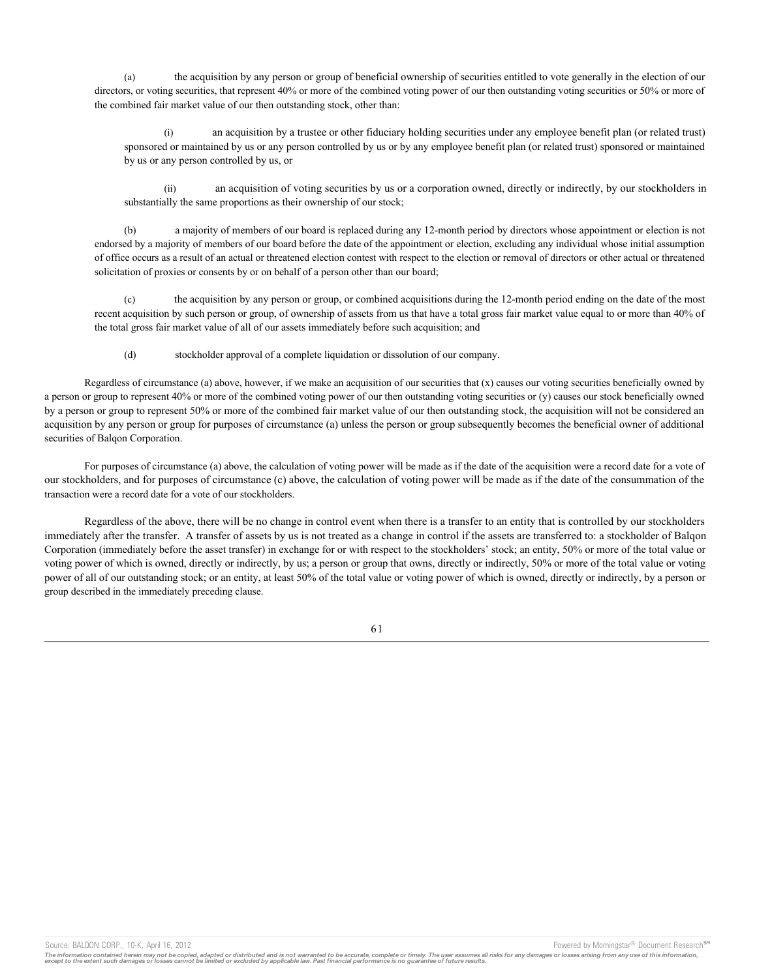(a) the acquisition by any person or group of beneficial ownership of securities entitled to vote generally in the election of our directors, or voting securities, that represent 40% or more of the combined voting power of our then outstanding voting securities or 50% or more of the combined fair market value of our then outstanding stock, other than:

(i) an acquisition by a trustee or other fiduciary holding securities under any employee benefit plan (or related trust) sponsored or maintained by us or any person controlled by us or by any employee benefit plan (or related trust) sponsored or maintained by us or any person controlled by us, or

(ii) an acquisition of voting securities by us or a corporation owned, directly or indirectly, by our stockholders in substantially the same proportions as their ownership of our stock;

(b) a majority of members of our board is replaced during any 12-month period by directors whose appointment or election is not endorsed by a majority of members of our board before the date of the appointment or election, excluding any individual whose initial assumption of office occurs as a result of an actual or threatened election contest with respect to the election or removal of directors or other actual or threatened solicitation of proxies or consents by or on behalf of a person other than our board;

(c) the acquisition by any person or group, or combined acquisitions during the 12-month period ending on the date of the most recent acquisition by such person or group, of ownership of assets from us that have a total gross fair market value equal to or more than 40% of the total gross fair market value of all of our assets immediately before such acquisition; and

(d) stockholder approval of a complete liquidation or dissolution of our company.

Regardless of circumstance (a) above, however, if we make an acquisition of our securities that  $(x)$  causes our voting securities beneficially owned by a person or group to represent 40% or more of the combined voting power of our then outstanding voting securities or (y) causes our stock beneficially owned by a person or group to represent 50% or more of the combined fair market value of our then outstanding stock, the acquisition will not be considered an acquisition by any person or group for purposes of circumstance (a) unless the person or group subsequently becomes the beneficial owner of additional securities of Balqon Corporation.

For purposes of circumstance (a) above, the calculation of voting power will be made as if the date of the acquisition were a record date for a vote of our stockholders, and for purposes of circumstance (c) above, the calculation of voting power will be made as if the date of the consummation of the transaction were a record date for a vote of our stockholders.

Regardless of the above, there will be no change in control event when there is a transfer to an entity that is controlled by our stockholders immediately after the transfer. A transfer of assets by us is not treated as a change in control if the assets are transferred to: a stockholder of Balqon Corporation (immediately before the asset transfer) in exchange for or with respect to the stockholders' stock; an entity, 50% or more of the total value or voting power of which is owned, directly or indirectly, by us; a person or group that owns, directly or indirectly, 50% or more of the total value or voting power of all of our outstanding stock; or an entity, at least 50% of the total value or voting power of which is owned, directly or indirectly, by a person or group described in the immediately preceding clause.

Source: BALQON CORP., 10-K, April 16, 2012 **Powered by Morningstar® Document Research** in the second metal of the second metal products and the second metal products are provided by Morningstar® Document Research in the se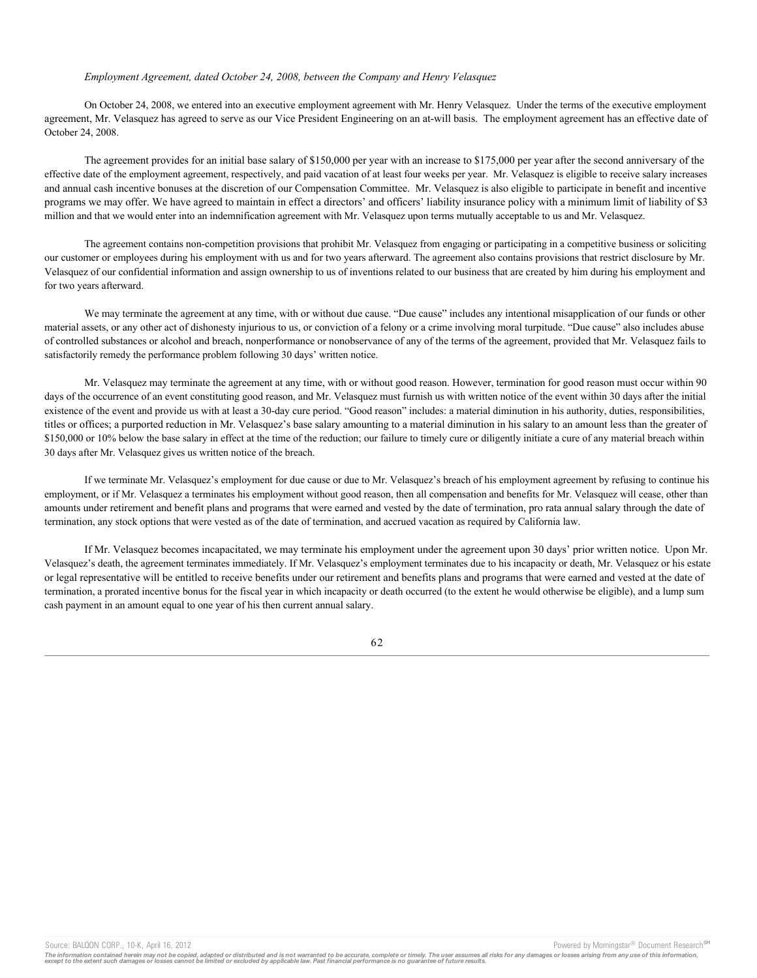## *Employment Agreement, dated October 24, 2008, between the Company and Henry Velasquez*

On October 24, 2008, we entered into an executive employment agreement with Mr. Henry Velasquez. Under the terms of the executive employment agreement, Mr. Velasquez has agreed to serve as our Vice President Engineering on an at-will basis. The employment agreement has an effective date of October 24, 2008.

The agreement provides for an initial base salary of \$150,000 per year with an increase to \$175,000 per year after the second anniversary of the effective date of the employment agreement, respectively, and paid vacation of at least four weeks per year. Mr. Velasquez is eligible to receive salary increases and annual cash incentive bonuses at the discretion of our Compensation Committee. Mr. Velasquez is also eligible to participate in benefit and incentive programs we may offer. We have agreed to maintain in effect a directors' and officers' liability insurance policy with a minimum limit of liability of \$3 million and that we would enter into an indemnification agreement with Mr. Velasquez upon terms mutually acceptable to us and Mr. Velasquez.

The agreement contains non-competition provisions that prohibit Mr. Velasquez from engaging or participating in a competitive business or soliciting our customer or employees during his employment with us and for two years afterward. The agreement also contains provisions that restrict disclosure by Mr. Velasquez of our confidential information and assign ownership to us of inventions related to our business that are created by him during his employment and for two years afterward.

We may terminate the agreement at any time, with or without due cause. "Due cause" includes any intentional misapplication of our funds or other material assets, or any other act of dishonesty injurious to us, or conviction of a felony or a crime involving moral turpitude. "Due cause" also includes abuse of controlled substances or alcohol and breach, nonperformance or nonobservance of any of the terms of the agreement, provided that Mr. Velasquez fails to satisfactorily remedy the performance problem following 30 days' written notice.

Mr. Velasquez may terminate the agreement at any time, with or without good reason. However, termination for good reason must occur within 90 days of the occurrence of an event constituting good reason, and Mr. Velasquez must furnish us with written notice of the event within 30 days after the initial existence of the event and provide us with at least a 30-day cure period. "Good reason" includes: a material diminution in his authority, duties, responsibilities, titles or offices; a purported reduction in Mr. Velasquez's base salary amounting to a material diminution in his salary to an amount less than the greater of \$150,000 or 10% below the base salary in effect at the time of the reduction; our failure to timely cure or diligently initiate a cure of any material breach within 30 days after Mr. Velasquez gives us written notice of the breach.

If we terminate Mr. Velasquez's employment for due cause or due to Mr. Velasquez's breach of his employment agreement by refusing to continue his employment, or if Mr. Velasquez a terminates his employment without good reason, then all compensation and benefits for Mr. Velasquez will cease, other than amounts under retirement and benefit plans and programs that were earned and vested by the date of termination, pro rata annual salary through the date of termination, any stock options that were vested as of the date of termination, and accrued vacation as required by California law.

If Mr. Velasquez becomes incapacitated, we may terminate his employment under the agreement upon 30 days' prior written notice. Upon Mr. Velasquez's death, the agreement terminates immediately. If Mr. Velasquez's employment terminates due to his incapacity or death, Mr. Velasquez or his estate or legal representative will be entitled to receive benefits under our retirement and benefits plans and programs that were earned and vested at the date of termination, a prorated incentive bonus for the fiscal year in which incapacity or death occurred (to the extent he would otherwise be eligible), and a lump sum cash payment in an amount equal to one year of his then current annual salary.

62

Source: BALQON CORP., 10-K, April 16, 2012 **Powered by Morningstar® Document Research** in the second metal of the second metal products and the second metal products are provided by Morningstar® Document Research in the se

The information contained herein may not be copied, adapted or distributed and is not warranted to be accurate, complete or timely. The user assumes all risks for any damages or losses arising from any use of this informat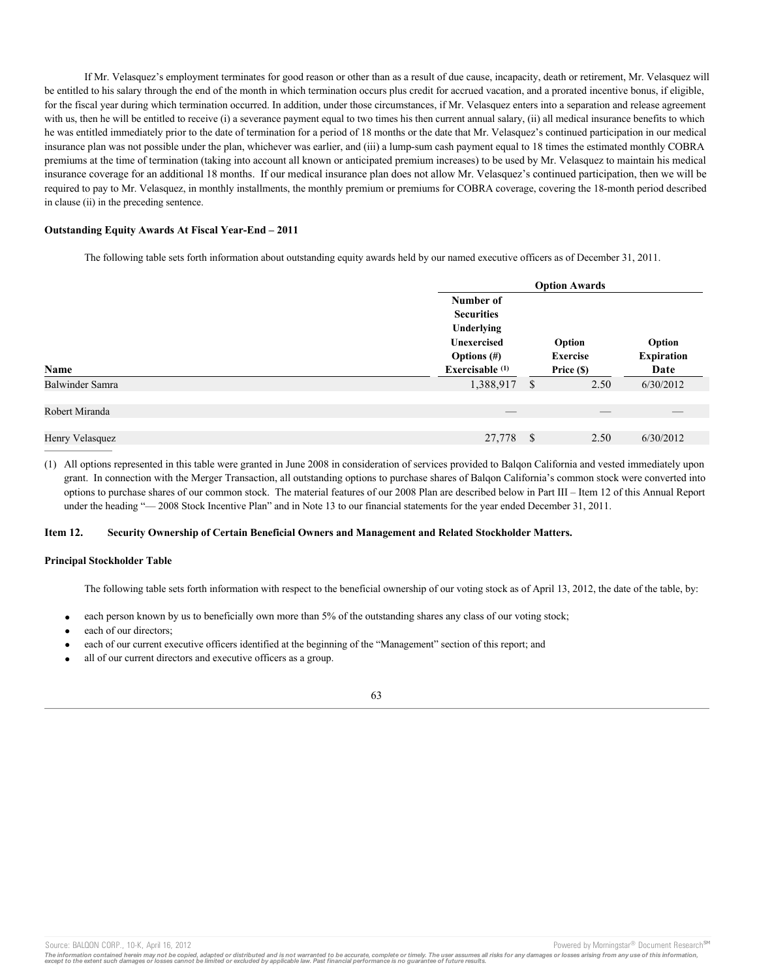If Mr. Velasquez's employment terminates for good reason or other than as a result of due cause, incapacity, death or retirement, Mr. Velasquez will be entitled to his salary through the end of the month in which termination occurs plus credit for accrued vacation, and a prorated incentive bonus, if eligible, for the fiscal year during which termination occurred. In addition, under those circumstances, if Mr. Velasquez enters into a separation and release agreement with us, then he will be entitled to receive (i) a severance payment equal to two times his then current annual salary, (ii) all medical insurance benefits to which he was entitled immediately prior to the date of termination for a period of 18 months or the date that Mr. Velasquez's continued participation in our medical insurance plan was not possible under the plan, whichever was earlier, and (iii) a lump-sum cash payment equal to 18 times the estimated monthly COBRA premiums at the time of termination (taking into account all known or anticipated premium increases) to be used by Mr. Velasquez to maintain his medical insurance coverage for an additional 18 months. If our medical insurance plan does not allow Mr. Velasquez's continued participation, then we will be required to pay to Mr. Velasquez, in monthly installments, the monthly premium or premiums for COBRA coverage, covering the 18-month period described in clause (ii) in the preceding sentence.

# **Outstanding Equity Awards At Fiscal Year-End – 2011**

The following table sets forth information about outstanding equity awards held by our named executive officers as of December 31, 2011.

|                        |                                | <b>Option Awards</b> |                   |  |
|------------------------|--------------------------------|----------------------|-------------------|--|
|                        | Number of                      |                      |                   |  |
|                        | <b>Securities</b>              |                      |                   |  |
|                        | Underlying                     |                      |                   |  |
|                        | <b>Unexercised</b>             | Option               | Option            |  |
|                        | Options $(\#)$                 | <b>Exercise</b>      | <b>Expiration</b> |  |
| Name                   | Exercisable (1)                | Price (\$)           | Date              |  |
| <b>Balwinder Samra</b> | 1,388,917 \$                   | 2.50                 | 6/30/2012         |  |
|                        |                                |                      |                   |  |
| Robert Miranda         | $\overbrace{\hspace{25mm}}^{}$ |                      |                   |  |
|                        |                                |                      |                   |  |
| Henry Velasquez        | 27,778 \$                      | 2.50                 | 6/30/2012         |  |

(1) All options represented in this table were granted in June 2008 in consideration of services provided to Balqon California and vested immediately upon grant. In connection with the Merger Transaction, all outstanding options to purchase shares of Balqon California's common stock were converted into options to purchase shares of our common stock. The material features of our 2008 Plan are described below in Part III – Item 12 of this Annual Report under the heading "— 2008 Stock Incentive Plan" and in Note 13 to our financial statements for the year ended December 31, 2011.

## **Item 12. Security Ownership of Certain Beneficial Owners and Management and Related Stockholder Matters.**

## **Principal Stockholder Table**

The following table sets forth information with respect to the beneficial ownership of our voting stock as of April 13, 2012, the date of the table, by:

- each person known by us to beneficially own more than 5% of the outstanding shares any class of our voting stock;
- each of our directors:
- each of our current executive officers identified at the beginning of the "Management" section of this report; and
- all of our current directors and executive officers as a group.



The information contained herein may not be copied, adapted or distributed and is not warranted to be accurate, complete or timely. The user assumes all risks for any damages or losses arising from any use of this informat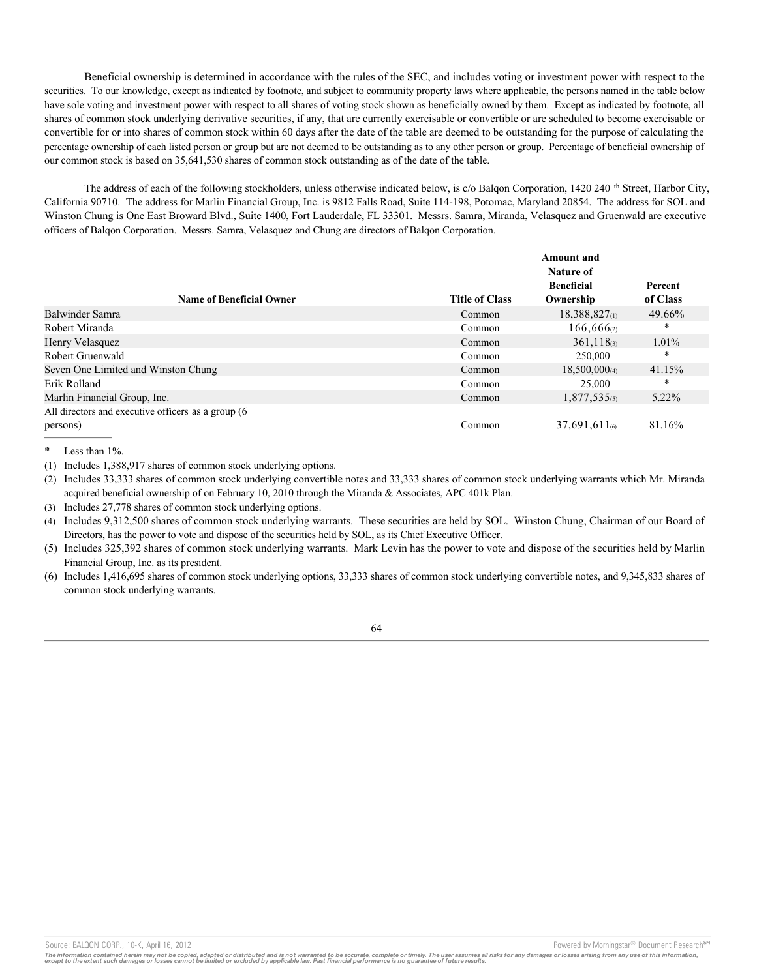Beneficial ownership is determined in accordance with the rules of the SEC, and includes voting or investment power with respect to the securities. To our knowledge, except as indicated by footnote, and subject to community property laws where applicable, the persons named in the table below have sole voting and investment power with respect to all shares of voting stock shown as beneficially owned by them. Except as indicated by footnote, all shares of common stock underlying derivative securities, if any, that are currently exercisable or convertible or are scheduled to become exercisable or convertible for or into shares of common stock within 60 days after the date of the table are deemed to be outstanding for the purpose of calculating the percentage ownership of each listed person or group but are not deemed to be outstanding as to any other person or group. Percentage of beneficial ownership of our common stock is based on 35,641,530 shares of common stock outstanding as of the date of the table.

The address of each of the following stockholders, unless otherwise indicated below, is c/o Balqon Corporation, 1420 240 <sup>th</sup> Street, Harbor City, California 90710. The address for Marlin Financial Group, Inc. is 9812 Falls Road, Suite 114-198, Potomac, Maryland 20854. The address for SOL and Winston Chung is One East Broward Blvd., Suite 1400, Fort Lauderdale, FL 33301. Messrs. Samra, Miranda, Velasquez and Gruenwald are executive officers of Balqon Corporation. Messrs. Samra, Velasquez and Chung are directors of Balqon Corporation.

|                                                     |                       | Amount and<br><b>Nature of</b> |                     |
|-----------------------------------------------------|-----------------------|--------------------------------|---------------------|
| <b>Name of Beneficial Owner</b>                     | <b>Title of Class</b> | <b>Beneficial</b><br>Ownership | Percent<br>of Class |
| Balwinder Samra                                     | Common                | 18,388,827 <sub>(1)</sub>      | 49.66%              |
| Robert Miranda                                      | Common                | $166,666_{(2)}$                | $\ast$              |
| Henry Velasquez                                     | Common                | $361, 118$ <sub>(3)</sub>      | $1.01\%$            |
| Robert Gruenwald                                    | Common                | 250,000                        | $\ast$              |
| Seven One Limited and Winston Chung                 | Common                | 18,500,000(4)                  | 41.15%              |
| Erik Rolland                                        | Common                | 25,000                         | $\ast$              |
| Marlin Financial Group, Inc.                        | Common                | $1,877,535$ <sub>(5)</sub>     | $5.22\%$            |
| All directors and executive officers as a group (6) |                       |                                |                     |
| persons)                                            | Common                | $37,691,611_{(6)}$             | 81.16%              |

Less than  $1\%$ .

(1) Includes 1,388,917 shares of common stock underlying options.

(2) Includes 33,333 shares of common stock underlying convertible notes and 33,333 shares of common stock underlying warrants which Mr. Miranda acquired beneficial ownership of on February 10, 2010 through the Miranda & Associates, APC 401k Plan.

(3) Includes 27,778 shares of common stock underlying options.

(4) Includes 9,312,500 shares of common stock underlying warrants. These securities are held by SOL. Winston Chung, Chairman of our Board of Directors, has the power to vote and dispose of the securities held by SOL, as its Chief Executive Officer.

(5) Includes 325,392 shares of common stock underlying warrants. Mark Levin has the power to vote and dispose of the securities held by Marlin Financial Group, Inc. as its president.

(6) Includes 1,416,695 shares of common stock underlying options, 33,333 shares of common stock underlying convertible notes, and 9,345,833 shares of common stock underlying warrants.

Source: BALQON CORP., 10-K, April 16, 2012 **Powered by Morningstar® Document Research** and the second powered by Morningstar® Document Research and the second powered by Morningstar® Document Research and the second powere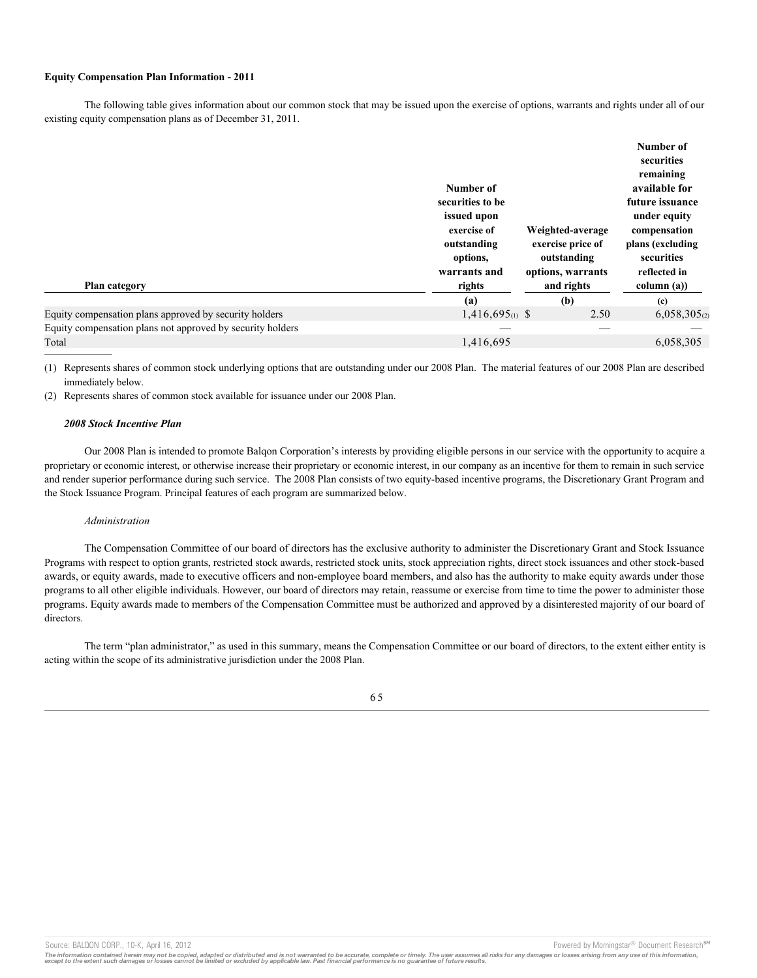### **Equity Compensation Plan Information - 2011**

The following table gives information about our common stock that may be issued upon the exercise of options, warrants and rights under all of our existing equity compensation plans as of December 31, 2011.

| Plan category                                              | Number of<br>securities to be<br>issued upon<br>exercise of<br>outstanding<br>options,<br>warrants and<br>rights<br>(a) | Weighted-average<br>exercise price of<br>outstanding<br>options, warrants<br>and rights<br>(b) | Number of<br>securities<br>remaining<br>available for<br>future issuance<br>under equity<br>compensation<br>plans (excluding<br>securities<br>reflected in<br>column (a))<br>(c) |
|------------------------------------------------------------|-------------------------------------------------------------------------------------------------------------------------|------------------------------------------------------------------------------------------------|----------------------------------------------------------------------------------------------------------------------------------------------------------------------------------|
|                                                            |                                                                                                                         |                                                                                                |                                                                                                                                                                                  |
| Equity compensation plans approved by security holders     | $1,416,695(1)$ \$                                                                                                       | 2.50                                                                                           | $6,058,305_{(2)}$                                                                                                                                                                |
| Equity compensation plans not approved by security holders |                                                                                                                         |                                                                                                |                                                                                                                                                                                  |
| Total                                                      | 1,416,695                                                                                                               |                                                                                                | 6,058,305                                                                                                                                                                        |
|                                                            |                                                                                                                         |                                                                                                |                                                                                                                                                                                  |

(1) Represents shares of common stock underlying options that are outstanding under our 2008 Plan. The material features of our 2008 Plan are described immediately below.

(2) Represents shares of common stock available for issuance under our 2008 Plan.

#### *2008 Stock Incentive Plan*

Our 2008 Plan is intended to promote Balqon Corporation's interests by providing eligible persons in our service with the opportunity to acquire a proprietary or economic interest, or otherwise increase their proprietary or economic interest, in our company as an incentive for them to remain in such service and render superior performance during such service. The 2008 Plan consists of two equity-based incentive programs, the Discretionary Grant Program and the Stock Issuance Program. Principal features of each program are summarized below.

### *Administration*

The Compensation Committee of our board of directors has the exclusive authority to administer the Discretionary Grant and Stock Issuance Programs with respect to option grants, restricted stock awards, restricted stock units, stock appreciation rights, direct stock issuances and other stock-based awards, or equity awards, made to executive officers and non-employee board members, and also has the authority to make equity awards under those programs to all other eligible individuals. However, our board of directors may retain, reassume or exercise from time to time the power to administer those programs. Equity awards made to members of the Compensation Committee must be authorized and approved by a disinterested majority of our board of directors.

The term "plan administrator," as used in this summary, means the Compensation Committee or our board of directors, to the extent either entity is acting within the scope of its administrative jurisdiction under the 2008 Plan.



Source: BALQON CORP., 10-K, April 16, 2012 **Powered by Morningstar® Document Research** structure is a structure of the second structure of the second structure of the second structure of the second structure is a structure

The information contained herein may not be copied, adapted or distributed and is not warranted to be accurate, complete or timely. The user assumes all risks for any damages or losses arising from any use of this informat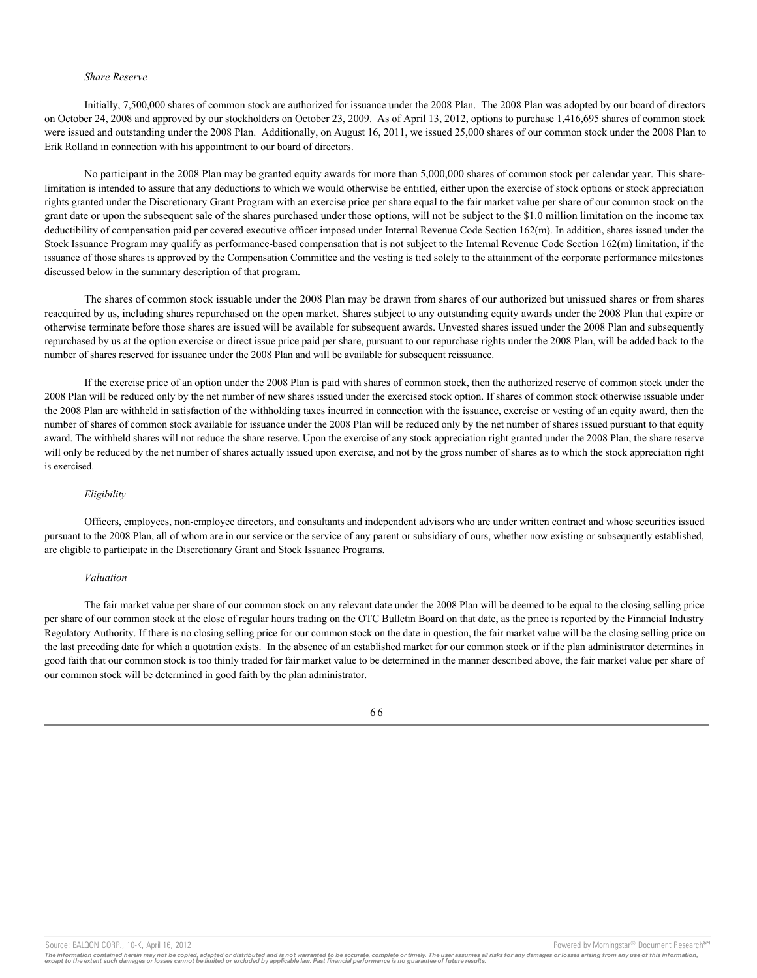#### *Share Reserve*

Initially, 7,500,000 shares of common stock are authorized for issuance under the 2008 Plan. The 2008 Plan was adopted by our board of directors on October 24, 2008 and approved by our stockholders on October 23, 2009. As of April 13, 2012, options to purchase 1,416,695 shares of common stock were issued and outstanding under the 2008 Plan. Additionally, on August 16, 2011, we issued 25,000 shares of our common stock under the 2008 Plan to Erik Rolland in connection with his appointment to our board of directors.

No participant in the 2008 Plan may be granted equity awards for more than 5,000,000 shares of common stock per calendar year. This sharelimitation is intended to assure that any deductions to which we would otherwise be entitled, either upon the exercise of stock options or stock appreciation rights granted under the Discretionary Grant Program with an exercise price per share equal to the fair market value per share of our common stock on the grant date or upon the subsequent sale of the shares purchased under those options, will not be subject to the \$1.0 million limitation on the income tax deductibility of compensation paid per covered executive officer imposed under Internal Revenue Code Section 162(m). In addition, shares issued under the Stock Issuance Program may qualify as performance-based compensation that is not subject to the Internal Revenue Code Section 162(m) limitation, if the issuance of those shares is approved by the Compensation Committee and the vesting is tied solely to the attainment of the corporate performance milestones discussed below in the summary description of that program.

The shares of common stock issuable under the 2008 Plan may be drawn from shares of our authorized but unissued shares or from shares reacquired by us, including shares repurchased on the open market. Shares subject to any outstanding equity awards under the 2008 Plan that expire or otherwise terminate before those shares are issued will be available for subsequent awards. Unvested shares issued under the 2008 Plan and subsequently repurchased by us at the option exercise or direct issue price paid per share, pursuant to our repurchase rights under the 2008 Plan, will be added back to the number of shares reserved for issuance under the 2008 Plan and will be available for subsequent reissuance.

If the exercise price of an option under the 2008 Plan is paid with shares of common stock, then the authorized reserve of common stock under the 2008 Plan will be reduced only by the net number of new shares issued under the exercised stock option. If shares of common stock otherwise issuable under the 2008 Plan are withheld in satisfaction of the withholding taxes incurred in connection with the issuance, exercise or vesting of an equity award, then the number of shares of common stock available for issuance under the 2008 Plan will be reduced only by the net number of shares issued pursuant to that equity award. The withheld shares will not reduce the share reserve. Upon the exercise of any stock appreciation right granted under the 2008 Plan, the share reserve will only be reduced by the net number of shares actually issued upon exercise, and not by the gross number of shares as to which the stock appreciation right is exercised.

#### *Eligibility*

Officers, employees, non-employee directors, and consultants and independent advisors who are under written contract and whose securities issued pursuant to the 2008 Plan, all of whom are in our service or the service of any parent or subsidiary of ours, whether now existing or subsequently established, are eligible to participate in the Discretionary Grant and Stock Issuance Programs.

## *Valuation*

The fair market value per share of our common stock on any relevant date under the 2008 Plan will be deemed to be equal to the closing selling price per share of our common stock at the close of regular hours trading on the OTC Bulletin Board on that date, as the price is reported by the Financial Industry Regulatory Authority. If there is no closing selling price for our common stock on the date in question, the fair market value will be the closing selling price on the last preceding date for which a quotation exists. In the absence of an established market for our common stock or if the plan administrator determines in good faith that our common stock is too thinly traded for fair market value to be determined in the manner described above, the fair market value per share of our common stock will be determined in good faith by the plan administrator.

## 6 6

Source: BALQON CORP., 10-K, April 16, 2012 **Provided by April 16, 2012** Powered by Morningstar® Document Research <sup>sw</sup>

The information contained herein may not be copied, adapted or distributed and is not warranted to be accurate, complete or timely. The user assumes all risks for any damages or losses arising from any use of this informat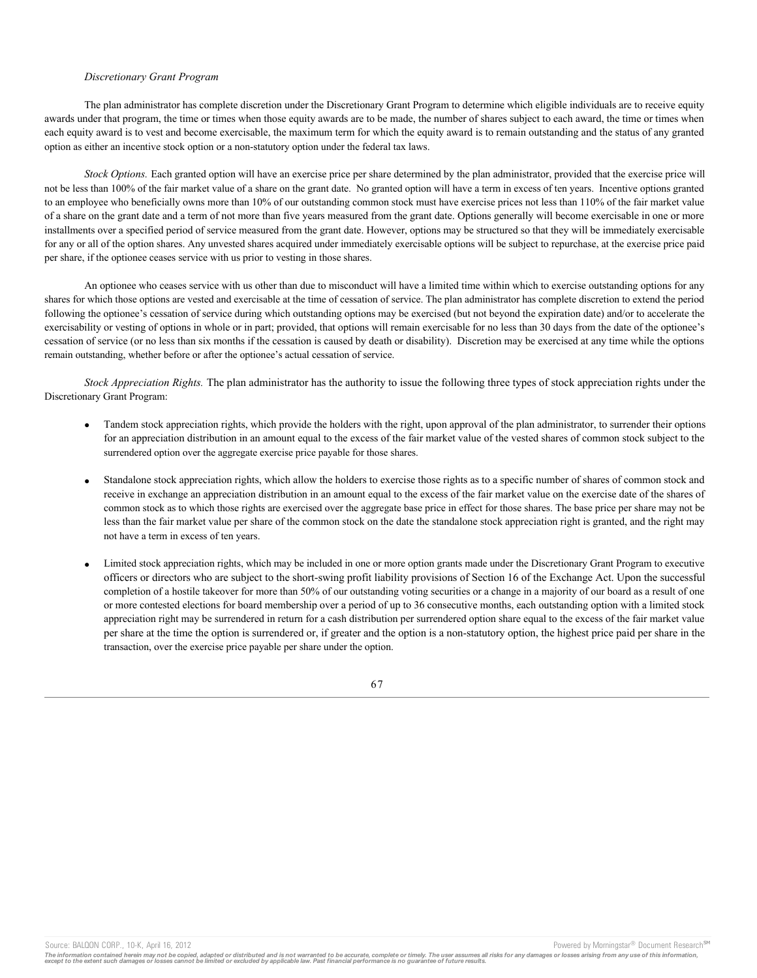### *Discretionary Grant Program*

The plan administrator has complete discretion under the Discretionary Grant Program to determine which eligible individuals are to receive equity awards under that program, the time or times when those equity awards are to be made, the number of shares subject to each award, the time or times when each equity award is to vest and become exercisable, the maximum term for which the equity award is to remain outstanding and the status of any granted option as either an incentive stock option or a non-statutory option under the federal tax laws.

*Stock Options.* Each granted option will have an exercise price per share determined by the plan administrator, provided that the exercise price will not be less than 100% of the fair market value of a share on the grant date. No granted option will have a term in excess of ten years. Incentive options granted to an employee who beneficially owns more than 10% of our outstanding common stock must have exercise prices not less than 110% of the fair market value of a share on the grant date and a term of not more than five years measured from the grant date. Options generally will become exercisable in one or more installments over a specified period of service measured from the grant date. However, options may be structured so that they will be immediately exercisable for any or all of the option shares. Any unvested shares acquired under immediately exercisable options will be subject to repurchase, at the exercise price paid per share, if the optionee ceases service with us prior to vesting in those shares.

An optionee who ceases service with us other than due to misconduct will have a limited time within which to exercise outstanding options for any shares for which those options are vested and exercisable at the time of cessation of service. The plan administrator has complete discretion to extend the period following the optionee's cessation of service during which outstanding options may be exercised (but not beyond the expiration date) and/or to accelerate the exercisability or vesting of options in whole or in part; provided, that options will remain exercisable for no less than 30 days from the date of the optionee's cessation of service (or no less than six months if the cessation is caused by death or disability). Discretion may be exercised at any time while the options remain outstanding, whether before or after the optionee's actual cessation of service.

*Stock Appreciation Rights.* The plan administrator has the authority to issue the following three types of stock appreciation rights under the Discretionary Grant Program:

- Tandem stock appreciation rights, which provide the holders with the right, upon approval of the plan administrator, to surrender their options for an appreciation distribution in an amount equal to the excess of the fair market value of the vested shares of common stock subject to the surrendered option over the aggregate exercise price payable for those shares.
- · Standalone stock appreciation rights, which allow the holders to exercise those rights as to a specific number of shares of common stock and receive in exchange an appreciation distribution in an amount equal to the excess of the fair market value on the exercise date of the shares of common stock as to which those rights are exercised over the aggregate base price in effect for those shares. The base price per share may not be less than the fair market value per share of the common stock on the date the standalone stock appreciation right is granted, and the right may not have a term in excess of ten years.
- Limited stock appreciation rights, which may be included in one or more option grants made under the Discretionary Grant Program to executive officers or directors who are subject to the short-swing profit liability provisions of Section 16 of the Exchange Act. Upon the successful completion of a hostile takeover for more than 50% of our outstanding voting securities or a change in a majority of our board as a result of one or more contested elections for board membership over a period of up to 36 consecutive months, each outstanding option with a limited stock appreciation right may be surrendered in return for a cash distribution per surrendered option share equal to the excess of the fair market value per share at the time the option is surrendered or, if greater and the option is a non-statutory option, the highest price paid per share in the transaction, over the exercise price payable per share under the option.



The information contained herein may not be copied, adapted or distributed and is not warranted to be accurate, complete or timely. The user assumes all risks for any damages or losses arising from any use of this informat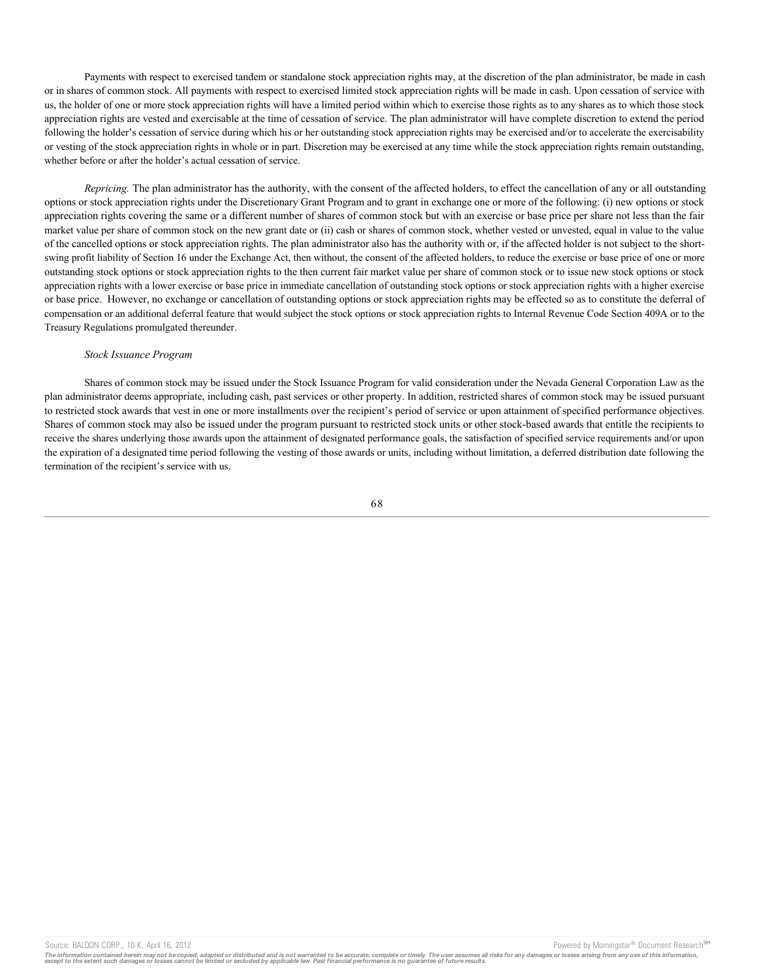Payments with respect to exercised tandem or standalone stock appreciation rights may, at the discretion of the plan administrator, be made in cash or in shares of common stock. All payments with respect to exercised limited stock appreciation rights will be made in cash. Upon cessation of service with us, the holder of one or more stock appreciation rights will have a limited period within which to exercise those rights as to any shares as to which those stock appreciation rights are vested and exercisable at the time of cessation of service. The plan administrator will have complete discretion to extend the period following the holder's cessation of service during which his or her outstanding stock appreciation rights may be exercised and/or to accelerate the exercisability or vesting of the stock appreciation rights in whole or in part. Discretion may be exercised at any time while the stock appreciation rights remain outstanding, whether before or after the holder's actual cessation of service.

*Repricing*. The plan administrator has the authority, with the consent of the affected holders, to effect the cancellation of any or all outstanding options or stock appreciation rights under the Discretionary Grant Program and to grant in exchange one or more of the following: (i) new options or stock appreciation rights covering the same or a different number of shares of common stock but with an exercise or base price per share not less than the fair market value per share of common stock on the new grant date or (ii) cash or shares of common stock, whether vested or unvested, equal in value to the value of the cancelled options or stock appreciation rights. The plan administrator also has the authority with or, if the affected holder is not subject to the shortswing profit liability of Section 16 under the Exchange Act, then without, the consent of the affected holders, to reduce the exercise or base price of one or more outstanding stock options or stock appreciation rights to the then current fair market value per share of common stock or to issue new stock options or stock appreciation rights with a lower exercise or base price in immediate cancellation of outstanding stock options or stock appreciation rights with a higher exercise or base price. However, no exchange or cancellation of outstanding options or stock appreciation rights may be effected so as to constitute the deferral of compensation or an additional deferral feature that would subject the stock options or stock appreciation rights to Internal Revenue Code Section 409A or to the Treasury Regulations promulgated thereunder.

### *Stock Issuance Program*

Shares of common stock may be issued under the Stock Issuance Program for valid consideration under the Nevada General Corporation Law as the plan administrator deems appropriate, including cash, past services or other property. In addition, restricted shares of common stock may be issued pursuant to restricted stock awards that vest in one or more installments over the recipient's period of service or upon attainment of specified performance objectives. Shares of common stock may also be issued under the program pursuant to restricted stock units or other stock-based awards that entitle the recipients to receive the shares underlying those awards upon the attainment of designated performance goals, the satisfaction of specified service requirements and/or upon the expiration of a designated time period following the vesting of those awards or units, including without limitation, a deferred distribution date following the termination of the recipient's service with us.

Source: BALQON CORP., 10-K, April 16, 2012 **Powered by Morningstar® Document Research** in Powered by Morningstar® Document Research in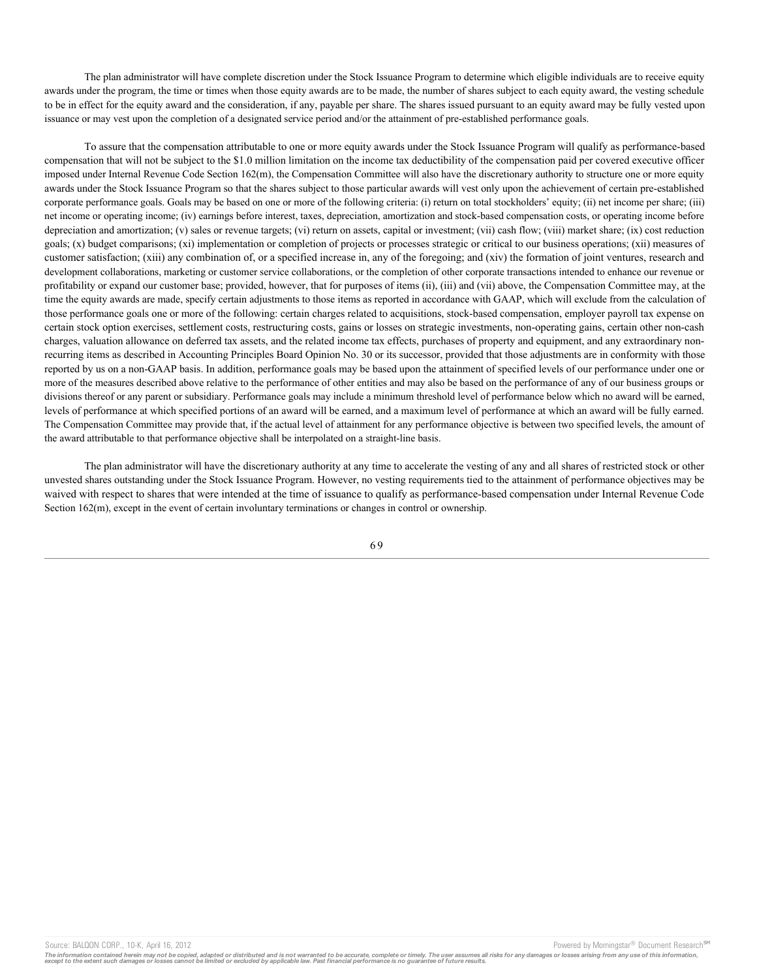The plan administrator will have complete discretion under the Stock Issuance Program to determine which eligible individuals are to receive equity awards under the program, the time or times when those equity awards are to be made, the number of shares subject to each equity award, the vesting schedule to be in effect for the equity award and the consideration, if any, payable per share. The shares issued pursuant to an equity award may be fully vested upon issuance or may vest upon the completion of a designated service period and/or the attainment of pre-established performance goals.

To assure that the compensation attributable to one or more equity awards under the Stock Issuance Program will qualify as performance-based compensation that will not be subject to the \$1.0 million limitation on the income tax deductibility of the compensation paid per covered executive officer imposed under Internal Revenue Code Section 162(m), the Compensation Committee will also have the discretionary authority to structure one or more equity awards under the Stock Issuance Program so that the shares subject to those particular awards will vest only upon the achievement of certain pre-established corporate performance goals. Goals may be based on one or more of the following criteria: (i) return on total stockholders' equity; (ii) net income per share; (iii) net income or operating income; (iv) earnings before interest, taxes, depreciation, amortization and stock-based compensation costs, or operating income before depreciation and amortization; (v) sales or revenue targets; (vi) return on assets, capital or investment; (vii) cash flow; (viii) market share; (ix) cost reduction goals; (x) budget comparisons; (xi) implementation or completion of projects or processes strategic or critical to our business operations; (xii) measures of customer satisfaction; (xiii) any combination of, or a specified increase in, any of the foregoing; and (xiv) the formation of joint ventures, research and development collaborations, marketing or customer service collaborations, or the completion of other corporate transactions intended to enhance our revenue or profitability or expand our customer base; provided, however, that for purposes of items (ii), (iii) and (vii) above, the Compensation Committee may, at the time the equity awards are made, specify certain adjustments to those items as reported in accordance with GAAP, which will exclude from the calculation of those performance goals one or more of the following: certain charges related to acquisitions, stock-based compensation, employer payroll tax expense on certain stock option exercises, settlement costs, restructuring costs, gains or losses on strategic investments, non-operating gains, certain other non-cash charges, valuation allowance on deferred tax assets, and the related income tax effects, purchases of property and equipment, and any extraordinary nonrecurring items as described in Accounting Principles Board Opinion No. 30 or its successor, provided that those adjustments are in conformity with those reported by us on a non-GAAP basis. In addition, performance goals may be based upon the attainment of specified levels of our performance under one or more of the measures described above relative to the performance of other entities and may also be based on the performance of any of our business groups or divisions thereof or any parent or subsidiary. Performance goals may include a minimum threshold level of performance below which no award will be earned, levels of performance at which specified portions of an award will be earned, and a maximum level of performance at which an award will be fully earned. The Compensation Committee may provide that, if the actual level of attainment for any performance objective is between two specified levels, the amount of the award attributable to that performance objective shall be interpolated on a straight-line basis.

The plan administrator will have the discretionary authority at any time to accelerate the vesting of any and all shares of restricted stock or other unvested shares outstanding under the Stock Issuance Program. However, no vesting requirements tied to the attainment of performance objectives may be waived with respect to shares that were intended at the time of issuance to qualify as performance-based compensation under Internal Revenue Code Section 162(m), except in the event of certain involuntary terminations or changes in control or ownership.

6 9

The information contained herein may not be copied, adapted or distributed and is not warranted to be accurate, complete or timely. The user assumes all risks for any damages or losses arising from any use of this informat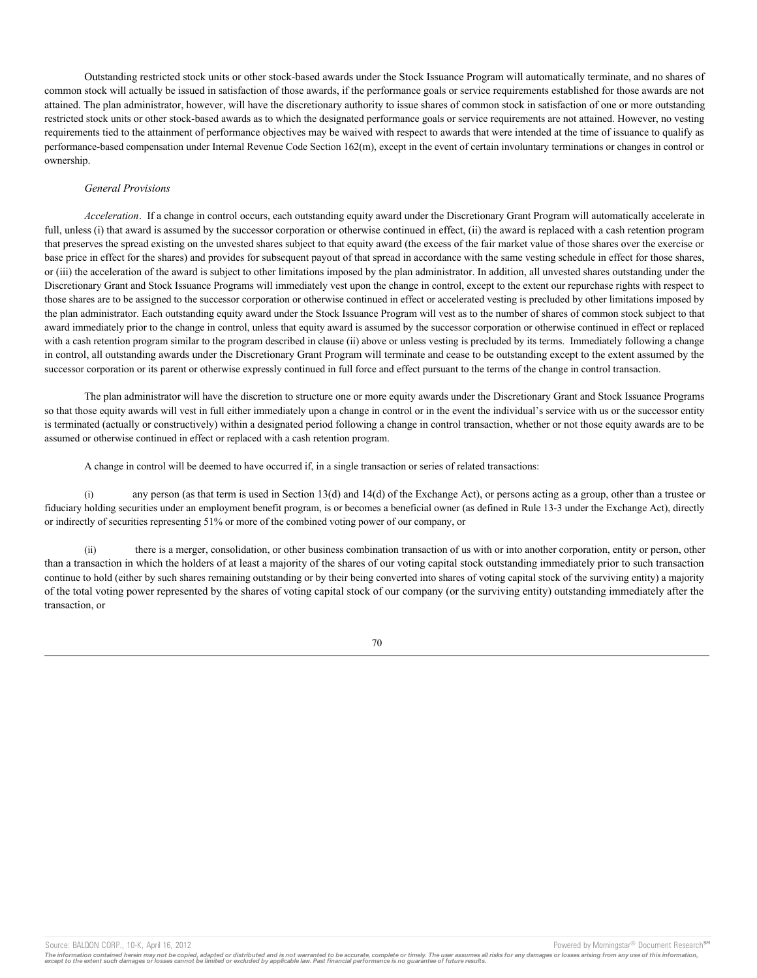Outstanding restricted stock units or other stock-based awards under the Stock Issuance Program will automatically terminate, and no shares of common stock will actually be issued in satisfaction of those awards, if the performance goals or service requirements established for those awards are not attained. The plan administrator, however, will have the discretionary authority to issue shares of common stock in satisfaction of one or more outstanding restricted stock units or other stock-based awards as to which the designated performance goals or service requirements are not attained. However, no vesting requirements tied to the attainment of performance objectives may be waived with respect to awards that were intended at the time of issuance to qualify as performance-based compensation under Internal Revenue Code Section 162(m), except in the event of certain involuntary terminations or changes in control or ownership.

#### *General Provisions*

*Acceleration*. If a change in control occurs, each outstanding equity award under the Discretionary Grant Program will automatically accelerate in full, unless (i) that award is assumed by the successor corporation or otherwise continued in effect, (ii) the award is replaced with a cash retention program that preserves the spread existing on the unvested shares subject to that equity award (the excess of the fair market value of those shares over the exercise or base price in effect for the shares) and provides for subsequent payout of that spread in accordance with the same vesting schedule in effect for those shares, or (iii) the acceleration of the award is subject to other limitations imposed by the plan administrator. In addition, all unvested shares outstanding under the Discretionary Grant and Stock Issuance Programs will immediately vest upon the change in control, except to the extent our repurchase rights with respect to those shares are to be assigned to the successor corporation or otherwise continued in effect or accelerated vesting is precluded by other limitations imposed by the plan administrator. Each outstanding equity award under the Stock Issuance Program will vest as to the number of shares of common stock subject to that award immediately prior to the change in control, unless that equity award is assumed by the successor corporation or otherwise continued in effect or replaced with a cash retention program similar to the program described in clause (ii) above or unless vesting is precluded by its terms. Immediately following a change in control, all outstanding awards under the Discretionary Grant Program will terminate and cease to be outstanding except to the extent assumed by the successor corporation or its parent or otherwise expressly continued in full force and effect pursuant to the terms of the change in control transaction.

The plan administrator will have the discretion to structure one or more equity awards under the Discretionary Grant and Stock Issuance Programs so that those equity awards will vest in full either immediately upon a change in control or in the event the individual's service with us or the successor entity is terminated (actually or constructively) within a designated period following a change in control transaction, whether or not those equity awards are to be assumed or otherwise continued in effect or replaced with a cash retention program.

A change in control will be deemed to have occurred if, in a single transaction or series of related transactions:

(i) any person (as that term is used in Section 13(d) and 14(d) of the Exchange Act), or persons acting as a group, other than a trustee or fiduciary holding securities under an employment benefit program, is or becomes a beneficial owner (as defined in Rule 13-3 under the Exchange Act), directly or indirectly of securities representing 51% or more of the combined voting power of our company, or

(ii) there is a merger, consolidation, or other business combination transaction of us with or into another corporation, entity or person, other than a transaction in which the holders of at least a majority of the shares of our voting capital stock outstanding immediately prior to such transaction continue to hold (either by such shares remaining outstanding or by their being converted into shares of voting capital stock of the surviving entity) a majority of the total voting power represented by the shares of voting capital stock of our company (or the surviving entity) outstanding immediately after the transaction, or

70

Source: BALQON CORP., 10-K, April 16, 2012 **Powered by Morningstar® Document Research** in Powered by Morningstar® Document Research in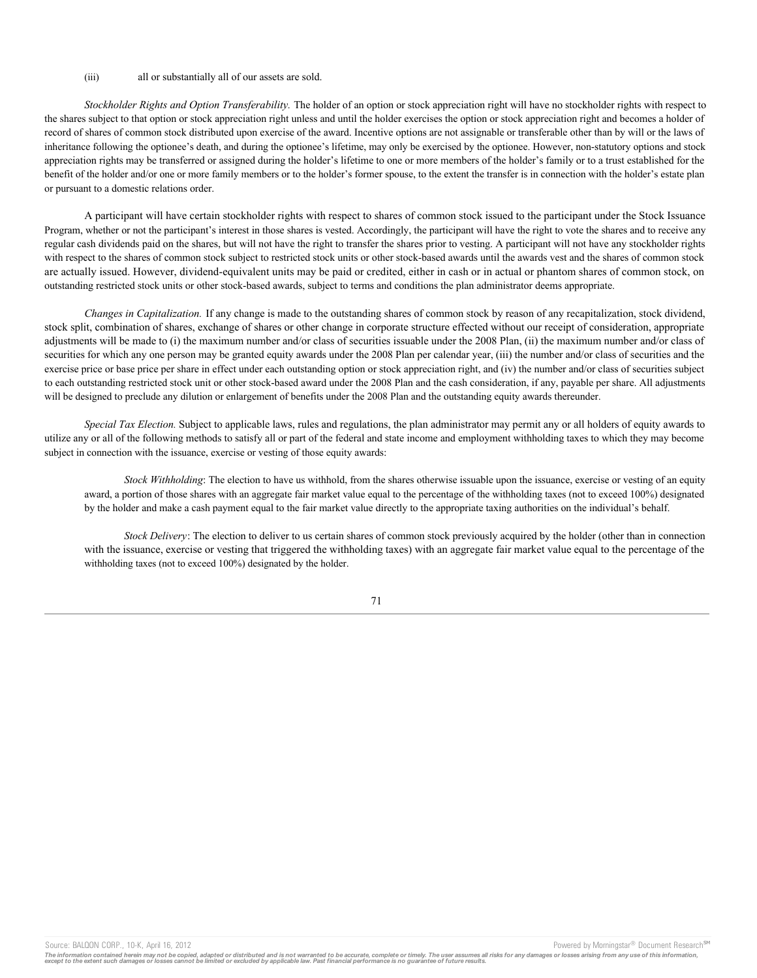### (iii) all or substantially all of our assets are sold.

*Stockholder Rights and Option Transferability.* The holder of an option or stock appreciation right will have no stockholder rights with respect to the shares subject to that option or stock appreciation right unless and until the holder exercises the option or stock appreciation right and becomes a holder of record of shares of common stock distributed upon exercise of the award. Incentive options are not assignable or transferable other than by will or the laws of inheritance following the optionee's death, and during the optionee's lifetime, may only be exercised by the optionee. However, non-statutory options and stock appreciation rights may be transferred or assigned during the holder's lifetime to one or more members of the holder's family or to a trust established for the benefit of the holder and/or one or more family members or to the holder's former spouse, to the extent the transfer is in connection with the holder's estate plan or pursuant to a domestic relations order.

A participant will have certain stockholder rights with respect to shares of common stock issued to the participant under the Stock Issuance Program, whether or not the participant's interest in those shares is vested. Accordingly, the participant will have the right to vote the shares and to receive any regular cash dividends paid on the shares, but will not have the right to transfer the shares prior to vesting. A participant will not have any stockholder rights with respect to the shares of common stock subject to restricted stock units or other stock-based awards until the awards vest and the shares of common stock are actually issued. However, dividend-equivalent units may be paid or credited, either in cash or in actual or phantom shares of common stock, on outstanding restricted stock units or other stock-based awards, subject to terms and conditions the plan administrator deems appropriate.

*Changes in Capitalization.* If any change is made to the outstanding shares of common stock by reason of any recapitalization, stock dividend, stock split, combination of shares, exchange of shares or other change in corporate structure effected without our receipt of consideration, appropriate adjustments will be made to (i) the maximum number and/or class of securities issuable under the 2008 Plan, (ii) the maximum number and/or class of securities for which any one person may be granted equity awards under the 2008 Plan per calendar year, (iii) the number and/or class of securities and the exercise price or base price per share in effect under each outstanding option or stock appreciation right, and (iv) the number and/or class of securities subject to each outstanding restricted stock unit or other stock-based award under the 2008 Plan and the cash consideration, if any, payable per share. All adjustments will be designed to preclude any dilution or enlargement of benefits under the 2008 Plan and the outstanding equity awards thereunder.

*Special Tax Election.* Subject to applicable laws, rules and regulations, the plan administrator may permit any or all holders of equity awards to utilize any or all of the following methods to satisfy all or part of the federal and state income and employment withholding taxes to which they may become subject in connection with the issuance, exercise or vesting of those equity awards:

*Stock Withholding*: The election to have us withhold, from the shares otherwise issuable upon the issuance, exercise or vesting of an equity award, a portion of those shares with an aggregate fair market value equal to the percentage of the withholding taxes (not to exceed 100%) designated by the holder and make a cash payment equal to the fair market value directly to the appropriate taxing authorities on the individual's behalf.

*Stock Delivery*: The election to deliver to us certain shares of common stock previously acquired by the holder (other than in connection with the issuance, exercise or vesting that triggered the withholding taxes) with an aggregate fair market value equal to the percentage of the withholding taxes (not to exceed 100%) designated by the holder.

# 71

Source: BALQON CORP., 10-K, April 16, 2012 **Powered by Morningstar® Document Research** in the second metal of the second metal products and the second metal products are provided by Morningstar® Document Research in the se

The information contained herein may not be copied, adapted or distributed and is not warranted to be accurate, complete or timely. The user assumes all risks for any damages or losses arising from any use of this informat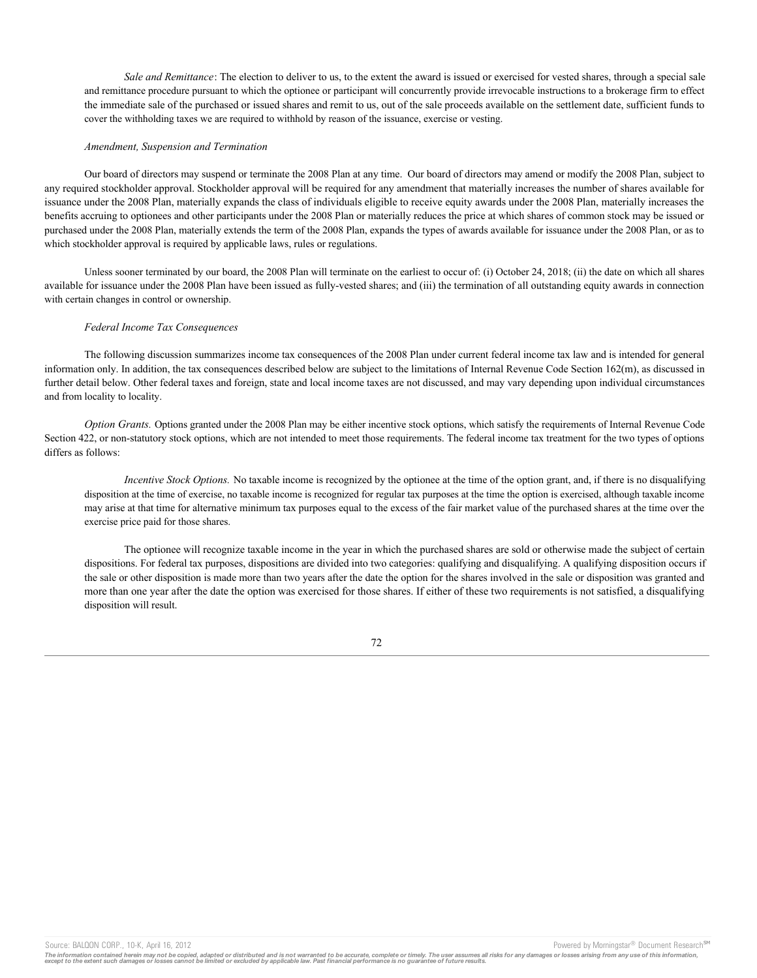*Sale and Remittance*: The election to deliver to us, to the extent the award is issued or exercised for vested shares, through a special sale and remittance procedure pursuant to which the optionee or participant will concurrently provide irrevocable instructions to a brokerage firm to effect the immediate sale of the purchased or issued shares and remit to us, out of the sale proceeds available on the settlement date, sufficient funds to cover the withholding taxes we are required to withhold by reason of the issuance, exercise or vesting.

#### *Amendment, Suspension and Termination*

Our board of directors may suspend or terminate the 2008 Plan at any time. Our board of directors may amend or modify the 2008 Plan, subject to any required stockholder approval. Stockholder approval will be required for any amendment that materially increases the number of shares available for issuance under the 2008 Plan, materially expands the class of individuals eligible to receive equity awards under the 2008 Plan, materially increases the benefits accruing to optionees and other participants under the 2008 Plan or materially reduces the price at which shares of common stock may be issued or purchased under the 2008 Plan, materially extends the term of the 2008 Plan, expands the types of awards available for issuance under the 2008 Plan, or as to which stockholder approval is required by applicable laws, rules or regulations.

Unless sooner terminated by our board, the 2008 Plan will terminate on the earliest to occur of: (i) October 24, 2018; (ii) the date on which all shares available for issuance under the 2008 Plan have been issued as fully-vested shares; and (iii) the termination of all outstanding equity awards in connection with certain changes in control or ownership.

## *Federal Income Tax Consequences*

The following discussion summarizes income tax consequences of the 2008 Plan under current federal income tax law and is intended for general information only. In addition, the tax consequences described below are subject to the limitations of Internal Revenue Code Section  $162(m)$ , as discussed in further detail below. Other federal taxes and foreign, state and local income taxes are not discussed, and may vary depending upon individual circumstances and from locality to locality.

*Option Grants.* Options granted under the 2008 Plan may be either incentive stock options, which satisfy the requirements of Internal Revenue Code Section 422, or non-statutory stock options, which are not intended to meet those requirements. The federal income tax treatment for the two types of options differs as follows:

*Incentive Stock Options.* No taxable income is recognized by the optionee at the time of the option grant, and, if there is no disqualifying disposition at the time of exercise, no taxable income is recognized for regular tax purposes at the time the option is exercised, although taxable income may arise at that time for alternative minimum tax purposes equal to the excess of the fair market value of the purchased shares at the time over the exercise price paid for those shares.

The optionee will recognize taxable income in the year in which the purchased shares are sold or otherwise made the subject of certain dispositions. For federal tax purposes, dispositions are divided into two categories: qualifying and disqualifying. A qualifying disposition occurs if the sale or other disposition is made more than two years after the date the option for the shares involved in the sale or disposition was granted and more than one year after the date the option was exercised for those shares. If either of these two requirements is not satisfied, a disqualifying disposition will result.



Source: BALQON CORP., 10-K, April 16, 2012 **Powered by Morningstar® Document Research** in Powered by Morningstar® Document Research in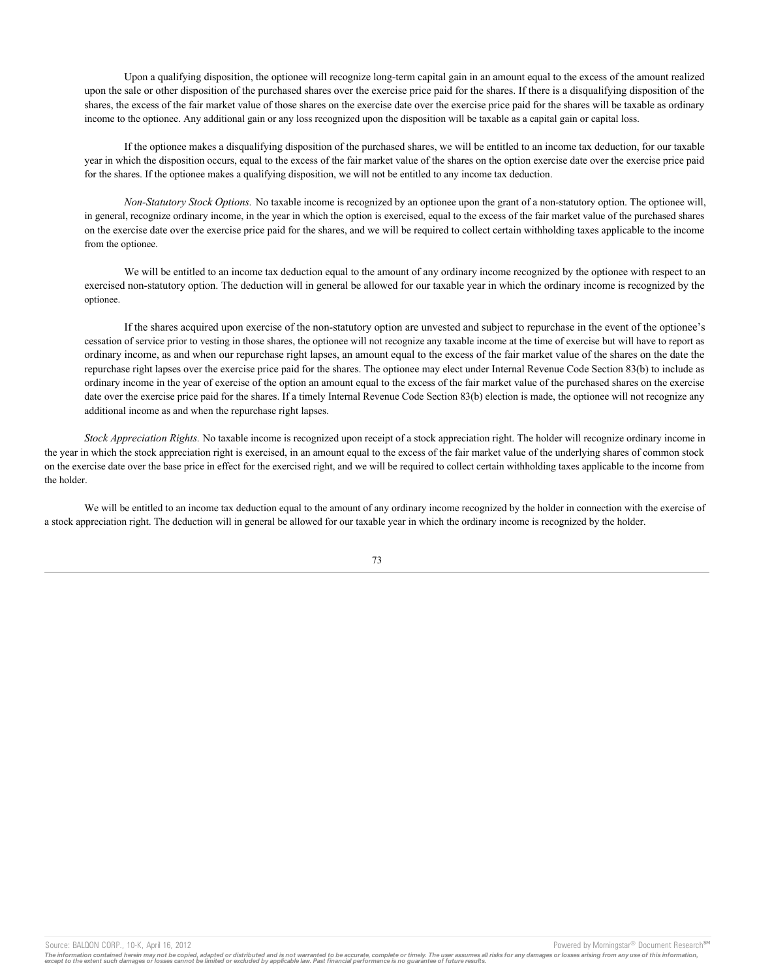Upon a qualifying disposition, the optionee will recognize long-term capital gain in an amount equal to the excess of the amount realized upon the sale or other disposition of the purchased shares over the exercise price paid for the shares. If there is a disqualifying disposition of the shares, the excess of the fair market value of those shares on the exercise date over the exercise price paid for the shares will be taxable as ordinary income to the optionee. Any additional gain or any loss recognized upon the disposition will be taxable as a capital gain or capital loss.

If the optionee makes a disqualifying disposition of the purchased shares, we will be entitled to an income tax deduction, for our taxable year in which the disposition occurs, equal to the excess of the fair market value of the shares on the option exercise date over the exercise price paid for the shares. If the optionee makes a qualifying disposition, we will not be entitled to any income tax deduction.

*Non-Statutory Stock Options.* No taxable income is recognized by an optionee upon the grant of a non-statutory option. The optionee will, in general, recognize ordinary income, in the year in which the option is exercised, equal to the excess of the fair market value of the purchased shares on the exercise date over the exercise price paid for the shares, and we will be required to collect certain withholding taxes applicable to the income from the optionee.

We will be entitled to an income tax deduction equal to the amount of any ordinary income recognized by the optionee with respect to an exercised non-statutory option. The deduction will in general be allowed for our taxable year in which the ordinary income is recognized by the optionee.

If the shares acquired upon exercise of the non-statutory option are unvested and subject to repurchase in the event of the optionee's cessation of service prior to vesting in those shares, the optionee will not recognize any taxable income at the time of exercise but will have to report as ordinary income, as and when our repurchase right lapses, an amount equal to the excess of the fair market value of the shares on the date the repurchase right lapses over the exercise price paid for the shares. The optionee may elect under Internal Revenue Code Section 83(b) to include as ordinary income in the year of exercise of the option an amount equal to the excess of the fair market value of the purchased shares on the exercise date over the exercise price paid for the shares. If a timely Internal Revenue Code Section 83(b) election is made, the optionee will not recognize any additional income as and when the repurchase right lapses.

*Stock Appreciation Rights.* No taxable income is recognized upon receipt of a stock appreciation right. The holder will recognize ordinary income in the year in which the stock appreciation right is exercised, in an amount equal to the excess of the fair market value of the underlying shares of common stock on the exercise date over the base price in effect for the exercised right, and we will be required to collect certain withholding taxes applicable to the income from the holder.

We will be entitled to an income tax deduction equal to the amount of any ordinary income recognized by the holder in connection with the exercise of a stock appreciation right. The deduction will in general be allowed for our taxable year in which the ordinary income is recognized by the holder.

73

Source: BALQON CORP., 10-K, April 16, 2012 **Powered by Morningstar® Document Research** in Powered by Morningstar® Document Research in

The information contained herein may not be copied, adapted or distributed and is not warranted to be accurate, complete or timely. The user assumes all risks for any damages or losses arising from any use of this informat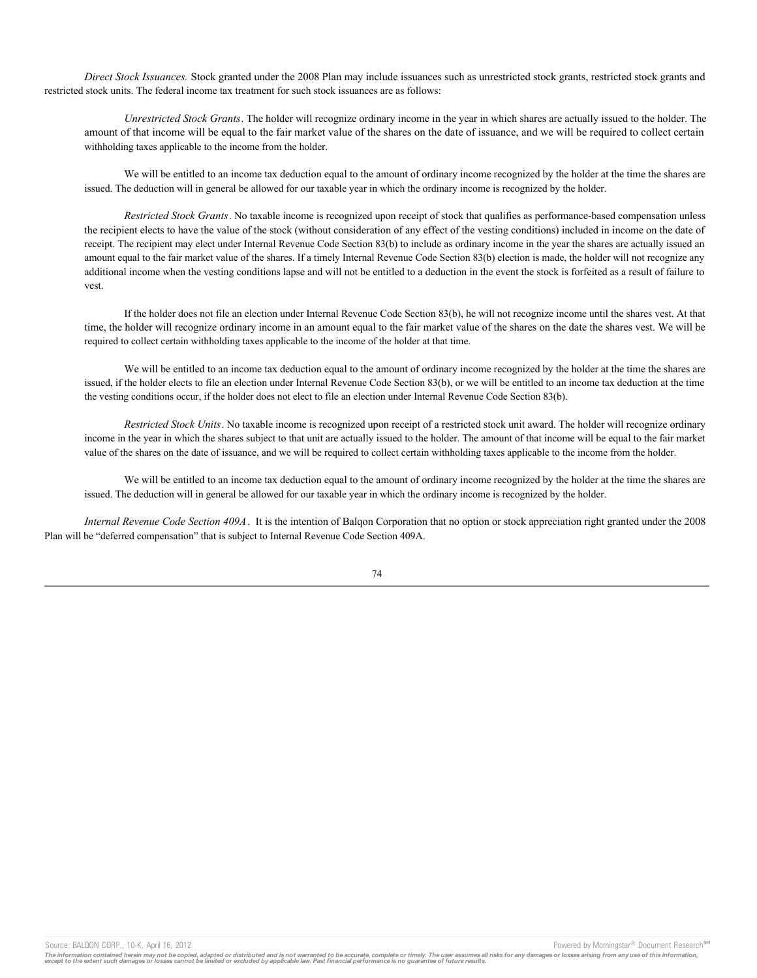*Direct Stock Issuances.* Stock granted under the 2008 Plan may include issuances such as unrestricted stock grants, restricted stock grants and restricted stock units. The federal income tax treatment for such stock issuances are as follows:

*Unrestricted Stock Grants*. The holder will recognize ordinary income in the year in which shares are actually issued to the holder. The amount of that income will be equal to the fair market value of the shares on the date of issuance, and we will be required to collect certain withholding taxes applicable to the income from the holder.

We will be entitled to an income tax deduction equal to the amount of ordinary income recognized by the holder at the time the shares are issued. The deduction will in general be allowed for our taxable year in which the ordinary income is recognized by the holder.

*Restricted Stock Grants*. No taxable income is recognized upon receipt of stock that qualifies as performance-based compensation unless the recipient elects to have the value of the stock (without consideration of any effect of the vesting conditions) included in income on the date of receipt. The recipient may elect under Internal Revenue Code Section 83(b) to include as ordinary income in the year the shares are actually issued an amount equal to the fair market value of the shares. If a timely Internal Revenue Code Section 83(b) election is made, the holder will not recognize any additional income when the vesting conditions lapse and will not be entitled to a deduction in the event the stock is forfeited as a result of failure to vest.

If the holder does not file an election under Internal Revenue Code Section 83(b), he will not recognize income until the shares vest. At that time, the holder will recognize ordinary income in an amount equal to the fair market value of the shares on the date the shares vest. We will be required to collect certain withholding taxes applicable to the income of the holder at that time.

We will be entitled to an income tax deduction equal to the amount of ordinary income recognized by the holder at the time the shares are issued, if the holder elects to file an election under Internal Revenue Code Section 83(b), or we will be entitled to an income tax deduction at the time the vesting conditions occur, if the holder does not elect to file an election under Internal Revenue Code Section 83(b).

*Restricted Stock Units*. No taxable income is recognized upon receipt of a restricted stock unit award. The holder will recognize ordinary income in the year in which the shares subject to that unit are actually issued to the holder. The amount of that income will be equal to the fair market value of the shares on the date of issuance, and we will be required to collect certain withholding taxes applicable to the income from the holder.

We will be entitled to an income tax deduction equal to the amount of ordinary income recognized by the holder at the time the shares are issued. The deduction will in general be allowed for our taxable year in which the ordinary income is recognized by the holder.

*Internal Revenue Code Section 409A*. It is the intention of Balqon Corporation that no option or stock appreciation right granted under the 2008 Plan will be "deferred compensation" that is subject to Internal Revenue Code Section 409A.

74

Source: BALQON CORP., 10-K, April 16, 2012 **Powered by Morningstar® Document Research** in the second metal of the second metal products and the second metal products are provided by Morningstar® Document Research in the se

The information contained herein may not be copied, adapted or distributed and is not warranted to be accurate, complete or timely. The user assumes all risks for any damages or losses arising from any use of this informat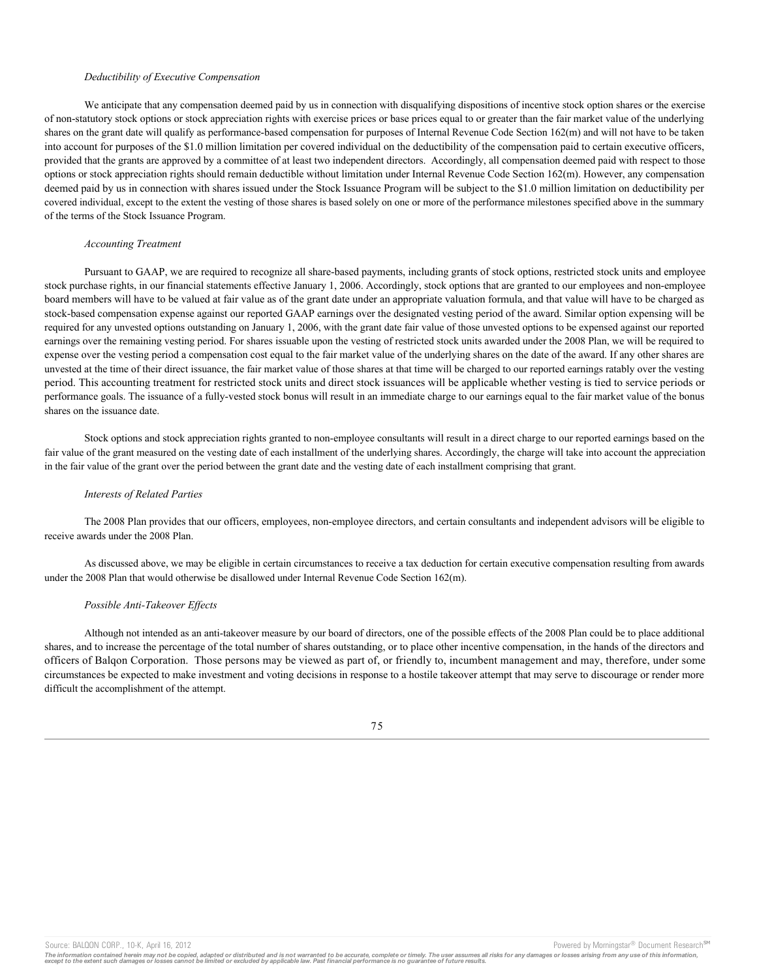#### *Deductibility of Executive Compensation*

We anticipate that any compensation deemed paid by us in connection with disqualifying dispositions of incentive stock option shares or the exercise of non-statutory stock options or stock appreciation rights with exercise prices or base prices equal to or greater than the fair market value of the underlying shares on the grant date will qualify as performance-based compensation for purposes of Internal Revenue Code Section 162(m) and will not have to be taken into account for purposes of the \$1.0 million limitation per covered individual on the deductibility of the compensation paid to certain executive officers, provided that the grants are approved by a committee of at least two independent directors. Accordingly, all compensation deemed paid with respect to those options or stock appreciation rights should remain deductible without limitation under Internal Revenue Code Section 162(m). However, any compensation deemed paid by us in connection with shares issued under the Stock Issuance Program will be subject to the \$1.0 million limitation on deductibility per covered individual, except to the extent the vesting of those shares is based solely on one or more of the performance milestones specified above in the summary of the terms of the Stock Issuance Program.

#### *Accounting Treatment*

Pursuant to GAAP, we are required to recognize all share-based payments, including grants of stock options, restricted stock units and employee stock purchase rights, in our financial statements effective January 1, 2006. Accordingly, stock options that are granted to our employees and non-employee board members will have to be valued at fair value as of the grant date under an appropriate valuation formula, and that value will have to be charged as stock-based compensation expense against our reported GAAP earnings over the designated vesting period of the award. Similar option expensing will be required for any unvested options outstanding on January 1, 2006, with the grant date fair value of those unvested options to be expensed against our reported earnings over the remaining vesting period. For shares issuable upon the vesting of restricted stock units awarded under the 2008 Plan, we will be required to expense over the vesting period a compensation cost equal to the fair market value of the underlying shares on the date of the award. If any other shares are unvested at the time of their direct issuance, the fair market value of those shares at that time will be charged to our reported earnings ratably over the vesting period. This accounting treatment for restricted stock units and direct stock issuances will be applicable whether vesting is tied to service periods or performance goals. The issuance of a fully-vested stock bonus will result in an immediate charge to our earnings equal to the fair market value of the bonus shares on the issuance date.

Stock options and stock appreciation rights granted to non-employee consultants will result in a direct charge to our reported earnings based on the fair value of the grant measured on the vesting date of each installment of the underlying shares. Accordingly, the charge will take into account the appreciation in the fair value of the grant over the period between the grant date and the vesting date of each installment comprising that grant.

#### *Interests of Related Parties*

The 2008 Plan provides that our officers, employees, non-employee directors, and certain consultants and independent advisors will be eligible to receive awards under the 2008 Plan.

As discussed above, we may be eligible in certain circumstances to receive a tax deduction for certain executive compensation resulting from awards under the 2008 Plan that would otherwise be disallowed under Internal Revenue Code Section 162(m).

### *Possible Anti-Takeover Effects*

Although not intended as an anti-takeover measure by our board of directors, one of the possible effects of the 2008 Plan could be to place additional shares, and to increase the percentage of the total number of shares outstanding, or to place other incentive compensation, in the hands of the directors and officers of Balqon Corporation. Those persons may be viewed as part of, or friendly to, incumbent management and may, therefore, under some circumstances be expected to make investment and voting decisions in response to a hostile takeover attempt that may serve to discourage or render more difficult the accomplishment of the attempt.

#### 75

Source: BALQON CORP., 10-K, April 16, 2012 **Powered by Morningstar® Document Research** in Powered by Morningstar® Document Research in

The information contained herein may not be copied, adapted or distributed and is not warranted to be accurate, complete or timely. The user assumes all risks for any damages or losses arising from any use of this informat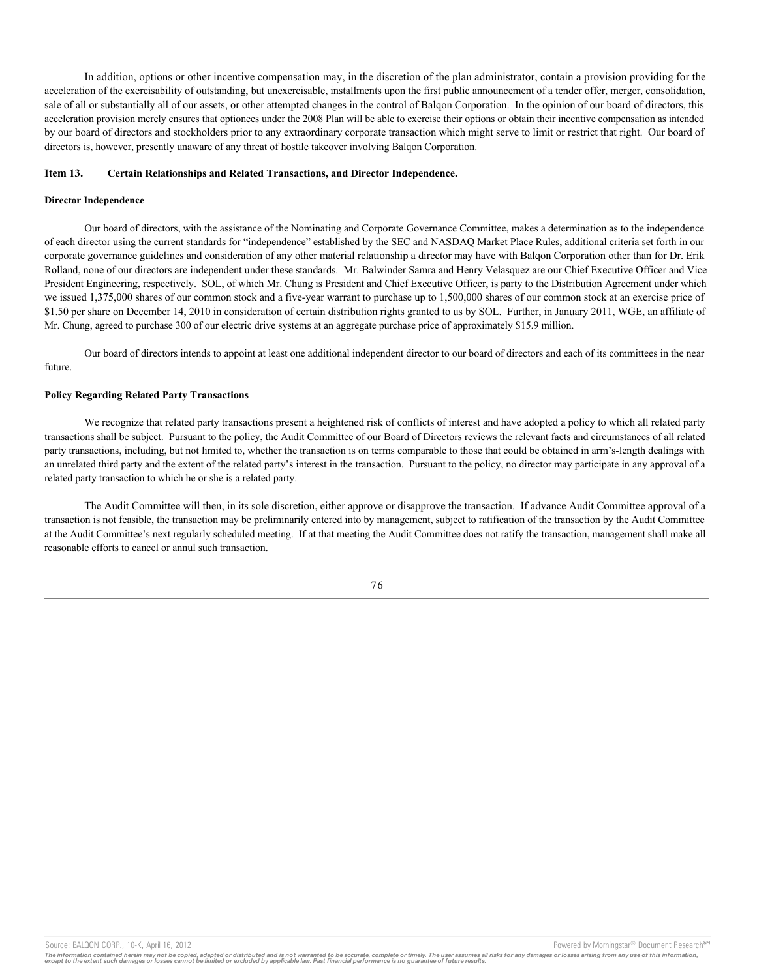In addition, options or other incentive compensation may, in the discretion of the plan administrator, contain a provision providing for the acceleration of the exercisability of outstanding, but unexercisable, installments upon the first public announcement of a tender offer, merger, consolidation, sale of all or substantially all of our assets, or other attempted changes in the control of Balqon Corporation. In the opinion of our board of directors, this acceleration provision merely ensures that optionees under the 2008 Plan will be able to exercise their options or obtain their incentive compensation as intended by our board of directors and stockholders prior to any extraordinary corporate transaction which might serve to limit or restrict that right. Our board of directors is, however, presently unaware of any threat of hostile takeover involving Balqon Corporation.

### **Item 13. Certain Relationships and Related Transactions, and Director Independence.**

#### **Director Independence**

Our board of directors, with the assistance of the Nominating and Corporate Governance Committee, makes a determination as to the independence of each director using the current standards for "independence" established by the SEC and NASDAQ Market Place Rules, additional criteria set forth in our corporate governance guidelines and consideration of any other material relationship a director may have with Balqon Corporation other than for Dr. Erik Rolland, none of our directors are independent under these standards. Mr. Balwinder Samra and Henry Velasquez are our Chief Executive Officer and Vice President Engineering, respectively. SOL, of which Mr. Chung is President and Chief Executive Officer, is party to the Distribution Agreement under which we issued 1,375,000 shares of our common stock and a five-year warrant to purchase up to 1,500,000 shares of our common stock at an exercise price of \$1.50 per share on December 14, 2010 in consideration of certain distribution rights granted to us by SOL. Further, in January 2011, WGE, an affiliate of Mr. Chung, agreed to purchase 300 of our electric drive systems at an aggregate purchase price of approximately \$15.9 million.

Our board of directors intends to appoint at least one additional independent director to our board of directors and each of its committees in the near future.

## **Policy Regarding Related Party Transactions**

We recognize that related party transactions present a heightened risk of conflicts of interest and have adopted a policy to which all related party transactions shall be subject. Pursuant to the policy, the Audit Committee of our Board of Directors reviews the relevant facts and circumstances of all related party transactions, including, but not limited to, whether the transaction is on terms comparable to those that could be obtained in arm's-length dealings with an unrelated third party and the extent of the related party's interest in the transaction. Pursuant to the policy, no director may participate in any approval of a related party transaction to which he or she is a related party.

The Audit Committee will then, in its sole discretion, either approve or disapprove the transaction. If advance Audit Committee approval of a transaction is not feasible, the transaction may be preliminarily entered into by management, subject to ratification of the transaction by the Audit Committee at the Audit Committee's next regularly scheduled meeting. If at that meeting the Audit Committee does not ratify the transaction, management shall make all reasonable efforts to cancel or annul such transaction.



Source: BALQON CORP., 10-K, April 16, 2012 **Powered by Morningstar® Document Research** in Powered by Morningstar® Document Research in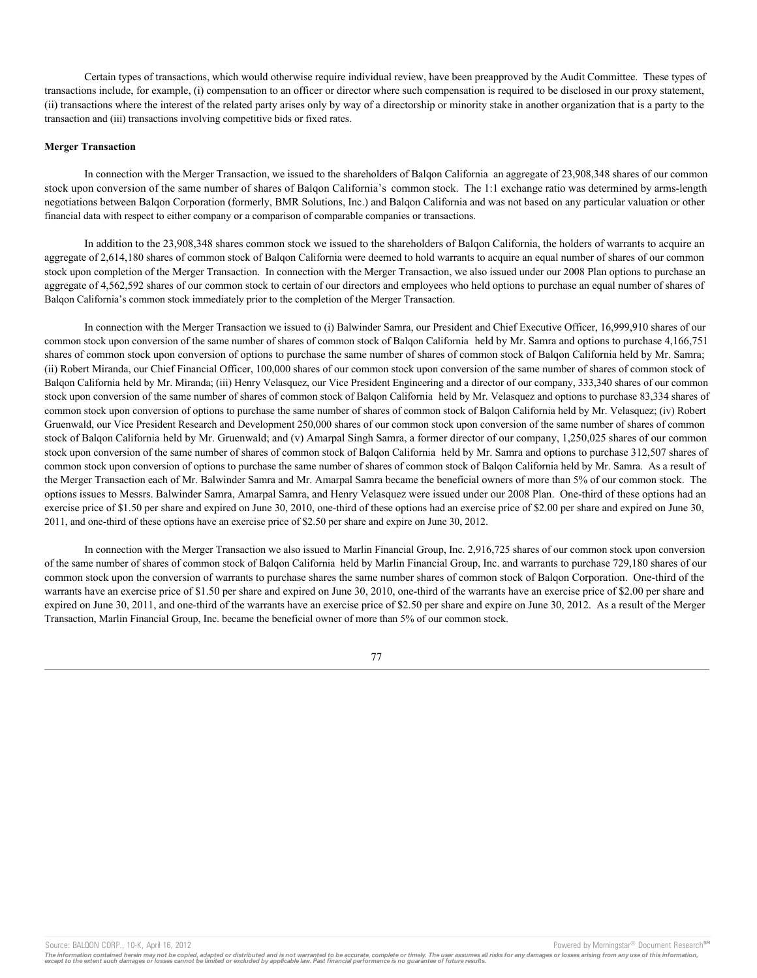Certain types of transactions, which would otherwise require individual review, have been preapproved by the Audit Committee. These types of transactions include, for example, (i) compensation to an officer or director where such compensation is required to be disclosed in our proxy statement, (ii) transactions where the interest of the related party arises only by way of a directorship or minority stake in another organization that is a party to the transaction and (iii) transactions involving competitive bids or fixed rates.

#### **Merger Transaction**

In connection with the Merger Transaction, we issued to the shareholders of Balqon California an aggregate of 23,908,348 shares of our common stock upon conversion of the same number of shares of Balqon California's common stock. The 1:1 exchange ratio was determined by arms-length negotiations between Balqon Corporation (formerly, BMR Solutions, Inc.) and Balqon California and was not based on any particular valuation or other financial data with respect to either company or a comparison of comparable companies or transactions.

In addition to the 23,908,348 shares common stock we issued to the shareholders of Balqon California, the holders of warrants to acquire an aggregate of 2,614,180 shares of common stock of Balqon California were deemed to hold warrants to acquire an equal number of shares of our common stock upon completion of the Merger Transaction. In connection with the Merger Transaction, we also issued under our 2008 Plan options to purchase an aggregate of 4,562,592 shares of our common stock to certain of our directors and employees who held options to purchase an equal number of shares of Balqon California's common stock immediately prior to the completion of the Merger Transaction.

In connection with the Merger Transaction we issued to (i) Balwinder Samra, our President and Chief Executive Officer, 16,999,910 shares of our common stock upon conversion of the same number of shares of common stock of Balqon California held by Mr. Samra and options to purchase 4,166,751 shares of common stock upon conversion of options to purchase the same number of shares of common stock of Balqon California held by Mr. Samra; (ii) Robert Miranda, our Chief Financial Officer, 100,000 shares of our common stock upon conversion of the same number of shares of common stock of Balqon California held by Mr. Miranda; (iii) Henry Velasquez, our Vice President Engineering and a director of our company, 333,340 shares of our common stock upon conversion of the same number of shares of common stock of Balqon California held by Mr. Velasquez and options to purchase 83,334 shares of common stock upon conversion of options to purchase the same number of shares of common stock of Balqon California held by Mr. Velasquez; (iv) Robert Gruenwald, our Vice President Research and Development 250,000 shares of our common stock upon conversion of the same number of shares of common stock of Balqon California held by Mr. Gruenwald; and (v) Amarpal Singh Samra, a former director of our company, 1,250,025 shares of our common stock upon conversion of the same number of shares of common stock of Balqon California held by Mr. Samra and options to purchase 312,507 shares of common stock upon conversion of options to purchase the same number of shares of common stock of Balqon California held by Mr. Samra. As a result of the Merger Transaction each of Mr. Balwinder Samra and Mr. Amarpal Samra became the beneficial owners of more than 5% of our common stock. The options issues to Messrs. Balwinder Samra, Amarpal Samra, and Henry Velasquez were issued under our 2008 Plan. One-third of these options had an exercise price of \$1.50 per share and expired on June 30, 2010, one-third of these options had an exercise price of \$2.00 per share and expired on June 30, 2011, and one-third of these options have an exercise price of \$2.50 per share and expire on June 30, 2012.

In connection with the Merger Transaction we also issued to Marlin Financial Group, Inc. 2,916,725 shares of our common stock upon conversion of the same number of shares of common stock of Balqon California held by Marlin Financial Group, Inc. and warrants to purchase 729,180 shares of our common stock upon the conversion of warrants to purchase shares the same number shares of common stock of Balqon Corporation. One-third of the warrants have an exercise price of \$1.50 per share and expired on June 30, 2010, one-third of the warrants have an exercise price of \$2.00 per share and expired on June 30, 2011, and one-third of the warrants have an exercise price of \$2.50 per share and expire on June 30, 2012. As a result of the Merger Transaction, Marlin Financial Group, Inc. became the beneficial owner of more than 5% of our common stock.



Source: BALQON CORP., 10-K, April 16, 2012 **Provided by April 16, 2012** Powered by Morningstar® Document Research <sup>sw</sup>

The information contained herein may not be copied, adapted or distributed and is not warranted to be accurate, complete or timely. The user assumes all risks for any damages or losses arising from any use of this informat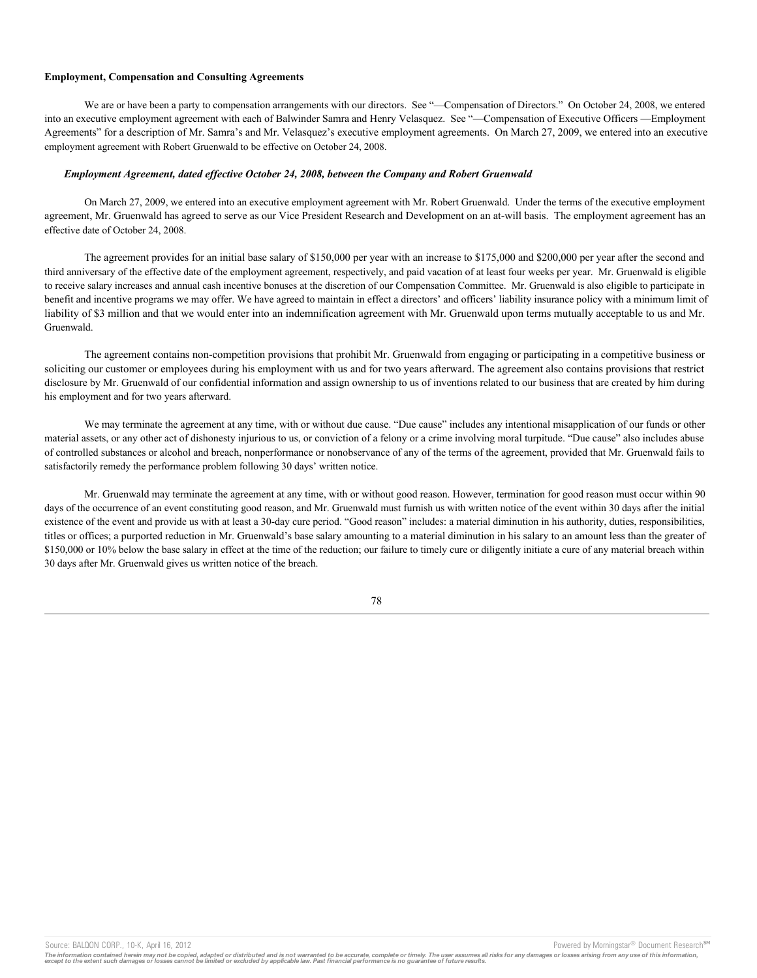#### **Employment, Compensation and Consulting Agreements**

We are or have been a party to compensation arrangements with our directors. See "—Compensation of Directors." On October 24, 2008, we entered into an executive employment agreement with each of Balwinder Samra and Henry Velasquez. See "—Compensation of Executive Officers —Employment Agreements" for a description of Mr. Samra's and Mr. Velasquez's executive employment agreements. On March 27, 2009, we entered into an executive employment agreement with Robert Gruenwald to be effective on October 24, 2008.

#### *Employment Agreement, dated effective October 24, 2008, between the Company and Robert Gruenwald*

On March 27, 2009, we entered into an executive employment agreement with Mr. Robert Gruenwald. Under the terms of the executive employment agreement, Mr. Gruenwald has agreed to serve as our Vice President Research and Development on an at-will basis. The employment agreement has an effective date of October 24, 2008.

The agreement provides for an initial base salary of \$150,000 per year with an increase to \$175,000 and \$200,000 per year after the second and third anniversary of the effective date of the employment agreement, respectively, and paid vacation of at least four weeks per year. Mr. Gruenwald is eligible to receive salary increases and annual cash incentive bonuses at the discretion of our Compensation Committee. Mr. Gruenwald is also eligible to participate in benefit and incentive programs we may offer. We have agreed to maintain in effect a directors' and officers' liability insurance policy with a minimum limit of liability of \$3 million and that we would enter into an indemnification agreement with Mr. Gruenwald upon terms mutually acceptable to us and Mr. Gruenwald.

The agreement contains non-competition provisions that prohibit Mr. Gruenwald from engaging or participating in a competitive business or soliciting our customer or employees during his employment with us and for two years afterward. The agreement also contains provisions that restrict disclosure by Mr. Gruenwald of our confidential information and assign ownership to us of inventions related to our business that are created by him during his employment and for two years afterward.

We may terminate the agreement at any time, with or without due cause. "Due cause" includes any intentional misapplication of our funds or other material assets, or any other act of dishonesty injurious to us, or conviction of a felony or a crime involving moral turpitude. "Due cause" also includes abuse of controlled substances or alcohol and breach, nonperformance or nonobservance of any of the terms of the agreement, provided that Mr. Gruenwald fails to satisfactorily remedy the performance problem following 30 days' written notice.

Mr. Gruenwald may terminate the agreement at any time, with or without good reason. However, termination for good reason must occur within 90 days of the occurrence of an event constituting good reason, and Mr. Gruenwald must furnish us with written notice of the event within 30 days after the initial existence of the event and provide us with at least a 30-day cure period. "Good reason" includes: a material diminution in his authority, duties, responsibilities, titles or offices; a purported reduction in Mr. Gruenwald's base salary amounting to a material diminution in his salary to an amount less than the greater of \$150,000 or 10% below the base salary in effect at the time of the reduction; our failure to timely cure or diligently initiate a cure of any material breach within 30 days after Mr. Gruenwald gives us written notice of the breach.

Source: BALQON CORP., 10-K, April 16, 2012 **Powered by Morningstar® Document Research** in Powered by Morningstar® Document Research in

The information contained herein may not be copied, adapted or distributed and is not warranted to be accurate, complete or timely. The user assumes all risks for any damages or losses arising from any use of this informat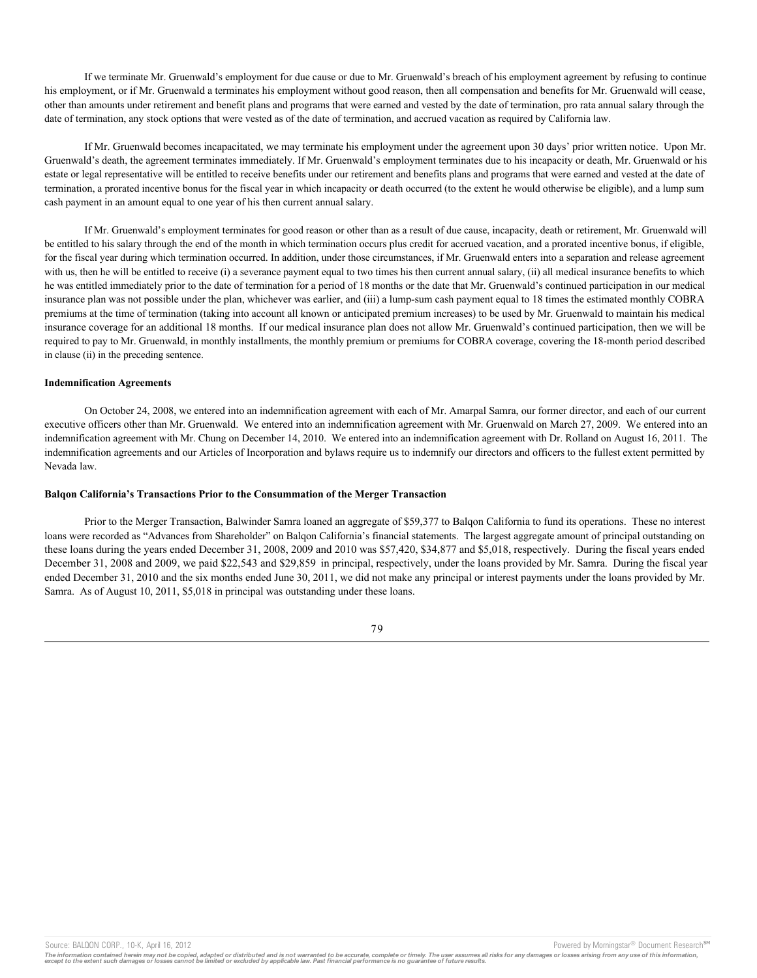If we terminate Mr. Gruenwald's employment for due cause or due to Mr. Gruenwald's breach of his employment agreement by refusing to continue his employment, or if Mr. Gruenwald a terminates his employment without good reason, then all compensation and benefits for Mr. Gruenwald will cease, other than amounts under retirement and benefit plans and programs that were earned and vested by the date of termination, pro rata annual salary through the date of termination, any stock options that were vested as of the date of termination, and accrued vacation as required by California law.

If Mr. Gruenwald becomes incapacitated, we may terminate his employment under the agreement upon 30 days' prior written notice. Upon Mr. Gruenwald's death, the agreement terminates immediately. If Mr. Gruenwald's employment terminates due to his incapacity or death, Mr. Gruenwald or his estate or legal representative will be entitled to receive benefits under our retirement and benefits plans and programs that were earned and vested at the date of termination, a prorated incentive bonus for the fiscal year in which incapacity or death occurred (to the extent he would otherwise be eligible), and a lump sum cash payment in an amount equal to one year of his then current annual salary.

If Mr. Gruenwald's employment terminates for good reason or other than as a result of due cause, incapacity, death or retirement, Mr. Gruenwald will be entitled to his salary through the end of the month in which termination occurs plus credit for accrued vacation, and a prorated incentive bonus, if eligible, for the fiscal year during which termination occurred. In addition, under those circumstances, if Mr. Gruenwald enters into a separation and release agreement with us, then he will be entitled to receive (i) a severance payment equal to two times his then current annual salary, (ii) all medical insurance benefits to which he was entitled immediately prior to the date of termination for a period of 18 months or the date that Mr. Gruenwald's continued participation in our medical insurance plan was not possible under the plan, whichever was earlier, and (iii) a lump-sum cash payment equal to 18 times the estimated monthly COBRA premiums at the time of termination (taking into account all known or anticipated premium increases) to be used by Mr. Gruenwald to maintain his medical insurance coverage for an additional 18 months. If our medical insurance plan does not allow Mr. Gruenwald's continued participation, then we will be required to pay to Mr. Gruenwald, in monthly installments, the monthly premium or premiums for COBRA coverage, covering the 18-month period described in clause (ii) in the preceding sentence.

#### **Indemnification Agreements**

On October 24, 2008, we entered into an indemnification agreement with each of Mr. Amarpal Samra, our former director, and each of our current executive officers other than Mr. Gruenwald. We entered into an indemnification agreement with Mr. Gruenwald on March 27, 2009. We entered into an indemnification agreement with Mr. Chung on December 14, 2010. We entered into an indemnification agreement with Dr. Rolland on August 16, 2011. The indemnification agreements and our Articles of Incorporation and bylaws require us to indemnify our directors and officers to the fullest extent permitted by Nevada law.

#### **Balqon California's Transactions Prior to the Consummation of the Merger Transaction**

Prior to the Merger Transaction, Balwinder Samra loaned an aggregate of \$59,377 to Balqon California to fund its operations. These no interest loans were recorded as "Advances from Shareholder" on Balqon California's financial statements. The largest aggregate amount of principal outstanding on these loans during the years ended December 31, 2008, 2009 and 2010 was \$57,420, \$34,877 and \$5,018, respectively. During the fiscal years ended December 31, 2008 and 2009, we paid \$22,543 and \$29,859 in principal, respectively, under the loans provided by Mr. Samra. During the fiscal year ended December 31, 2010 and the six months ended June 30, 2011, we did not make any principal or interest payments under the loans provided by Mr. Samra. As of August 10, 2011, \$5,018 in principal was outstanding under these loans.

$$
\;79\;
$$

Source: BALQON CORP., 10-K, April 16, 2012 **Powered by Morningstar® Document Research** in Powered by Morningstar® Document Research in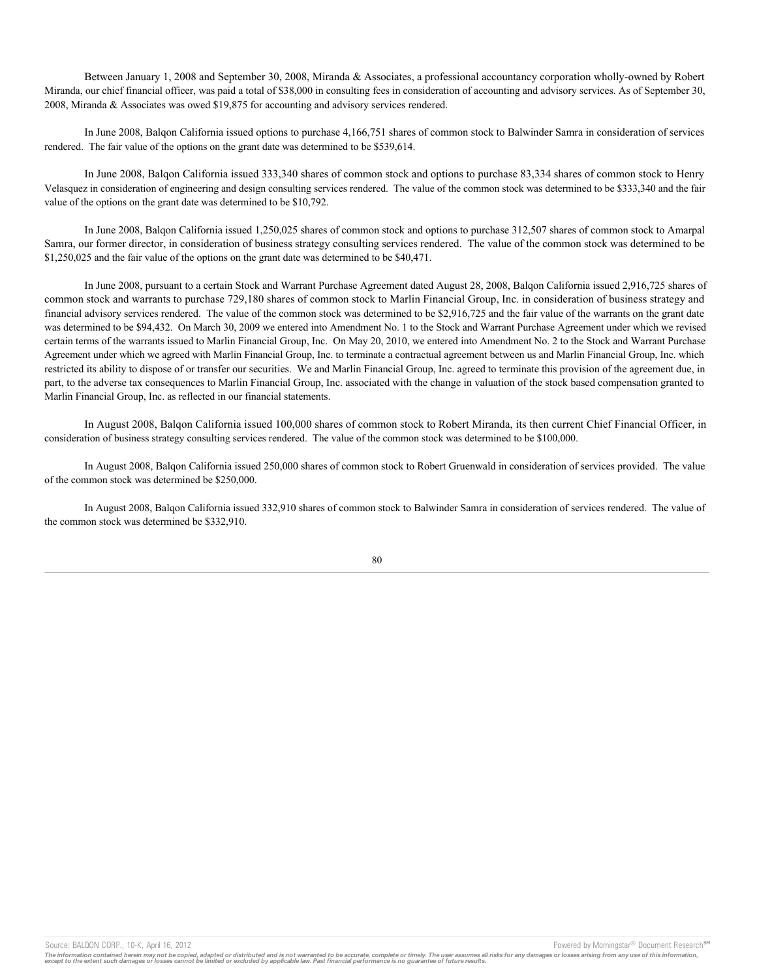Between January 1, 2008 and September 30, 2008, Miranda & Associates, a professional accountancy corporation wholly-owned by Robert Miranda, our chief financial officer, was paid a total of \$38,000 in consulting fees in consideration of accounting and advisory services. As of September 30, 2008, Miranda & Associates was owed \$19,875 for accounting and advisory services rendered.

In June 2008, Balqon California issued options to purchase 4,166,751 shares of common stock to Balwinder Samra in consideration of services rendered. The fair value of the options on the grant date was determined to be \$539,614.

In June 2008, Balqon California issued 333,340 shares of common stock and options to purchase 83,334 shares of common stock to Henry Velasquez in consideration of engineering and design consulting services rendered. The value of the common stock was determined to be \$333,340 and the fair value of the options on the grant date was determined to be \$10,792.

In June 2008, Balqon California issued 1,250,025 shares of common stock and options to purchase 312,507 shares of common stock to Amarpal Samra, our former director, in consideration of business strategy consulting services rendered. The value of the common stock was determined to be \$1,250,025 and the fair value of the options on the grant date was determined to be \$40,471.

In June 2008, pursuant to a certain Stock and Warrant Purchase Agreement dated August 28, 2008, Balqon California issued 2,916,725 shares of common stock and warrants to purchase 729,180 shares of common stock to Marlin Financial Group, Inc. in consideration of business strategy and financial advisory services rendered. The value of the common stock was determined to be \$2,916,725 and the fair value of the warrants on the grant date was determined to be \$94,432. On March 30, 2009 we entered into Amendment No. 1 to the Stock and Warrant Purchase Agreement under which we revised certain terms of the warrants issued to Marlin Financial Group, Inc. On May 20, 2010, we entered into Amendment No. 2 to the Stock and Warrant Purchase Agreement under which we agreed with Marlin Financial Group, Inc. to terminate a contractual agreement between us and Marlin Financial Group, Inc. which restricted its ability to dispose of or transfer our securities. We and Marlin Financial Group, Inc. agreed to terminate this provision of the agreement due, in part, to the adverse tax consequences to Marlin Financial Group, Inc. associated with the change in valuation of the stock based compensation granted to Marlin Financial Group, Inc. as reflected in our financial statements.

In August 2008, Balqon California issued 100,000 shares of common stock to Robert Miranda, its then current Chief Financial Officer, in consideration of business strategy consulting services rendered. The value of the common stock was determined to be \$100,000.

In August 2008, Balqon California issued 250,000 shares of common stock to Robert Gruenwald in consideration of services provided. The value of the common stock was determined be \$250,000.

In August 2008, Balqon California issued 332,910 shares of common stock to Balwinder Samra in consideration of services rendered. The value of the common stock was determined be \$332,910.

80

Source: BALQON CORP., 10-K, April 16, 2012 **Powered by Morningstar® Document Research** in Powered by Morningstar® Document Research in

The information contained herein may not be copied, adapted or distributed and is not warranted to be accurate, complete or timely. The user assumes all risks for any damages or losses arising from any use of this informat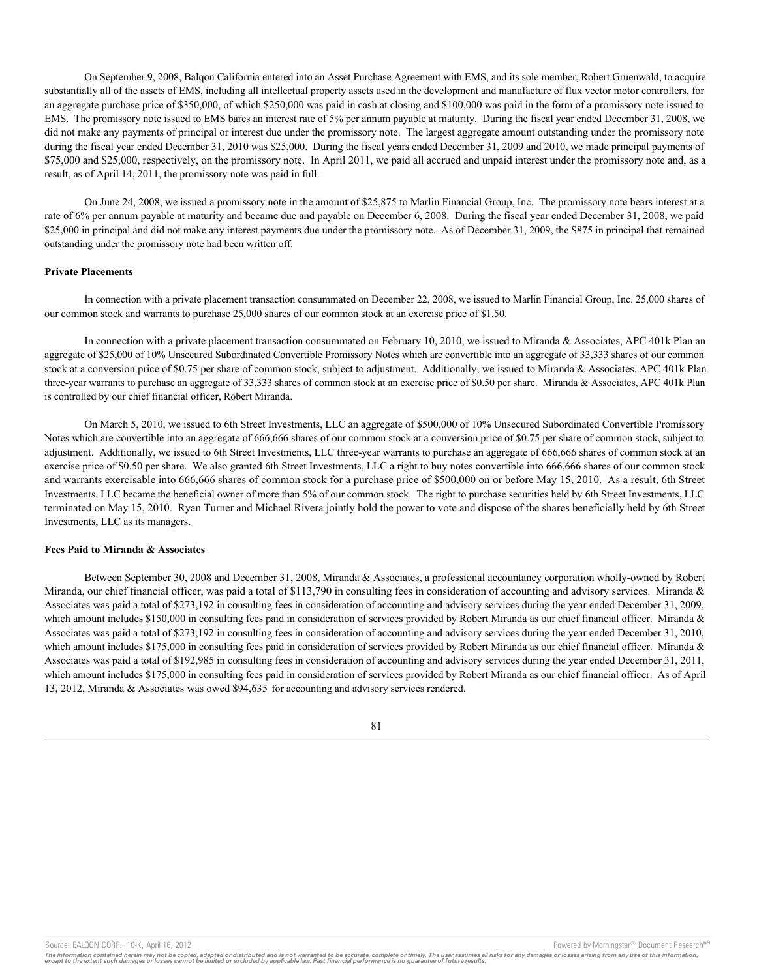On September 9, 2008, Balqon California entered into an Asset Purchase Agreement with EMS, and its sole member, Robert Gruenwald, to acquire substantially all of the assets of EMS, including all intellectual property assets used in the development and manufacture of flux vector motor controllers, for an aggregate purchase price of \$350,000, of which \$250,000 was paid in cash at closing and \$100,000 was paid in the form of a promissory note issued to EMS. The promissory note issued to EMS bares an interest rate of 5% per annum payable at maturity. During the fiscal year ended December 31, 2008, we did not make any payments of principal or interest due under the promissory note. The largest aggregate amount outstanding under the promissory note during the fiscal year ended December 31, 2010 was \$25,000. During the fiscal years ended December 31, 2009 and 2010, we made principal payments of \$75,000 and \$25,000, respectively, on the promissory note. In April 2011, we paid all accrued and unpaid interest under the promissory note and, as a result, as of April 14, 2011, the promissory note was paid in full.

On June 24, 2008, we issued a promissory note in the amount of \$25,875 to Marlin Financial Group, Inc. The promissory note bears interest at a rate of 6% per annum payable at maturity and became due and payable on December 6, 2008. During the fiscal year ended December 31, 2008, we paid \$25,000 in principal and did not make any interest payments due under the promissory note. As of December 31, 2009, the \$875 in principal that remained outstanding under the promissory note had been written off.

## **Private Placements**

In connection with a private placement transaction consummated on December 22, 2008, we issued to Marlin Financial Group, Inc. 25,000 shares of our common stock and warrants to purchase 25,000 shares of our common stock at an exercise price of \$1.50.

In connection with a private placement transaction consummated on February 10, 2010, we issued to Miranda & Associates, APC 401k Plan an aggregate of \$25,000 of 10% Unsecured Subordinated Convertible Promissory Notes which are convertible into an aggregate of 33,333 shares of our common stock at a conversion price of \$0.75 per share of common stock, subject to adjustment. Additionally, we issued to Miranda & Associates, APC 401k Plan three-year warrants to purchase an aggregate of 33,333 shares of common stock at an exercise price of \$0.50 per share. Miranda & Associates, APC 401k Plan is controlled by our chief financial officer, Robert Miranda.

On March 5, 2010, we issued to 6th Street Investments, LLC an aggregate of \$500,000 of 10% Unsecured Subordinated Convertible Promissory Notes which are convertible into an aggregate of 666,666 shares of our common stock at a conversion price of \$0.75 per share of common stock, subject to adjustment. Additionally, we issued to 6th Street Investments, LLC three-year warrants to purchase an aggregate of 666,666 shares of common stock at an exercise price of \$0.50 per share. We also granted 6th Street Investments, LLC a right to buy notes convertible into 666,666 shares of our common stock and warrants exercisable into 666,666 shares of common stock for a purchase price of \$500,000 on or before May 15, 2010. As a result, 6th Street Investments, LLC became the beneficial owner of more than 5% of our common stock. The right to purchase securities held by 6th Street Investments, LLC terminated on May 15, 2010. Ryan Turner and Michael Rivera jointly hold the power to vote and dispose of the shares beneficially held by 6th Street Investments, LLC as its managers.

### **Fees Paid to Miranda & Associates**

Between September 30, 2008 and December 31, 2008, Miranda & Associates, a professional accountancy corporation wholly-owned by Robert Miranda, our chief financial officer, was paid a total of \$113,790 in consulting fees in consideration of accounting and advisory services. Miranda  $\&$ Associates was paid a total of \$273,192 in consulting fees in consideration of accounting and advisory services during the year ended December 31, 2009, which amount includes \$150,000 in consulting fees paid in consideration of services provided by Robert Miranda as our chief financial officer. Miranda & Associates was paid a total of \$273,192 in consulting fees in consideration of accounting and advisory services during the year ended December 31, 2010, which amount includes \$175,000 in consulting fees paid in consideration of services provided by Robert Miranda as our chief financial officer. Miranda & Associates was paid a total of \$192,985 in consulting fees in consideration of accounting and advisory services during the year ended December 31, 2011, which amount includes \$175,000 in consulting fees paid in consideration of services provided by Robert Miranda as our chief financial officer. As of April 13, 2012, Miranda & Associates was owed \$94,635 for accounting and advisory services rendered.



Source: BALQON CORP., 10-K, April 16, 2012 **Powered by Morningstar® Document Research** and the second powered by Morningstar® Document Research and

The information contained herein may not be copied, adapted or distributed and is not warranted to be accurate, complete or timely. The user assumes all risks for any damages or losses arising from any use of this informat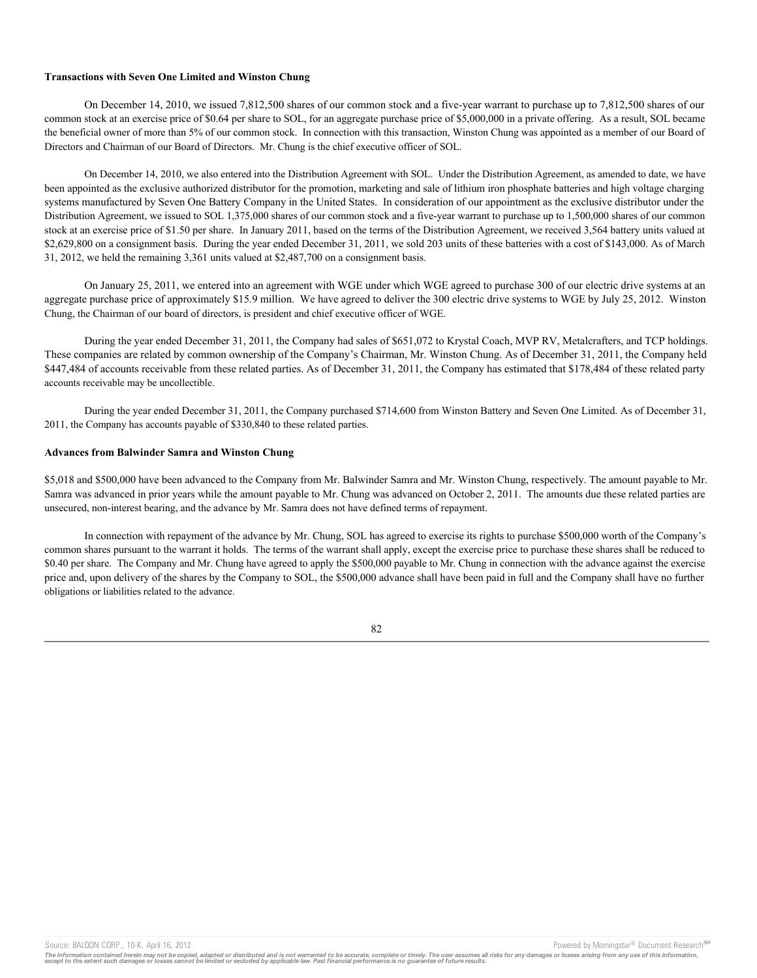### **Transactions with Seven One Limited and Winston Chung**

On December 14, 2010, we issued 7,812,500 shares of our common stock and a five-year warrant to purchase up to 7,812,500 shares of our common stock at an exercise price of \$0.64 per share to SOL, for an aggregate purchase price of \$5,000,000 in a private offering. As a result, SOL became the beneficial owner of more than 5% of our common stock. In connection with this transaction, Winston Chung was appointed as a member of our Board of Directors and Chairman of our Board of Directors. Mr. Chung is the chief executive officer of SOL.

On December 14, 2010, we also entered into the Distribution Agreement with SOL. Under the Distribution Agreement, as amended to date, we have been appointed as the exclusive authorized distributor for the promotion, marketing and sale of lithium iron phosphate batteries and high voltage charging systems manufactured by Seven One Battery Company in the United States. In consideration of our appointment as the exclusive distributor under the Distribution Agreement, we issued to SOL 1,375,000 shares of our common stock and a five-year warrant to purchase up to 1,500,000 shares of our common stock at an exercise price of \$1.50 per share. In January 2011, based on the terms of the Distribution Agreement, we received 3,564 battery units valued at \$2,629,800 on a consignment basis. During the year ended December 31, 2011, we sold 203 units of these batteries with a cost of \$143,000. As of March 31, 2012, we held the remaining 3,361 units valued at \$2,487,700 on a consignment basis.

On January 25, 2011, we entered into an agreement with WGE under which WGE agreed to purchase 300 of our electric drive systems at an aggregate purchase price of approximately \$15.9 million. We have agreed to deliver the 300 electric drive systems to WGE by July 25, 2012. Winston Chung, the Chairman of our board of directors, is president and chief executive officer of WGE.

During the year ended December 31, 2011, the Company had sales of \$651,072 to Krystal Coach, MVP RV, Metalcrafters, and TCP holdings. These companies are related by common ownership of the Company's Chairman, Mr. Winston Chung. As of December 31, 2011, the Company held \$447,484 of accounts receivable from these related parties. As of December 31, 2011, the Company has estimated that \$178,484 of these related party accounts receivable may be uncollectible.

During the year ended December 31, 2011, the Company purchased \$714,600 from Winston Battery and Seven One Limited. As of December 31, 2011, the Company has accounts payable of \$330,840 to these related parties.

### **Advances from Balwinder Samra and Winston Chung**

\$5,018 and \$500,000 have been advanced to the Company from Mr. Balwinder Samra and Mr. Winston Chung, respectively. The amount payable to Mr. Samra was advanced in prior years while the amount payable to Mr. Chung was advanced on October 2, 2011. The amounts due these related parties are unsecured, non-interest bearing, and the advance by Mr. Samra does not have defined terms of repayment.

In connection with repayment of the advance by Mr. Chung, SOL has agreed to exercise its rights to purchase \$500,000 worth of the Company's common shares pursuant to the warrant it holds. The terms of the warrant shall apply, except the exercise price to purchase these shares shall be reduced to \$0.40 per share. The Company and Mr. Chung have agreed to apply the \$500,000 payable to Mr. Chung in connection with the advance against the exercise price and, upon delivery of the shares by the Company to SOL, the \$500,000 advance shall have been paid in full and the Company shall have no further obligations or liabilities related to the advance.

Source: BALQON CORP., 10-K, April 16, 2012 **Powered by Morningstar® Document Research** in Powered by Morningstar® Document Research in

The information contained herein may not be copied, adapted or distributed and is not warranted to be accurate, complete or timely. The user assumes all risks for any damages or losses arising from any use of this informat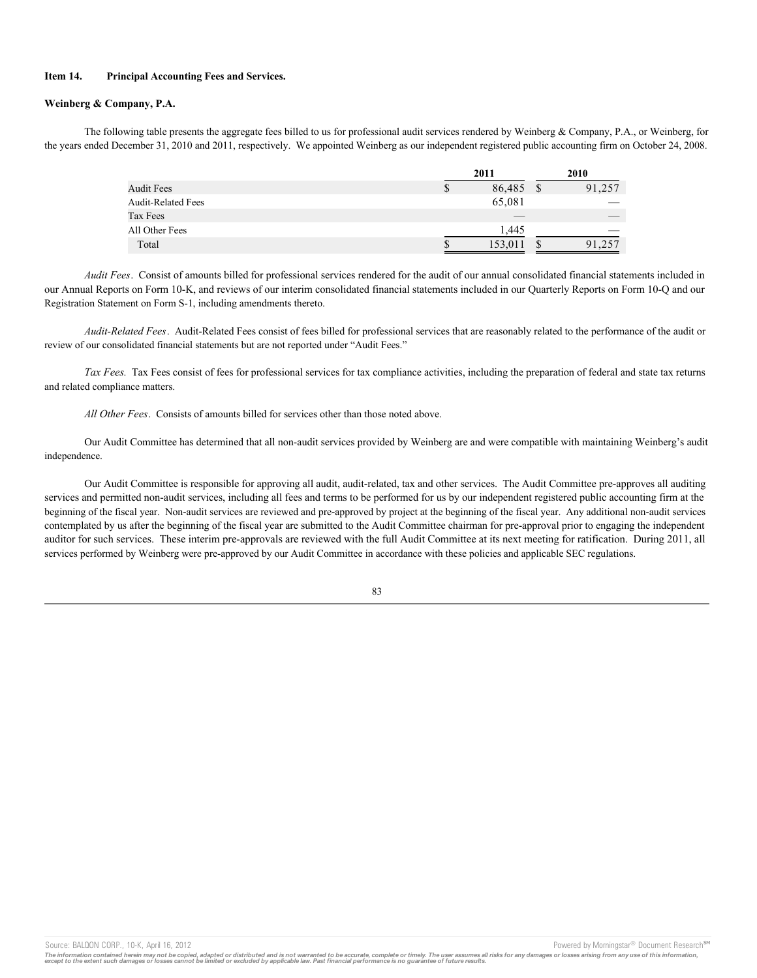## **Item 14. Principal Accounting Fees and Services.**

#### **Weinberg & Company, P.A.**

The following table presents the aggregate fees billed to us for professional audit services rendered by Weinberg & Company, P.A., or Weinberg, for the years ended December 31, 2010 and 2011, respectively. We appointed Weinberg as our independent registered public accounting firm on October 24, 2008.

|                           | 2011 |              | 2010   |
|---------------------------|------|--------------|--------|
| <b>Audit Fees</b>         | S    | 86,485<br>-S | 91,257 |
| <b>Audit-Related Fees</b> |      | 65,081       |        |
| Tax Fees                  |      |              |        |
| All Other Fees            |      | 1.445        |        |
| Total                     | S    | 153,011      | 91,257 |

*Audit Fees*. Consist of amounts billed for professional services rendered for the audit of our annual consolidated financial statements included in our Annual Reports on Form 10-K, and reviews of our interim consolidated financial statements included in our Quarterly Reports on Form 10-Q and our Registration Statement on Form S-1, including amendments thereto.

*Audit-Related Fees*. Audit-Related Fees consist of fees billed for professional services that are reasonably related to the performance of the audit or review of our consolidated financial statements but are not reported under "Audit Fees."

*Tax Fees.* Tax Fees consist of fees for professional services for tax compliance activities, including the preparation of federal and state tax returns and related compliance matters.

*All Other Fees*. Consists of amounts billed for services other than those noted above.

Our Audit Committee has determined that all non-audit services provided by Weinberg are and were compatible with maintaining Weinberg's audit independence.

Our Audit Committee is responsible for approving all audit, audit-related, tax and other services. The Audit Committee pre-approves all auditing services and permitted non-audit services, including all fees and terms to be performed for us by our independent registered public accounting firm at the beginning of the fiscal year. Non-audit services are reviewed and pre-approved by project at the beginning of the fiscal year. Any additional non-audit services contemplated by us after the beginning of the fiscal year are submitted to the Audit Committee chairman for pre-approval prior to engaging the independent auditor for such services. These interim pre-approvals are reviewed with the full Audit Committee at its next meeting for ratification. During 2011, all services performed by Weinberg were pre-approved by our Audit Committee in accordance with these policies and applicable SEC regulations.

Source: BALQON CORP., 10-K, April 16, 2012 **Powered by Morningstar® Document Research** structure is a structure of the second structure of the second structure of the second structure of the second structure is a structure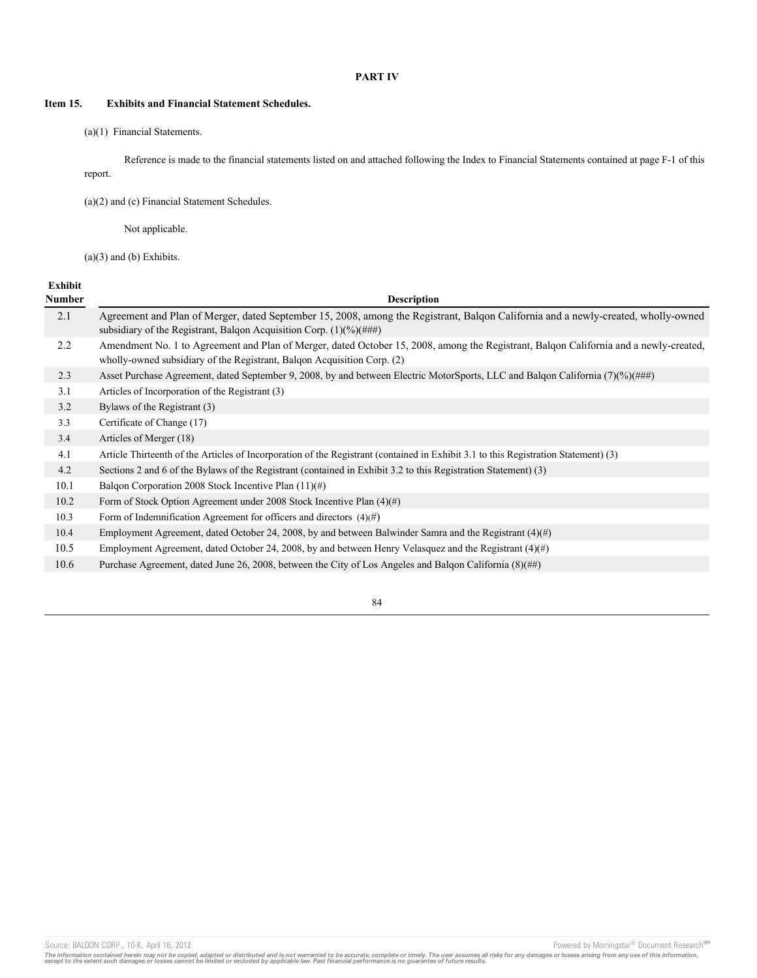## **PART IV**

# **Item 15. Exhibits and Financial Statement Schedules.**

(a)(1) Financial Statements.

Reference is made to the financial statements listed on and attached following the Index to Financial Statements contained at page F-1 of this report.

(a)(2) and (c) Financial Statement Schedules.

Not applicable.

 $(a)(3)$  and  $(b)$  Exhibits.

# **Exhibit**

| <b>Number</b> | <b>Description</b>                                                                                                                                                                                               |
|---------------|------------------------------------------------------------------------------------------------------------------------------------------------------------------------------------------------------------------|
| 2.1           | Agreement and Plan of Merger, dated September 15, 2008, among the Registrant, Balgon California and a newly-created, wholly-owned<br>subsidiary of the Registrant, Balqon Acquisition Corp. $(1)(\%)(\# \# \#)$  |
| 2.2           | Amendment No. 1 to Agreement and Plan of Merger, dated October 15, 2008, among the Registrant, Balgon California and a newly-created,<br>wholly-owned subsidiary of the Registrant, Balqon Acquisition Corp. (2) |
| 2.3           | Asset Purchase Agreement, dated September 9, 2008, by and between Electric MotorSports, LLC and Balgon California (7)(%)(###)                                                                                    |
| 3.1           | Articles of Incorporation of the Registrant (3)                                                                                                                                                                  |
| 3.2           | Bylaws of the Registrant (3)                                                                                                                                                                                     |
| 3.3           | Certificate of Change (17)                                                                                                                                                                                       |
| 3.4           | Articles of Merger (18)                                                                                                                                                                                          |
| 4.1           | Article Thirteenth of the Articles of Incorporation of the Registrant (contained in Exhibit 3.1 to this Registration Statement) (3)                                                                              |
| 4.2           | Sections 2 and 6 of the Bylaws of the Registrant (contained in Exhibit 3.2 to this Registration Statement) (3)                                                                                                   |
| 10.1          | Balqon Corporation 2008 Stock Incentive Plan (11)(#)                                                                                                                                                             |
| 10.2          | Form of Stock Option Agreement under 2008 Stock Incentive Plan $(4)(\#)$                                                                                                                                         |
| 10.3          | Form of Indemnification Agreement for officers and directors $(4)(\#)$                                                                                                                                           |
| 10.4          | Employment Agreement, dated October 24, 2008, by and between Balwinder Samra and the Registrant $(4)(\#)$                                                                                                        |
| 10.5          | Employment Agreement, dated October 24, 2008, by and between Henry Velasquez and the Registrant $(4)(\#)$                                                                                                        |
| 10.6          | Purchase Agreement, dated June 26, 2008, between the City of Los Angeles and Balgon California $(8)(\text{HH})$                                                                                                  |

84

Source: BALQON CORP., 10-K, April 16, 2012 **Powered by Morningstar® Document Research** SM

The information contained herein may not be copied, adapted or distributed and is not warranted to be accurate, complete or timely. The user assumes all risks for any damages or losses arising from any use of this informat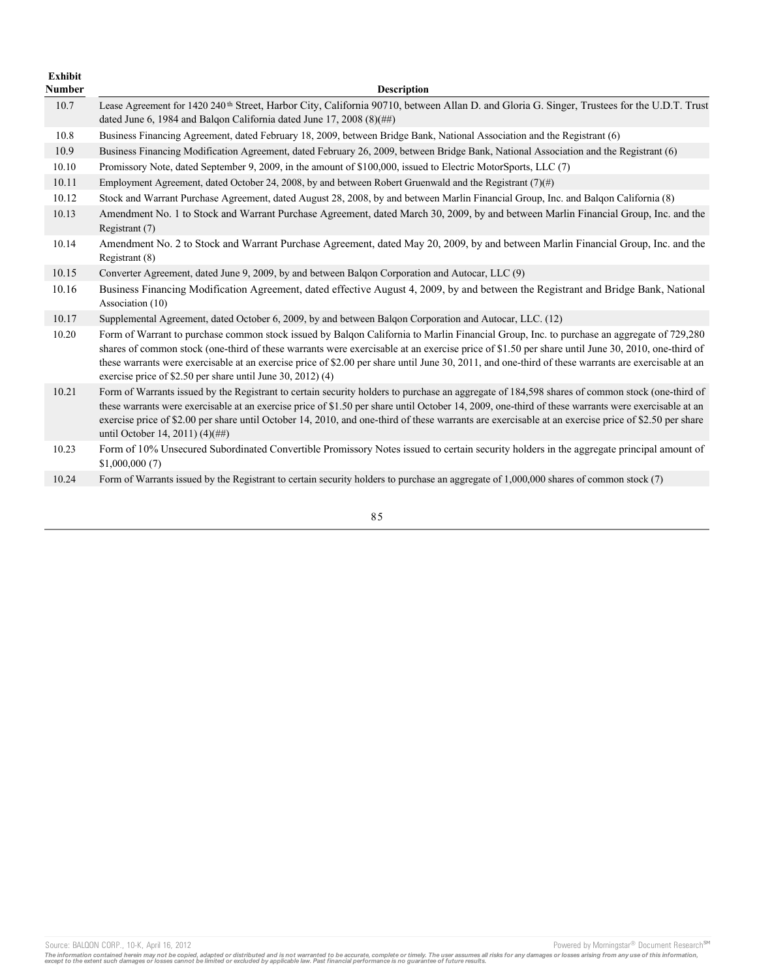| Exhibit<br><b>Number</b> | <b>Description</b>                                                                                                                                                                                                                                                                                                                                                                                                                                                                                                |
|--------------------------|-------------------------------------------------------------------------------------------------------------------------------------------------------------------------------------------------------------------------------------------------------------------------------------------------------------------------------------------------------------------------------------------------------------------------------------------------------------------------------------------------------------------|
| 10.7                     | Lease Agreement for 1420 240 <sup>th</sup> Street, Harbor City, California 90710, between Allan D. and Gloria G. Singer, Trustees for the U.D.T. Trust<br>dated June 6, 1984 and Balgon California dated June 17, 2008 $(8)(\#})$                                                                                                                                                                                                                                                                                 |
| 10.8                     | Business Financing Agreement, dated February 18, 2009, between Bridge Bank, National Association and the Registrant (6)                                                                                                                                                                                                                                                                                                                                                                                           |
| 10.9                     | Business Financing Modification Agreement, dated February 26, 2009, between Bridge Bank, National Association and the Registrant (6)                                                                                                                                                                                                                                                                                                                                                                              |
| 10.10                    | Promissory Note, dated September 9, 2009, in the amount of \$100,000, issued to Electric MotorSports, LLC (7)                                                                                                                                                                                                                                                                                                                                                                                                     |
| 10.11                    | Employment Agreement, dated October 24, 2008, by and between Robert Gruenwald and the Registrant $(7)(\#)$                                                                                                                                                                                                                                                                                                                                                                                                        |
| 10.12                    | Stock and Warrant Purchase Agreement, dated August 28, 2008, by and between Marlin Financial Group, Inc. and Balqon California (8)                                                                                                                                                                                                                                                                                                                                                                                |
| 10.13                    | Amendment No. 1 to Stock and Warrant Purchase Agreement, dated March 30, 2009, by and between Marlin Financial Group, Inc. and the<br>Registrant (7)                                                                                                                                                                                                                                                                                                                                                              |
| 10.14                    | Amendment No. 2 to Stock and Warrant Purchase Agreement, dated May 20, 2009, by and between Marlin Financial Group, Inc. and the<br>Registrant (8)                                                                                                                                                                                                                                                                                                                                                                |
| 10.15                    | Converter Agreement, dated June 9, 2009, by and between Balqon Corporation and Autocar, LLC (9)                                                                                                                                                                                                                                                                                                                                                                                                                   |
| 10.16                    | Business Financing Modification Agreement, dated effective August 4, 2009, by and between the Registrant and Bridge Bank, National<br>Association (10)                                                                                                                                                                                                                                                                                                                                                            |
| 10.17                    | Supplemental Agreement, dated October 6, 2009, by and between Balqon Corporation and Autocar, LLC. (12)                                                                                                                                                                                                                                                                                                                                                                                                           |
| 10.20                    | Form of Warrant to purchase common stock issued by Balqon California to Marlin Financial Group, Inc. to purchase an aggregate of 729,280<br>shares of common stock (one-third of these warrants were exercisable at an exercise price of \$1.50 per share until June 30, 2010, one-third of<br>these warrants were exercisable at an exercise price of \$2.00 per share until June 30, 2011, and one-third of these warrants are exercisable at an<br>exercise price of \$2.50 per share until June 30, 2012) (4) |
| 10.21                    | Form of Warrants issued by the Registrant to certain security holders to purchase an aggregate of 184,598 shares of common stock (one-third of<br>these warrants were exercisable at an exercise price of \$1.50 per share until October 14, 2009, one-third of these warrants were exercisable at an<br>exercise price of \$2.00 per share until October 14, 2010, and one-third of these warrants are exercisable at an exercise price of \$2.50 per share<br>until October 14, 2011) (4)(##)                   |
| 10.23                    | Form of 10% Unsecured Subordinated Convertible Promissory Notes issued to certain security holders in the aggregate principal amount of<br>\$1,000,000(7)                                                                                                                                                                                                                                                                                                                                                         |
| 10.24                    | Form of Warrants issued by the Registrant to certain security holders to purchase an aggregate of 1,000,000 shares of common stock (7)                                                                                                                                                                                                                                                                                                                                                                            |

# 85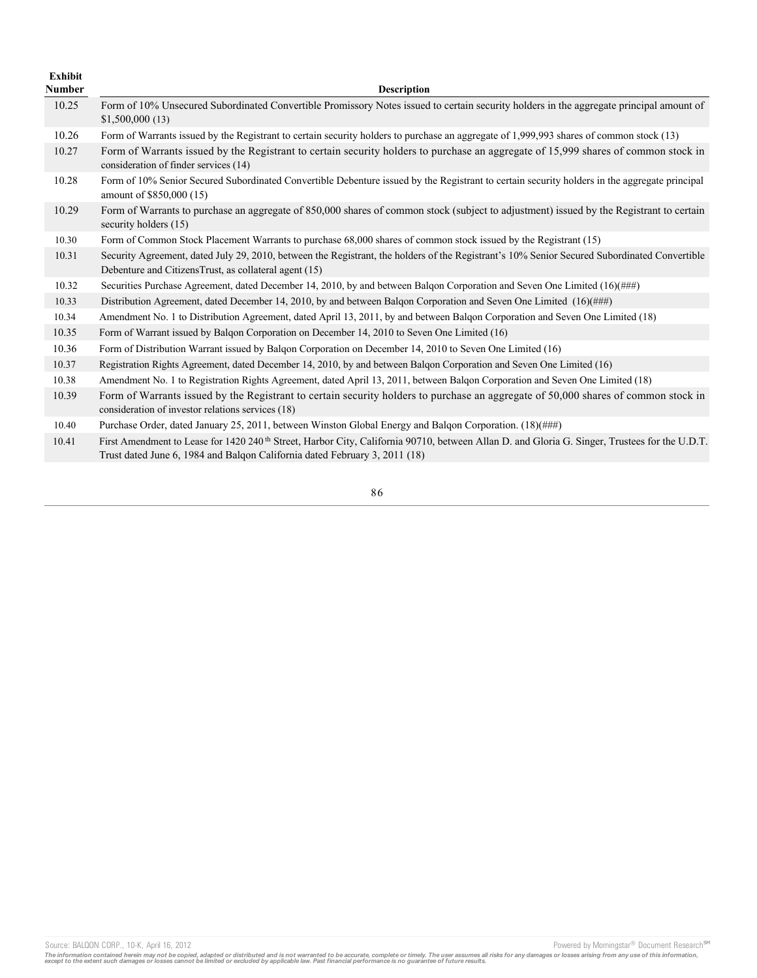| Exhibit<br>Number | <b>Description</b>                                                                                                                                                                                                                      |
|-------------------|-----------------------------------------------------------------------------------------------------------------------------------------------------------------------------------------------------------------------------------------|
| 10.25             | Form of 10% Unsecured Subordinated Convertible Promissory Notes issued to certain security holders in the aggregate principal amount of<br>\$1,500,000(13)                                                                              |
| 10.26             | Form of Warrants issued by the Registrant to certain security holders to purchase an aggregate of 1,999,993 shares of common stock (13)                                                                                                 |
| 10.27             | Form of Warrants issued by the Registrant to certain security holders to purchase an aggregate of 15,999 shares of common stock in<br>consideration of finder services (14)                                                             |
| 10.28             | Form of 10% Senior Secured Subordinated Convertible Debenture issued by the Registrant to certain security holders in the aggregate principal<br>amount of \$850,000 (15)                                                               |
| 10.29             | Form of Warrants to purchase an aggregate of 850,000 shares of common stock (subject to adjustment) issued by the Registrant to certain<br>security holders (15)                                                                        |
| 10.30             | Form of Common Stock Placement Warrants to purchase 68,000 shares of common stock issued by the Registrant (15)                                                                                                                         |
| 10.31             | Security Agreement, dated July 29, 2010, between the Registrant, the holders of the Registrant's 10% Senior Secured Subordinated Convertible<br>Debenture and CitizensTrust, as collateral agent (15)                                   |
| 10.32             | Securities Purchase Agreement, dated December 14, 2010, by and between Balqon Corporation and Seven One Limited (16)(###)                                                                                                               |
| 10.33             | Distribution Agreement, dated December 14, 2010, by and between Balqon Corporation and Seven One Limited (16)(###)                                                                                                                      |
| 10.34             | Amendment No. 1 to Distribution Agreement, dated April 13, 2011, by and between Balqon Corporation and Seven One Limited (18)                                                                                                           |
| 10.35             | Form of Warrant issued by Balgon Corporation on December 14, 2010 to Seven One Limited (16)                                                                                                                                             |
| 10.36             | Form of Distribution Warrant issued by Balgon Corporation on December 14, 2010 to Seven One Limited (16)                                                                                                                                |
| 10.37             | Registration Rights Agreement, dated December 14, 2010, by and between Balqon Corporation and Seven One Limited (16)                                                                                                                    |
| 10.38             | Amendment No. 1 to Registration Rights Agreement, dated April 13, 2011, between Balqon Corporation and Seven One Limited (18)                                                                                                           |
| 10.39             | Form of Warrants issued by the Registrant to certain security holders to purchase an aggregate of 50,000 shares of common stock in<br>consideration of investor relations services (18)                                                 |
| 10.40             | Purchase Order, dated January 25, 2011, between Winston Global Energy and Balqon Corporation. (18)(###)                                                                                                                                 |
| 10.41             | First Amendment to Lease for 1420 240 <sup>th</sup> Street, Harbor City, California 90710, between Allan D. and Gloria G. Singer, Trustees for the U.D.T.<br>Trust dated June 6, 1984 and Balqon California dated February 3, 2011 (18) |

86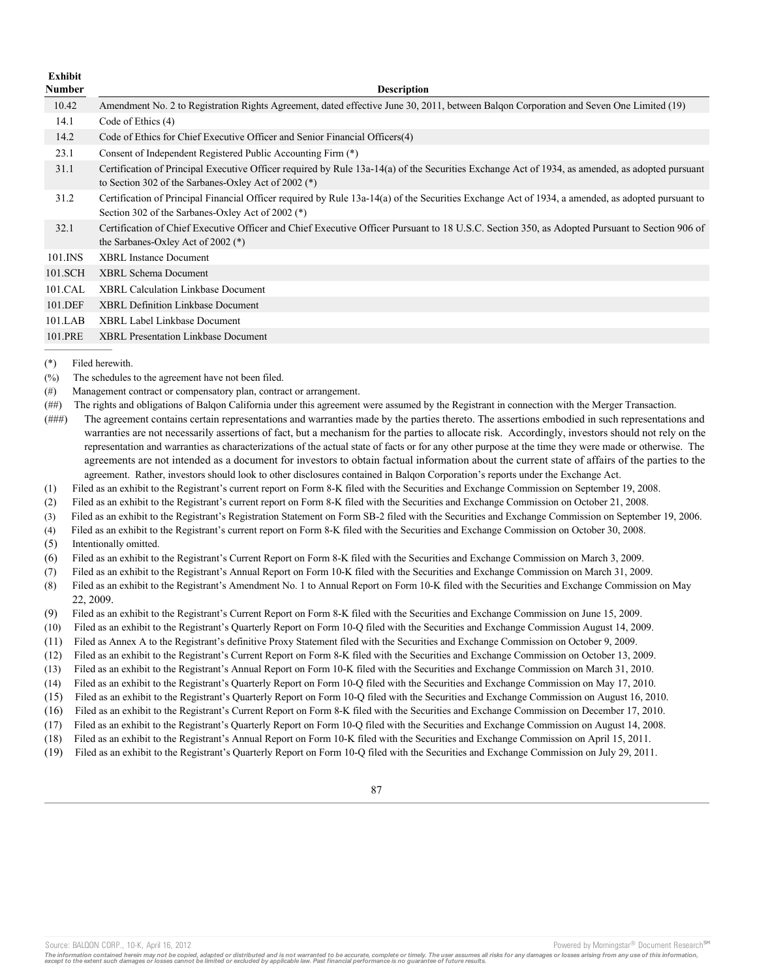| <b>Exhibit</b><br><b>Number</b>                          |           | <b>Description</b>                                                                                                                                                                                                                                                                                                                                                                                                                                                                                                                                                                                                                                                                                                                                                                                                                                                                                                                                                                                                                                   |  |  |  |  |  |
|----------------------------------------------------------|-----------|------------------------------------------------------------------------------------------------------------------------------------------------------------------------------------------------------------------------------------------------------------------------------------------------------------------------------------------------------------------------------------------------------------------------------------------------------------------------------------------------------------------------------------------------------------------------------------------------------------------------------------------------------------------------------------------------------------------------------------------------------------------------------------------------------------------------------------------------------------------------------------------------------------------------------------------------------------------------------------------------------------------------------------------------------|--|--|--|--|--|
| 10.42                                                    |           | Amendment No. 2 to Registration Rights Agreement, dated effective June 30, 2011, between Balgon Corporation and Seven One Limited (19)                                                                                                                                                                                                                                                                                                                                                                                                                                                                                                                                                                                                                                                                                                                                                                                                                                                                                                               |  |  |  |  |  |
| 14.1                                                     |           | Code of Ethics (4)                                                                                                                                                                                                                                                                                                                                                                                                                                                                                                                                                                                                                                                                                                                                                                                                                                                                                                                                                                                                                                   |  |  |  |  |  |
| 14.2                                                     |           | Code of Ethics for Chief Executive Officer and Senior Financial Officers(4)                                                                                                                                                                                                                                                                                                                                                                                                                                                                                                                                                                                                                                                                                                                                                                                                                                                                                                                                                                          |  |  |  |  |  |
| 23.1                                                     |           | Consent of Independent Registered Public Accounting Firm (*)                                                                                                                                                                                                                                                                                                                                                                                                                                                                                                                                                                                                                                                                                                                                                                                                                                                                                                                                                                                         |  |  |  |  |  |
| 31.1                                                     |           | Certification of Principal Executive Officer required by Rule 13a-14(a) of the Securities Exchange Act of 1934, as amended, as adopted pursuant<br>to Section 302 of the Sarbanes-Oxley Act of 2002 (*)                                                                                                                                                                                                                                                                                                                                                                                                                                                                                                                                                                                                                                                                                                                                                                                                                                              |  |  |  |  |  |
| 31.2                                                     |           | Certification of Principal Financial Officer required by Rule 13a-14(a) of the Securities Exchange Act of 1934, a amended, as adopted pursuant to<br>Section 302 of the Sarbanes-Oxley Act of 2002 (*)                                                                                                                                                                                                                                                                                                                                                                                                                                                                                                                                                                                                                                                                                                                                                                                                                                               |  |  |  |  |  |
| 32.1                                                     |           | Certification of Chief Executive Officer and Chief Executive Officer Pursuant to 18 U.S.C. Section 350, as Adopted Pursuant to Section 906 of<br>the Sarbanes-Oxley Act of 2002 (*)                                                                                                                                                                                                                                                                                                                                                                                                                                                                                                                                                                                                                                                                                                                                                                                                                                                                  |  |  |  |  |  |
| 101.INS                                                  |           | <b>XBRL Instance Document</b>                                                                                                                                                                                                                                                                                                                                                                                                                                                                                                                                                                                                                                                                                                                                                                                                                                                                                                                                                                                                                        |  |  |  |  |  |
| 101.SCH                                                  |           | <b>XBRL Schema Document</b>                                                                                                                                                                                                                                                                                                                                                                                                                                                                                                                                                                                                                                                                                                                                                                                                                                                                                                                                                                                                                          |  |  |  |  |  |
| 101.CAL                                                  |           | XBRL Calculation Linkbase Document                                                                                                                                                                                                                                                                                                                                                                                                                                                                                                                                                                                                                                                                                                                                                                                                                                                                                                                                                                                                                   |  |  |  |  |  |
| 101.DEF                                                  |           | <b>XBRL Definition Linkbase Document</b>                                                                                                                                                                                                                                                                                                                                                                                                                                                                                                                                                                                                                                                                                                                                                                                                                                                                                                                                                                                                             |  |  |  |  |  |
| 101.LAB                                                  |           | XBRL Label Linkbase Document                                                                                                                                                                                                                                                                                                                                                                                                                                                                                                                                                                                                                                                                                                                                                                                                                                                                                                                                                                                                                         |  |  |  |  |  |
| 101.PRE                                                  |           | XBRL Presentation Linkbase Document                                                                                                                                                                                                                                                                                                                                                                                                                                                                                                                                                                                                                                                                                                                                                                                                                                                                                                                                                                                                                  |  |  |  |  |  |
| $(*)$<br>$(\%)$<br>$^{(#)}$<br>$(\# \#)$<br>$(\# \# \#)$ |           | Filed herewith.<br>The schedules to the agreement have not been filed.<br>Management contract or compensatory plan, contract or arrangement.<br>The rights and obligations of Balqon California under this agreement were assumed by the Registrant in connection with the Merger Transaction.<br>The agreement contains certain representations and warranties made by the parties thereto. The assertions embodied in such representations and<br>warranties are not necessarily assertions of fact, but a mechanism for the parties to allocate risk. Accordingly, investors should not rely on the<br>representation and warranties as characterizations of the actual state of facts or for any other purpose at the time they were made or otherwise. The<br>agreements are not intended as a document for investors to obtain factual information about the current state of affairs of the parties to the<br>agreement. Rather, investors should look to other disclosures contained in Balqon Corporation's reports under the Exchange Act. |  |  |  |  |  |
| (1)                                                      |           | Filed as an exhibit to the Registrant's current report on Form 8-K filed with the Securities and Exchange Commission on September 19, 2008.                                                                                                                                                                                                                                                                                                                                                                                                                                                                                                                                                                                                                                                                                                                                                                                                                                                                                                          |  |  |  |  |  |
| (2)                                                      |           | Filed as an exhibit to the Registrant's current report on Form 8-K filed with the Securities and Exchange Commission on October 21, 2008.                                                                                                                                                                                                                                                                                                                                                                                                                                                                                                                                                                                                                                                                                                                                                                                                                                                                                                            |  |  |  |  |  |
| (3)<br>(4)                                               |           | Filed as an exhibit to the Registrant's Registration Statement on Form SB-2 filed with the Securities and Exchange Commission on September 19, 2006.<br>Filed as an exhibit to the Registrant's current report on Form 8-K filed with the Securities and Exchange Commission on October 30, 2008.                                                                                                                                                                                                                                                                                                                                                                                                                                                                                                                                                                                                                                                                                                                                                    |  |  |  |  |  |
| (5)                                                      |           | Intentionally omitted.                                                                                                                                                                                                                                                                                                                                                                                                                                                                                                                                                                                                                                                                                                                                                                                                                                                                                                                                                                                                                               |  |  |  |  |  |
| (6)                                                      |           | Filed as an exhibit to the Registrant's Current Report on Form 8-K filed with the Securities and Exchange Commission on March 3, 2009.                                                                                                                                                                                                                                                                                                                                                                                                                                                                                                                                                                                                                                                                                                                                                                                                                                                                                                               |  |  |  |  |  |
| (7)                                                      |           | Filed as an exhibit to the Registrant's Annual Report on Form 10-K filed with the Securities and Exchange Commission on March 31, 2009.                                                                                                                                                                                                                                                                                                                                                                                                                                                                                                                                                                                                                                                                                                                                                                                                                                                                                                              |  |  |  |  |  |
| (8)                                                      | 22, 2009. | Filed as an exhibit to the Registrant's Amendment No. 1 to Annual Report on Form 10-K filed with the Securities and Exchange Commission on May                                                                                                                                                                                                                                                                                                                                                                                                                                                                                                                                                                                                                                                                                                                                                                                                                                                                                                       |  |  |  |  |  |
| (9)<br>(10)                                              |           | Filed as an exhibit to the Registrant's Current Report on Form 8-K filed with the Securities and Exchange Commission on June 15, 2009.<br>Filed as an exhibit to the Registrant's Quarterly Report on Form 10-Q filed with the Securities and Exchange Commission August 14, 2009.                                                                                                                                                                                                                                                                                                                                                                                                                                                                                                                                                                                                                                                                                                                                                                   |  |  |  |  |  |

- (11) Filed as Annex A to the Registrant's definitive Proxy Statement filed with the Securities and Exchange Commission on October 9, 2009.
- (12) Filed as an exhibit to the Registrant's Current Report on Form 8-K filed with the Securities and Exchange Commission on October 13, 2009.
- (13) Filed as an exhibit to the Registrant's Annual Report on Form 10-K filed with the Securities and Exchange Commission on March 31, 2010.
- (14) Filed as an exhibit to the Registrant's Quarterly Report on Form 10-Q filed with the Securities and Exchange Commission on May 17, 2010.
- (15) Filed as an exhibit to the Registrant's Quarterly Report on Form 10-Q filed with the Securities and Exchange Commission on August 16, 2010.
- (16) Filed as an exhibit to the Registrant's Current Report on Form 8-K filed with the Securities and Exchange Commission on December 17, 2010.
- (17) Filed as an exhibit to the Registrant's Quarterly Report on Form 10-Q filed with the Securities and Exchange Commission on August 14, 2008.
- (18) Filed as an exhibit to the Registrant's Annual Report on Form 10-K filed with the Securities and Exchange Commission on April 15, 2011.
- (19) Filed as an exhibit to the Registrant's Quarterly Report on Form 10-Q filed with the Securities and Exchange Commission on July 29, 2011.

Source: BALQON CORP., 10-K, April 16, 2012 **Powered by Morningstar® Document Research** <sup>sm</sup>

The information contained herein may not be copied, adapted or distributed and is not warranted to be accurate, complete or timely. The user assumes all risks for any damages or losses arising from any use of this informat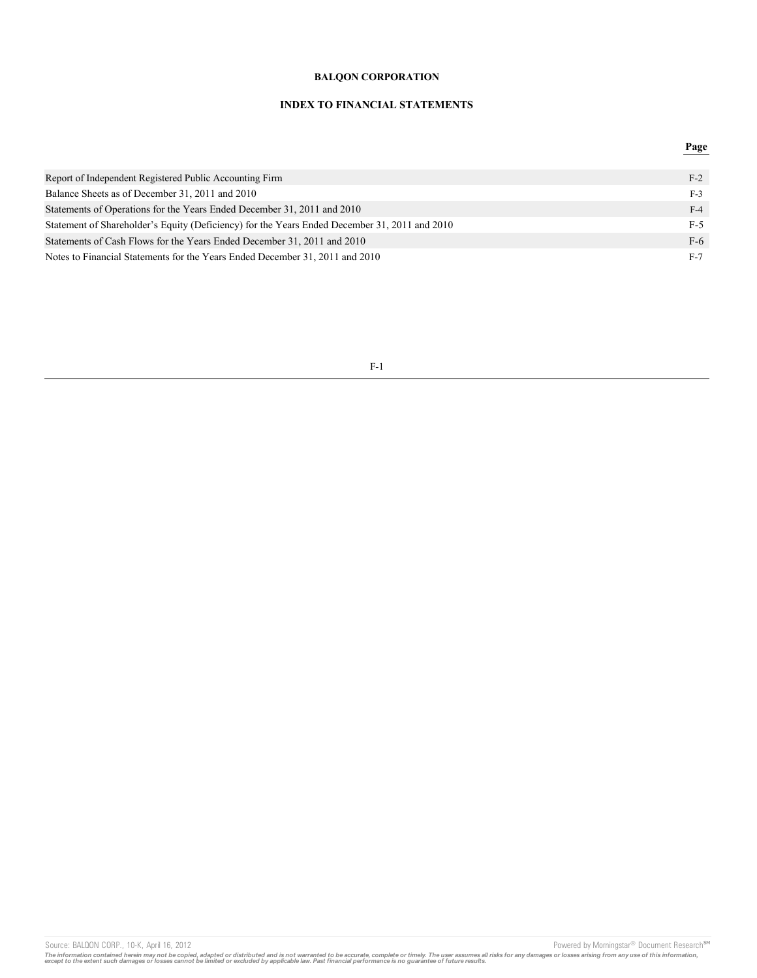# **INDEX TO FINANCIAL STATEMENTS**

# **Page**

| Report of Independent Registered Public Accounting Firm                                       | $F-2$ |
|-----------------------------------------------------------------------------------------------|-------|
| Balance Sheets as of December 31, 2011 and 2010                                               | $F-3$ |
| Statements of Operations for the Years Ended December 31, 2011 and 2010                       | $F-4$ |
| Statement of Shareholder's Equity (Deficiency) for the Years Ended December 31, 2011 and 2010 | $F-5$ |
| Statements of Cash Flows for the Years Ended December 31, 2011 and 2010                       | F-6   |
| Notes to Financial Statements for the Years Ended December 31, 2011 and 2010                  |       |

## F-1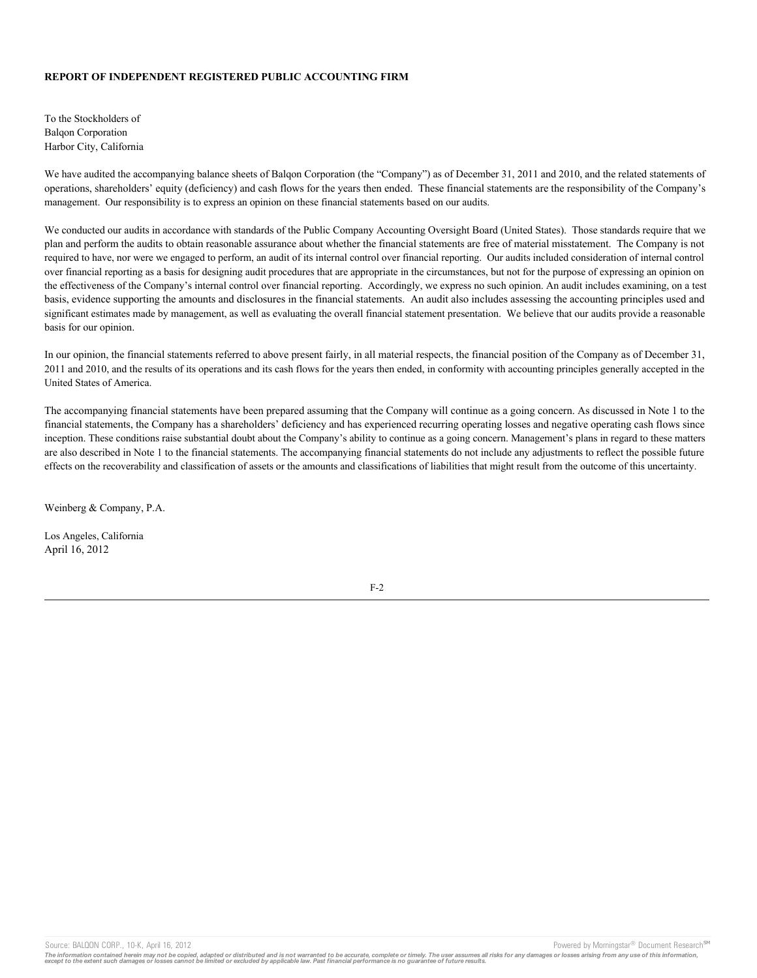## **REPORT OF INDEPENDENT REGISTERED PUBLIC ACCOUNTING FIRM**

To the Stockholders of Balqon Corporation Harbor City, California

We have audited the accompanying balance sheets of Balqon Corporation (the "Company") as of December 31, 2011 and 2010, and the related statements of operations, shareholders' equity (deficiency) and cash flows for the years then ended. These financial statements are the responsibility of the Company's management. Our responsibility is to express an opinion on these financial statements based on our audits.

We conducted our audits in accordance with standards of the Public Company Accounting Oversight Board (United States). Those standards require that we plan and perform the audits to obtain reasonable assurance about whether the financial statements are free of material misstatement. The Company is not required to have, nor were we engaged to perform, an audit of its internal control over financial reporting. Our audits included consideration of internal control over financial reporting as a basis for designing audit procedures that are appropriate in the circumstances, but not for the purpose of expressing an opinion on the effectiveness of the Company's internal control over financial reporting. Accordingly, we express no such opinion. An audit includes examining, on a test basis, evidence supporting the amounts and disclosures in the financial statements. An audit also includes assessing the accounting principles used and significant estimates made by management, as well as evaluating the overall financial statement presentation. We believe that our audits provide a reasonable basis for our opinion.

In our opinion, the financial statements referred to above present fairly, in all material respects, the financial position of the Company as of December 31, 2011 and 2010, and the results of its operations and its cash flows for the years then ended, in conformity with accounting principles generally accepted in the United States of America.

The accompanying financial statements have been prepared assuming that the Company will continue as a going concern. As discussed in Note 1 to the financial statements, the Company has a shareholders' deficiency and has experienced recurring operating losses and negative operating cash flows since inception. These conditions raise substantial doubt about the Company's ability to continue as a going concern. Management's plans in regard to these matters are also described in Note 1 to the financial statements. The accompanying financial statements do not include any adjustments to reflect the possible future effects on the recoverability and classification of assets or the amounts and classifications of liabilities that might result from the outcome of this uncertainty.

Weinberg & Company, P.A.

Los Angeles, California April 16, 2012

F-2

Source: BALQON CORP., 10-K, April 16, 2012 **Powered by Morningstar® Document Research** in Powered by Morningstar® Document Research in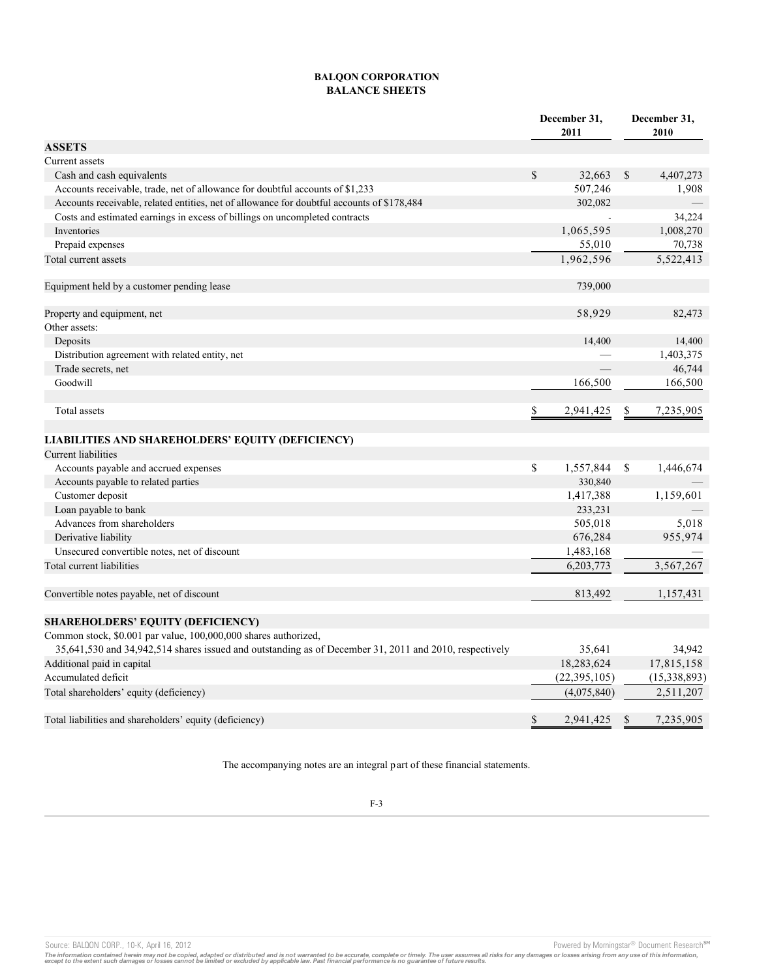# **BALQON CORPORATION BALANCE SHEETS**

|                                                                                                        | December 31,<br>2011 |               | December 31,<br>2010 |
|--------------------------------------------------------------------------------------------------------|----------------------|---------------|----------------------|
| <b>ASSETS</b>                                                                                          |                      |               |                      |
| Current assets                                                                                         |                      |               |                      |
| Cash and cash equivalents                                                                              | \$<br>32,663         | $\mathbb{S}$  | 4,407,273            |
| Accounts receivable, trade, net of allowance for doubtful accounts of \$1,233                          | 507,246              |               | 1,908                |
| Accounts receivable, related entities, net of allowance for doubtful accounts of \$178,484             | 302,082              |               |                      |
| Costs and estimated earnings in excess of billings on uncompleted contracts                            |                      |               | 34,224               |
| Inventories                                                                                            | 1,065,595            |               | 1,008,270            |
| Prepaid expenses                                                                                       | 55,010               |               | 70,738               |
| Total current assets                                                                                   | 1,962,596            |               | 5,522,413            |
| Equipment held by a customer pending lease                                                             | 739,000              |               |                      |
| Property and equipment, net                                                                            | 58,929               |               | 82,473               |
| Other assets:                                                                                          |                      |               |                      |
| Deposits                                                                                               | 14,400               |               | 14,400               |
| Distribution agreement with related entity, net                                                        |                      |               | 1,403,375            |
| Trade secrets, net                                                                                     |                      |               | 46,744               |
| Goodwill                                                                                               | 166,500              |               | 166,500              |
| Total assets                                                                                           | \$<br>2,941,425      | \$            | 7,235,905            |
| LIABILITIES AND SHAREHOLDERS' EQUITY (DEFICIENCY)                                                      |                      |               |                      |
| Current liabilities                                                                                    |                      |               |                      |
| Accounts payable and accrued expenses                                                                  | \$<br>1,557,844      | <sup>\$</sup> | 1,446,674            |
| Accounts payable to related parties                                                                    | 330,840              |               |                      |
| Customer deposit                                                                                       | 1,417,388            |               | 1,159,601            |
| Loan payable to bank                                                                                   | 233,231              |               |                      |
| Advances from shareholders                                                                             | 505,018              |               | 5,018                |
| Derivative liability                                                                                   | 676,284              |               | 955,974              |
| Unsecured convertible notes, net of discount                                                           | 1,483,168            |               |                      |
| Total current liabilities                                                                              | 6,203,773            |               | 3,567,267            |
| Convertible notes payable, net of discount                                                             | 813,492              |               | 1,157,431            |
| <b>SHAREHOLDERS' EQUITY (DEFICIENCY)</b>                                                               |                      |               |                      |
| Common stock, \$0.001 par value, 100,000,000 shares authorized,                                        |                      |               |                      |
| 35,641,530 and 34,942,514 shares issued and outstanding as of December 31, 2011 and 2010, respectively | 35,641               |               | 34,942               |
| Additional paid in capital                                                                             | 18,283,624           |               | 17,815,158           |
| Accumulated deficit                                                                                    | (22, 395, 105)       |               | (15,338,893)         |
| Total shareholders' equity (deficiency)                                                                | (4,075,840)          |               | 2,511,207            |
| Total liabilities and shareholders' equity (deficiency)                                                | \$<br>2,941,425      | \$            | 7,235,905            |

The accompanying notes are an integral p art of these financial statements.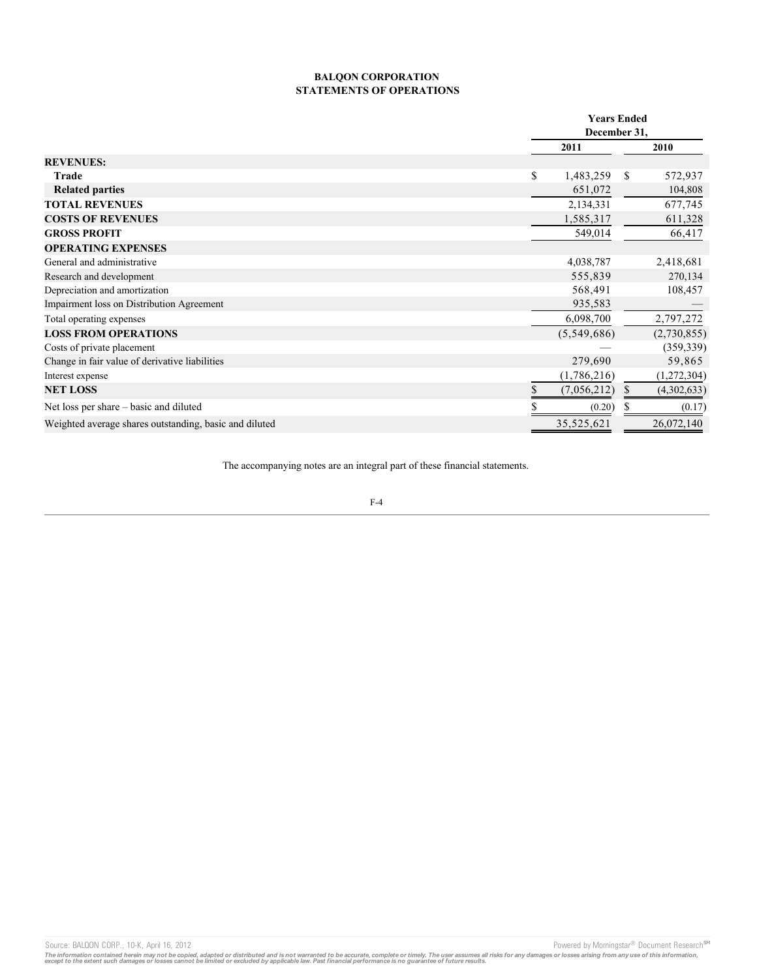# **BALQON CORPORATION STATEMENTS OF OPERATIONS**

|                                                        |                 | <b>Years Ended</b> |             |  |
|--------------------------------------------------------|-----------------|--------------------|-------------|--|
|                                                        |                 | December 31,       |             |  |
|                                                        | 2011            |                    | 2010        |  |
| <b>REVENUES:</b>                                       |                 |                    |             |  |
| Trade                                                  | \$<br>1,483,259 | S                  | 572,937     |  |
| <b>Related parties</b>                                 | 651,072         |                    | 104,808     |  |
| <b>TOTAL REVENUES</b>                                  | 2,134,331       |                    | 677,745     |  |
| <b>COSTS OF REVENUES</b>                               | 1,585,317       |                    | 611,328     |  |
| <b>GROSS PROFIT</b>                                    | 549,014         |                    | 66,417      |  |
| <b>OPERATING EXPENSES</b>                              |                 |                    |             |  |
| General and administrative                             | 4,038,787       |                    | 2,418,681   |  |
| Research and development                               | 555,839         |                    | 270,134     |  |
| Depreciation and amortization                          | 568,491         |                    | 108,457     |  |
| Impairment loss on Distribution Agreement              | 935,583         |                    |             |  |
| Total operating expenses                               | 6,098,700       |                    | 2,797,272   |  |
| <b>LOSS FROM OPERATIONS</b>                            | (5,549,686)     |                    | (2,730,855) |  |
| Costs of private placement                             |                 |                    | (359, 339)  |  |
| Change in fair value of derivative liabilities         | 279,690         |                    | 59,865      |  |
| Interest expense                                       | (1,786,216)     |                    | (1,272,304) |  |
| <b>NET LOSS</b>                                        | (7,056,212)     |                    | (4,302,633) |  |
| Net loss per share – basic and diluted                 | (0.20)          |                    | (0.17)      |  |
| Weighted average shares outstanding, basic and diluted | 35,525,621      |                    | 26,072,140  |  |

The accompanying notes are an integral part of these financial statements.

F-4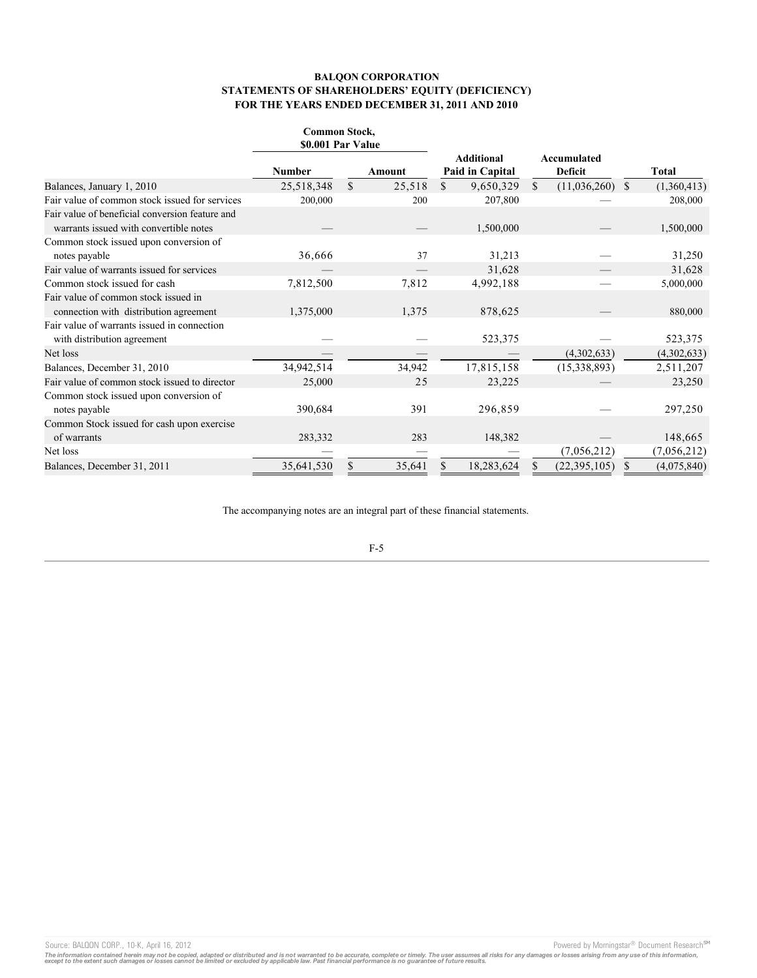## **BALQON CORPORATION STATEMENTS OF SHAREHOLDERS' EQUITY (DEFICIENCY) FOR THE YEARS ENDED DECEMBER 31, 2011 AND 2010**

|                                                 | <b>Common Stock,</b><br>\$0.001 Par Value |    |        |    |                                      |    |                               |               |              |
|-------------------------------------------------|-------------------------------------------|----|--------|----|--------------------------------------|----|-------------------------------|---------------|--------------|
|                                                 | <b>Number</b>                             |    | Amount |    | <b>Additional</b><br>Paid in Capital |    | Accumulated<br><b>Deficit</b> |               | <b>Total</b> |
| Balances, January 1, 2010                       | 25,518,348                                | S. | 25,518 | S. | 9,650,329                            | S. | (11,036,260)                  | <sup>\$</sup> | (1,360,413)  |
| Fair value of common stock issued for services  | 200,000                                   |    | 200    |    | 207,800                              |    |                               |               | 208,000      |
| Fair value of beneficial conversion feature and |                                           |    |        |    |                                      |    |                               |               |              |
| warrants issued with convertible notes          |                                           |    |        |    | 1,500,000                            |    |                               |               | 1,500,000    |
| Common stock issued upon conversion of          |                                           |    |        |    |                                      |    |                               |               |              |
| notes payable                                   | 36,666                                    |    | 37     |    | 31,213                               |    |                               |               | 31,250       |
| Fair value of warrants issued for services      |                                           |    |        |    | 31,628                               |    |                               |               | 31,628       |
| Common stock issued for cash                    | 7,812,500                                 |    | 7,812  |    | 4,992,188                            |    |                               |               | 5,000,000    |
| Fair value of common stock issued in            |                                           |    |        |    |                                      |    |                               |               |              |
| connection with distribution agreement          | 1,375,000                                 |    | 1,375  |    | 878,625                              |    |                               |               | 880,000      |
| Fair value of warrants issued in connection     |                                           |    |        |    |                                      |    |                               |               |              |
| with distribution agreement                     |                                           |    |        |    | 523,375                              |    |                               |               | 523,375      |
| Net loss                                        |                                           |    |        |    |                                      |    | (4,302,633)                   |               | (4,302,633)  |
| Balances, December 31, 2010                     | 34,942,514                                |    | 34,942 |    | 17,815,158                           |    | (15,338,893)                  |               | 2,511,207    |
| Fair value of common stock issued to director   | 25,000                                    |    | 25     |    | 23,225                               |    |                               |               | 23,250       |
| Common stock issued upon conversion of          |                                           |    |        |    |                                      |    |                               |               |              |
| notes payable                                   | 390,684                                   |    | 391    |    | 296,859                              |    |                               |               | 297,250      |
| Common Stock issued for cash upon exercise      |                                           |    |        |    |                                      |    |                               |               |              |
| of warrants                                     | 283,332                                   |    | 283    |    | 148,382                              |    |                               |               | 148,665      |
| Net loss                                        |                                           |    |        |    |                                      |    | (7,056,212)                   |               | (7,056,212)  |
| Balances, December 31, 2011                     | 35,641,530                                |    | 35,641 |    | 18,283,624                           |    | (22, 395, 105)                |               | (4,075,840)  |

The accompanying notes are an integral part of these financial statements.

$$
F-5
$$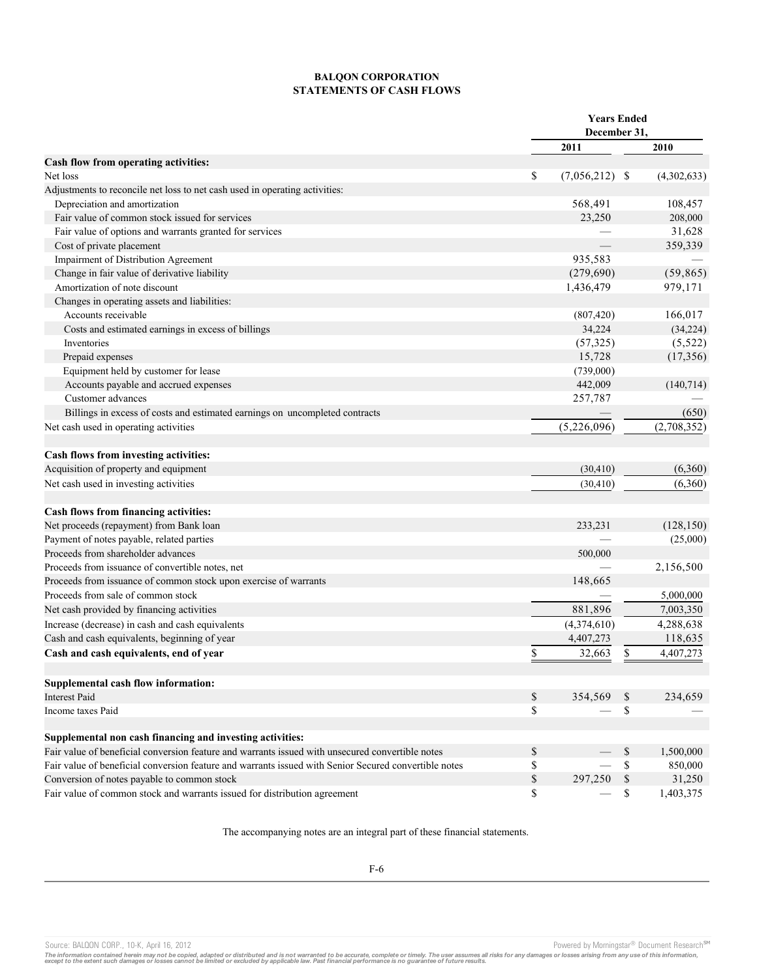# **BALQON CORPORATION STATEMENTS OF CASH FLOWS**

|                                                                                                       | <b>Years Ended</b> |                  |              |             |  |
|-------------------------------------------------------------------------------------------------------|--------------------|------------------|--------------|-------------|--|
|                                                                                                       | December 31.       |                  |              |             |  |
|                                                                                                       |                    | 2011             |              | 2010        |  |
| Cash flow from operating activities:                                                                  |                    |                  |              |             |  |
| Net loss                                                                                              | \$                 | $(7,056,212)$ \$ |              | (4,302,633) |  |
| Adjustments to reconcile net loss to net cash used in operating activities:                           |                    |                  |              |             |  |
| Depreciation and amortization                                                                         |                    | 568,491          |              | 108,457     |  |
| Fair value of common stock issued for services                                                        |                    | 23,250           |              | 208,000     |  |
| Fair value of options and warrants granted for services                                               |                    |                  |              | 31,628      |  |
| Cost of private placement                                                                             |                    |                  |              | 359,339     |  |
| Impairment of Distribution Agreement                                                                  |                    | 935,583          |              |             |  |
| Change in fair value of derivative liability                                                          |                    | (279, 690)       |              | (59, 865)   |  |
| Amortization of note discount                                                                         |                    | 1,436,479        |              | 979,171     |  |
| Changes in operating assets and liabilities:                                                          |                    |                  |              |             |  |
| Accounts receivable                                                                                   |                    | (807, 420)       |              | 166,017     |  |
| Costs and estimated earnings in excess of billings                                                    |                    | 34,224           |              | (34, 224)   |  |
| Inventories                                                                                           |                    | (57, 325)        |              | (5, 522)    |  |
| Prepaid expenses                                                                                      |                    | 15,728           |              | (17,356)    |  |
| Equipment held by customer for lease                                                                  |                    | (739,000)        |              |             |  |
| Accounts payable and accrued expenses                                                                 |                    | 442,009          |              | (140, 714)  |  |
| Customer advances                                                                                     |                    | 257,787          |              |             |  |
| Billings in excess of costs and estimated earnings on uncompleted contracts                           |                    |                  |              | (650)       |  |
| Net cash used in operating activities                                                                 |                    | (5,226,096)      |              | (2,708,352) |  |
| Cash flows from investing activities:                                                                 |                    |                  |              |             |  |
| Acquisition of property and equipment                                                                 |                    | (30, 410)        |              | (6,360)     |  |
| Net cash used in investing activities                                                                 |                    | (30, 410)        |              | (6,360)     |  |
| Cash flows from financing activities:                                                                 |                    |                  |              |             |  |
| Net proceeds (repayment) from Bank loan                                                               |                    | 233,231          |              | (128, 150)  |  |
| Payment of notes payable, related parties                                                             |                    |                  |              | (25,000)    |  |
| Proceeds from shareholder advances                                                                    |                    | 500,000          |              |             |  |
| Proceeds from issuance of convertible notes, net                                                      |                    |                  |              | 2,156,500   |  |
| Proceeds from issuance of common stock upon exercise of warrants                                      |                    | 148,665          |              |             |  |
| Proceeds from sale of common stock                                                                    |                    |                  |              | 5,000,000   |  |
| Net cash provided by financing activities                                                             |                    | 881,896          |              | 7,003,350   |  |
| Increase (decrease) in cash and cash equivalents                                                      |                    | (4,374,610)      |              | 4,288,638   |  |
| Cash and cash equivalents, beginning of year                                                          |                    | 4,407,273        |              | 118,635     |  |
| Cash and cash equivalents, end of year                                                                | \$                 | 32,663           | \$           | 4,407,273   |  |
| Supplemental cash flow information:                                                                   |                    |                  |              |             |  |
| <b>Interest Paid</b>                                                                                  | \$                 | 354,569          | -S           | 234,659     |  |
| Income taxes Paid                                                                                     | \$                 |                  | \$           |             |  |
| Supplemental non cash financing and investing activities:                                             |                    |                  |              |             |  |
| Fair value of beneficial conversion feature and warrants issued with unsecured convertible notes      | \$                 |                  | \$           | 1,500,000   |  |
| Fair value of beneficial conversion feature and warrants issued with Senior Secured convertible notes | \$                 |                  | \$           | 850,000     |  |
| Conversion of notes payable to common stock                                                           | \$                 | 297,250          | $\mathbb{S}$ | 31,250      |  |
| Fair value of common stock and warrants issued for distribution agreement                             | \$                 |                  | \$           | 1,403,375   |  |

The accompanying notes are an integral part of these financial statements.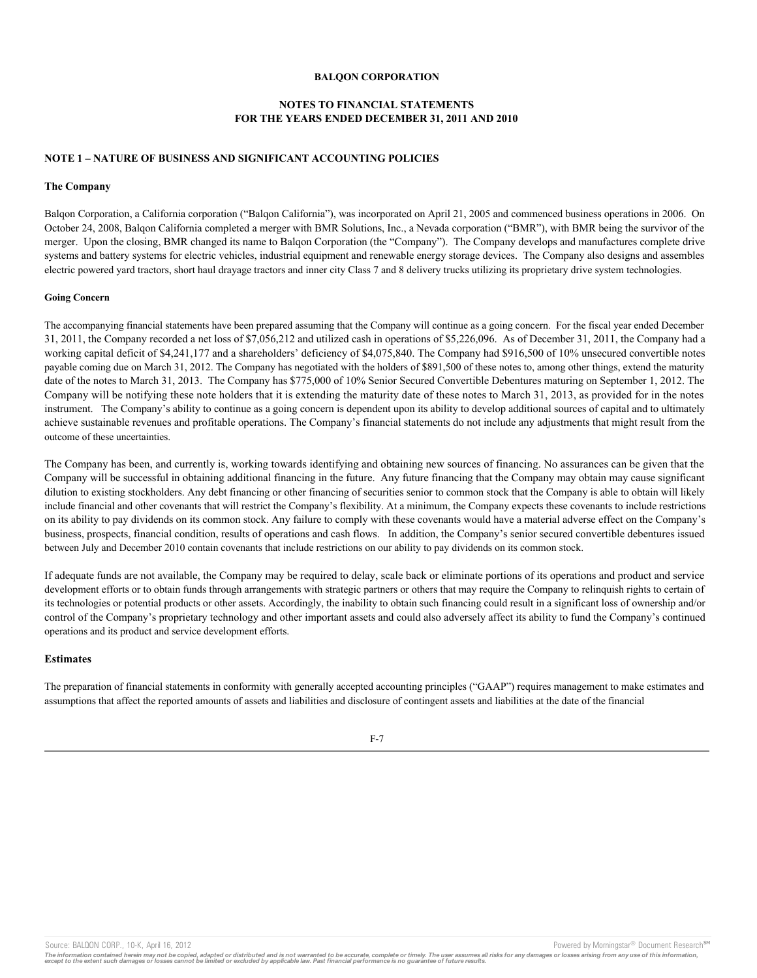## **NOTES TO FINANCIAL STATEMENTS FOR THE YEARS ENDED DECEMBER 31, 2011 AND 2010**

## **NOTE 1 – NATURE OF BUSINESS AND SIGNIFICANT ACCOUNTING POLICIES**

#### **The Company**

Balqon Corporation, a California corporation ("Balqon California"), was incorporated on April 21, 2005 and commenced business operations in 2006. On October 24, 2008, Balqon California completed a merger with BMR Solutions, Inc., a Nevada corporation ("BMR"), with BMR being the survivor of the merger. Upon the closing, BMR changed its name to Balqon Corporation (the "Company"). The Company develops and manufactures complete drive systems and battery systems for electric vehicles, industrial equipment and renewable energy storage devices. The Company also designs and assembles electric powered yard tractors, short haul drayage tractors and inner city Class 7 and 8 delivery trucks utilizing its proprietary drive system technologies.

## **Going Concern**

The accompanying financial statements have been prepared assuming that the Company will continue as a going concern. For the fiscal year ended December 31, 2011, the Company recorded a net loss of \$7,056,212 and utilized cash in operations of \$5,226,096. As of December 31, 2011, the Company had a working capital deficit of \$4,241,177 and a shareholders' deficiency of \$4,075,840. The Company had \$916,500 of 10% unsecured convertible notes payable coming due on March 31, 2012. The Company has negotiated with the holders of \$891,500 of these notes to, among other things, extend the maturity date of the notes to March 31, 2013. The Company has \$775,000 of 10% Senior Secured Convertible Debentures maturing on September 1, 2012. The Company will be notifying these note holders that it is extending the maturity date of these notes to March 31, 2013, as provided for in the notes instrument. The Company's ability to continue as a going concern is dependent upon its ability to develop additional sources of capital and to ultimately achieve sustainable revenues and profitable operations. The Company's financial statements do not include any adjustments that might result from the outcome of these uncertainties.

The Company has been, and currently is, working towards identifying and obtaining new sources of financing. No assurances can be given that the Company will be successful in obtaining additional financing in the future. Any future financing that the Company may obtain may cause significant dilution to existing stockholders. Any debt financing or other financing of securities senior to common stock that the Company is able to obtain will likely include financial and other covenants that will restrict the Company's flexibility. At a minimum, the Company expects these covenants to include restrictions on its ability to pay dividends on its common stock. Any failure to comply with these covenants would have a material adverse effect on the Company's business, prospects, financial condition, results of operations and cash flows. In addition, the Company's senior secured convertible debentures issued between July and December 2010 contain covenants that include restrictions on our ability to pay dividends on its common stock.

If adequate funds are not available, the Company may be required to delay, scale back or eliminate portions of its operations and product and service development efforts or to obtain funds through arrangements with strategic partners or others that may require the Company to relinquish rights to certain of its technologies or potential products or other assets. Accordingly, the inability to obtain such financing could result in a significant loss of ownership and/or control of the Company's proprietary technology and other important assets and could also adversely affect its ability to fund the Company's continued operations and its product and service development efforts.

## **Estimates**

The preparation of financial statements in conformity with generally accepted accounting principles ("GAAP") requires management to make estimates and assumptions that affect the reported amounts of assets and liabilities and disclosure of contingent assets and liabilities at the date of the financial



Source: BALQON CORP., 10-K, April 16, 2012 **Provided by April 16, 2012** Powered by Morningstar® Document Research <sup>sw</sup>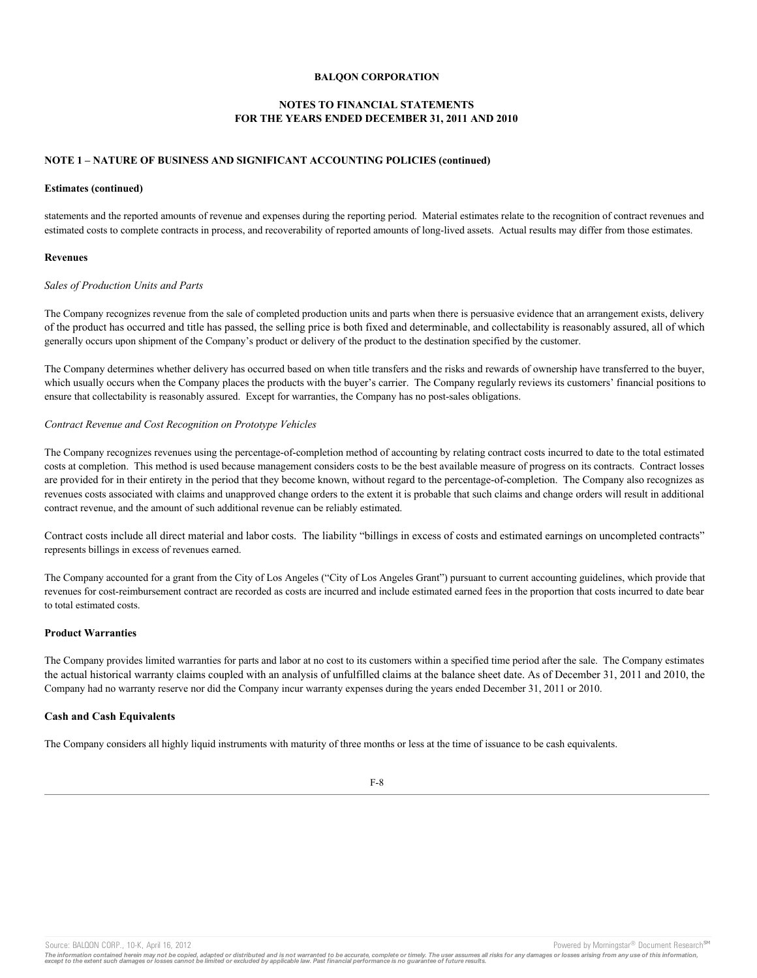## **NOTES TO FINANCIAL STATEMENTS FOR THE YEARS ENDED DECEMBER 31, 2011 AND 2010**

## **NOTE 1 – NATURE OF BUSINESS AND SIGNIFICANT ACCOUNTING POLICIES (continued)**

#### **Estimates (continued)**

statements and the reported amounts of revenue and expenses during the reporting period. Material estimates relate to the recognition of contract revenues and estimated costs to complete contracts in process, and recoverability of reported amounts of long-lived assets. Actual results may differ from those estimates.

### **Revenues**

#### *Sales of Production Units and Parts*

The Company recognizes revenue from the sale of completed production units and parts when there is persuasive evidence that an arrangement exists, delivery of the product has occurred and title has passed, the selling price is both fixed and determinable, and collectability is reasonably assured, all of which generally occurs upon shipment of the Company's product or delivery of the product to the destination specified by the customer.

The Company determines whether delivery has occurred based on when title transfers and the risks and rewards of ownership have transferred to the buyer, which usually occurs when the Company places the products with the buyer's carrier. The Company regularly reviews its customers' financial positions to ensure that collectability is reasonably assured. Except for warranties, the Company has no post-sales obligations.

#### *Contract Revenue and Cost Recognition on Prototype Vehicles*

The Company recognizes revenues using the percentage-of-completion method of accounting by relating contract costs incurred to date to the total estimated costs at completion. This method is used because management considers costs to be the best available measure of progress on its contracts. Contract losses are provided for in their entirety in the period that they become known, without regard to the percentage-of-completion. The Company also recognizes as revenues costs associated with claims and unapproved change orders to the extent it is probable that such claims and change orders will result in additional contract revenue, and the amount of such additional revenue can be reliably estimated.

Contract costs include all direct material and labor costs. The liability "billings in excess of costs and estimated earnings on uncompleted contracts" represents billings in excess of revenues earned.

The Company accounted for a grant from the City of Los Angeles ("City of Los Angeles Grant") pursuant to current accounting guidelines, which provide that revenues for cost-reimbursement contract are recorded as costs are incurred and include estimated earned fees in the proportion that costs incurred to date bear to total estimated costs.

### **Product Warranties**

The Company provides limited warranties for parts and labor at no cost to its customers within a specified time period after the sale. The Company estimates the actual historical warranty claims coupled with an analysis of unfulfilled claims at the balance sheet date. As of December 31, 2011 and 2010, the Company had no warranty reserve nor did the Company incur warranty expenses during the years ended December 31, 2011 or 2010.

#### **Cash and Cash Equivalents**

The Company considers all highly liquid instruments with maturity of three months or less at the time of issuance to be cash equivalents.



Source: BALQON CORP., 10-K, April 16, 2012 **Powered by Morningstar® Document Research** and the second powered by Morningstar® Document Research and

The information contained herein may not be copied, adapted or distributed and is not warranted to be accurate, complete or timely. The user assumes all risks for any damages or losses arising from any use of this informat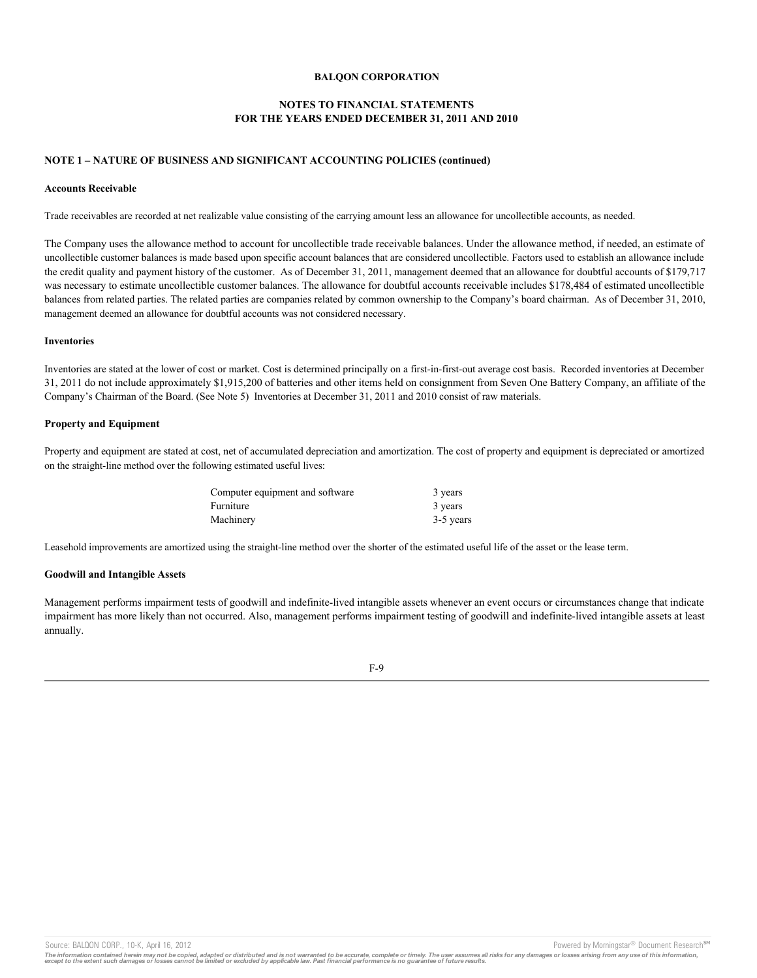## **NOTES TO FINANCIAL STATEMENTS FOR THE YEARS ENDED DECEMBER 31, 2011 AND 2010**

## **NOTE 1 – NATURE OF BUSINESS AND SIGNIFICANT ACCOUNTING POLICIES (continued)**

#### **Accounts Receivable**

Trade receivables are recorded at net realizable value consisting of the carrying amount less an allowance for uncollectible accounts, as needed.

The Company uses the allowance method to account for uncollectible trade receivable balances. Under the allowance method, if needed, an estimate of uncollectible customer balances is made based upon specific account balances that are considered uncollectible. Factors used to establish an allowance include the credit quality and payment history of the customer. As of December 31, 2011, management deemed that an allowance for doubtful accounts of \$179,717 was necessary to estimate uncollectible customer balances. The allowance for doubtful accounts receivable includes \$178,484 of estimated uncollectible balances from related parties. The related parties are companies related by common ownership to the Company's board chairman. As of December 31, 2010, management deemed an allowance for doubtful accounts was not considered necessary.

#### **Inventories**

Inventories are stated at the lower of cost or market. Cost is determined principally on a first-in-first-out average cost basis. Recorded inventories at December 31, 2011 do not include approximately \$1,915,200 of batteries and other items held on consignment from Seven One Battery Company, an affiliate of the Company's Chairman of the Board. (See Note 5) Inventories at December 31, 2011 and 2010 consist of raw materials.

#### **Property and Equipment**

Property and equipment are stated at cost, net of accumulated depreciation and amortization. The cost of property and equipment is depreciated or amortized on the straight-line method over the following estimated useful lives:

| Computer equipment and software | 3 years   |
|---------------------------------|-----------|
| Furniture                       | 3 years   |
| Machinery                       | 3-5 years |

Leasehold improvements are amortized using the straight-line method over the shorter of the estimated useful life of the asset or the lease term.

### **Goodwill and Intangible Assets**

Management performs impairment tests of goodwill and indefinite-lived intangible assets whenever an event occurs or circumstances change that indicate impairment has more likely than not occurred. Also, management performs impairment testing of goodwill and indefinite-lived intangible assets at least annually.



Source: BALQON CORP., 10-K, April 16, 2012 **Provided by Account Account Account Account Account Research** State of Document Research State of Document Research State of Document Research State of Document Research State of

The information contained herein may not be copied, adapted or distributed and is not warranted to be accurate, complete or timely. The user assumes all risks for any damages or losses arising from any use of this informat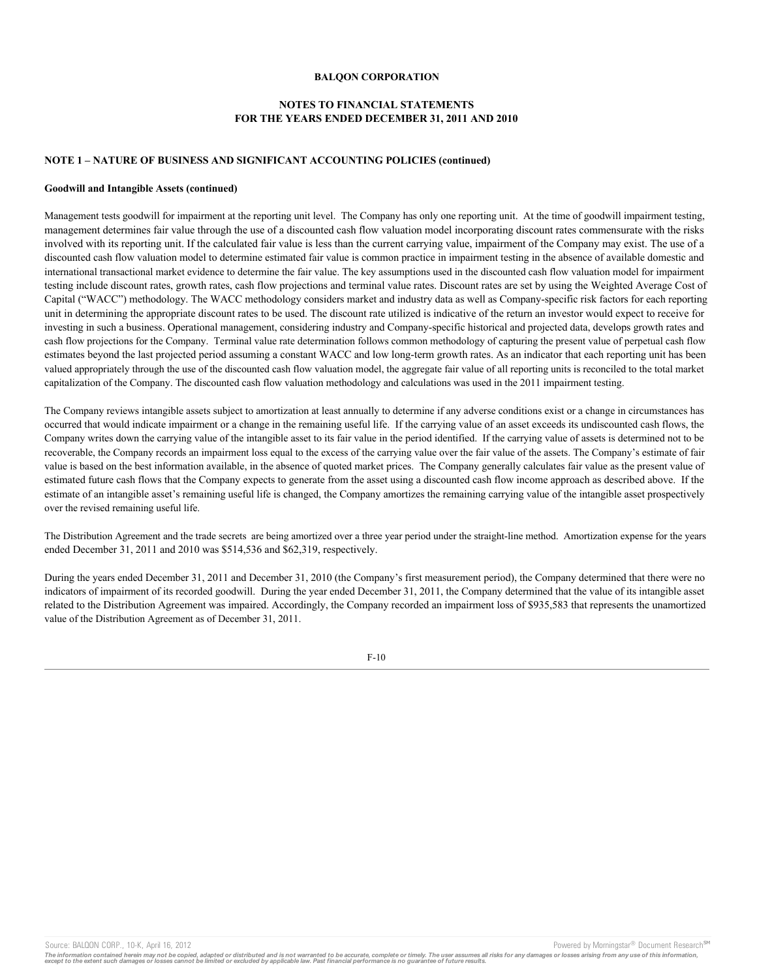## **NOTES TO FINANCIAL STATEMENTS FOR THE YEARS ENDED DECEMBER 31, 2011 AND 2010**

## **NOTE 1 – NATURE OF BUSINESS AND SIGNIFICANT ACCOUNTING POLICIES (continued)**

#### **Goodwill and Intangible Assets (continued)**

Management tests goodwill for impairment at the reporting unit level. The Company has only one reporting unit. At the time of goodwill impairment testing, management determines fair value through the use of a discounted cash flow valuation model incorporating discount rates commensurate with the risks involved with its reporting unit. If the calculated fair value is less than the current carrying value, impairment of the Company may exist. The use of a discounted cash flow valuation model to determine estimated fair value is common practice in impairment testing in the absence of available domestic and international transactional market evidence to determine the fair value. The key assumptions used in the discounted cash flow valuation model for impairment testing include discount rates, growth rates, cash flow projections and terminal value rates. Discount rates are set by using the Weighted Average Cost of Capital ("WACC") methodology. The WACC methodology considers market and industry data as well as Company-specific risk factors for each reporting unit in determining the appropriate discount rates to be used. The discount rate utilized is indicative of the return an investor would expect to receive for investing in such a business. Operational management, considering industry and Company-specific historical and projected data, develops growth rates and cash flow projections for the Company. Terminal value rate determination follows common methodology of capturing the present value of perpetual cash flow estimates beyond the last projected period assuming a constant WACC and low long-term growth rates. As an indicator that each reporting unit has been valued appropriately through the use of the discounted cash flow valuation model, the aggregate fair value of all reporting units is reconciled to the total market capitalization of the Company. The discounted cash flow valuation methodology and calculations was used in the 2011 impairment testing.

The Company reviews intangible assets subject to amortization at least annually to determine if any adverse conditions exist or a change in circumstances has occurred that would indicate impairment or a change in the remaining useful life. If the carrying value of an asset exceeds its undiscounted cash flows, the Company writes down the carrying value of the intangible asset to its fair value in the period identified. If the carrying value of assets is determined not to be recoverable, the Company records an impairment loss equal to the excess of the carrying value over the fair value of the assets. The Company's estimate of fair value is based on the best information available, in the absence of quoted market prices. The Company generally calculates fair value as the present value of estimated future cash flows that the Company expects to generate from the asset using a discounted cash flow income approach as described above. If the estimate of an intangible asset's remaining useful life is changed, the Company amortizes the remaining carrying value of the intangible asset prospectively over the revised remaining useful life.

The Distribution Agreement and the trade secrets are being amortized over a three year period under the straight-line method. Amortization expense for the years ended December 31, 2011 and 2010 was \$514,536 and \$62,319, respectively.

During the years ended December 31, 2011 and December 31, 2010 (the Company's first measurement period), the Company determined that there were no indicators of impairment of its recorded goodwill. During the year ended December 31, 2011, the Company determined that the value of its intangible asset related to the Distribution Agreement was impaired. Accordingly, the Company recorded an impairment loss of \$935,583 that represents the unamortized value of the Distribution Agreement as of December 31, 2011.

F-10

Source: BALQON CORP., 10-K, April 16, 2012 **Powered by Morningstar® Document Research** and the second powered by Morningstar® Document Research and

The information contained herein may not be copied, adapted or distributed and is not warranted to be accurate, complete or timely. The user assumes all risks for any damages or losses arising from any use of this informat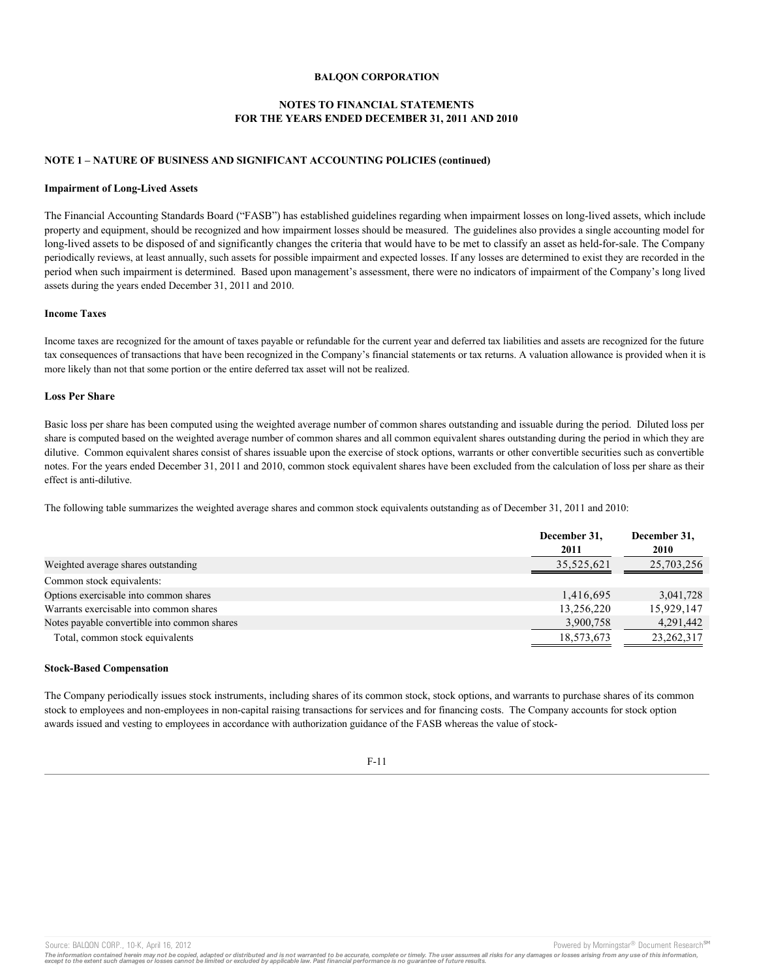## **NOTES TO FINANCIAL STATEMENTS FOR THE YEARS ENDED DECEMBER 31, 2011 AND 2010**

## **NOTE 1 – NATURE OF BUSINESS AND SIGNIFICANT ACCOUNTING POLICIES (continued)**

#### **Impairment of Long-Lived Assets**

The Financial Accounting Standards Board ("FASB") has established guidelines regarding when impairment losses on long-lived assets, which include property and equipment, should be recognized and how impairment losses should be measured. The guidelines also provides a single accounting model for long-lived assets to be disposed of and significantly changes the criteria that would have to be met to classify an asset as held-for-sale. The Company periodically reviews, at least annually, such assets for possible impairment and expected losses. If any losses are determined to exist they are recorded in the period when such impairment is determined. Based upon management's assessment, there were no indicators of impairment of the Company's long lived assets during the years ended December 31, 2011 and 2010.

## **Income Taxes**

Income taxes are recognized for the amount of taxes payable or refundable for the current year and deferred tax liabilities and assets are recognized for the future tax consequences of transactions that have been recognized in the Company's financial statements or tax returns. A valuation allowance is provided when it is more likely than not that some portion or the entire deferred tax asset will not be realized.

## **Loss Per Share**

Basic loss per share has been computed using the weighted average number of common shares outstanding and issuable during the period. Diluted loss per share is computed based on the weighted average number of common shares and all common equivalent shares outstanding during the period in which they are dilutive. Common equivalent shares consist of shares issuable upon the exercise of stock options, warrants or other convertible securities such as convertible notes. For the years ended December 31, 2011 and 2010, common stock equivalent shares have been excluded from the calculation of loss per share as their effect is anti-dilutive.

The following table summarizes the weighted average shares and common stock equivalents outstanding as of December 31, 2011 and 2010:

|                                              | December 31,<br>2011 | December 31,<br>2010 |
|----------------------------------------------|----------------------|----------------------|
| Weighted average shares outstanding          | 35,525,621           | 25,703,256           |
| Common stock equivalents:                    |                      |                      |
| Options exercisable into common shares       | 1,416,695            | 3,041,728            |
| Warrants exercisable into common shares      | 13,256,220           | 15,929,147           |
| Notes payable convertible into common shares | 3,900,758            | 4,291,442            |
| Total, common stock equivalents              | 18,573,673           | 23, 262, 317         |

#### **Stock-Based Compensation**

The Company periodically issues stock instruments, including shares of its common stock, stock options, and warrants to purchase shares of its common stock to employees and non-employees in non-capital raising transactions for services and for financing costs. The Company accounts for stock option awards issued and vesting to employees in accordance with authorization guidance of the FASB whereas the value of stock-

F-11

Source: BALQON CORP., 10-K, April 16, 2012 **Powered by Morningstar® Document Research** in Powered by Morningstar® Document Research in

The information contained herein may not be copied, adapted or distributed and is not warranted to be accurate, complete or timely. The user assumes all risks for any damages or losses arising from any use of this informat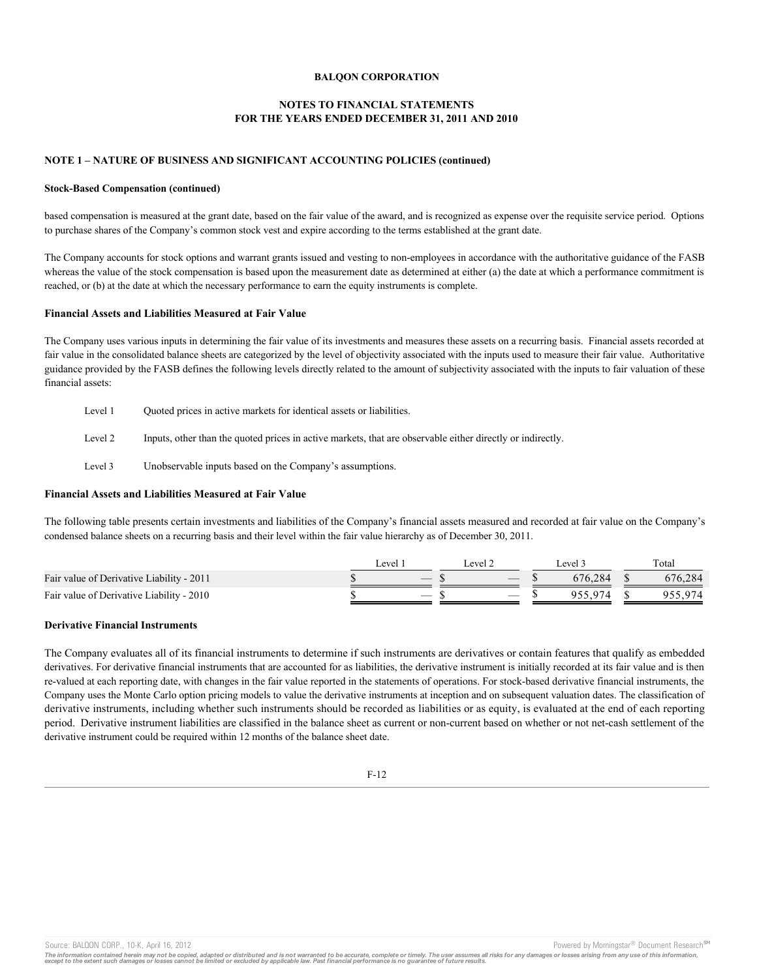## **NOTES TO FINANCIAL STATEMENTS FOR THE YEARS ENDED DECEMBER 31, 2011 AND 2010**

## **NOTE 1 – NATURE OF BUSINESS AND SIGNIFICANT ACCOUNTING POLICIES (continued)**

#### **Stock-Based Compensation (continued)**

based compensation is measured at the grant date, based on the fair value of the award, and is recognized as expense over the requisite service period. Options to purchase shares of the Company's common stock vest and expire according to the terms established at the grant date.

The Company accounts for stock options and warrant grants issued and vesting to non-employees in accordance with the authoritative guidance of the FASB whereas the value of the stock compensation is based upon the measurement date as determined at either (a) the date at which a performance commitment is reached, or (b) at the date at which the necessary performance to earn the equity instruments is complete.

### **Financial Assets and Liabilities Measured at Fair Value**

The Company uses various inputs in determining the fair value of its investments and measures these assets on a recurring basis. Financial assets recorded at fair value in the consolidated balance sheets are categorized by the level of objectivity associated with the inputs used to measure their fair value. Authoritative guidance provided by the FASB defines the following levels directly related to the amount of subjectivity associated with the inputs to fair valuation of these financial assets:

- Level 1 Quoted prices in active markets for identical assets or liabilities.
- Level 2 Inputs, other than the quoted prices in active markets, that are observable either directly or indirectly.
- Level 3 Unobservable inputs based on the Company's assumptions.

## **Financial Assets and Liabilities Measured at Fair Value**

The following table presents certain investments and liabilities of the Company's financial assets measured and recorded at fair value on the Company's condensed balance sheets on a recurring basis and their level within the fair value hierarchy as of December 30, 2011.

|                                           | evel | evel | evel :  | Total   |
|-------------------------------------------|------|------|---------|---------|
| Fair value of Derivative Liability - 2011 |      |      | 676.284 | 676.284 |
| Fair value of Derivative Liability - 2010 |      |      | 055 074 | 955.974 |

## **Derivative Financial Instruments**

The Company evaluates all of its financial instruments to determine if such instruments are derivatives or contain features that qualify as embedded derivatives. For derivative financial instruments that are accounted for as liabilities, the derivative instrument is initially recorded at its fair value and is then re-valued at each reporting date, with changes in the fair value reported in the statements of operations. For stock-based derivative financial instruments, the Company uses the Monte Carlo option pricing models to value the derivative instruments at inception and on subsequent valuation dates. The classification of derivative instruments, including whether such instruments should be recorded as liabilities or as equity, is evaluated at the end of each reporting period. Derivative instrument liabilities are classified in the balance sheet as current or non-current based on whether or not net-cash settlement of the derivative instrument could be required within 12 months of the balance sheet date.

 $F-12$ 

Source: BALQON CORP., 10-K, April 16, 2012 **Powered by Morningstar® Document Research** and the second powered by Morningstar® Document Research and

The information contained herein may not be copied, adapted or distributed and is not warranted to be accurate, complete or timely. The user assumes all risks for any damages or losses arising from any use of this informat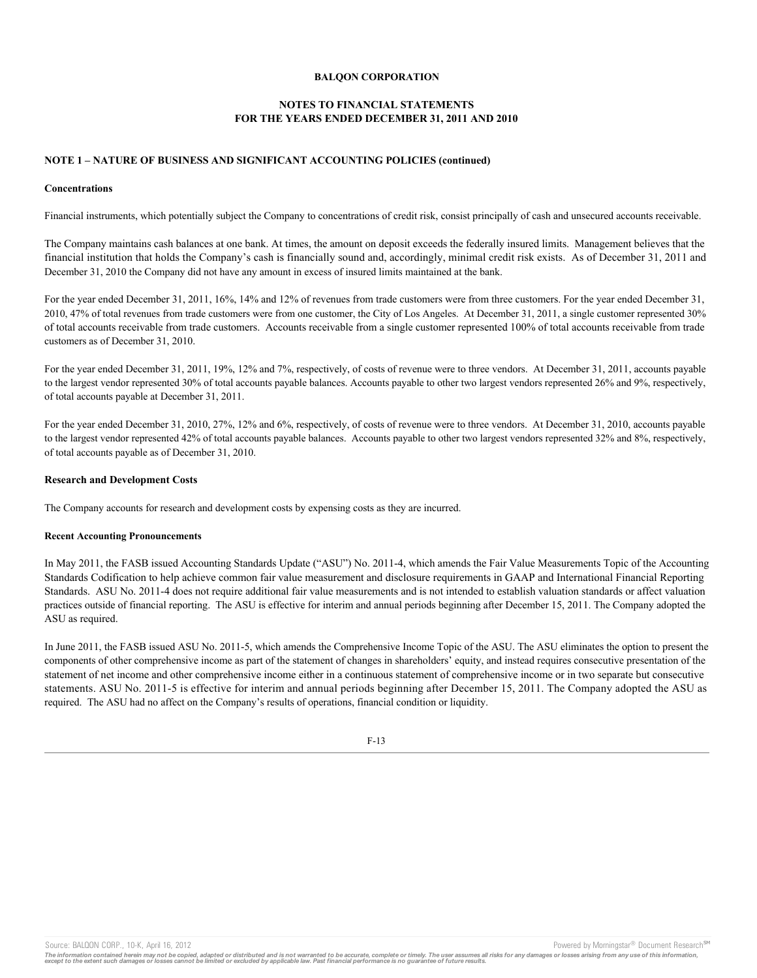## **NOTES TO FINANCIAL STATEMENTS FOR THE YEARS ENDED DECEMBER 31, 2011 AND 2010**

## **NOTE 1 – NATURE OF BUSINESS AND SIGNIFICANT ACCOUNTING POLICIES (continued)**

#### **Concentrations**

Financial instruments, which potentially subject the Company to concentrations of credit risk, consist principally of cash and unsecured accounts receivable.

The Company maintains cash balances at one bank. At times, the amount on deposit exceeds the federally insured limits. Management believes that the financial institution that holds the Company's cash is financially sound and, accordingly, minimal credit risk exists. As of December 31, 2011 and December 31, 2010 the Company did not have any amount in excess of insured limits maintained at the bank.

For the year ended December 31, 2011, 16%, 14% and 12% of revenues from trade customers were from three customers. For the year ended December 31, 2010, 47% of total revenues from trade customers were from one customer, the City of Los Angeles. At December 31, 2011, a single customer represented 30% of total accounts receivable from trade customers. Accounts receivable from a single customer represented 100% of total accounts receivable from trade customers as of December 31, 2010.

For the year ended December 31, 2011, 19%, 12% and 7%, respectively, of costs of revenue were to three vendors. At December 31, 2011, accounts payable to the largest vendor represented 30% of total accounts payable balances. Accounts payable to other two largest vendors represented 26% and 9%, respectively, of total accounts payable at December 31, 2011.

For the year ended December 31, 2010, 27%, 12% and 6%, respectively, of costs of revenue were to three vendors. At December 31, 2010, accounts payable to the largest vendor represented 42% of total accounts payable balances. Accounts payable to other two largest vendors represented 32% and 8%, respectively, of total accounts payable as of December 31, 2010.

#### **Research and Development Costs**

The Company accounts for research and development costs by expensing costs as they are incurred.

## **Recent Accounting Pronouncements**

In May 2011, the FASB issued Accounting Standards Update ("ASU") No. 2011-4, which amends the Fair Value Measurements Topic of the Accounting Standards Codification to help achieve common fair value measurement and disclosure requirements in GAAP and International Financial Reporting Standards. ASU No. 2011-4 does not require additional fair value measurements and is not intended to establish valuation standards or affect valuation practices outside of financial reporting. The ASU is effective for interim and annual periods beginning after December 15, 2011. The Company adopted the ASU as required.

In June 2011, the FASB issued ASU No. 2011-5, which amends the Comprehensive Income Topic of the ASU. The ASU eliminates the option to present the components of other comprehensive income as part of the statement of changes in shareholders' equity, and instead requires consecutive presentation of the statement of net income and other comprehensive income either in a continuous statement of comprehensive income or in two separate but consecutive statements. ASU No. 2011-5 is effective for interim and annual periods beginning after December 15, 2011. The Company adopted the ASU as required. The ASU had no affect on the Company's results of operations, financial condition or liquidity.

F-13

Source: BALQON CORP., 10-K, April 16, 2012 **Powered by Morningstar® Document Research** and the second powered by Morningstar® Document Research and

The information contained herein may not be copied, adapted or distributed and is not warranted to be accurate, complete or timely. The user assumes all risks for any damages or losses arising from any use of this informat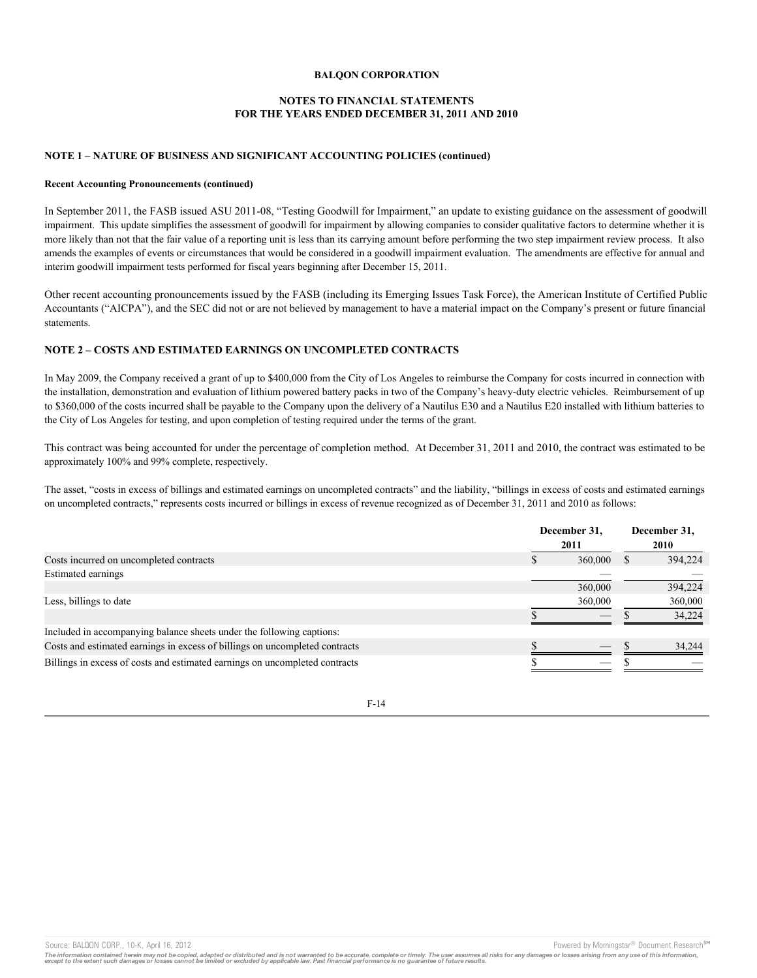## **NOTES TO FINANCIAL STATEMENTS FOR THE YEARS ENDED DECEMBER 31, 2011 AND 2010**

### **NOTE 1 – NATURE OF BUSINESS AND SIGNIFICANT ACCOUNTING POLICIES (continued)**

### **Recent Accounting Pronouncements (continued)**

In September 2011, the FASB issued ASU 2011-08, "Testing Goodwill for Impairment," an update to existing guidance on the assessment of goodwill impairment. This update simplifies the assessment of goodwill for impairment by allowing companies to consider qualitative factors to determine whether it is more likely than not that the fair value of a reporting unit is less than its carrying amount before performing the two step impairment review process. It also amends the examples of events or circumstances that would be considered in a goodwill impairment evaluation. The amendments are effective for annual and interim goodwill impairment tests performed for fiscal years beginning after December 15, 2011.

Other recent accounting pronouncements issued by the FASB (including its Emerging Issues Task Force), the American Institute of Certified Public Accountants ("AICPA"), and the SEC did not or are not believed by management to have a material impact on the Company's present or future financial statements.

## **NOTE 2 – COSTS AND ESTIMATED EARNINGS ON UNCOMPLETED CONTRACTS**

In May 2009, the Company received a grant of up to \$400,000 from the City of Los Angeles to reimburse the Company for costs incurred in connection with the installation, demonstration and evaluation of lithium powered battery packs in two of the Company's heavy-duty electric vehicles. Reimbursement of up to \$360,000 of the costs incurred shall be payable to the Company upon the delivery of a Nautilus E30 and a Nautilus E20 installed with lithium batteries to the City of Los Angeles for testing, and upon completion of testing required under the terms of the grant.

This contract was being accounted for under the percentage of completion method. At December 31, 2011 and 2010, the contract was estimated to be approximately 100% and 99% complete, respectively.

The asset, "costs in excess of billings and estimated earnings on uncompleted contracts" and the liability, "billings in excess of costs and estimated earnings on uncompleted contracts," represents costs incurred or billings in excess of revenue recognized as of December 31, 2011 and 2010 as follows:

|                                                                             | December 31,<br>2011 |         | December 31,<br><b>2010</b> |         |
|-----------------------------------------------------------------------------|----------------------|---------|-----------------------------|---------|
| Costs incurred on uncompleted contracts                                     |                      | 360,000 |                             | 394,224 |
| Estimated earnings                                                          |                      |         |                             |         |
|                                                                             |                      | 360,000 |                             | 394.224 |
| Less, billings to date                                                      |                      | 360,000 |                             | 360,000 |
|                                                                             |                      |         |                             | 34,224  |
| Included in accompanying balance sheets under the following captions:       |                      |         |                             |         |
| Costs and estimated earnings in excess of billings on uncompleted contracts |                      |         |                             | 34,244  |
| Billings in excess of costs and estimated earnings on uncompleted contracts |                      |         |                             |         |



Source: BALQON CORP., 10-K, April 16, 2012 **Powered by Morningstar® Document Research** in Powered by Morningstar® Document Research in

The information contained herein may not be copied, adapted or distributed and is not warranted to be accurate, complete or timely. The user assumes all risks for any damages or losses arising from any use of this informat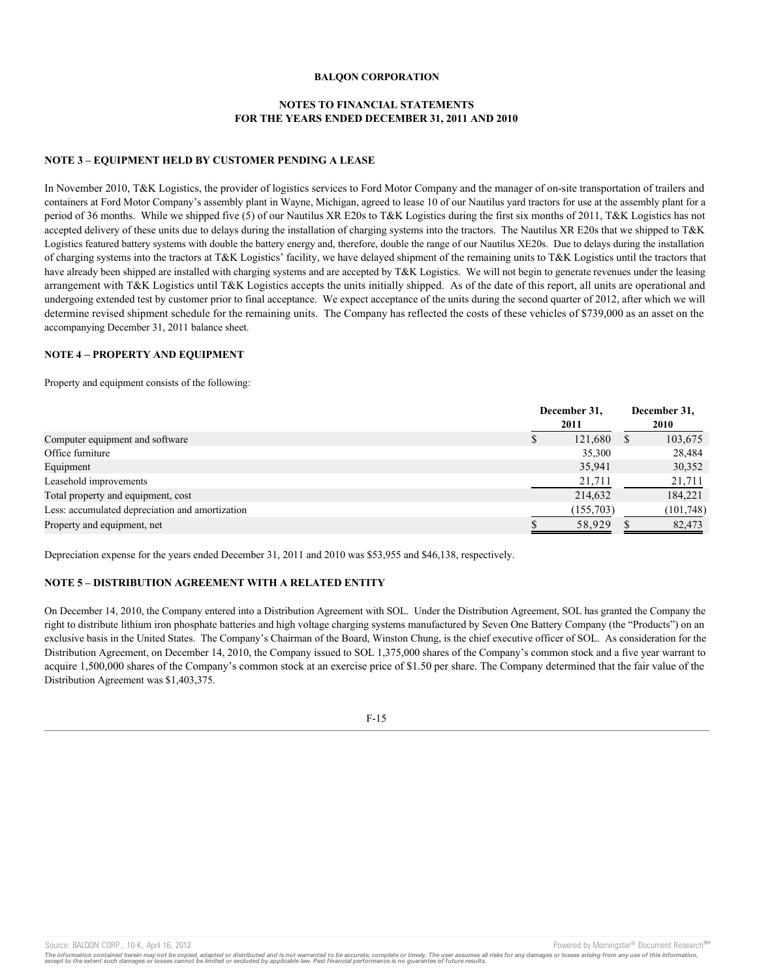## **NOTES TO FINANCIAL STATEMENTS FOR THE YEARS ENDED DECEMBER 31, 2011 AND 2010**

## **NOTE 3 – EQUIPMENT HELD BY CUSTOMER PENDING A LEASE**

In November 2010, T&K Logistics, the provider of logistics services to Ford Motor Company and the manager of on-site transportation of trailers and containers at Ford Motor Company's assembly plant in Wayne, Michigan, agreed to lease 10 of our Nautilus yard tractors for use at the assembly plant for a period of 36 months. While we shipped five (5) of our Nautilus XR E20s to T&K Logistics during the first six months of 2011, T&K Logistics has not accepted delivery of these units due to delays during the installation of charging systems into the tractors. The Nautilus XR E20s that we shipped to T&K Logistics featured battery systems with double the battery energy and, therefore, double the range of our Nautilus XE20s. Due to delays during the installation of charging systems into the tractors at T&K Logistics' facility, we have delayed shipment of the remaining units to T&K Logistics until the tractors that have already been shipped are installed with charging systems and are accepted by T&K Logistics. We will not begin to generate revenues under the leasing arrangement with T&K Logistics until T&K Logistics accepts the units initially shipped. As of the date of this report, all units are operational and undergoing extended test by customer prior to final acceptance. We expect acceptance of the units during the second quarter of 2012, after which we will determine revised shipment schedule for the remaining units. The Company has reflected the costs of these vehicles of \$739,000 as an asset on the accompanying December 31, 2011 balance sheet.

## **NOTE 4 – PROPERTY AND EQUIPMENT**

Property and equipment consists of the following:

|                                                 | December 31, |           | December 31, |            |
|-------------------------------------------------|--------------|-----------|--------------|------------|
|                                                 |              | 2011      |              | 2010       |
| Computer equipment and software                 |              | 121,680   | S            | 103,675    |
| Office furniture                                |              | 35,300    |              | 28,484     |
| Equipment                                       |              | 35,941    |              | 30,352     |
| Leasehold improvements                          |              | 21,711    |              | 21,711     |
| Total property and equipment, cost              |              | 214,632   |              | 184,221    |
| Less: accumulated depreciation and amortization |              | (155,703) |              | (101, 748) |
| Property and equipment, net                     |              | 58,929    |              | 82,473     |

Depreciation expense for the years ended December 31, 2011 and 2010 was \$53,955 and \$46,138, respectively.

### **NOTE 5 – DISTRIBUTION AGREEMENT WITH A RELATED ENTITY**

On December 14, 2010, the Company entered into a Distribution Agreement with SOL. Under the Distribution Agreement, SOL has granted the Company the right to distribute lithium iron phosphate batteries and high voltage charging systems manufactured by Seven One Battery Company (the "Products") on an exclusive basis in the United States. The Company's Chairman of the Board, Winston Chung, is the chief executive officer of SOL. As consideration for the Distribution Agreement, on December 14, 2010, the Company issued to SOL 1,375,000 shares of the Company's common stock and a five year warrant to acquire 1,500,000 shares of the Company's common stock at an exercise price of \$1.50 per share. The Company determined that the fair value of the Distribution Agreement was \$1,403,375.

#### F-15

Source: BALQON CORP., 10-K, April 16, 2012 **Powered by Morningstar® Document Research** and the second powered by Morningstar® Document Research and

The information contained herein may not be copied, adapted or distributed and is not warranted to be accurate, complete or timely. The user assumes all risks for any damages or losses arising from any use of this informat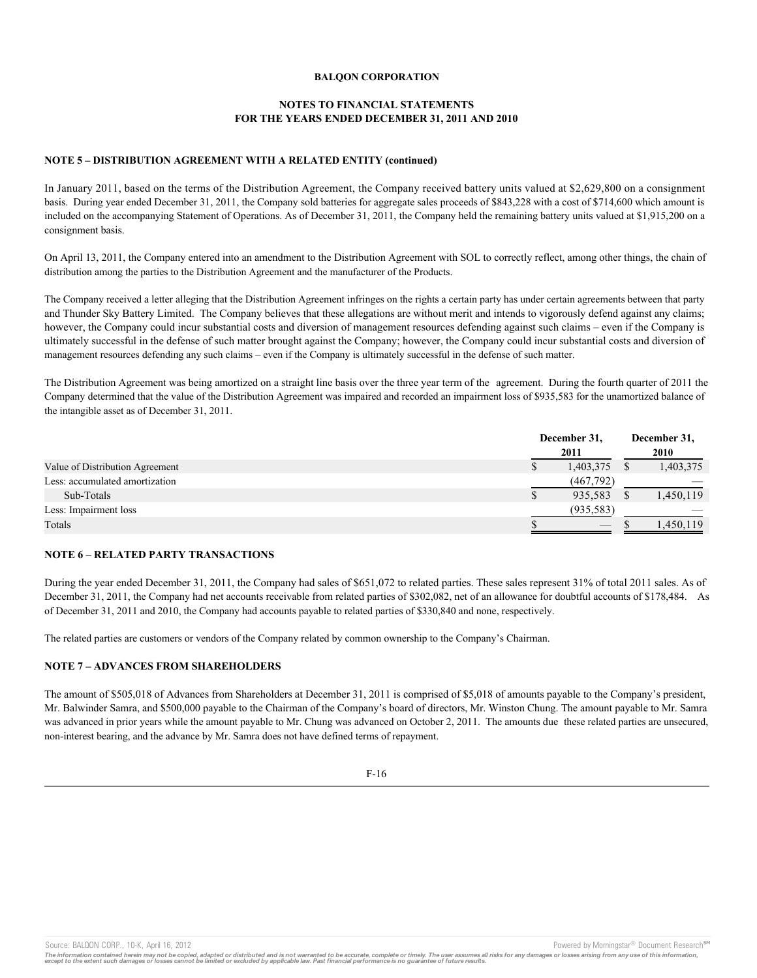## **NOTES TO FINANCIAL STATEMENTS FOR THE YEARS ENDED DECEMBER 31, 2011 AND 2010**

## **NOTE 5 – DISTRIBUTION AGREEMENT WITH A RELATED ENTITY (continued)**

In January 2011, based on the terms of the Distribution Agreement, the Company received battery units valued at \$2,629,800 on a consignment basis. During year ended December 31, 2011, the Company sold batteries for aggregate sales proceeds of \$843,228 with a cost of \$714,600 which amount is included on the accompanying Statement of Operations. As of December 31, 2011, the Company held the remaining battery units valued at \$1,915,200 on a consignment basis.

On April 13, 2011, the Company entered into an amendment to the Distribution Agreement with SOL to correctly reflect, among other things, the chain of distribution among the parties to the Distribution Agreement and the manufacturer of the Products.

The Company received a letter alleging that the Distribution Agreement infringes on the rights a certain party has under certain agreements between that party and Thunder Sky Battery Limited. The Company believes that these allegations are without merit and intends to vigorously defend against any claims; however, the Company could incur substantial costs and diversion of management resources defending against such claims – even if the Company is ultimately successful in the defense of such matter brought against the Company; however, the Company could incur substantial costs and diversion of management resources defending any such claims – even if the Company is ultimately successful in the defense of such matter.

The Distribution Agreement was being amortized on a straight line basis over the three year term of the agreement. During the fourth quarter of 2011 the Company determined that the value of the Distribution Agreement was impaired and recorded an impairment loss of \$935,583 for the unamortized balance of the intangible asset as of December 31, 2011.

|                                 | December 31,                    |  | December 31, |  |
|---------------------------------|---------------------------------|--|--------------|--|
|                                 | 2011                            |  | 2010         |  |
| Value of Distribution Agreement | 1,403,375                       |  | 1,403,375    |  |
| Less: accumulated amortization  | (467,792)                       |  |              |  |
| Sub-Totals                      | 935,583                         |  | 1,450,119    |  |
| Less: Impairment loss           | (935, 583)                      |  |              |  |
| Totals                          | $\hspace{0.1mm}-\hspace{0.1mm}$ |  | 1,450,119    |  |

## **NOTE 6 – RELATED PARTY TRANSACTIONS**

During the year ended December 31, 2011, the Company had sales of \$651,072 to related parties. These sales represent 31% of total 2011 sales. As of December 31, 2011, the Company had net accounts receivable from related parties of \$302,082, net of an allowance for doubtful accounts of \$178,484. As of December 31, 2011 and 2010, the Company had accounts payable to related parties of \$330,840 and none, respectively.

The related parties are customers or vendors of the Company related by common ownership to the Company's Chairman.

## **NOTE 7 – ADVANCES FROM SHAREHOLDERS**

The amount of \$505,018 of Advances from Shareholders at December 31, 2011 is comprised of \$5,018 of amounts payable to the Company's president, Mr. Balwinder Samra, and \$500,000 payable to the Chairman of the Company's board of directors, Mr. Winston Chung. The amount payable to Mr. Samra was advanced in prior years while the amount payable to Mr. Chung was advanced on October 2, 2011. The amounts due these related parties are unsecured, non-interest bearing, and the advance by Mr. Samra does not have defined terms of repayment.

F-16

Source: BALQON CORP., 10-K, April 16, 2012 **Powered by Morningstar® Document Research** and the second powered by Morningstar® Document Research and

The information contained herein may not be copied, adapted or distributed and is not warranted to be accurate, complete or timely. The user assumes all risks for any damages or losses arising from any use of this informat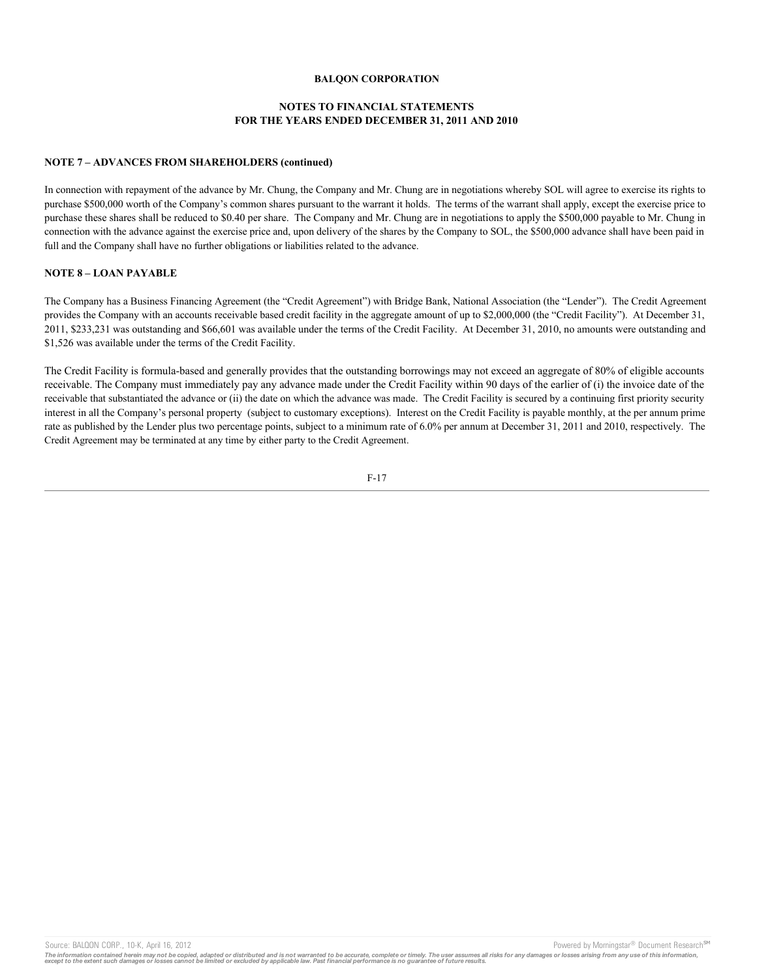## **NOTES TO FINANCIAL STATEMENTS FOR THE YEARS ENDED DECEMBER 31, 2011 AND 2010**

### **NOTE 7 – ADVANCES FROM SHAREHOLDERS (continued)**

In connection with repayment of the advance by Mr. Chung, the Company and Mr. Chung are in negotiations whereby SOL will agree to exercise its rights to purchase \$500,000 worth of the Company's common shares pursuant to the warrant it holds. The terms of the warrant shall apply, except the exercise price to purchase these shares shall be reduced to \$0.40 per share. The Company and Mr. Chung are in negotiations to apply the \$500,000 payable to Mr. Chung in connection with the advance against the exercise price and, upon delivery of the shares by the Company to SOL, the \$500,000 advance shall have been paid in full and the Company shall have no further obligations or liabilities related to the advance.

## **NOTE 8 – LOAN PAYABLE**

The Company has a Business Financing Agreement (the "Credit Agreement") with Bridge Bank, National Association (the "Lender"). The Credit Agreement provides the Company with an accounts receivable based credit facility in the aggregate amount of up to \$2,000,000 (the "Credit Facility"). At December 31, 2011, \$233,231 was outstanding and \$66,601 was available under the terms of the Credit Facility. At December 31, 2010, no amounts were outstanding and \$1,526 was available under the terms of the Credit Facility.

The Credit Facility is formula-based and generally provides that the outstanding borrowings may not exceed an aggregate of 80% of eligible accounts receivable. The Company must immediately pay any advance made under the Credit Facility within 90 days of the earlier of (i) the invoice date of the receivable that substantiated the advance or (ii) the date on which the advance was made. The Credit Facility is secured by a continuing first priority security interest in all the Company's personal property (subject to customary exceptions). Interest on the Credit Facility is payable monthly, at the per annum prime rate as published by the Lender plus two percentage points, subject to a minimum rate of 6.0% per annum at December 31, 2011 and 2010, respectively. The Credit Agreement may be terminated at any time by either party to the Credit Agreement.

$$
F\text{-}17
$$

Source: BALQON CORP., 10-K, April 16, 2012 **Powered by Morningstar® Document Research** structure is a structure of the second structure of the second structure of the second structure of the second structure is a structure

The information contained herein may not be copied, adapted or distributed and is not warranted to be accurate, complete or timely. The user assumes all risks for any damages or losses arising from any use of this informat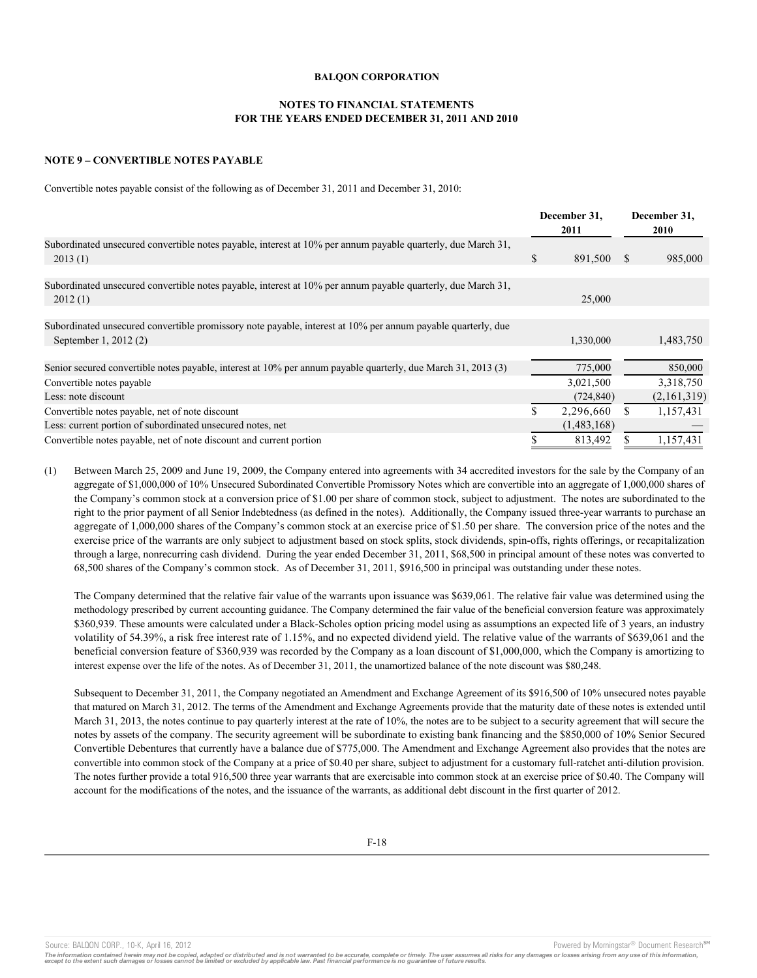## **NOTES TO FINANCIAL STATEMENTS FOR THE YEARS ENDED DECEMBER 31, 2011 AND 2010**

## **NOTE 9 – CONVERTIBLE NOTES PAYABLE**

Convertible notes payable consist of the following as of December 31, 2011 and December 31, 2010:

|                                                                                                                                       |    | December 31,<br>2011    |               | December 31,<br><b>2010</b> |  |
|---------------------------------------------------------------------------------------------------------------------------------------|----|-------------------------|---------------|-----------------------------|--|
| Subordinated unsecured convertible notes payable, interest at 10% per annum payable quarterly, due March 31,<br>2013(1)               | S. | 891,500                 | <sup>\$</sup> | 985,000                     |  |
| Subordinated unsecured convertible notes payable, interest at 10% per annum payable quarterly, due March 31,<br>2012(1)               |    | 25,000                  |               |                             |  |
| Subordinated unsecured convertible promissory note payable, interest at 10% per annum payable quarterly, due<br>September 1, 2012 (2) |    | 1,330,000               |               | 1,483,750                   |  |
| Senior secured convertible notes payable, interest at 10% per annum payable quarterly, due March 31, 2013 (3)                         |    | 775,000                 |               | 850,000                     |  |
| Convertible notes payable<br>Less: note discount                                                                                      |    | 3,021,500<br>(724, 840) |               | 3,318,750<br>(2,161,319)    |  |
| Convertible notes payable, net of note discount                                                                                       |    | 2,296,660               | \$.           | 1,157,431                   |  |
| Less: current portion of subordinated unsecured notes, net                                                                            |    | (1,483,168)             |               |                             |  |
| Convertible notes payable, net of note discount and current portion                                                                   |    | 813,492                 |               | 1,157,431                   |  |

(1) Between March 25, 2009 and June 19, 2009, the Company entered into agreements with 34 accredited investors for the sale by the Company of an aggregate of \$1,000,000 of 10% Unsecured Subordinated Convertible Promissory Notes which are convertible into an aggregate of 1,000,000 shares of the Company's common stock at a conversion price of \$1.00 per share of common stock, subject to adjustment. The notes are subordinated to the right to the prior payment of all Senior Indebtedness (as defined in the notes). Additionally, the Company issued three-year warrants to purchase an aggregate of 1,000,000 shares of the Company's common stock at an exercise price of \$1.50 per share. The conversion price of the notes and the exercise price of the warrants are only subject to adjustment based on stock splits, stock dividends, spin-offs, rights offerings, or recapitalization through a large, nonrecurring cash dividend. During the year ended December 31, 2011, \$68,500 in principal amount of these notes was converted to 68,500 shares of the Company's common stock. As of December 31, 2011, \$916,500 in principal was outstanding under these notes.

The Company determined that the relative fair value of the warrants upon issuance was \$639,061. The relative fair value was determined using the methodology prescribed by current accounting guidance. The Company determined the fair value of the beneficial conversion feature was approximately \$360,939. These amounts were calculated under a Black-Scholes option pricing model using as assumptions an expected life of 3 years, an industry volatility of 54.39%, a risk free interest rate of 1.15%, and no expected dividend yield. The relative value of the warrants of \$639,061 and the beneficial conversion feature of \$360,939 was recorded by the Company as a loan discount of \$1,000,000, which the Company is amortizing to interest expense over the life of the notes. As of December 31, 2011, the unamortized balance of the note discount was \$80,248.

Subsequent to December 31, 2011, the Company negotiated an Amendment and Exchange Agreement of its \$916,500 of 10% unsecured notes payable that matured on March 31, 2012. The terms of the Amendment and Exchange Agreements provide that the maturity date of these notes is extended until March 31, 2013, the notes continue to pay quarterly interest at the rate of 10%, the notes are to be subject to a security agreement that will secure the notes by assets of the company. The security agreement will be subordinate to existing bank financing and the \$850,000 of 10% Senior Secured Convertible Debentures that currently have a balance due of \$775,000. The Amendment and Exchange Agreement also provides that the notes are convertible into common stock of the Company at a price of \$0.40 per share, subject to adjustment for a customary full-ratchet anti-dilution provision. The notes further provide a total 916,500 three year warrants that are exercisable into common stock at an exercise price of \$0.40. The Company will account for the modifications of the notes, and the issuance of the warrants, as additional debt discount in the first quarter of 2012.

Source: BALQON CORP., 10-K, April 16, 2012 **Powered by Morningstar® Document Research** and the second powered by Morningstar® Document Research and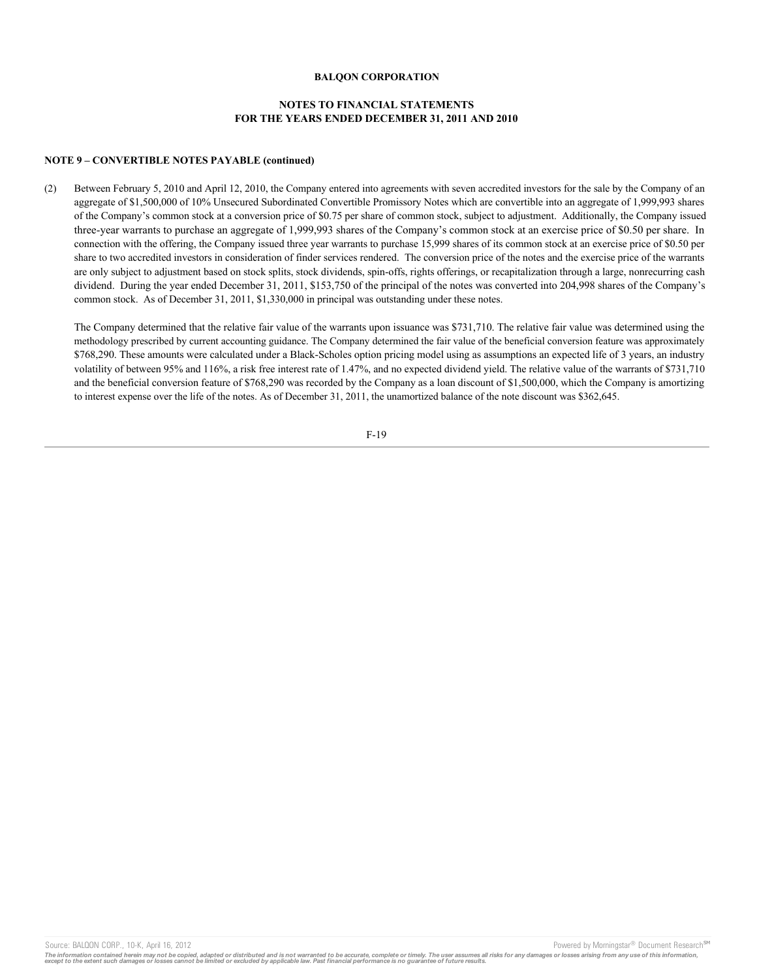## **NOTES TO FINANCIAL STATEMENTS FOR THE YEARS ENDED DECEMBER 31, 2011 AND 2010**

### **NOTE 9 – CONVERTIBLE NOTES PAYABLE (continued)**

(2) Between February 5, 2010 and April 12, 2010, the Company entered into agreements with seven accredited investors for the sale by the Company of an aggregate of \$1,500,000 of 10% Unsecured Subordinated Convertible Promissory Notes which are convertible into an aggregate of 1,999,993 shares of the Company's common stock at a conversion price of \$0.75 per share of common stock, subject to adjustment. Additionally, the Company issued three-year warrants to purchase an aggregate of 1,999,993 shares of the Company's common stock at an exercise price of \$0.50 per share. In connection with the offering, the Company issued three year warrants to purchase 15,999 shares of its common stock at an exercise price of \$0.50 per share to two accredited investors in consideration of finder services rendered. The conversion price of the notes and the exercise price of the warrants are only subject to adjustment based on stock splits, stock dividends, spin-offs, rights offerings, or recapitalization through a large, nonrecurring cash dividend. During the year ended December 31, 2011, \$153,750 of the principal of the notes was converted into 204,998 shares of the Company's common stock. As of December 31, 2011, \$1,330,000 in principal was outstanding under these notes.

The Company determined that the relative fair value of the warrants upon issuance was \$731,710. The relative fair value was determined using the methodology prescribed by current accounting guidance. The Company determined the fair value of the beneficial conversion feature was approximately \$768,290. These amounts were calculated under a Black-Scholes option pricing model using as assumptions an expected life of 3 years, an industry volatility of between 95% and 116%, a risk free interest rate of 1.47%, and no expected dividend yield. The relative value of the warrants of \$731,710 and the beneficial conversion feature of \$768,290 was recorded by the Company as a loan discount of \$1,500,000, which the Company is amortizing to interest expense over the life of the notes. As of December 31, 2011, the unamortized balance of the note discount was \$362,645.

## F-19

Source: BALQON CORP., 10-K, April 16, 2012 **Powered by Morningstar® Document Research** <sup>sm</sup>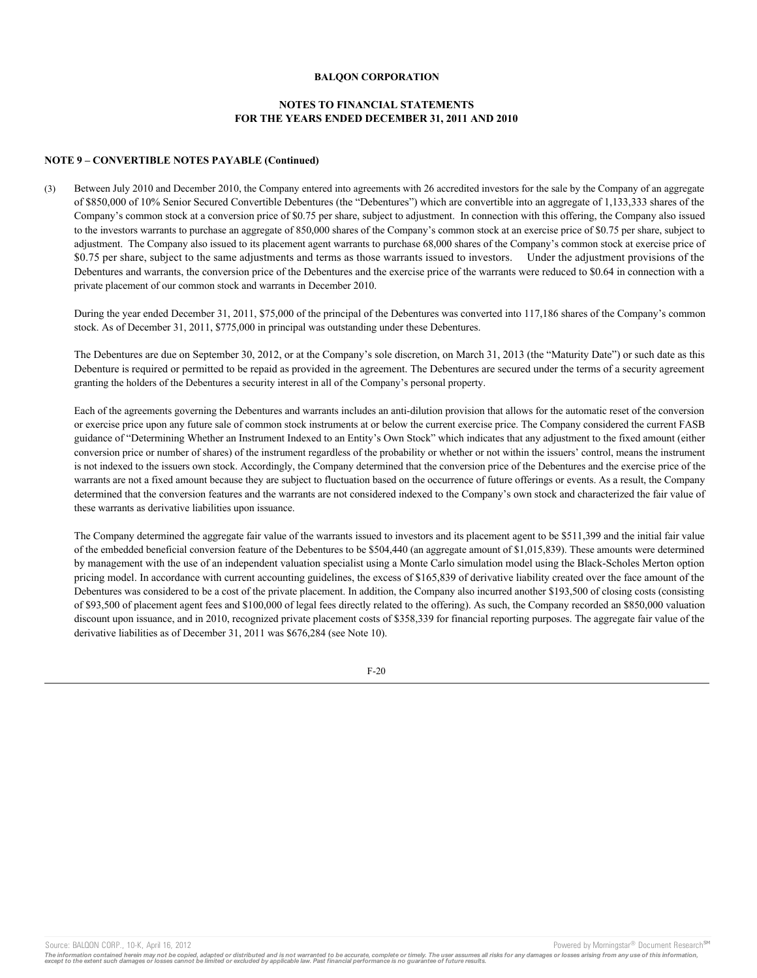## **NOTES TO FINANCIAL STATEMENTS FOR THE YEARS ENDED DECEMBER 31, 2011 AND 2010**

### **NOTE 9 – CONVERTIBLE NOTES PAYABLE (Continued)**

(3) Between July 2010 and December 2010, the Company entered into agreements with 26 accredited investors for the sale by the Company of an aggregate of \$850,000 of 10% Senior Secured Convertible Debentures (the "Debentures") which are convertible into an aggregate of 1,133,333 shares of the Company's common stock at a conversion price of \$0.75 per share, subject to adjustment. In connection with this offering, the Company also issued to the investors warrants to purchase an aggregate of 850,000 shares of the Company's common stock at an exercise price of \$0.75 per share, subject to adjustment. The Company also issued to its placement agent warrants to purchase 68,000 shares of the Company's common stock at exercise price of \$0.75 per share, subject to the same adjustments and terms as those warrants issued to investors. Under the adjustment provisions of the Debentures and warrants, the conversion price of the Debentures and the exercise price of the warrants were reduced to \$0.64 in connection with a private placement of our common stock and warrants in December 2010.

During the year ended December 31, 2011, \$75,000 of the principal of the Debentures was converted into 117,186 shares of the Company's common stock. As of December 31, 2011, \$775,000 in principal was outstanding under these Debentures.

The Debentures are due on September 30, 2012, or at the Company's sole discretion, on March 31, 2013 (the "Maturity Date") or such date as this Debenture is required or permitted to be repaid as provided in the agreement. The Debentures are secured under the terms of a security agreement granting the holders of the Debentures a security interest in all of the Company's personal property.

Each of the agreements governing the Debentures and warrants includes an anti-dilution provision that allows for the automatic reset of the conversion or exercise price upon any future sale of common stock instruments at or below the current exercise price. The Company considered the current FASB guidance of "Determining Whether an Instrument Indexed to an Entity's Own Stock" which indicates that any adjustment to the fixed amount (either conversion price or number of shares) of the instrument regardless of the probability or whether or not within the issuers' control, means the instrument is not indexed to the issuers own stock. Accordingly, the Company determined that the conversion price of the Debentures and the exercise price of the warrants are not a fixed amount because they are subject to fluctuation based on the occurrence of future offerings or events. As a result, the Company determined that the conversion features and the warrants are not considered indexed to the Company's own stock and characterized the fair value of these warrants as derivative liabilities upon issuance.

The Company determined the aggregate fair value of the warrants issued to investors and its placement agent to be \$511,399 and the initial fair value of the embedded beneficial conversion feature of the Debentures to be \$504,440 (an aggregate amount of \$1,015,839). These amounts were determined by management with the use of an independent valuation specialist using a Monte Carlo simulation model using the Black-Scholes Merton option pricing model. In accordance with current accounting guidelines, the excess of \$165,839 of derivative liability created over the face amount of the Debentures was considered to be a cost of the private placement. In addition, the Company also incurred another \$193,500 of closing costs (consisting of \$93,500 of placement agent fees and \$100,000 of legal fees directly related to the offering). As such, the Company recorded an \$850,000 valuation discount upon issuance, and in 2010, recognized private placement costs of \$358,339 for financial reporting purposes. The aggregate fair value of the derivative liabilities as of December 31, 2011 was \$676,284 (see Note 10).

F-20

Source: BALQON CORP., 10-K, April 16, 2012 **Powered by Morningstar® Document Research** in the second powered by Morningstar® Document Research in the second powered by Morningstar® Document Research in the second powered b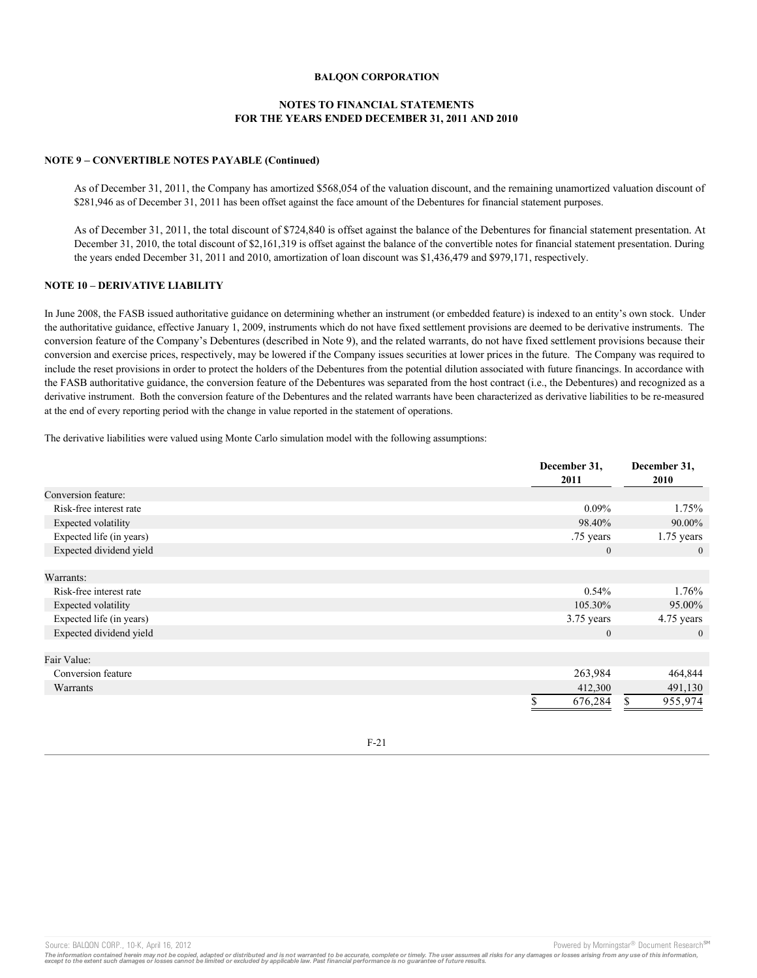## **NOTES TO FINANCIAL STATEMENTS FOR THE YEARS ENDED DECEMBER 31, 2011 AND 2010**

#### **NOTE 9 – CONVERTIBLE NOTES PAYABLE (Continued)**

As of December 31, 2011, the Company has amortized \$568,054 of the valuation discount, and the remaining unamortized valuation discount of \$281,946 as of December 31, 2011 has been offset against the face amount of the Debentures for financial statement purposes.

As of December 31, 2011, the total discount of \$724,840 is offset against the balance of the Debentures for financial statement presentation. At December 31, 2010, the total discount of \$2,161,319 is offset against the balance of the convertible notes for financial statement presentation. During the years ended December 31, 2011 and 2010, amortization of loan discount was \$1,436,479 and \$979,171, respectively.

# **NOTE 10 – DERIVATIVE LIABILITY**

In June 2008, the FASB issued authoritative guidance on determining whether an instrument (or embedded feature) is indexed to an entity's own stock. Under the authoritative guidance, effective January 1, 2009, instruments which do not have fixed settlement provisions are deemed to be derivative instruments. The conversion feature of the Company's Debentures (described in Note 9), and the related warrants, do not have fixed settlement provisions because their conversion and exercise prices, respectively, may be lowered if the Company issues securities at lower prices in the future. The Company was required to include the reset provisions in order to protect the holders of the Debentures from the potential dilution associated with future financings. In accordance with the FASB authoritative guidance, the conversion feature of the Debentures was separated from the host contract (i.e., the Debentures) and recognized as a derivative instrument. Both the conversion feature of the Debentures and the related warrants have been characterized as derivative liabilities to be re-measured at the end of every reporting period with the change in value reported in the statement of operations.

The derivative liabilities were valued using Monte Carlo simulation model with the following assumptions:

|                          | December 31, | December 31,   |
|--------------------------|--------------|----------------|
|                          | 2011         | 2010           |
| Conversion feature:      |              |                |
| Risk-free interest rate  | 0.09%        | 1.75%          |
| Expected volatility      | 98.40%       | 90.00%         |
| Expected life (in years) | .75 years    | 1.75 years     |
| Expected dividend yield  | $\mathbf{0}$ | $\overline{0}$ |
|                          |              |                |
| Warrants:                |              |                |
| Risk-free interest rate  | 0.54%        | 1.76%          |
| Expected volatility      | 105.30%      | 95.00%         |
| Expected life (in years) | 3.75 years   | 4.75 years     |
| Expected dividend yield  | $\mathbf{0}$ | $\theta$       |
|                          |              |                |
| Fair Value:              |              |                |
| Conversion feature       | 263,984      | 464,844        |
| Warrants                 | 412,300      | 491,130        |
|                          | 676,284      | 955,974        |

F-21

Source: BALQON CORP., 10-K, April 16, 2012 **Powered by Morningstar® Document Research** structure is a structure of the second structure of the second structure of the second structure of the second structure is a structure

The information contained herein may not be copied, adapted or distributed and is not warranted to be accurate, complete or timely. The user assumes all risks for any damages or losses arising from any use of this informat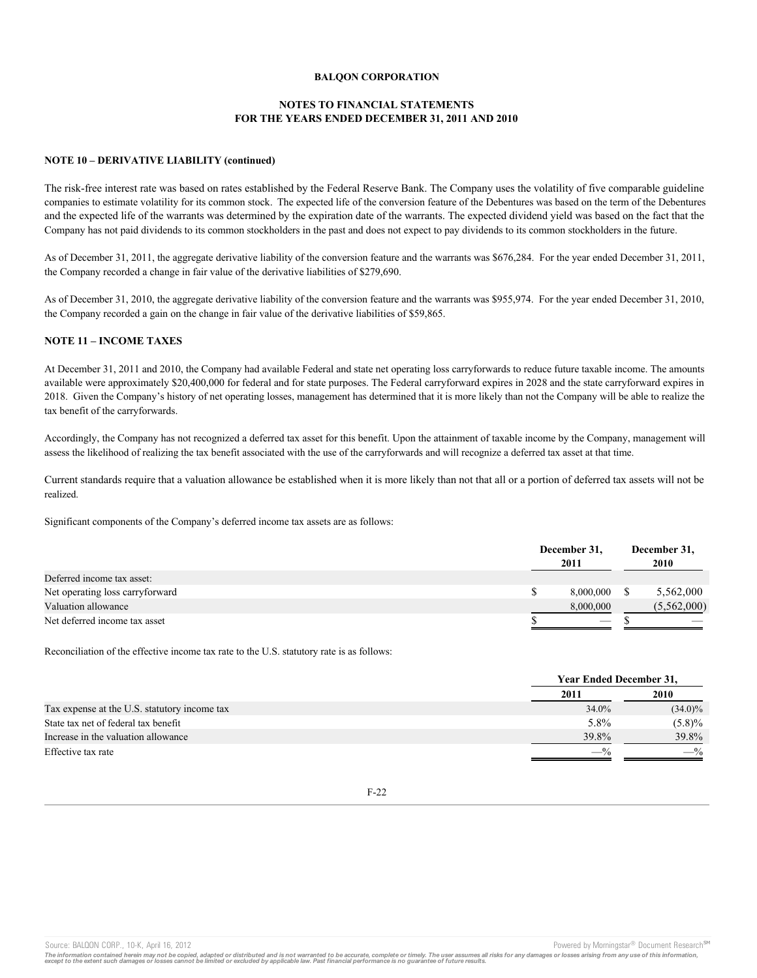## **NOTES TO FINANCIAL STATEMENTS FOR THE YEARS ENDED DECEMBER 31, 2011 AND 2010**

## **NOTE 10 – DERIVATIVE LIABILITY (continued)**

The risk-free interest rate was based on rates established by the Federal Reserve Bank. The Company uses the volatility of five comparable guideline companies to estimate volatility for its common stock. The expected life of the conversion feature of the Debentures was based on the term of the Debentures and the expected life of the warrants was determined by the expiration date of the warrants. The expected dividend yield was based on the fact that the Company has not paid dividends to its common stockholders in the past and does not expect to pay dividends to its common stockholders in the future.

As of December 31, 2011, the aggregate derivative liability of the conversion feature and the warrants was \$676,284. For the year ended December 31, 2011, the Company recorded a change in fair value of the derivative liabilities of \$279,690.

As of December 31, 2010, the aggregate derivative liability of the conversion feature and the warrants was \$955,974. For the year ended December 31, 2010, the Company recorded a gain on the change in fair value of the derivative liabilities of \$59,865.

# **NOTE 11 – INCOME TAXES**

At December 31, 2011 and 2010, the Company had available Federal and state net operating loss carryforwards to reduce future taxable income. The amounts available were approximately \$20,400,000 for federal and for state purposes. The Federal carryforward expires in 2028 and the state carryforward expires in 2018. Given the Company's history of net operating losses, management has determined that it is more likely than not the Company will be able to realize the tax benefit of the carryforwards.

Accordingly, the Company has not recognized a deferred tax asset for this benefit. Upon the attainment of taxable income by the Company, management will assess the likelihood of realizing the tax benefit associated with the use of the carryforwards and will recognize a deferred tax asset at that time.

Current standards require that a valuation allowance be established when it is more likely than not that all or a portion of deferred tax assets will not be realized.

Significant components of the Company's deferred income tax assets are as follows:

|                                 | December 31,<br>2011              | December 31,<br>2010     |
|---------------------------------|-----------------------------------|--------------------------|
| Deferred income tax asset:      |                                   |                          |
| Net operating loss carryforward | 8,000,000                         | 5,562,000                |
| Valuation allowance             | 8,000,000                         | (5,562,000)              |
| Net deferred income tax asset   | $\overbrace{\phantom{aaaaa}}^{x}$ | $\overline{\phantom{a}}$ |

Reconciliation of the effective income tax rate to the U.S. statutory rate is as follows:

|                                              |         | <b>Year Ended December 31,</b> |  |
|----------------------------------------------|---------|--------------------------------|--|
|                                              | 2011    | 2010                           |  |
| Tax expense at the U.S. statutory income tax | 34.0%   | $(34.0)\%$                     |  |
| State tax net of federal tax benefit         | 5.8%    | $(5.8)\%$                      |  |
| Increase in the valuation allowance          | 39.8%   | 39.8%                          |  |
| Effective tax rate                           | $-^{0}$ | $-$ %                          |  |

Source: BALQON CORP., 10-K, April 16, 2012 **Powered by Morningstar® Document Research** structure is a structure of the second structure of the second structure of the second structure of the second structure is a structure

The information contained herein may not be copied, adapted or distributed and is not warranted to be accurate, complete or timely. The user assumes all risks for any damages or losses arising from any use of this informat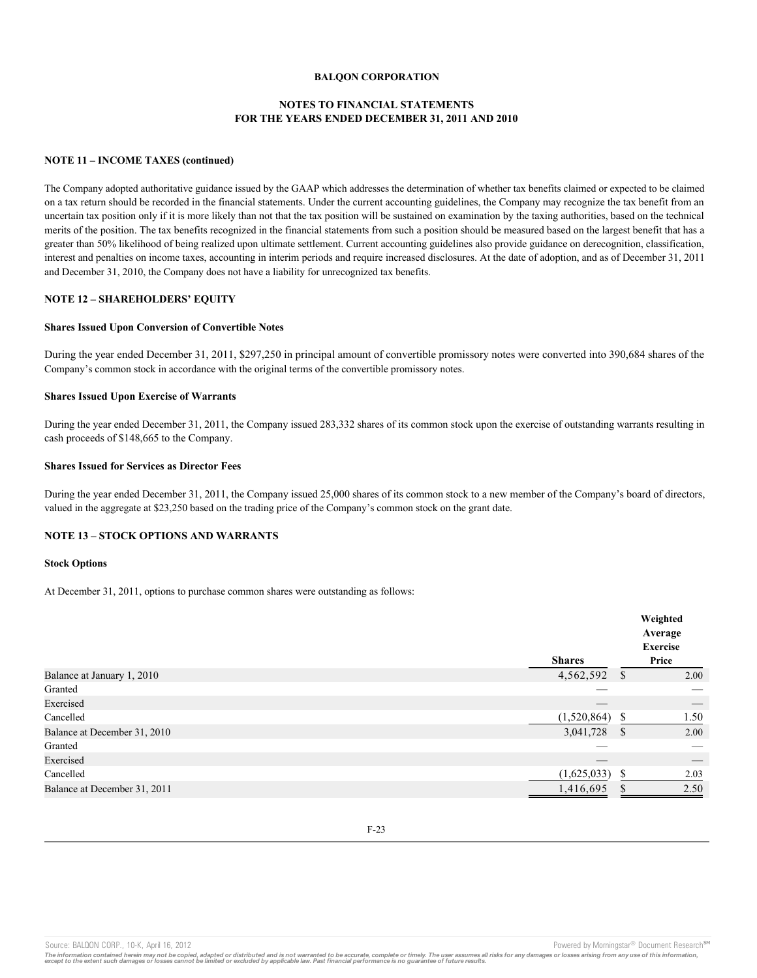## **NOTES TO FINANCIAL STATEMENTS FOR THE YEARS ENDED DECEMBER 31, 2011 AND 2010**

## **NOTE 11 – INCOME TAXES (continued)**

The Company adopted authoritative guidance issued by the GAAP which addresses the determination of whether tax benefits claimed or expected to be claimed on a tax return should be recorded in the financial statements. Under the current accounting guidelines, the Company may recognize the tax benefit from an uncertain tax position only if it is more likely than not that the tax position will be sustained on examination by the taxing authorities, based on the technical merits of the position. The tax benefits recognized in the financial statements from such a position should be measured based on the largest benefit that has a greater than 50% likelihood of being realized upon ultimate settlement. Current accounting guidelines also provide guidance on derecognition, classification, interest and penalties on income taxes, accounting in interim periods and require increased disclosures. At the date of adoption, and as of December 31, 2011 and December 31, 2010, the Company does not have a liability for unrecognized tax benefits.

### **NOTE 12 – SHAREHOLDERS' EQUITY**

## **Shares Issued Upon Conversion of Convertible Notes**

During the year ended December 31, 2011, \$297,250 in principal amount of convertible promissory notes were converted into 390,684 shares of the Company's common stock in accordance with the original terms of the convertible promissory notes.

#### **Shares Issued Upon Exercise of Warrants**

During the year ended December 31, 2011, the Company issued 283,332 shares of its common stock upon the exercise of outstanding warrants resulting in cash proceeds of \$148,665 to the Company.

#### **Shares Issued for Services as Director Fees**

During the year ended December 31, 2011, the Company issued 25,000 shares of its common stock to a new member of the Company's board of directors, valued in the aggregate at \$23,250 based on the trading price of the Company's common stock on the grant date.

## **NOTE 13 – STOCK OPTIONS AND WARRANTS**

#### **Stock Options**

At December 31, 2011, options to purchase common shares were outstanding as follows:

|                              | <b>Shares</b>            |    | Weighted<br>Average<br><b>Exercise</b><br>Price |
|------------------------------|--------------------------|----|-------------------------------------------------|
| Balance at January 1, 2010   | 4,562,592                | S  | 2.00                                            |
| Granted                      | $\overline{\phantom{a}}$ |    |                                                 |
| Exercised                    |                          |    | $\hspace{0.1mm}-\hspace{0.1mm}$                 |
| Cancelled                    | (1,520,864)              | \$ | 1.50                                            |
| Balance at December 31, 2010 | 3,041,728                | S  | 2.00                                            |
| Granted                      |                          |    |                                                 |
| Exercised                    |                          |    | $\overbrace{\hspace{25mm}}^{}$                  |
| Cancelled                    | (1,625,033)              | S  | 2.03                                            |
| Balance at December 31, 2011 | 1,416,695                | S  | 2.50                                            |

Source: BALQON CORP., 10-K, April 16, 2012 **Powered by Morningstar® Document Research** structure is a structure of the second structure of the second structure of the second structure of the second structure is a structure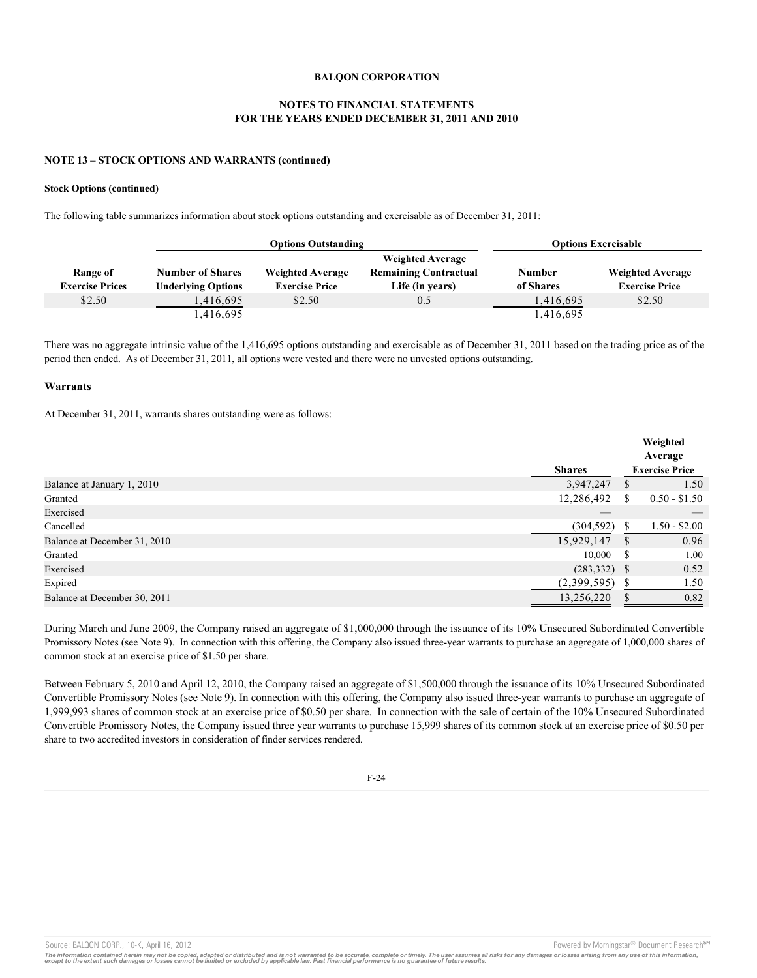## **NOTES TO FINANCIAL STATEMENTS FOR THE YEARS ENDED DECEMBER 31, 2011 AND 2010**

#### **NOTE 13 – STOCK OPTIONS AND WARRANTS (continued)**

#### **Stock Options (continued)**

The following table summarizes information about stock options outstanding and exercisable as of December 31, 2011:

|                        | <b>Options Outstanding</b> |                         | <b>Options Exercisable</b>   |               |                         |
|------------------------|----------------------------|-------------------------|------------------------------|---------------|-------------------------|
|                        |                            |                         | <b>Weighted Average</b>      |               |                         |
| Range of               | <b>Number of Shares</b>    | <b>Weighted Average</b> | <b>Remaining Contractual</b> | <b>Number</b> | <b>Weighted Average</b> |
| <b>Exercise Prices</b> | <b>Underlying Options</b>  | <b>Exercise Price</b>   | Life (in vears)              | of Shares     | <b>Exercise Price</b>   |
| \$2.50                 | 1.416.695                  | \$2.50                  | 0.5                          | 1.416.695     | \$2.50                  |
|                        | .416,695                   |                         |                              | 416,695       |                         |

There was no aggregate intrinsic value of the 1,416,695 options outstanding and exercisable as of December 31, 2011 based on the trading price as of the period then ended. As of December 31, 2011, all options were vested and there were no unvested options outstanding.

#### **Warrants**

At December 31, 2011, warrants shares outstanding were as follows:

|                              |                          |              | Weighted<br>Average   |
|------------------------------|--------------------------|--------------|-----------------------|
|                              | <b>Shares</b>            |              | <b>Exercise Price</b> |
| Balance at January 1, 2010   | 3,947,247                | S            | 1.50                  |
| Granted                      | 12,286,492               | S            | $0.50 - $1.50$        |
| Exercised                    | $\overline{\phantom{a}}$ |              |                       |
| Cancelled                    | (304, 592)               | S            | $1.50 - $2.00$        |
| Balance at December 31, 2010 | 15,929,147               | <sup>S</sup> | 0.96                  |
| Granted                      | 10,000                   | -S           | 1.00                  |
| Exercised                    | $(283,332)$ \$           |              | 0.52                  |
| Expired                      | (2,399,595)              | S            | 1.50                  |
| Balance at December 30, 2011 | 13,256,220               | \$           | 0.82                  |

During March and June 2009, the Company raised an aggregate of \$1,000,000 through the issuance of its 10% Unsecured Subordinated Convertible Promissory Notes (see Note 9). In connection with this offering, the Company also issued three-year warrants to purchase an aggregate of 1,000,000 shares of common stock at an exercise price of \$1.50 per share.

Between February 5, 2010 and April 12, 2010, the Company raised an aggregate of \$1,500,000 through the issuance of its 10% Unsecured Subordinated Convertible Promissory Notes (see Note 9). In connection with this offering, the Company also issued three-year warrants to purchase an aggregate of 1,999,993 shares of common stock at an exercise price of \$0.50 per share. In connection with the sale of certain of the 10% Unsecured Subordinated Convertible Promissory Notes, the Company issued three year warrants to purchase 15,999 shares of its common stock at an exercise price of \$0.50 per share to two accredited investors in consideration of finder services rendered.

F-24

Source: BALQON CORP., 10-K, April 16, 2012 **Powered by Morningstar® Document Research** structure is a structure of the second structure of the second structure of the second structure of the second structure is a structure

The information contained herein may not be copied, adapted or distributed and is not warranted to be accurate, complete or timely. The user assumes all risks for any damages or losses arising from any use of this informat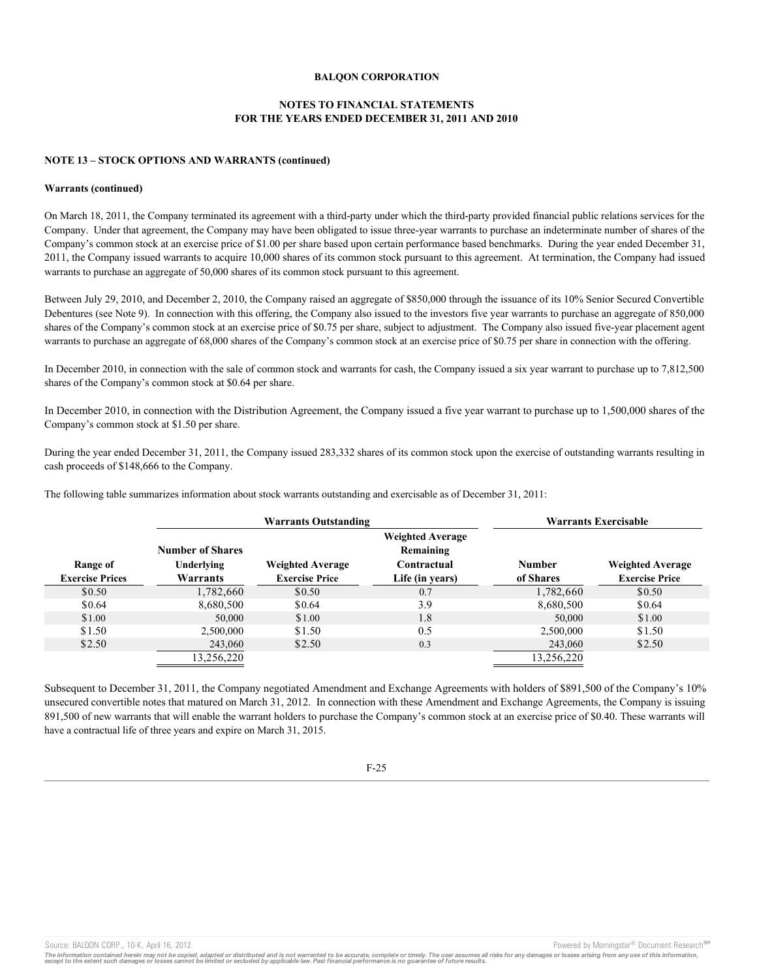## **NOTES TO FINANCIAL STATEMENTS FOR THE YEARS ENDED DECEMBER 31, 2011 AND 2010**

## **NOTE 13 – STOCK OPTIONS AND WARRANTS (continued)**

#### **Warrants (continued)**

On March 18, 2011, the Company terminated its agreement with a third-party under which the third-party provided financial public relations services for the Company. Under that agreement, the Company may have been obligated to issue three-year warrants to purchase an indeterminate number of shares of the Company's common stock at an exercise price of \$1.00 per share based upon certain performance based benchmarks. During the year ended December 31, 2011, the Company issued warrants to acquire 10,000 shares of its common stock pursuant to this agreement. At termination, the Company had issued warrants to purchase an aggregate of 50,000 shares of its common stock pursuant to this agreement.

Between July 29, 2010, and December 2, 2010, the Company raised an aggregate of \$850,000 through the issuance of its 10% Senior Secured Convertible Debentures (see Note 9). In connection with this offering, the Company also issued to the investors five year warrants to purchase an aggregate of 850,000 shares of the Company's common stock at an exercise price of \$0.75 per share, subject to adjustment. The Company also issued five-year placement agent warrants to purchase an aggregate of 68,000 shares of the Company's common stock at an exercise price of \$0.75 per share in connection with the offering.

In December 2010, in connection with the sale of common stock and warrants for cash, the Company issued a six year warrant to purchase up to 7,812,500 shares of the Company's common stock at \$0.64 per share.

In December 2010, in connection with the Distribution Agreement, the Company issued a five year warrant to purchase up to 1,500,000 shares of the Company's common stock at \$1.50 per share.

During the year ended December 31, 2011, the Company issued 283,332 shares of its common stock upon the exercise of outstanding warrants resulting in cash proceeds of \$148,666 to the Company.

The following table summarizes information about stock warrants outstanding and exercisable as of December 31, 2011:

|                        | <b>Warrants Outstanding</b> |                         | <b>Warrants Exercisable</b>          |               |                         |
|------------------------|-----------------------------|-------------------------|--------------------------------------|---------------|-------------------------|
|                        | <b>Number of Shares</b>     |                         | <b>Weighted Average</b><br>Remaining |               |                         |
| Range of               | Underlying                  | <b>Weighted Average</b> | Contractual                          | <b>Number</b> | <b>Weighted Average</b> |
| <b>Exercise Prices</b> | Warrants                    | <b>Exercise Price</b>   | Life (in years)                      | of Shares     | <b>Exercise Price</b>   |
| \$0.50                 | 1,782,660                   | \$0.50                  | 0.7                                  | 1,782,660     | \$0.50                  |
| \$0.64                 | 8,680,500                   | \$0.64                  | 3.9                                  | 8,680,500     | \$0.64                  |
| \$1.00                 | 50,000                      | \$1.00                  | 1.8                                  | 50,000        | \$1.00                  |
| \$1.50                 | 2.500,000                   | \$1.50                  | 0.5                                  | 2.500,000     | \$1.50                  |
| \$2.50                 | 243,060                     | \$2.50                  | 0.3                                  | 243,060       | \$2.50                  |
|                        | 13,256,220                  |                         |                                      | 13,256,220    |                         |

Subsequent to December 31, 2011, the Company negotiated Amendment and Exchange Agreements with holders of \$891,500 of the Company's 10% unsecured convertible notes that matured on March 31, 2012. In connection with these Amendment and Exchange Agreements, the Company is issuing 891,500 of new warrants that will enable the warrant holders to purchase the Company's common stock at an exercise price of \$0.40. These warrants will have a contractual life of three years and expire on March 31, 2015.

F-25

Source: BALQON CORP., 10-K, April 16, 2012 **Provided by April 16, 2012** Powered by Morningstar® Document Research <sup>sw</sup>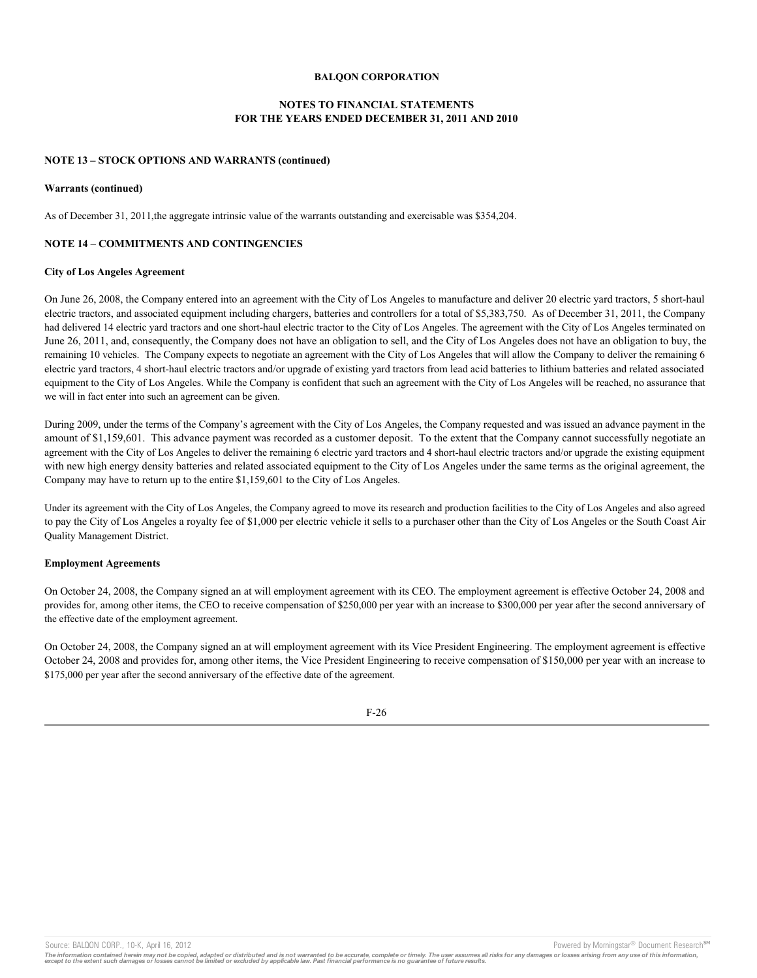## **NOTES TO FINANCIAL STATEMENTS FOR THE YEARS ENDED DECEMBER 31, 2011 AND 2010**

## **NOTE 13 – STOCK OPTIONS AND WARRANTS (continued)**

#### **Warrants (continued)**

As of December 31, 2011,the aggregate intrinsic value of the warrants outstanding and exercisable was \$354,204.

## **NOTE 14 – COMMITMENTS AND CONTINGENCIES**

#### **City of Los Angeles Agreement**

On June 26, 2008, the Company entered into an agreement with the City of Los Angeles to manufacture and deliver 20 electric yard tractors, 5 short-haul electric tractors, and associated equipment including chargers, batteries and controllers for a total of \$5,383,750. As of December 31, 2011, the Company had delivered 14 electric yard tractors and one short-haul electric tractor to the City of Los Angeles. The agreement with the City of Los Angeles terminated on June 26, 2011, and, consequently, the Company does not have an obligation to sell, and the City of Los Angeles does not have an obligation to buy, the remaining 10 vehicles. The Company expects to negotiate an agreement with the City of Los Angeles that will allow the Company to deliver the remaining 6 electric yard tractors, 4 short-haul electric tractors and/or upgrade of existing yard tractors from lead acid batteries to lithium batteries and related associated equipment to the City of Los Angeles. While the Company is confident that such an agreement with the City of Los Angeles will be reached, no assurance that we will in fact enter into such an agreement can be given.

During 2009, under the terms of the Company's agreement with the City of Los Angeles, the Company requested and was issued an advance payment in the amount of \$1,159,601. This advance payment was recorded as a customer deposit. To the extent that the Company cannot successfully negotiate an agreement with the City of Los Angeles to deliver the remaining 6 electric yard tractors and 4 short-haul electric tractors and/or upgrade the existing equipment with new high energy density batteries and related associated equipment to the City of Los Angeles under the same terms as the original agreement, the Company may have to return up to the entire \$1,159,601 to the City of Los Angeles.

Under its agreement with the City of Los Angeles, the Company agreed to move its research and production facilities to the City of Los Angeles and also agreed to pay the City of Los Angeles a royalty fee of \$1,000 per electric vehicle it sells to a purchaser other than the City of Los Angeles or the South Coast Air Quality Management District.

#### **Employment Agreements**

On October 24, 2008, the Company signed an at will employment agreement with its CEO. The employment agreement is effective October 24, 2008 and provides for, among other items, the CEO to receive compensation of \$250,000 per year with an increase to \$300,000 per year after the second anniversary of the effective date of the employment agreement.

On October 24, 2008, the Company signed an at will employment agreement with its Vice President Engineering. The employment agreement is effective October 24, 2008 and provides for, among other items, the Vice President Engineering to receive compensation of \$150,000 per year with an increase to \$175,000 per year after the second anniversary of the effective date of the agreement.



Source: BALQON CORP., 10-K, April 16, 2012 **Powered by Morningstar® Document Research** and the second product and the second product and the second product and the second product and the second product and the second produ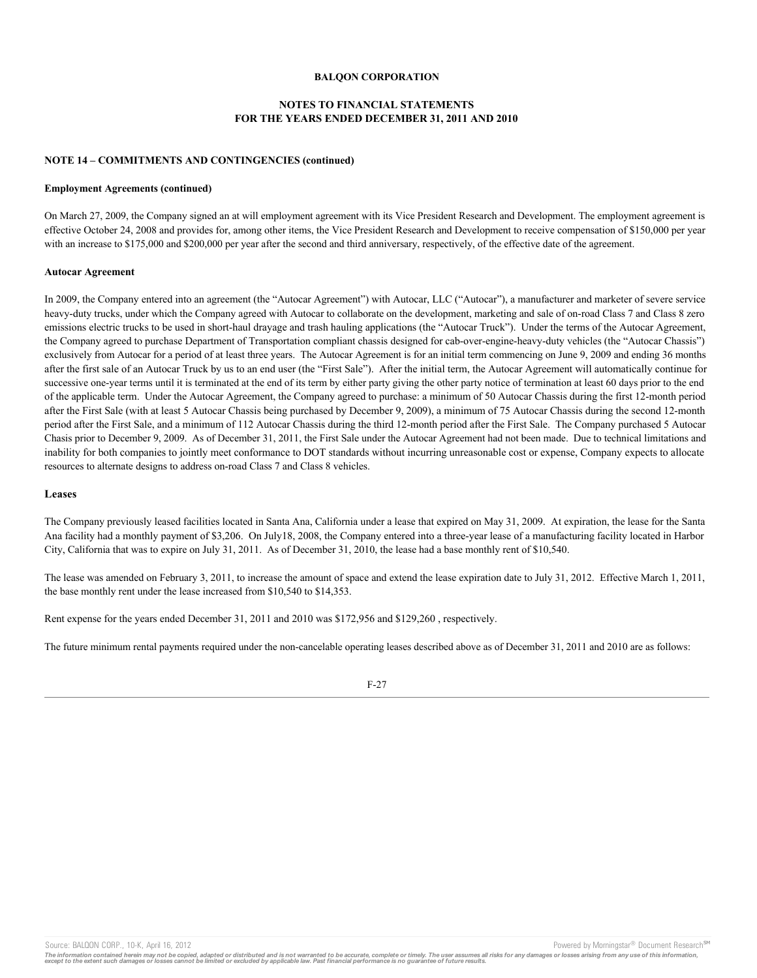## **NOTES TO FINANCIAL STATEMENTS FOR THE YEARS ENDED DECEMBER 31, 2011 AND 2010**

#### **NOTE 14 – COMMITMENTS AND CONTINGENCIES (continued)**

#### **Employment Agreements (continued)**

On March 27, 2009, the Company signed an at will employment agreement with its Vice President Research and Development. The employment agreement is effective October 24, 2008 and provides for, among other items, the Vice President Research and Development to receive compensation of \$150,000 per year with an increase to \$175,000 and \$200,000 per year after the second and third anniversary, respectively, of the effective date of the agreement.

#### **Autocar Agreement**

In 2009, the Company entered into an agreement (the "Autocar Agreement") with Autocar, LLC ("Autocar"), a manufacturer and marketer of severe service heavy-duty trucks, under which the Company agreed with Autocar to collaborate on the development, marketing and sale of on-road Class 7 and Class 8 zero emissions electric trucks to be used in short-haul drayage and trash hauling applications (the "Autocar Truck"). Under the terms of the Autocar Agreement, the Company agreed to purchase Department of Transportation compliant chassis designed for cab-over-engine-heavy-duty vehicles (the "Autocar Chassis") exclusively from Autocar for a period of at least three years. The Autocar Agreement is for an initial term commencing on June 9, 2009 and ending 36 months after the first sale of an Autocar Truck by us to an end user (the "First Sale"). After the initial term, the Autocar Agreement will automatically continue for successive one-year terms until it is terminated at the end of its term by either party giving the other party notice of termination at least 60 days prior to the end of the applicable term. Under the Autocar Agreement, the Company agreed to purchase: a minimum of 50 Autocar Chassis during the first 12-month period after the First Sale (with at least 5 Autocar Chassis being purchased by December 9, 2009), a minimum of 75 Autocar Chassis during the second 12-month period after the First Sale, and a minimum of 112 Autocar Chassis during the third 12-month period after the First Sale. The Company purchased 5 Autocar Chasis prior to December 9, 2009. As of December 31, 2011, the First Sale under the Autocar Agreement had not been made. Due to technical limitations and inability for both companies to jointly meet conformance to DOT standards without incurring unreasonable cost or expense, Company expects to allocate resources to alternate designs to address on-road Class 7 and Class 8 vehicles.

#### **Leases**

The Company previously leased facilities located in Santa Ana, California under a lease that expired on May 31, 2009. At expiration, the lease for the Santa Ana facility had a monthly payment of \$3,206. On July18, 2008, the Company entered into a three-year lease of a manufacturing facility located in Harbor City, California that was to expire on July 31, 2011. As of December 31, 2010, the lease had a base monthly rent of \$10,540.

The lease was amended on February 3, 2011, to increase the amount of space and extend the lease expiration date to July 31, 2012. Effective March 1, 2011, the base monthly rent under the lease increased from \$10,540 to \$14,353.

Rent expense for the years ended December 31, 2011 and 2010 was \$172,956 and \$129,260 , respectively.

The future minimum rental payments required under the non-cancelable operating leases described above as of December 31, 2011 and 2010 are as follows:



Source: BALQON CORP., 10-K, April 16, 2012 **Powered by Morningstar® Document Research** and the second product and the second product and the second product and the second product and the second product and the second produ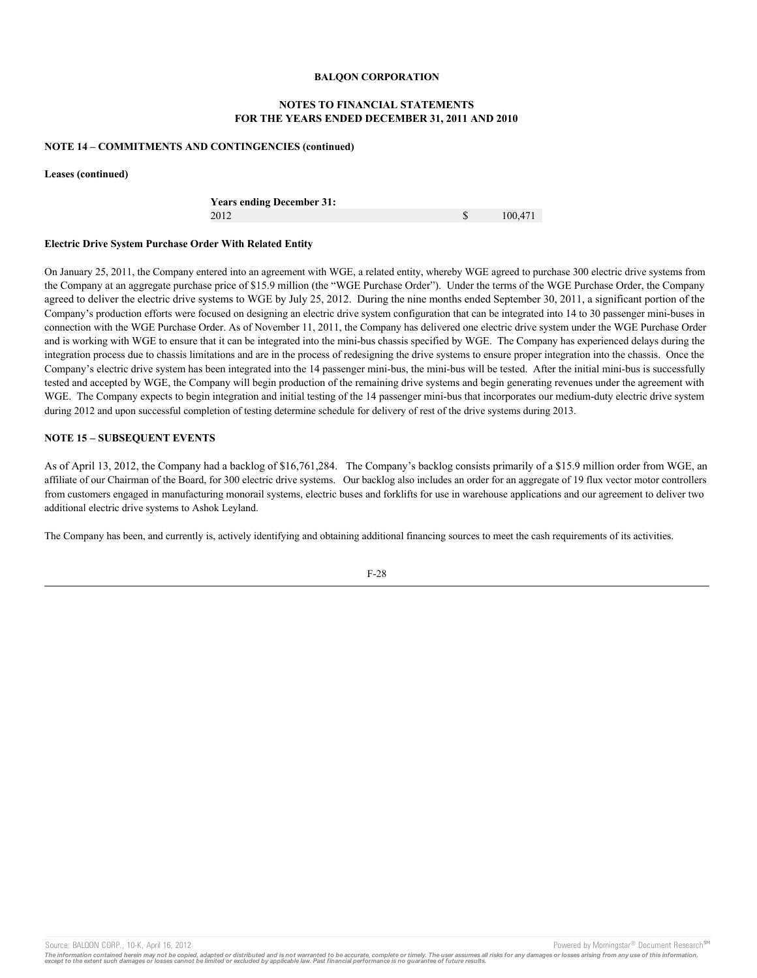## **NOTES TO FINANCIAL STATEMENTS FOR THE YEARS ENDED DECEMBER 31, 2011 AND 2010**

#### **NOTE 14 – COMMITMENTS AND CONTINGENCIES (continued)**

**Leases (continued)**

**Years ending December 31:** 2012 **\$** 100,471

# **Electric Drive System Purchase Order With Related Entity**

On January 25, 2011, the Company entered into an agreement with WGE, a related entity, whereby WGE agreed to purchase 300 electric drive systems from the Company at an aggregate purchase price of \$15.9 million (the "WGE Purchase Order"). Under the terms of the WGE Purchase Order, the Company agreed to deliver the electric drive systems to WGE by July 25, 2012. During the nine months ended September 30, 2011, a significant portion of the Company's production efforts were focused on designing an electric drive system configuration that can be integrated into 14 to 30 passenger mini-buses in connection with the WGE Purchase Order. As of November 11, 2011, the Company has delivered one electric drive system under the WGE Purchase Order and is working with WGE to ensure that it can be integrated into the mini-bus chassis specified by WGE. The Company has experienced delays during the integration process due to chassis limitations and are in the process of redesigning the drive systems to ensure proper integration into the chassis. Once the Company's electric drive system has been integrated into the 14 passenger mini-bus, the mini-bus will be tested. After the initial mini-bus is successfully tested and accepted by WGE, the Company will begin production of the remaining drive systems and begin generating revenues under the agreement with WGE. The Company expects to begin integration and initial testing of the 14 passenger mini-bus that incorporates our medium-duty electric drive system during 2012 and upon successful completion of testing determine schedule for delivery of rest of the drive systems during 2013.

## **NOTE 15 – SUBSEQUENT EVENTS**

As of April 13, 2012, the Company had a backlog of \$16,761,284. The Company's backlog consists primarily of a \$15.9 million order from WGE, an affiliate of our Chairman of the Board, for 300 electric drive systems. Our backlog also includes an order for an aggregate of 19 flux vector motor controllers from customers engaged in manufacturing monorail systems, electric buses and forklifts for use in warehouse applications and our agreement to deliver two additional electric drive systems to Ashok Leyland.

The Company has been, and currently is, actively identifying and obtaining additional financing sources to meet the cash requirements of its activities.

F-28

Source: BALQON CORP., 10-K, April 16, 2012 **Powered by Morningstar® Document Research** in Powered by Morningstar® Document Research in

The information contained herein may not be copied, adapted or distributed and is not warranted to be accurate, complete or timely. The user assumes all risks for any damages or losses arising from any use of this informat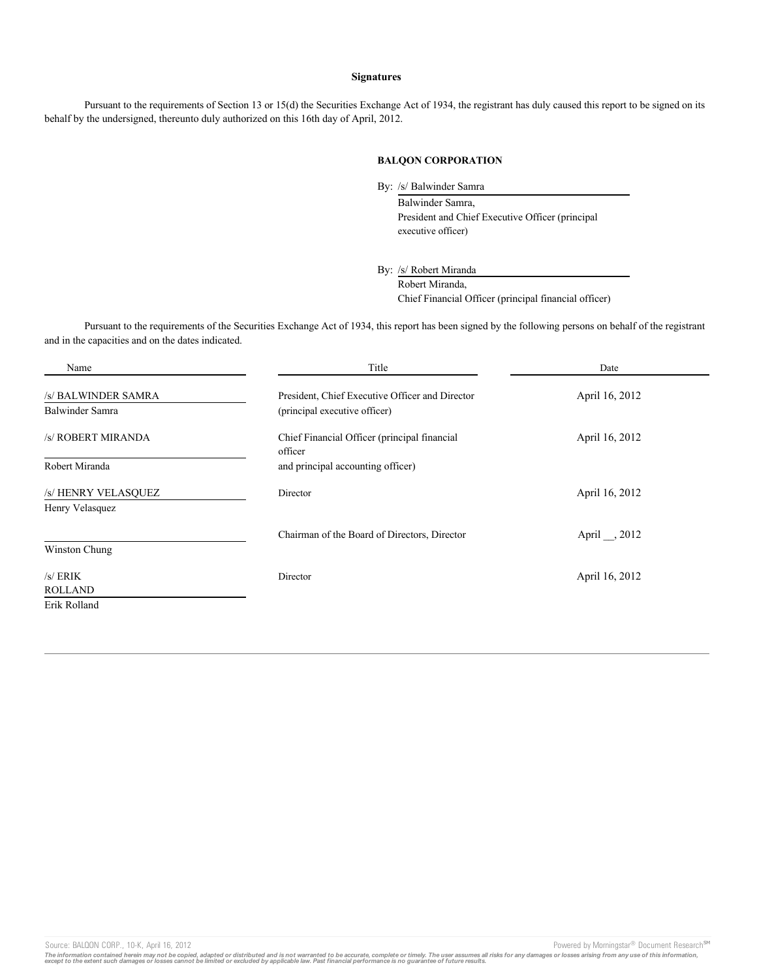## **Signatures**

Pursuant to the requirements of Section 13 or 15(d) the Securities Exchange Act of 1934, the registrant has duly caused this report to be signed on its behalf by the undersigned, thereunto duly authorized on this 16th day of April, 2012.

# **BALQON CORPORATION**

By: /s/ Balwinder Samra

Balwinder Samra, President and Chief Executive Officer (principal executive officer)

By: /s/ Robert Miranda Robert Miranda, Chief Financial Officer (principal financial officer)

Pursuant to the requirements of the Securities Exchange Act of 1934, this report has been signed by the following persons on behalf of the registrant and in the capacities and on the dates indicated.

| Name                | Title                                                   | Date           |
|---------------------|---------------------------------------------------------|----------------|
| /s/ BALWINDER SAMRA | President, Chief Executive Officer and Director         | April 16, 2012 |
| Balwinder Samra     | (principal executive officer)                           |                |
| /s/ ROBERT MIRANDA  | Chief Financial Officer (principal financial<br>officer | April 16, 2012 |
| Robert Miranda      | and principal accounting officer)                       |                |
| /s/ HENRY VELASQUEZ | Director                                                | April 16, 2012 |
| Henry Velasquez     |                                                         |                |
|                     | Chairman of the Board of Directors, Director            | April , 2012   |
| Winston Chung       |                                                         |                |
| $/s/$ ERIK          | Director                                                | April 16, 2012 |
| <b>ROLLAND</b>      |                                                         |                |
| Erik Rolland        |                                                         |                |

Source: BALQON CORP., 10-K, April 16, 2012 **Powered by Morningstar® Document Research** Morningstar® Document Research Morningstar® Document Research Morningstar® Document Research Morningstar® Document Research Morningstar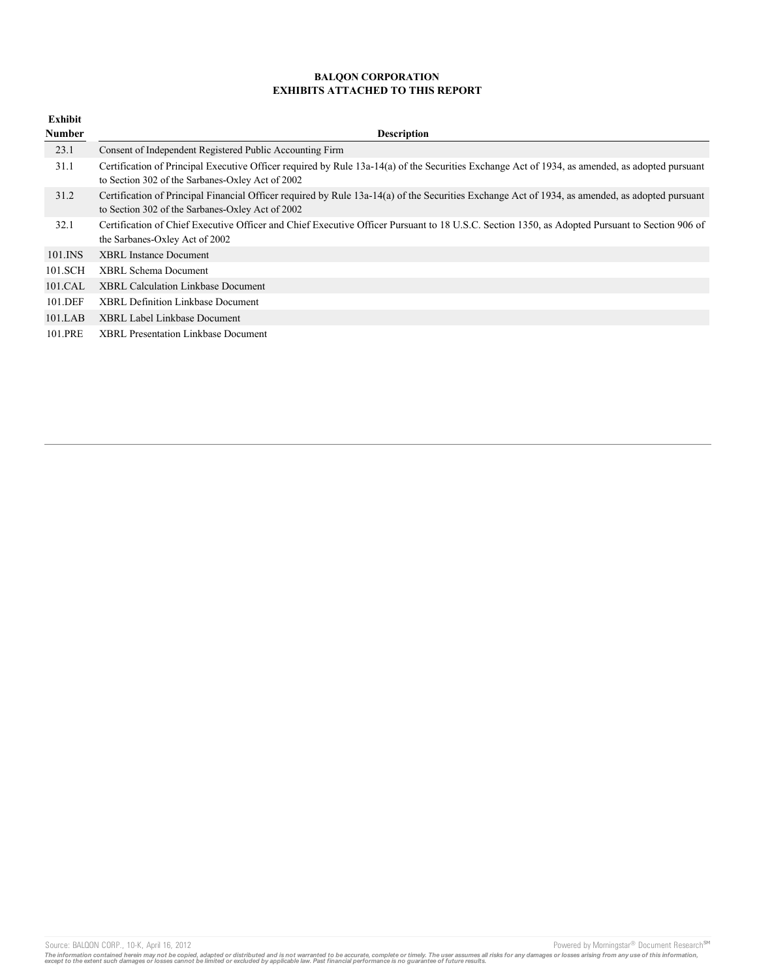# **BALQON CORPORATION EXHIBITS ATTACHED TO THIS REPORT**

| Exhibit       |                                                                                                                                                                                                     |
|---------------|-----------------------------------------------------------------------------------------------------------------------------------------------------------------------------------------------------|
| <b>Number</b> | <b>Description</b>                                                                                                                                                                                  |
| 23.1          | Consent of Independent Registered Public Accounting Firm                                                                                                                                            |
| 31.1          | Certification of Principal Executive Officer required by Rule 13a-14(a) of the Securities Exchange Act of 1934, as amended, as adopted pursuant<br>to Section 302 of the Sarbanes-Oxley Act of 2002 |
| 31.2          | Certification of Principal Financial Officer required by Rule 13a-14(a) of the Securities Exchange Act of 1934, as amended, as adopted pursuant<br>to Section 302 of the Sarbanes-Oxley Act of 2002 |
| 32.1          | Certification of Chief Executive Officer and Chief Executive Officer Pursuant to 18 U.S.C. Section 1350, as Adopted Pursuant to Section 906 of<br>the Sarbanes-Oxley Act of 2002                    |
| 101.INS       | <b>XBRL Instance Document</b>                                                                                                                                                                       |
| 101.SCH       | <b>XBRL Schema Document</b>                                                                                                                                                                         |
| 101.CAL       | <b>XBRL Calculation Linkbase Document</b>                                                                                                                                                           |
| 101.DEF       | <b>XBRL Definition Linkbase Document</b>                                                                                                                                                            |
| 101.LAB       | <b>XBRL Label Linkbase Document</b>                                                                                                                                                                 |
| 101.PRE       | <b>XBRL</b> Presentation Linkbase Document                                                                                                                                                          |

Source: BALQON CORP., 10-K, April 16, 2012<br>The information contained herein may not be copied, adapted or distributed and is not warranted to be accurate, complete or timely. The user assumes all risks for any damages or l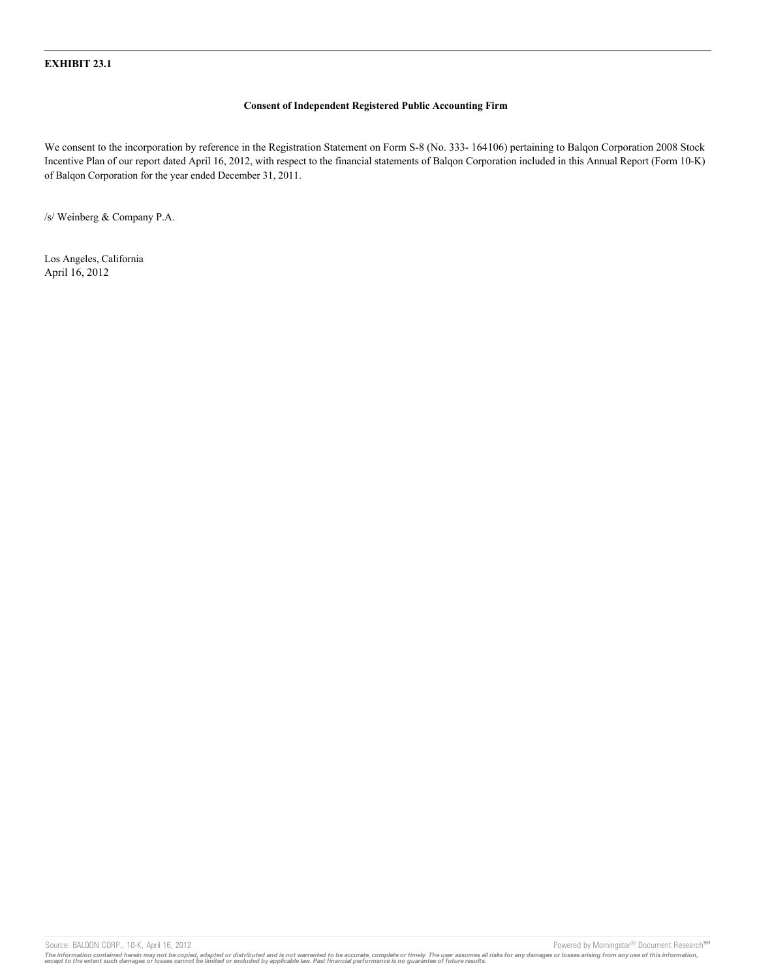## **EXHIBIT 23.1**

## **Consent of Independent Registered Public Accounting Firm**

We consent to the incorporation by reference in the Registration Statement on Form S-8 (No. 333- 164106) pertaining to Balqon Corporation 2008 Stock Incentive Plan of our report dated April 16, 2012, with respect to the financial statements of Balqon Corporation included in this Annual Report (Form 10-K) of Balqon Corporation for the year ended December 31, 2011.

/s/ Weinberg & Company P.A.

Los Angeles, California April 16, 2012

Source: BALQON CORP., 10-K, April 16, 2012 **Powered by Morningstar® Document Research** Morningstar® Document Research Morningstar® Document Research Morningstar® Document Research Morningstar® Document Research Morningstar

The information contained herein may not be copied, adapted or distributed and is not warranted to be accurate, complete or timely. The user assumes all risks for any damages or losses arising from any use of this informat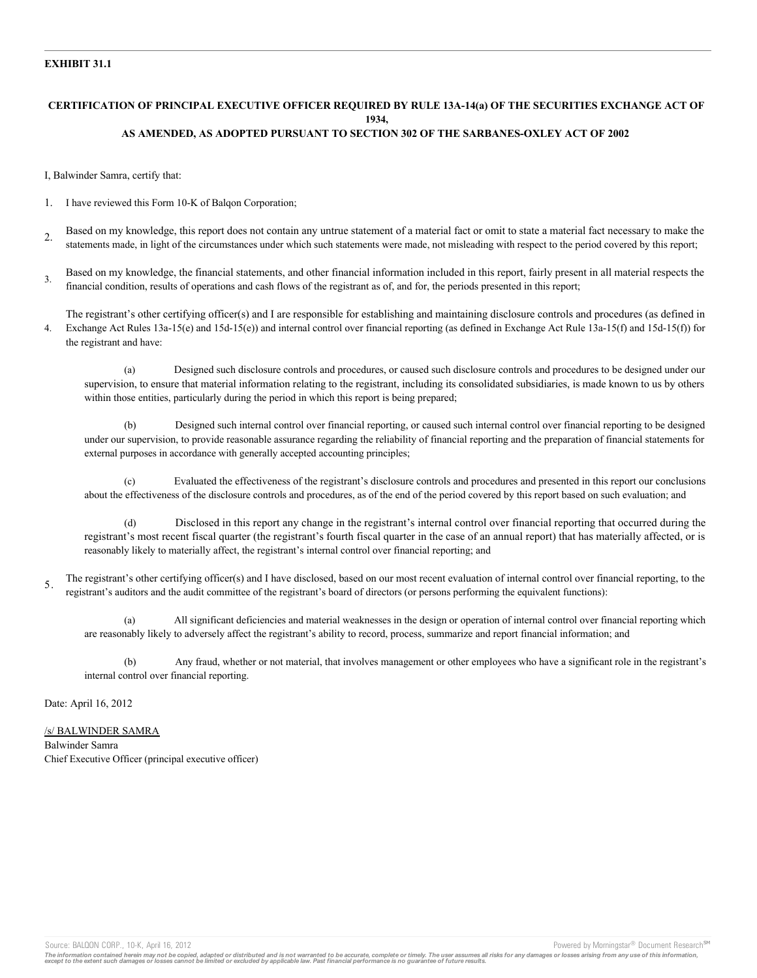## **EXHIBIT 31.1**

# **CERTIFICATION OF PRINCIPAL EXECUTIVE OFFICER REQUIRED BY RULE 13A-14(a) OF THE SECURITIES EXCHANGE ACT OF 1934,**

# **AS AMENDED, AS ADOPTED PURSUANT TO SECTION 302 OF THE SARBANES-OXLEY ACT OF 2002**

I, Balwinder Samra, certify that:

- 1. I have reviewed this Form 10-K of Balqon Corporation;
- 2. Based on my knowledge, this report does not contain any untrue statement of a material fact or omit to state a material fact necessary to make the statements made, in light of the circumstances under which such statements were made, not misleading with respect to the period covered by this report;
- 3. Based on my knowledge, the financial statements, and other financial information included in this report, fairly present in all material respects the financial condition, results of operations and cash flows of the registrant as of, and for, the periods presented in this report;

4. The registrant's other certifying officer(s) and I are responsible for establishing and maintaining disclosure controls and procedures (as defined in Exchange Act Rules 13a-15(e) and 15d-15(e)) and internal control over financial reporting (as defined in Exchange Act Rule 13a-15(f) and 15d-15(f)) for the registrant and have:

(a) Designed such disclosure controls and procedures, or caused such disclosure controls and procedures to be designed under our supervision, to ensure that material information relating to the registrant, including its consolidated subsidiaries, is made known to us by others within those entities, particularly during the period in which this report is being prepared;

(b) Designed such internal control over financial reporting, or caused such internal control over financial reporting to be designed under our supervision, to provide reasonable assurance regarding the reliability of financial reporting and the preparation of financial statements for external purposes in accordance with generally accepted accounting principles;

(c) Evaluated the effectiveness of the registrant's disclosure controls and procedures and presented in this report our conclusions about the effectiveness of the disclosure controls and procedures, as of the end of the period covered by this report based on such evaluation; and

(d) Disclosed in this report any change in the registrant's internal control over financial reporting that occurred during the registrant's most recent fiscal quarter (the registrant's fourth fiscal quarter in the case of an annual report) that has materially affected, or is reasonably likely to materially affect, the registrant's internal control over financial reporting; and

5. The registrant's other certifying officer(s) and I have disclosed, based on our most recent evaluation of internal control over financial reporting, to the registrant's auditors and the audit committee of the registrant's board of directors (or persons performing the equivalent functions):

(a) All significant deficiencies and material weaknesses in the design or operation of internal control over financial reporting which are reasonably likely to adversely affect the registrant's ability to record, process, summarize and report financial information; and

(b) Any fraud, whether or not material, that involves management or other employees who have a significant role in the registrant's internal control over financial reporting.

Date: April 16, 2012

/s/ BALWINDER SAMRA Balwinder Samra Chief Executive Officer (principal executive officer)

Source: BALQON CORP., 10-K, April 16, 2012 **Powered by Morningstar® Document Research** in Powered by Morningstar® Document Research in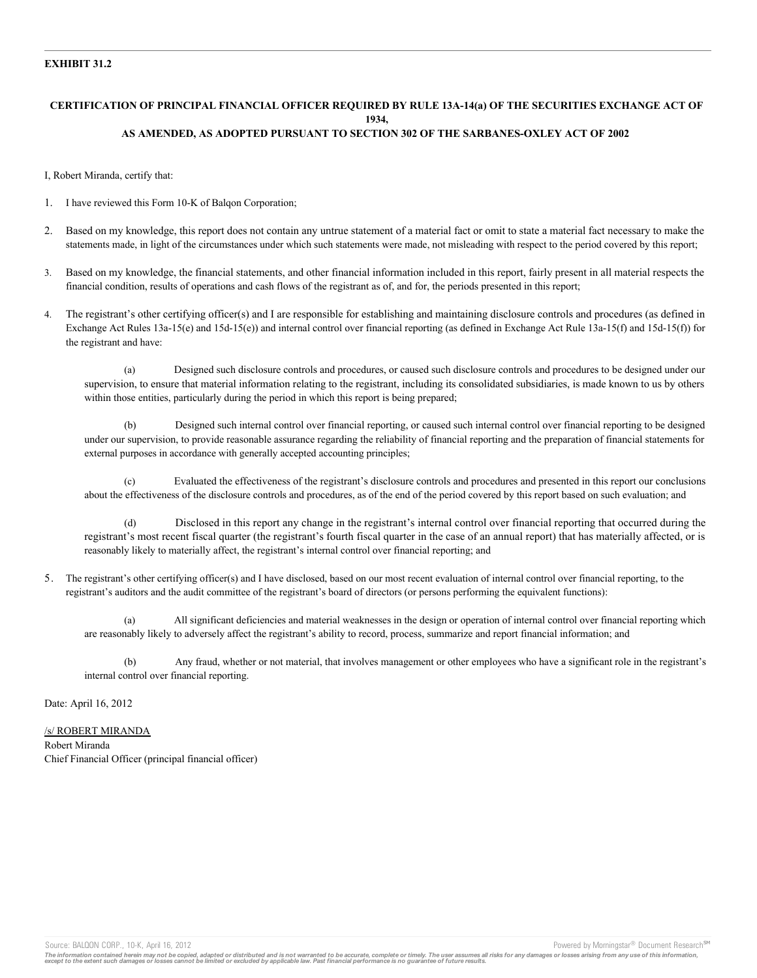## **EXHIBIT 31.2**

# **CERTIFICATION OF PRINCIPAL FINANCIAL OFFICER REQUIRED BY RULE 13A-14(a) OF THE SECURITIES EXCHANGE ACT OF 1934,**

# **AS AMENDED, AS ADOPTED PURSUANT TO SECTION 302 OF THE SARBANES-OXLEY ACT OF 2002**

I, Robert Miranda, certify that:

- 1. I have reviewed this Form 10-K of Balqon Corporation;
- 2. Based on my knowledge, this report does not contain any untrue statement of a material fact or omit to state a material fact necessary to make the statements made, in light of the circumstances under which such statements were made, not misleading with respect to the period covered by this report;
- 3. Based on my knowledge, the financial statements, and other financial information included in this report, fairly present in all material respects the financial condition, results of operations and cash flows of the registrant as of, and for, the periods presented in this report;
- 4. The registrant's other certifying officer(s) and I are responsible for establishing and maintaining disclosure controls and procedures (as defined in Exchange Act Rules 13a-15(e) and 15d-15(e)) and internal control over financial reporting (as defined in Exchange Act Rule 13a-15(f) and 15d-15(f)) for the registrant and have:

(a) Designed such disclosure controls and procedures, or caused such disclosure controls and procedures to be designed under our supervision, to ensure that material information relating to the registrant, including its consolidated subsidiaries, is made known to us by others within those entities, particularly during the period in which this report is being prepared;

(b) Designed such internal control over financial reporting, or caused such internal control over financial reporting to be designed under our supervision, to provide reasonable assurance regarding the reliability of financial reporting and the preparation of financial statements for external purposes in accordance with generally accepted accounting principles;

(c) Evaluated the effectiveness of the registrant's disclosure controls and procedures and presented in this report our conclusions about the effectiveness of the disclosure controls and procedures, as of the end of the period covered by this report based on such evaluation; and

(d) Disclosed in this report any change in the registrant's internal control over financial reporting that occurred during the registrant's most recent fiscal quarter (the registrant's fourth fiscal quarter in the case of an annual report) that has materially affected, or is reasonably likely to materially affect, the registrant's internal control over financial reporting; and

5. The registrant's other certifying officer(s) and I have disclosed, based on our most recent evaluation of internal control over financial reporting, to the registrant's auditors and the audit committee of the registrant's board of directors (or persons performing the equivalent functions):

(a) All significant deficiencies and material weaknesses in the design or operation of internal control over financial reporting which are reasonably likely to adversely affect the registrant's ability to record, process, summarize and report financial information; and

(b) Any fraud, whether or not material, that involves management or other employees who have a significant role in the registrant's internal control over financial reporting.

Date: April 16, 2012

/s/ ROBERT MIRANDA Robert Miranda Chief Financial Officer (principal financial officer)

Source: BALQON CORP., 10-K, April 16, 2012 **Powered by Morningstar® Document Research** in Powered by Morningstar® Document Research in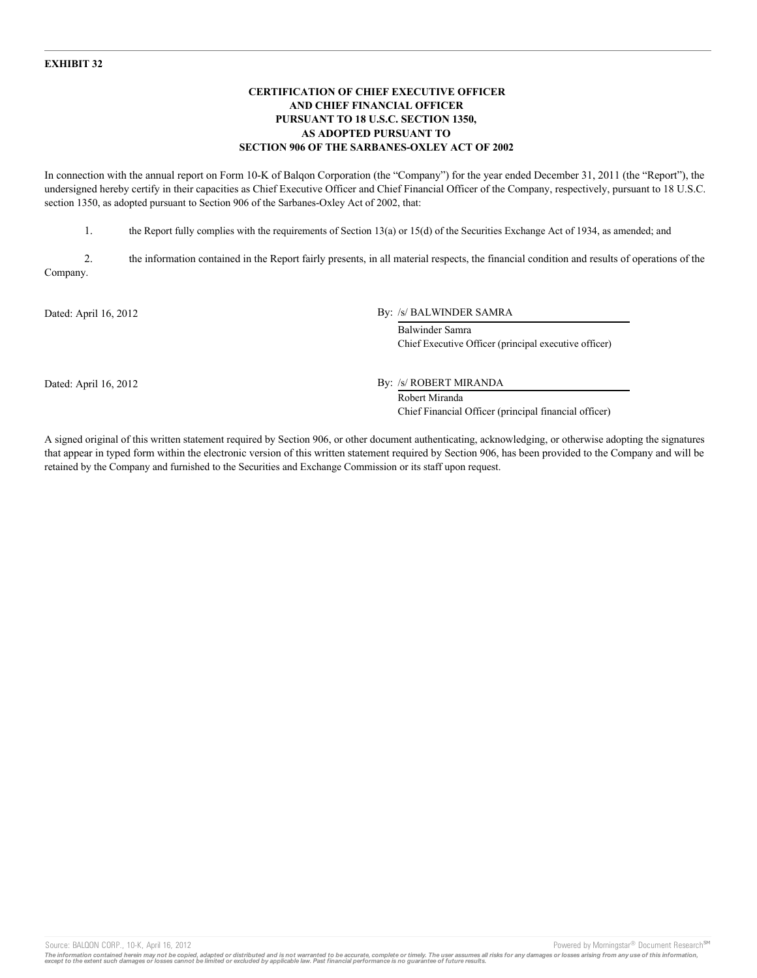# **EXHIBIT 32**

# **CERTIFICATION OF CHIEF EXECUTIVE OFFICER AND CHIEF FINANCIAL OFFICER PURSUANT TO 18 U.S.C. SECTION 1350, AS ADOPTED PURSUANT TO SECTION 906 OF THE SARBANES-OXLEY ACT OF 2002**

In connection with the annual report on Form 10-K of Balqon Corporation (the "Company") for the year ended December 31, 2011 (the "Report"), the undersigned hereby certify in their capacities as Chief Executive Officer and Chief Financial Officer of the Company, respectively, pursuant to 18 U.S.C. section 1350, as adopted pursuant to Section 906 of the Sarbanes-Oxley Act of 2002, that:

1. the Report fully complies with the requirements of Section 13(a) or 15(d) of the Securities Exchange Act of 1934, as amended; and

2. the information contained in the Report fairly presents, in all material respects, the financial condition and results of operations of the Company.

Dated: April 16, 2012 By: /s/ BALWINDER SAMRA

Balwinder Samra Chief Executive Officer (principal executive officer)

Dated: April 16, 2012 By: /s/ ROBERT MIRANDA

Robert Miranda Chief Financial Officer (principal financial officer)

A signed original of this written statement required by Section 906, or other document authenticating, acknowledging, or otherwise adopting the signatures that appear in typed form within the electronic version of this written statement required by Section 906, has been provided to the Company and will be retained by the Company and furnished to the Securities and Exchange Commission or its staff upon request.

Source: BALQON CORP., 10-K, April 16, 2012 **Powered by Morningstar<sup>®</sup> Document Research<sup>sM</sup>**